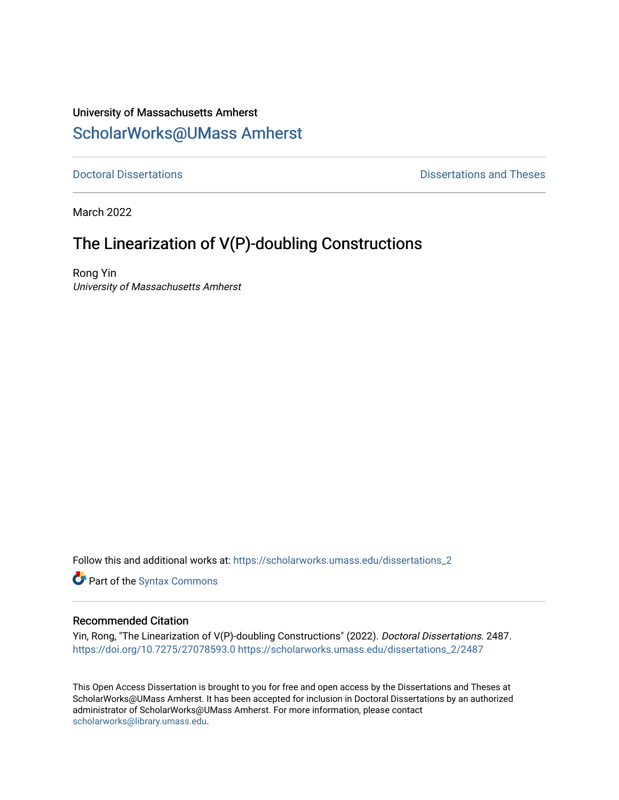## University of Massachusetts Amherst [ScholarWorks@UMass Amherst](https://scholarworks.umass.edu/)

**[Doctoral Dissertations](https://scholarworks.umass.edu/dissertations_2) Contract Contract Contract Contract Contract Contract Contract Contract Contract Contract Contract Contract Contract Contract Contract Contract Contract Contract Contract Contract Contract Contract** 

March 2022

## The Linearization of V(P)-doubling Constructions

Rong Yin University of Massachusetts Amherst

Follow this and additional works at: [https://scholarworks.umass.edu/dissertations\\_2](https://scholarworks.umass.edu/dissertations_2?utm_source=scholarworks.umass.edu%2Fdissertations_2%2F2487&utm_medium=PDF&utm_campaign=PDFCoverPages)

Part of the [Syntax Commons](http://network.bepress.com/hgg/discipline/384?utm_source=scholarworks.umass.edu%2Fdissertations_2%2F2487&utm_medium=PDF&utm_campaign=PDFCoverPages) 

#### Recommended Citation

Yin, Rong, "The Linearization of V(P)-doubling Constructions" (2022). Doctoral Dissertations. 2487. <https://doi.org/10.7275/27078593.0> [https://scholarworks.umass.edu/dissertations\\_2/2487](https://scholarworks.umass.edu/dissertations_2/2487?utm_source=scholarworks.umass.edu%2Fdissertations_2%2F2487&utm_medium=PDF&utm_campaign=PDFCoverPages)

This Open Access Dissertation is brought to you for free and open access by the Dissertations and Theses at ScholarWorks@UMass Amherst. It has been accepted for inclusion in Doctoral Dissertations by an authorized administrator of ScholarWorks@UMass Amherst. For more information, please contact [scholarworks@library.umass.edu.](mailto:scholarworks@library.umass.edu)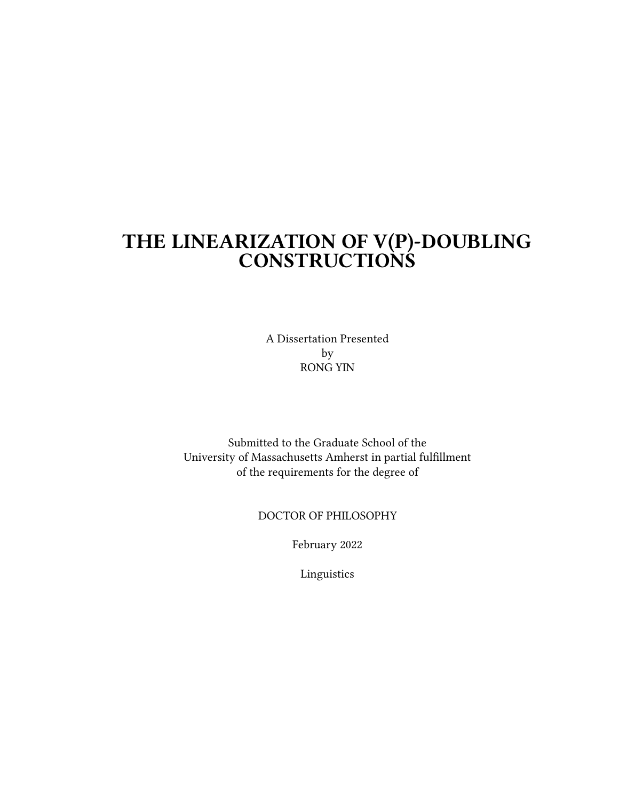## THE LINEARIZATION OF V(P)-DOUBLING CONSTRUCTIONS

A Dissertation Presented by RONG YIN

Submitted to the Graduate School of the University of Massachusetts Amherst in partial fulllment of the requirements for the degree of

#### DOCTOR OF PHILOSOPHY

February 2022

Linguistics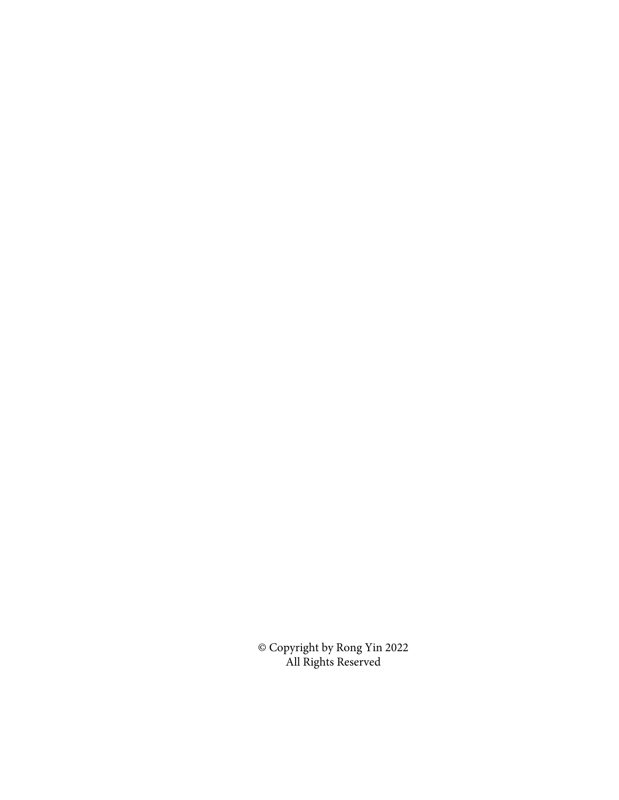© Copyright by Rong Yin 2022 All Rights Reserved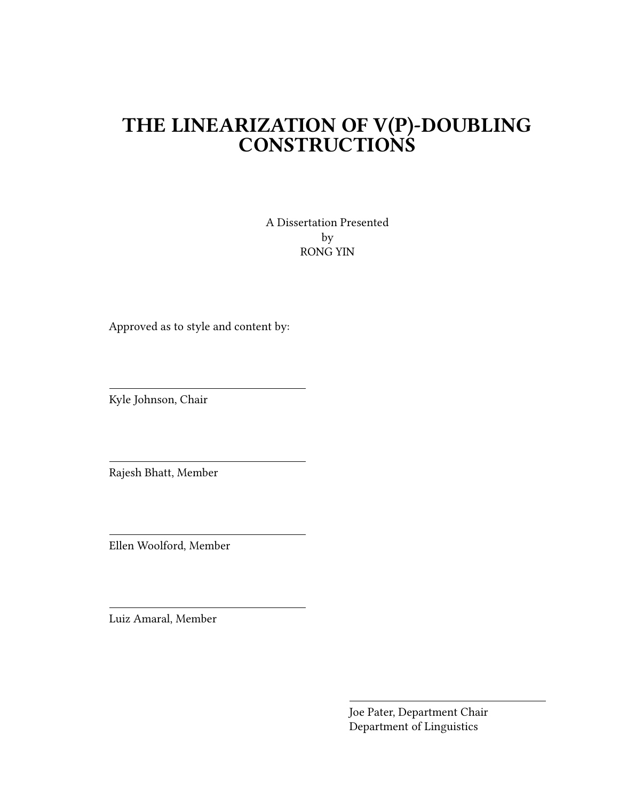# THE LINEARIZATION OF V(P)-DOUBLING CONSTRUCTIONS

A Dissertation Presented by RONG YIN

Approved as to style and content by:

Kyle Johnson, Chair

Rajesh Bhatt, Member

Ellen Woolford, Member

Luiz Amaral, Member

Joe Pater, Department Chair Department of Linguistics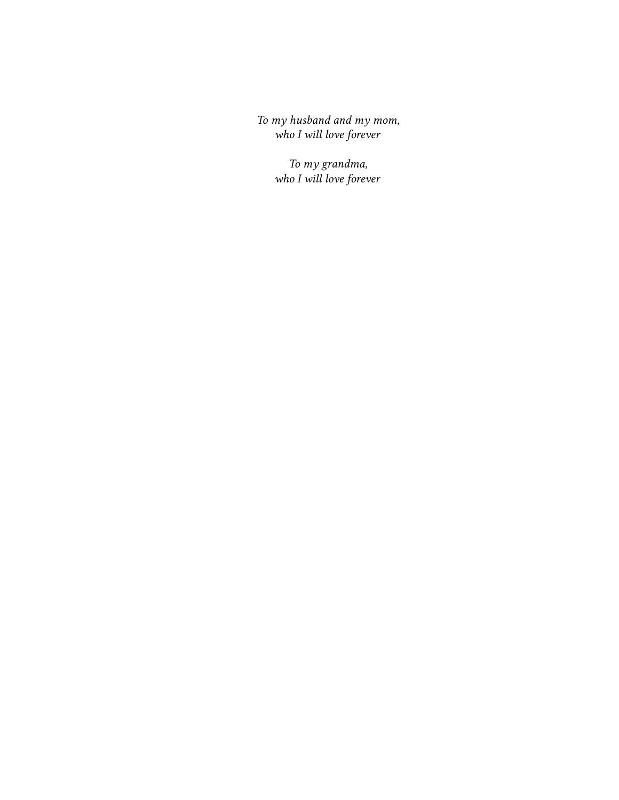To my husband and my mom, who I will love forever

> To my grandma, who I will love forever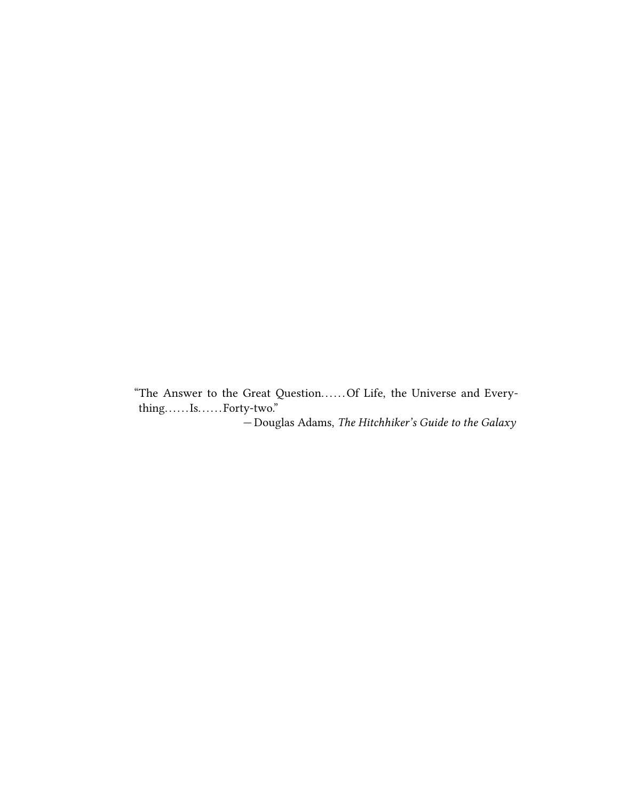"The Answer to the Great Question. . . . . . Of Life, the Universe and Every- $\it thing. \dots. Is. \dots. \\ For ty-two. \label{def:1}$ 

— Douglas Adams, The Hitchhiker's Guide to the Galaxy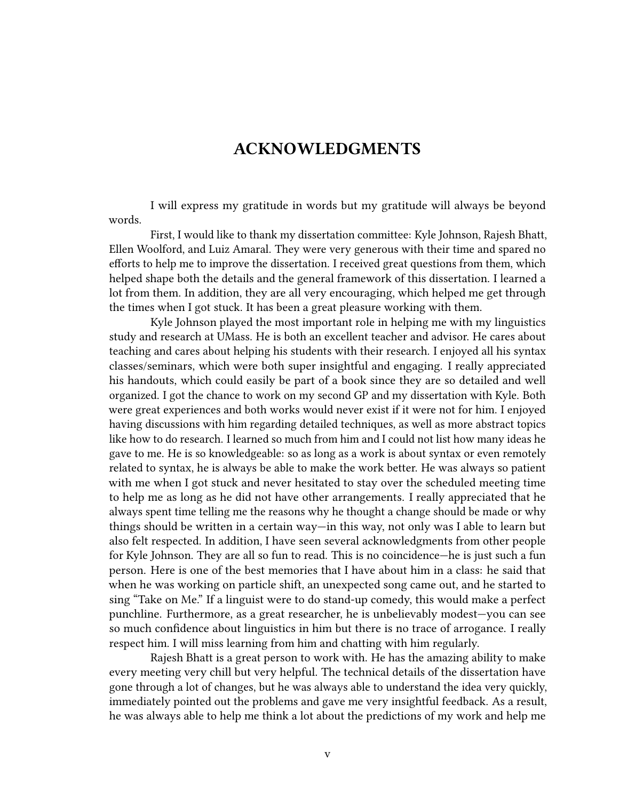### ACKNOWLEDGMENTS

I will express my gratitude in words but my gratitude will always be beyond words.

First, I would like to thank my dissertation committee: Kyle Johnson, Rajesh Bhatt, Ellen Woolford, and Luiz Amaral. They were very generous with their time and spared no efforts to help me to improve the dissertation. I received great questions from them, which helped shape both the details and the general framework of this dissertation. I learned a lot from them. In addition, they are all very encouraging, which helped me get through the times when I got stuck. It has been a great pleasure working with them.

Kyle Johnson played the most important role in helping me with my linguistics study and research at UMass. He is both an excellent teacher and advisor. He cares about teaching and cares about helping his students with their research. I enjoyed all his syntax classes/seminars, which were both super insightful and engaging. I really appreciated his handouts, which could easily be part of a book since they are so detailed and well organized. I got the chance to work on my second GP and my dissertation with Kyle. Both were great experiences and both works would never exist if it were not for him. I enjoyed having discussions with him regarding detailed techniques, as well as more abstract topics like how to do research. I learned so much from him and I could not list how many ideas he gave to me. He is so knowledgeable: so as long as a work is about syntax or even remotely related to syntax, he is always be able to make the work better. He was always so patient with me when I got stuck and never hesitated to stay over the scheduled meeting time to help me as long as he did not have other arrangements. I really appreciated that he always spent time telling me the reasons why he thought a change should be made or why things should be written in a certain way—in this way, not only was I able to learn but also felt respected. In addition, I have seen several acknowledgments from other people for Kyle Johnson. They are all so fun to read. This is no coincidence—he is just such a fun person. Here is one of the best memories that I have about him in a class: he said that when he was working on particle shift, an unexpected song came out, and he started to sing "Take on Me." If a linguist were to do stand-up comedy, this would make a perfect punchline. Furthermore, as a great researcher, he is unbelievably modest—you can see so much confidence about linguistics in him but there is no trace of arrogance. I really respect him. I will miss learning from him and chatting with him regularly.

Rajesh Bhatt is a great person to work with. He has the amazing ability to make every meeting very chill but very helpful. The technical details of the dissertation have gone through a lot of changes, but he was always able to understand the idea very quickly, immediately pointed out the problems and gave me very insightful feedback. As a result, he was always able to help me think a lot about the predictions of my work and help me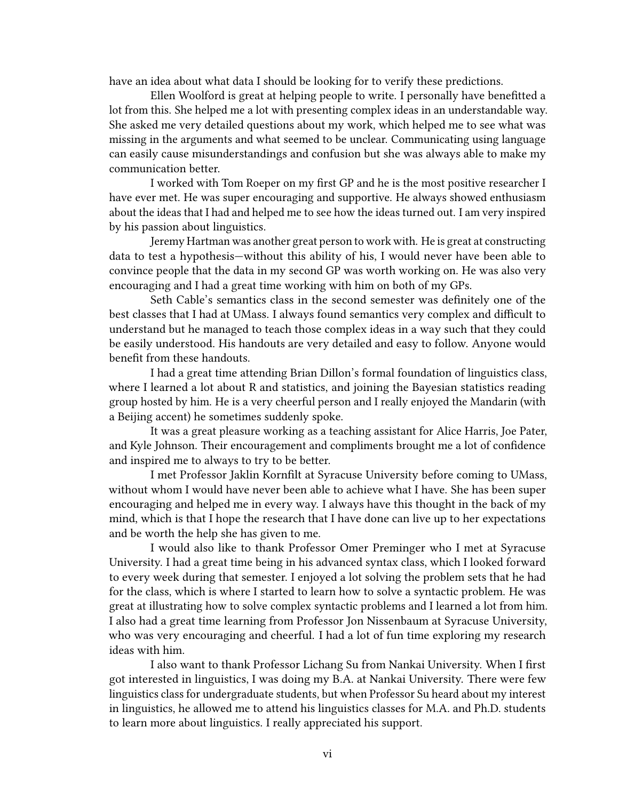have an idea about what data I should be looking for to verify these predictions.

Ellen Woolford is great at helping people to write. I personally have benefitted a lot from this. She helped me a lot with presenting complex ideas in an understandable way. She asked me very detailed questions about my work, which helped me to see what was missing in the arguments and what seemed to be unclear. Communicating using language can easily cause misunderstandings and confusion but she was always able to make my communication better.

I worked with Tom Roeper on my first GP and he is the most positive researcher I have ever met. He was super encouraging and supportive. He always showed enthusiasm about the ideas that I had and helped me to see how the ideas turned out. I am very inspired by his passion about linguistics.

Jeremy Hartman was another great person to work with. He is great at constructing data to test a hypothesis—without this ability of his, I would never have been able to convince people that the data in my second GP was worth working on. He was also very encouraging and I had a great time working with him on both of my GPs.

Seth Cable's semantics class in the second semester was definitely one of the best classes that I had at UMass. I always found semantics very complex and difficult to understand but he managed to teach those complex ideas in a way such that they could be easily understood. His handouts are very detailed and easy to follow. Anyone would benefit from these handouts.

I had a great time attending Brian Dillon's formal foundation of linguistics class, where I learned a lot about R and statistics, and joining the Bayesian statistics reading group hosted by him. He is a very cheerful person and I really enjoyed the Mandarin (with a Beijing accent) he sometimes suddenly spoke.

It was a great pleasure working as a teaching assistant for Alice Harris, Joe Pater, and Kyle Johnson. Their encouragement and compliments brought me a lot of confidence and inspired me to always to try to be better.

I met Professor Jaklin Kornfilt at Syracuse University before coming to UMass, without whom I would have never been able to achieve what I have. She has been super encouraging and helped me in every way. I always have this thought in the back of my mind, which is that I hope the research that I have done can live up to her expectations and be worth the help she has given to me.

I would also like to thank Professor Omer Preminger who I met at Syracuse University. I had a great time being in his advanced syntax class, which I looked forward to every week during that semester. I enjoyed a lot solving the problem sets that he had for the class, which is where I started to learn how to solve a syntactic problem. He was great at illustrating how to solve complex syntactic problems and I learned a lot from him. I also had a great time learning from Professor Jon Nissenbaum at Syracuse University, who was very encouraging and cheerful. I had a lot of fun time exploring my research ideas with him.

I also want to thank Professor Lichang Su from Nankai University. When I first got interested in linguistics, I was doing my B.A. at Nankai University. There were few linguistics class for undergraduate students, but when Professor Su heard about my interest in linguistics, he allowed me to attend his linguistics classes for M.A. and Ph.D. students to learn more about linguistics. I really appreciated his support.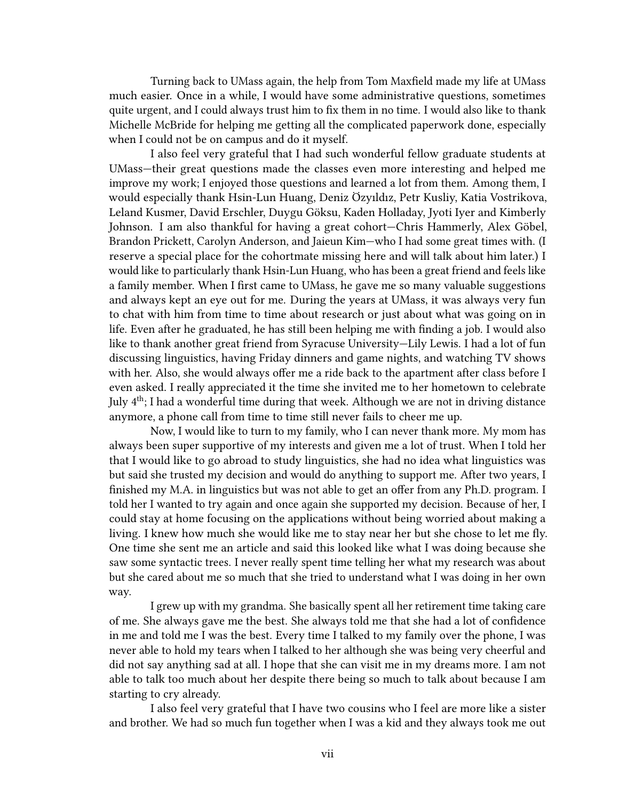Turning back to UMass again, the help from Tom Maxfield made my life at UMass much easier. Once in a while, I would have some administrative questions, sometimes quite urgent, and I could always trust him to fix them in no time. I would also like to thank Michelle McBride for helping me getting all the complicated paperwork done, especially when I could not be on campus and do it myself.

I also feel very grateful that I had such wonderful fellow graduate students at UMass—their great questions made the classes even more interesting and helped me improve my work; I enjoyed those questions and learned a lot from them. Among them, I would especially thank Hsin-Lun Huang, Deniz Özyıldız, Petr Kusliy, Katia Vostrikova, Leland Kusmer, David Erschler, Duygu Göksu, Kaden Holladay, Jyoti Iyer and Kimberly Johnson. I am also thankful for having a great cohort—Chris Hammerly, Alex Göbel, Brandon Prickett, Carolyn Anderson, and Jaieun Kim—who I had some great times with. (I reserve a special place for the cohortmate missing here and will talk about him later.) I would like to particularly thank Hsin-Lun Huang, who has been a great friend and feels like a family member. When I first came to UMass, he gave me so many valuable suggestions and always kept an eye out for me. During the years at UMass, it was always very fun to chat with him from time to time about research or just about what was going on in life. Even after he graduated, he has still been helping me with finding a job. I would also like to thank another great friend from Syracuse University—Lily Lewis. I had a lot of fun discussing linguistics, having Friday dinners and game nights, and watching TV shows with her. Also, she would always offer me a ride back to the apartment after class before I even asked. I really appreciated it the time she invited me to her hometown to celebrate July  $4<sup>th</sup>$ ; I had a wonderful time during that week. Although we are not in driving distance anymore, a phone call from time to time still never fails to cheer me up.

Now, I would like to turn to my family, who I can never thank more. My mom has always been super supportive of my interests and given me a lot of trust. When I told her that I would like to go abroad to study linguistics, she had no idea what linguistics was but said she trusted my decision and would do anything to support me. After two years, I finished my M.A. in linguistics but was not able to get an offer from any Ph.D. program. I told her I wanted to try again and once again she supported my decision. Because of her, I could stay at home focusing on the applications without being worried about making a living. I knew how much she would like me to stay near her but she chose to let me fly. One time she sent me an article and said this looked like what I was doing because she saw some syntactic trees. I never really spent time telling her what my research was about but she cared about me so much that she tried to understand what I was doing in her own way.

I grew up with my grandma. She basically spent all her retirement time taking care of me. She always gave me the best. She always told me that she had a lot of confidence in me and told me I was the best. Every time I talked to my family over the phone, I was never able to hold my tears when I talked to her although she was being very cheerful and did not say anything sad at all. I hope that she can visit me in my dreams more. I am not able to talk too much about her despite there being so much to talk about because I am starting to cry already.

I also feel very grateful that I have two cousins who I feel are more like a sister and brother. We had so much fun together when I was a kid and they always took me out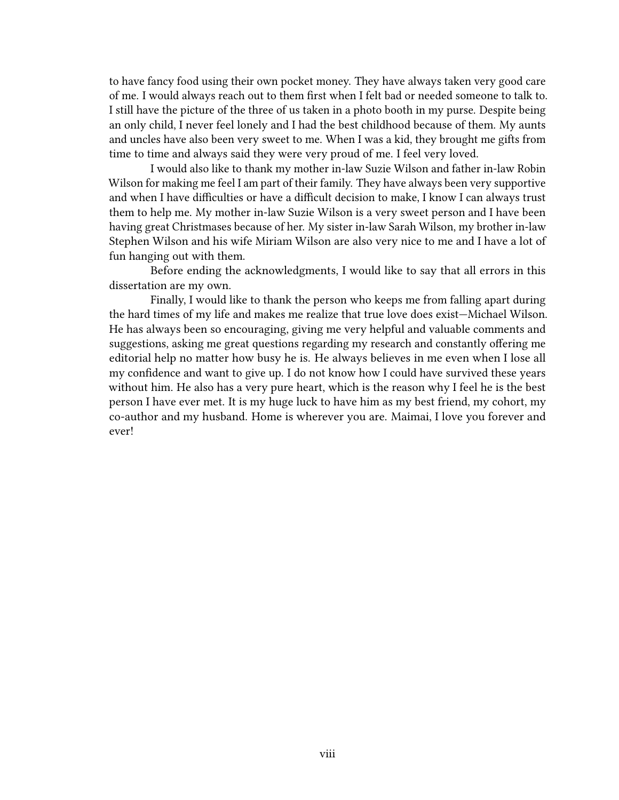to have fancy food using their own pocket money. They have always taken very good care of me. I would always reach out to them first when I felt bad or needed someone to talk to. I still have the picture of the three of us taken in a photo booth in my purse. Despite being an only child, I never feel lonely and I had the best childhood because of them. My aunts and uncles have also been very sweet to me. When I was a kid, they brought me gifts from time to time and always said they were very proud of me. I feel very loved.

I would also like to thank my mother in-law Suzie Wilson and father in-law Robin Wilson for making me feel I am part of their family. They have always been very supportive and when I have difficulties or have a difficult decision to make, I know I can always trust them to help me. My mother in-law Suzie Wilson is a very sweet person and I have been having great Christmases because of her. My sister in-law Sarah Wilson, my brother in-law Stephen Wilson and his wife Miriam Wilson are also very nice to me and I have a lot of fun hanging out with them.

Before ending the acknowledgments, I would like to say that all errors in this dissertation are my own.

Finally, I would like to thank the person who keeps me from falling apart during the hard times of my life and makes me realize that true love does exist—Michael Wilson. He has always been so encouraging, giving me very helpful and valuable comments and suggestions, asking me great questions regarding my research and constantly offering me editorial help no matter how busy he is. He always believes in me even when I lose all my confidence and want to give up. I do not know how I could have survived these years without him. He also has a very pure heart, which is the reason why I feel he is the best person I have ever met. It is my huge luck to have him as my best friend, my cohort, my co-author and my husband. Home is wherever you are. Maimai, I love you forever and ever!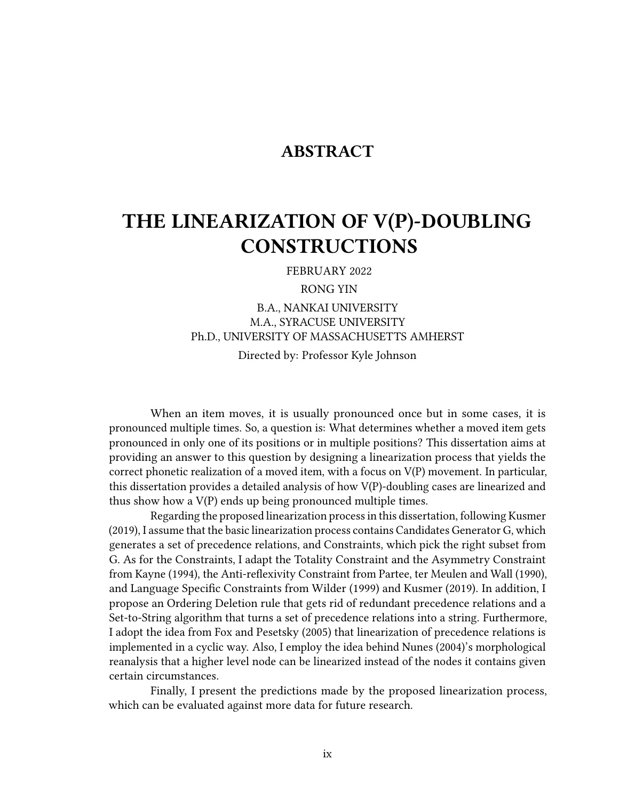### ABSTRACT

## THE LINEARIZATION OF V(P)-DOUBLING CONSTRUCTIONS

FEBRUARY 2022

RONG YIN

B.A., NANKAI UNIVERSITY M.A., SYRACUSE UNIVERSITY Ph.D., UNIVERSITY OF MASSACHUSETTS AMHERST Directed by: Professor Kyle Johnson

When an item moves, it is usually pronounced once but in some cases, it is pronounced multiple times. So, a question is: What determines whether a moved item gets pronounced in only one of its positions or in multiple positions? This dissertation aims at providing an answer to this question by designing a linearization process that yields the correct phonetic realization of a moved item, with a focus on V(P) movement. In particular, this dissertation provides a detailed analysis of how V(P)-doubling cases are linearized and thus show how a V(P) ends up being pronounced multiple times.

Regarding the proposed linearization processin this dissertation, following Kusmer (2019), I assume that the basic linearization process contains Candidates Generator G, which generates a set of precedence relations, and Constraints, which pick the right subset from G. As for the Constraints, I adapt the Totality Constraint and the Asymmetry Constraint from Kayne (1994), the Anti-reflexivity Constraint from Partee, ter Meulen and Wall (1990), and Language Specific Constraints from Wilder (1999) and Kusmer (2019). In addition, I propose an Ordering Deletion rule that gets rid of redundant precedence relations and a Set-to-String algorithm that turns a set of precedence relations into a string. Furthermore, I adopt the idea from Fox and Pesetsky (2005) that linearization of precedence relations is implemented in a cyclic way. Also, I employ the idea behind Nunes (2004)'s morphological reanalysis that a higher level node can be linearized instead of the nodes it contains given certain circumstances.

Finally, I present the predictions made by the proposed linearization process, which can be evaluated against more data for future research.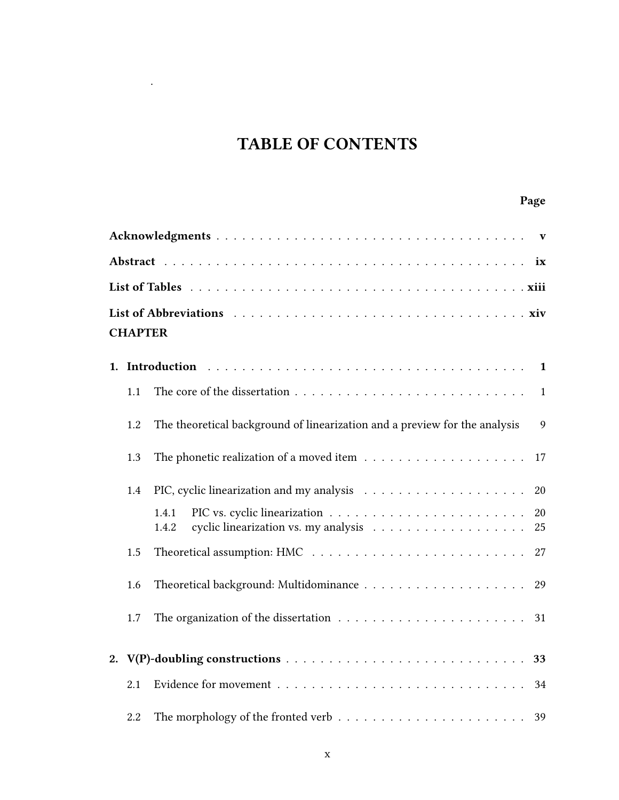## TABLE OF CONTENTS

.

## Page

| ix             |     |                                                                                                     |  |  |  |  |  |  |
|----------------|-----|-----------------------------------------------------------------------------------------------------|--|--|--|--|--|--|
|                |     |                                                                                                     |  |  |  |  |  |  |
| <b>CHAPTER</b> |     |                                                                                                     |  |  |  |  |  |  |
|                |     |                                                                                                     |  |  |  |  |  |  |
|                | 1.1 | $\mathbf{1}$                                                                                        |  |  |  |  |  |  |
|                | 1.2 | The theoretical background of linearization and a preview for the analysis<br>9                     |  |  |  |  |  |  |
|                | 1.3 | The phonetic realization of a moved item $\ldots \ldots \ldots \ldots \ldots \ldots$<br>17          |  |  |  |  |  |  |
|                | 1.4 | $20\,$                                                                                              |  |  |  |  |  |  |
|                |     | 1.4.1<br>20<br>25<br>1.4.2                                                                          |  |  |  |  |  |  |
|                | 1.5 |                                                                                                     |  |  |  |  |  |  |
|                | 1.6 | 29                                                                                                  |  |  |  |  |  |  |
|                | 1.7 | The organization of the dissertation $\ldots \ldots \ldots \ldots \ldots \ldots \ldots 31$          |  |  |  |  |  |  |
|                |     |                                                                                                     |  |  |  |  |  |  |
|                | 2.1 | 34                                                                                                  |  |  |  |  |  |  |
|                | 2.2 | The morphology of the fronted verb $\dots \dots \dots \dots \dots \dots \dots \dots \dots \dots$ 39 |  |  |  |  |  |  |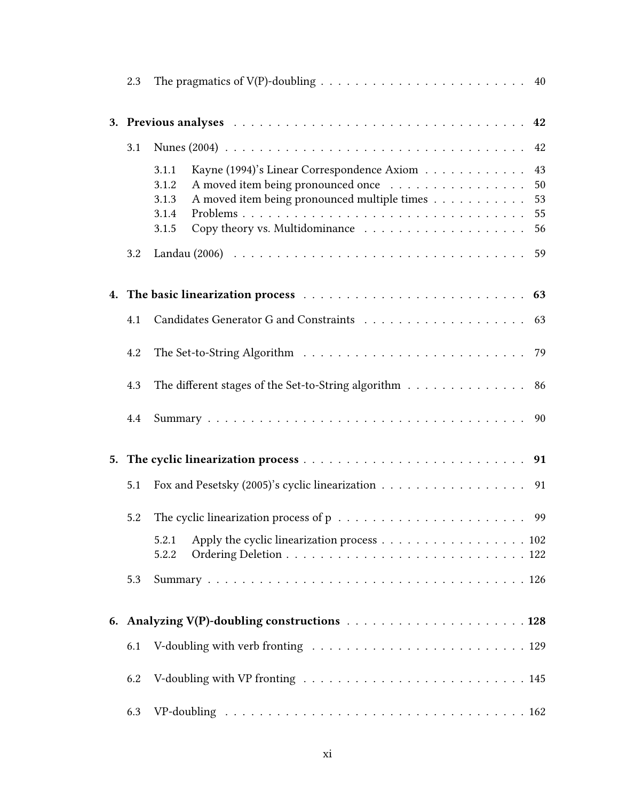| 2.3 |                                                                                                                |
|-----|----------------------------------------------------------------------------------------------------------------|
|     |                                                                                                                |
| 3.1 |                                                                                                                |
|     | 43<br>Kayne (1994)'s Linear Correspondence Axiom<br>3.1.1<br>A moved item being pronounced once<br>50<br>3.1.2 |
|     | A moved item being pronounced multiple times<br>53<br>3.1.3                                                    |
|     | 55<br>3.1.4                                                                                                    |
|     | 3.1.5<br>56                                                                                                    |
| 3.2 |                                                                                                                |
|     |                                                                                                                |
| 4.1 |                                                                                                                |
| 4.2 |                                                                                                                |
| 4.3 | The different stages of the Set-to-String algorithm 86                                                         |
| 4.4 |                                                                                                                |
|     |                                                                                                                |
| 5.1 | Fox and Pesetsky (2005)'s cyclic linearization 91                                                              |
| 5.2 |                                                                                                                |
|     | Apply the cyclic linearization process 102<br>5.2.1<br>5.2.2                                                   |
| 5.3 |                                                                                                                |
|     |                                                                                                                |
| 6.1 |                                                                                                                |
| 6.2 |                                                                                                                |
| 6.3 |                                                                                                                |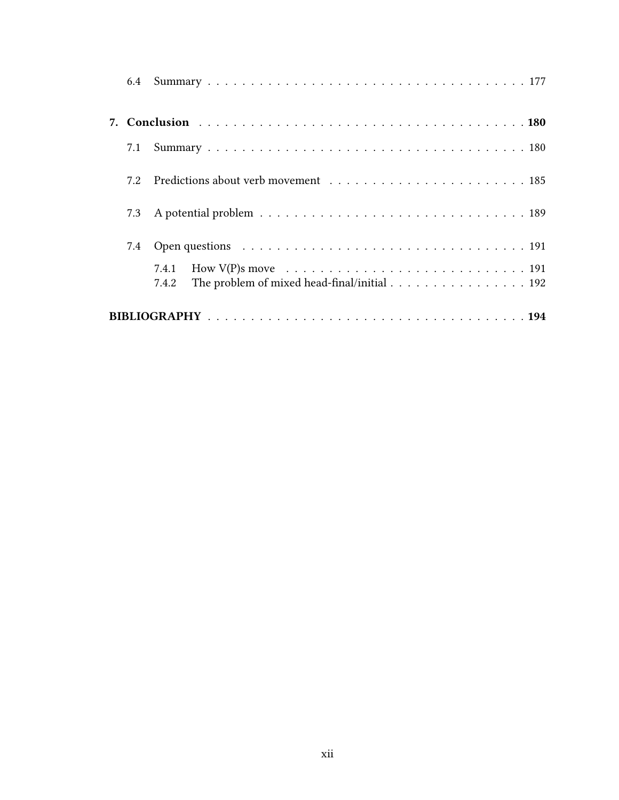| 7.1 |                                                                                                  |
|-----|--------------------------------------------------------------------------------------------------|
| 7.2 |                                                                                                  |
| 7.3 |                                                                                                  |
| 7.4 |                                                                                                  |
|     |                                                                                                  |
|     | The problem of mixed head-final/initial $\ldots \ldots \ldots \ldots \ldots \ldots$ 192<br>7.4.2 |
|     |                                                                                                  |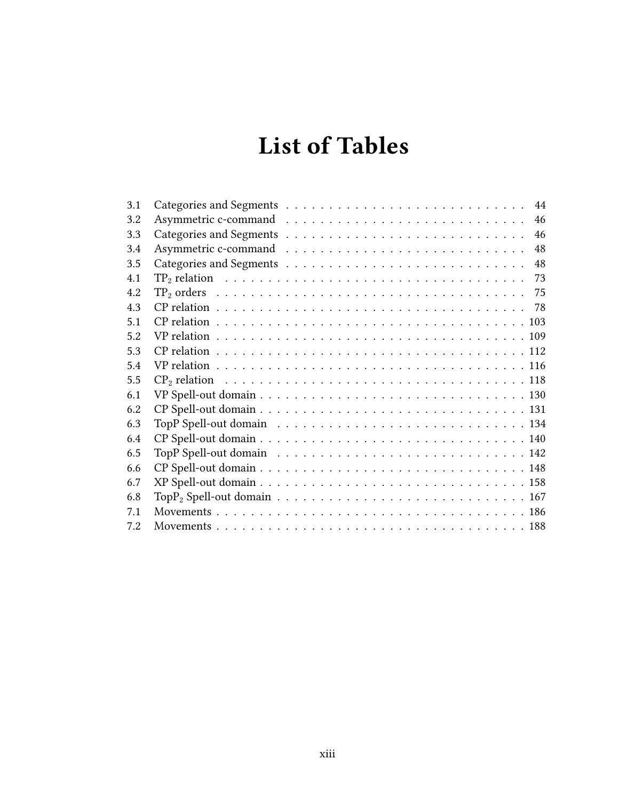# List of Tables

| 3.1 | 44 |
|-----|----|
| 3.2 | 46 |
| 3.3 | 46 |
| 3.4 | 48 |
| 3.5 | 48 |
| 4.1 | 73 |
| 4 2 | 75 |
| 43  |    |
| 5.1 |    |
| 52  |    |
| 5.3 |    |
| 5.4 |    |
| 5.5 |    |
| 6.1 |    |
| 6.2 |    |
| 6.3 |    |
| 6.4 |    |
| 6.5 |    |
| 6.6 |    |
| 6.7 |    |
| 6.8 |    |
| 7.1 |    |
| 7.2 |    |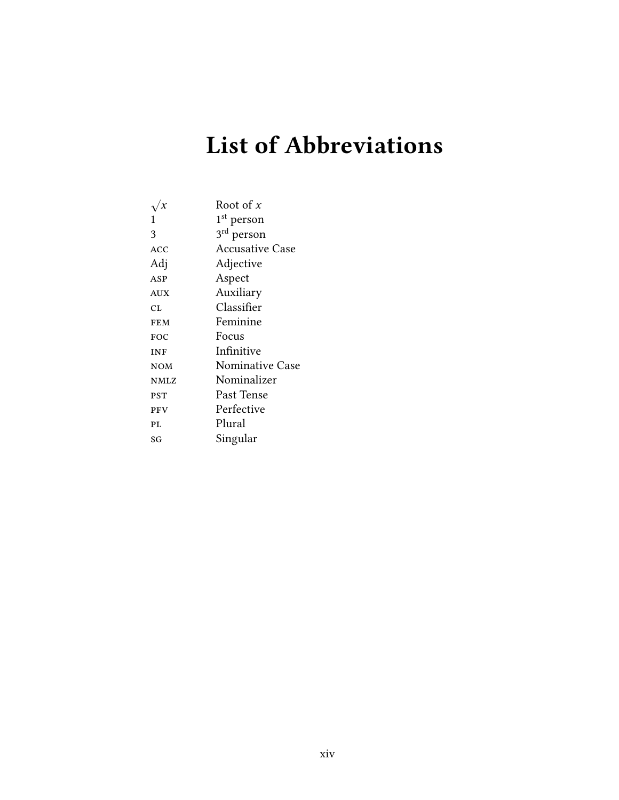# List of Abbreviations

|             | Root of $x$            |
|-------------|------------------------|
| 1           | 1 <sup>st</sup> person |
| 3           | 3 <sup>rd</sup> person |
| <b>ACC</b>  | <b>Accusative Case</b> |
| Adj         | Adjective              |
| ASP         | Aspect                 |
| AUX         | Auxiliary              |
| CL          | Classifier             |
| <b>FEM</b>  | Feminine               |
| FOC         | Focus                  |
| <b>INF</b>  | Infinitive             |
| <b>NOM</b>  | <b>Nominative Case</b> |
| <b>NMLZ</b> | Nominalizer            |
| <b>PST</b>  | Past Tense             |
| PFV         | Perfective             |
| PL          | Plural                 |
| SG          | Singular               |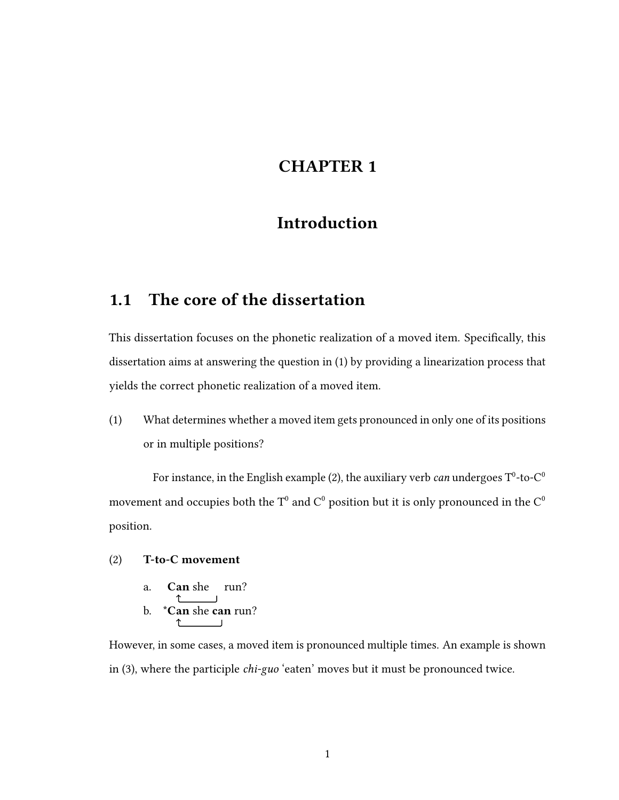## CHAPTER 1

## Introduction

## 1.1 The core of the dissertation

This dissertation focuses on the phonetic realization of a moved item. Specifically, this dissertation aims at answering the question in (1) by providing a linearization process that yields the correct phonetic realization of a moved item.

(1) What determines whether a moved item gets pronounced in only one of its positions or in multiple positions?

For instance, in the English example (2), the auxiliary verb *can* undergoes T $^0$ -to-C $^0$ movement and occupies both the T<sup>0</sup> and C<sup>0</sup> position but it is only pronounced in the C<sup>0</sup> position.

#### (2) T-to-C movement

a. Can she run? ↑ b. \*Can she can run?  $\uparrow$ **Contract Contract** 

However, in some cases, a moved item is pronounced multiple times. An example is shown in (3), where the participle chi-guo 'eaten' moves but it must be pronounced twice.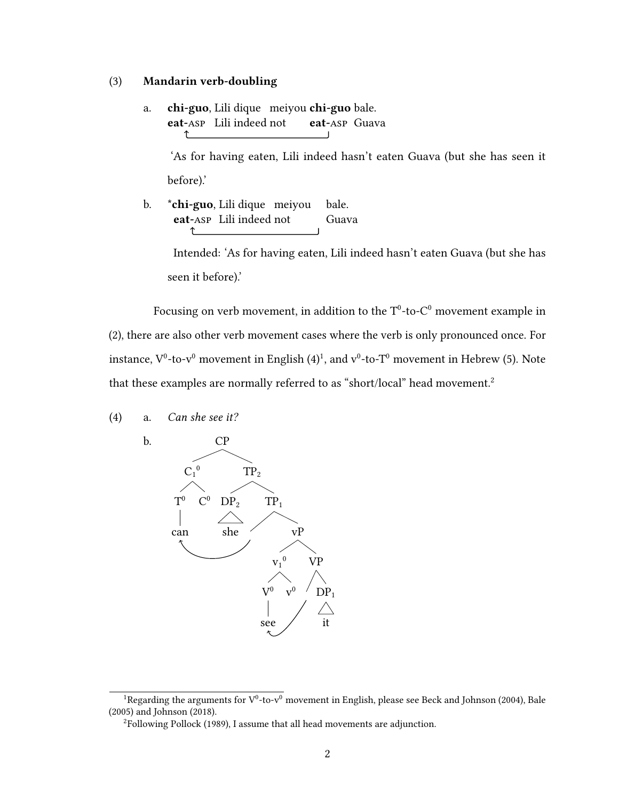#### (3) Mandarin verb-doubling

a. **chi-guo**, Lili dique meiyou **chi-guo** bale. eat-asp Lili indeed not eat-asp Guava

'As for having eaten, Lili indeed hasn't eaten Guava (but she has seen it before).'

b. \* **chi-guo**. Lili dique meiyou bale. eat-asp Lili indeed not Guava ↥

> Intended: 'As for having eaten, Lili indeed hasn't eaten Guava (but she has seen it before).'

Focusing on verb movement, in addition to the  $T^0$ -to- $C^0$  movement example in (2), there are also other verb movement cases where the verb is only pronounced once. For instance,  $V^0$ -to-v $^0$  movement in English (4)<sup>1</sup>, and v $^0$ -to-T $^0$  movement in Hebrew (5). Note that these examples are normally referred to as "short/local" head movement.<sup>2</sup>

- (4) a. Can she see it?
	-
- b. CP  $TP<sub>2</sub>$  $TP<sub>1</sub>$ vP VP  $DP<sub>1</sub>$ it  $V_1$  $\mathbf{0}$ v  $V^0$   $V^0$  $\overline{0}$ see  $DP<sub>2</sub>$ she  $C_1^{\,0}$  $T^0$   $C^0$  $T^0$ can

<sup>&</sup>lt;sup>1</sup>Regarding the arguments for  $V^0$ -to- $v^0$  movement in English, please see Beck and Johnson (2004), Bale (2005) and Johnson (2018).

<sup>&</sup>lt;sup>2</sup>Following Pollock (1989), I assume that all head movements are adjunction.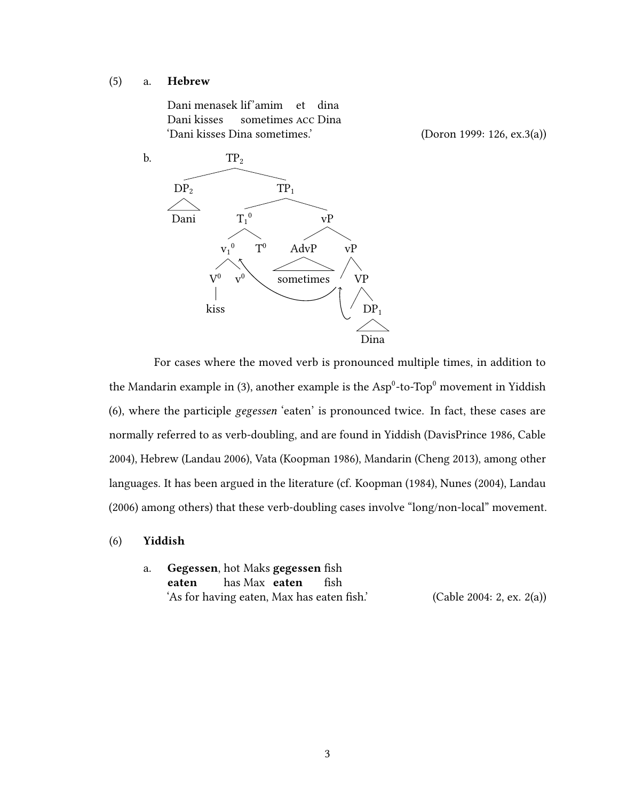#### (5) a. Hebrew

Dani menasek lif'amim et dina Dani kisses sometimes acc Dina 'Dani kisses Dina sometimes.' (Doron 1999: 126, ex.3(a))

b.  $TP<sub>2</sub>$  $TP_1$ vP vP VP  $DP<sub>1</sub>$ Dina AdvP sometimes  $T_1^{\,0}$  $T<sup>0</sup>$  $v_1^0$   $T^0$ v  $V^0$   $V^0$ kiss  $DP<sub>2</sub>$ Dani

For cases where the moved verb is pronounced multiple times, in addition to the Mandarin example in (3), another example is the  $Asp^0$ -to-Top $^0$  movement in Yiddish (6), where the participle gegessen 'eaten' is pronounced twice. In fact, these cases are normally referred to as verb-doubling, and are found in Yiddish (DavisPrince 1986, Cable 2004), Hebrew (Landau 2006), Vata (Koopman 1986), Mandarin (Cheng 2013), among other languages. It has been argued in the literature (cf. Koopman (1984), Nunes (2004), Landau (2006) among others) that these verb-doubling cases involve "long/non-local" movement.

- (6) Yiddish
	- a. Gegessen, hot Maks gegessen fish eaten has Max eaten fish 'As for having eaten, Max has eaten fish.'  $(Cable 2004: 2, ex. 2(a))$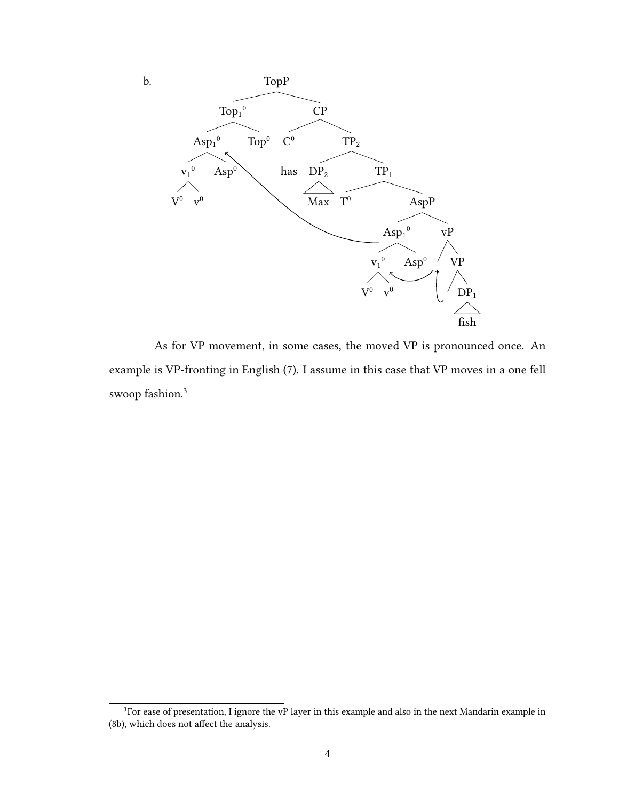

As for VP movement, in some cases, the moved VP is pronounced once. An example is VP-fronting in English (7). I assume in this case that VP moves in a one fell swoop fashion.<sup>3</sup>

4

<sup>&</sup>lt;sup>3</sup>For ease of presentation, I ignore the vP layer in this example and also in the next Mandarin example in (8b), which does not affect the analysis.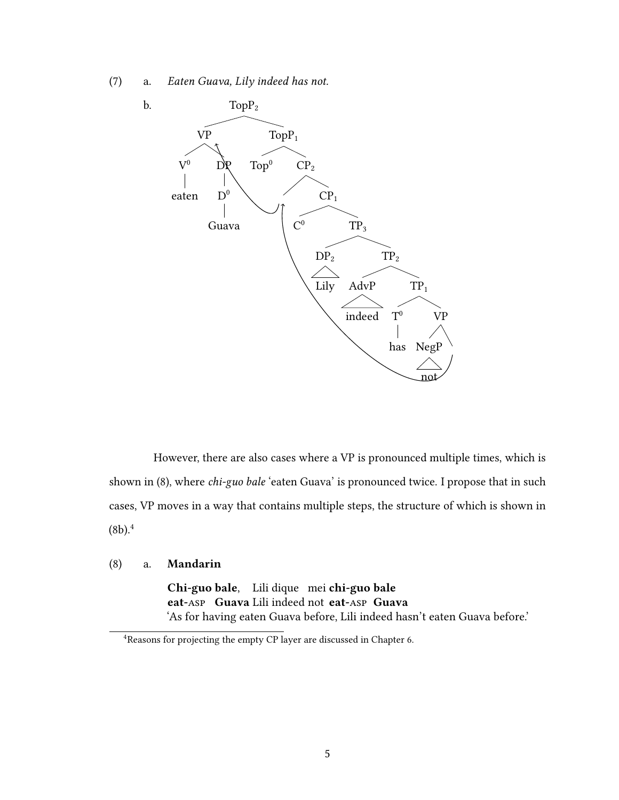(7) a. Eaten Guava, Lily indeed has not.



However, there are also cases where a VP is pronounced multiple times, which is shown in (8), where chi-guo bale 'eaten Guava' is pronounced twice. I propose that in such cases, VP moves in a way that contains multiple steps, the structure of which is shown in  $(8b).<sup>4</sup>$ 

#### (8) a. Mandarin

Chi-guo bale. Lili dique mei chi-guo bale eat-Asp Guava Lili indeed not eat-Asp Guava 'As for having eaten Guava before, Lili indeed hasn't eaten Guava before.'

<sup>4</sup>Reasons for projecting the empty CP layer are discussed in Chapter 6.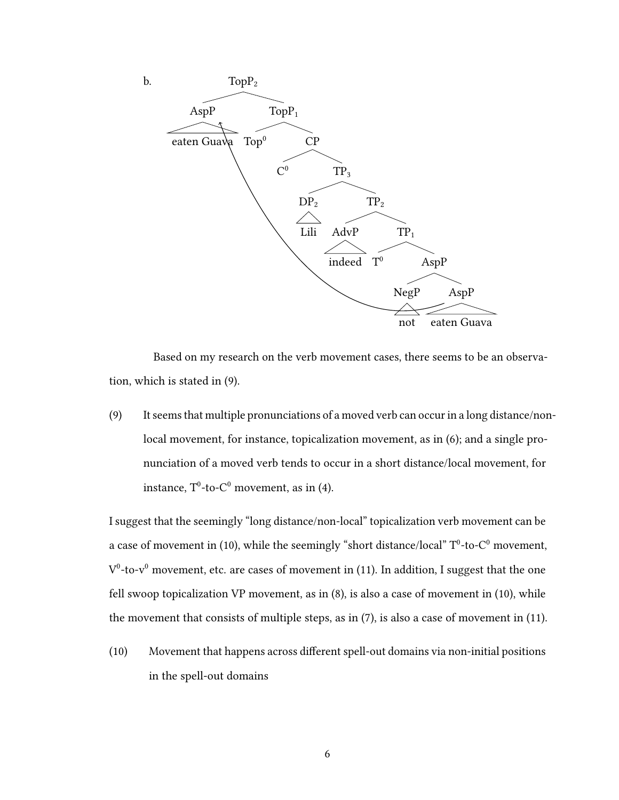

Based on my research on the verb movement cases, there seems to be an observation, which is stated in (9).

(9) It seems that multiple pronunciations of a moved verb can occur in a long distance/nonlocal movement, for instance, topicalization movement, as in (6); and a single pronunciation of a moved verb tends to occur in a short distance/local movement, for instance,  $T^0$ -to- $C^0$  movement, as in (4).

I suggest that the seemingly "long distance/non-local" topicalization verb movement can be a case of movement in (10), while the seemingly "short distance/local"  $T^0$ -to- $C^0$  movement,  $V^0$ -to-v<sup>0</sup> movement, etc. are cases of movement in (11). In addition, I suggest that the one fell swoop topicalization VP movement, as in (8), is also a case of movement in (10), while the movement that consists of multiple steps, as in (7), is also a case of movement in (11).

 $(10)$  Movement that happens across different spell-out domains via non-initial positions in the spell-out domains

6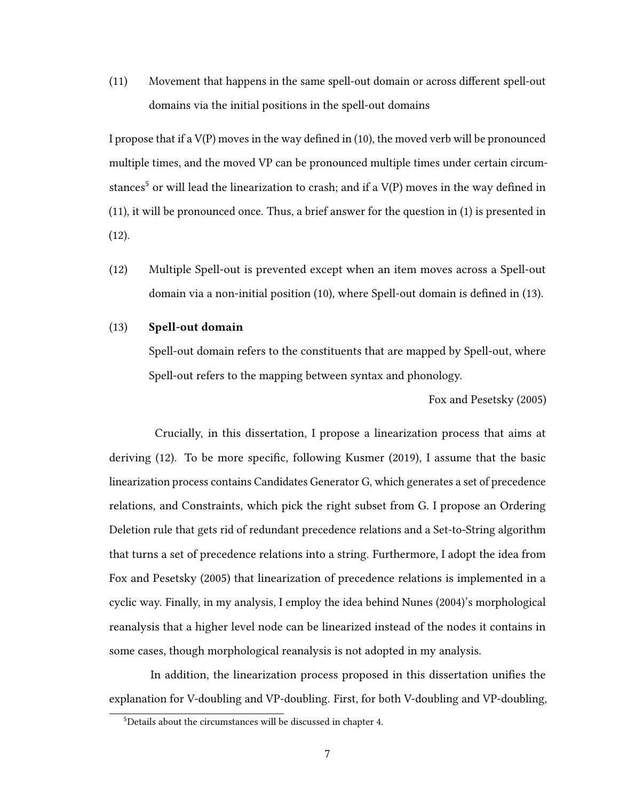$(11)$  Movement that happens in the same spell-out domain or across different spell-out domains via the initial positions in the spell-out domains

I propose that if a  $V(P)$  moves in the way defined in (10), the moved verb will be pronounced multiple times, and the moved VP can be pronounced multiple times under certain circumstances<sup>5</sup> or will lead the linearization to crash; and if a  $V(P)$  moves in the way defined in (11), it will be pronounced once. Thus, a brief answer for the question in (1) is presented in (12).

(12) Multiple Spell-out is prevented except when an item moves across a Spell-out domain via a non-initial position (10), where Spell-out domain is defined in (13).

#### (13) Spell-out domain

Spell-out domain refers to the constituents that are mapped by Spell-out, where Spell-out refers to the mapping between syntax and phonology.

Fox and Pesetsky (2005)

Crucially, in this dissertation, I propose a linearization process that aims at deriving  $(12)$ . To be more specific, following Kusmer  $(2019)$ , I assume that the basic linearization process contains Candidates Generator G, which generates a set of precedence relations, and Constraints, which pick the right subset from G. I propose an Ordering Deletion rule that gets rid of redundant precedence relations and a Set-to-String algorithm that turns a set of precedence relations into a string. Furthermore, I adopt the idea from Fox and Pesetsky (2005) that linearization of precedence relations is implemented in a cyclic way. Finally, in my analysis, I employ the idea behind Nunes (2004)'s morphological reanalysis that a higher level node can be linearized instead of the nodes it contains in some cases, though morphological reanalysis is not adopted in my analysis.

In addition, the linearization process proposed in this dissertation unifies the explanation for V-doubling and VP-doubling. First, for both V-doubling and VP-doubling,

<sup>5</sup>Details about the circumstances will be discussed in chapter 4.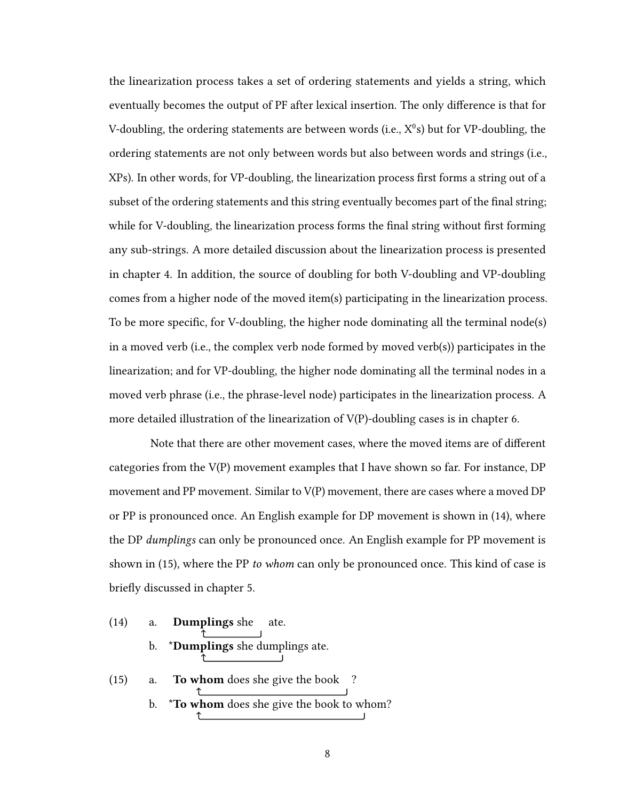the linearization process takes a set of ordering statements and yields a string, which eventually becomes the output of PF after lexical insertion. The only difference is that for V-doubling, the ordering statements are between words (i.e.,  $X^0$ s) but for VP-doubling, the ordering statements are not only between words but also between words and strings (i.e., XPs). In other words, for VP-doubling, the linearization process first forms a string out of a subset of the ordering statements and this string eventually becomes part of the final string; while for V-doubling, the linearization process forms the final string without first forming any sub-strings. A more detailed discussion about the linearization process is presented in chapter 4. In addition, the source of doubling for both V-doubling and VP-doubling comes from a higher node of the moved item(s) participating in the linearization process. To be more specific, for V-doubling, the higher node dominating all the terminal node(s) in a moved verb (i.e., the complex verb node formed by moved verb(s)) participates in the linearization; and for VP-doubling, the higher node dominating all the terminal nodes in a moved verb phrase (i.e., the phrase-level node) participates in the linearization process. A more detailed illustration of the linearization of  $V(P)$ -doubling cases is in chapter 6.

Note that there are other movement cases, where the moved items are of different categories from the V(P) movement examples that I have shown so far. For instance, DP movement and PP movement. Similar to V(P) movement, there are cases where a moved DP or PP is pronounced once. An English example for DP movement is shown in (14), where the DP dumplings can only be pronounced once. An English example for PP movement is shown in (15), where the PP to whom can only be pronounced once. This kind of case is briefly discussed in chapter 5.

(14) a. Dumplings she ate. b. \*Dumplings she dumplings ate. (15) a. To whom does she give the book ? b. \***To whom** does she give the book to whom?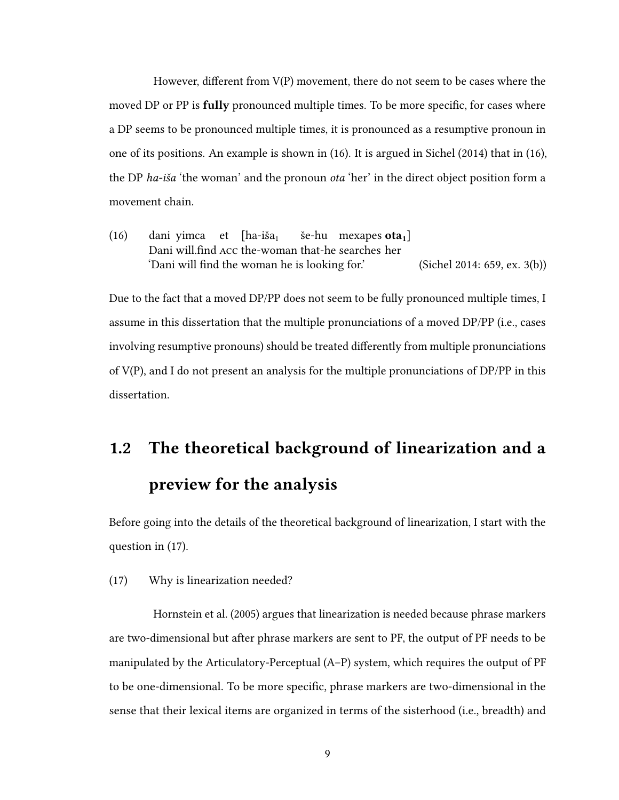However, different from  $V(P)$  movement, there do not seem to be cases where the moved DP or PP is fully pronounced multiple times. To be more specific, for cases where a DP seems to be pronounced multiple times, it is pronounced as a resumptive pronoun in one of its positions. An example is shown in (16). It is argued in Sichel (2014) that in (16), the DP ha-iša 'the woman' and the pronoun ota 'her' in the direct object position form a movement chain.

 $(16)$  dani yimca et [ha-iša<sub>1</sub> Dani will.find Acc the-woman that-he searches her še-hu mexapes **ota**<sub>1</sub> 'Dani will find the woman he is looking for.' (Sichel 2014: 659, ex. 3(b))

Due to the fact that a moved DP/PP does not seem to be fully pronounced multiple times, I assume in this dissertation that the multiple pronunciations of a moved DP/PP (i.e., cases involving resumptive pronouns) should be treated differently from multiple pronunciations of V(P), and I do not present an analysis for the multiple pronunciations of DP/PP in this dissertation.

# 1.2 The theoretical background of linearization and a preview for the analysis

Before going into the details of the theoretical background of linearization, I start with the question in (17).

(17) Why is linearization needed?

Hornstein et al. (2005) argues that linearization is needed because phrase markers are two-dimensional but after phrase markers are sent to PF, the output of PF needs to be manipulated by the Articulatory-Perceptual (A–P) system, which requires the output of PF to be one-dimensional. To be more specific, phrase markers are two-dimensional in the sense that their lexical items are organized in terms of the sisterhood (i.e., breadth) and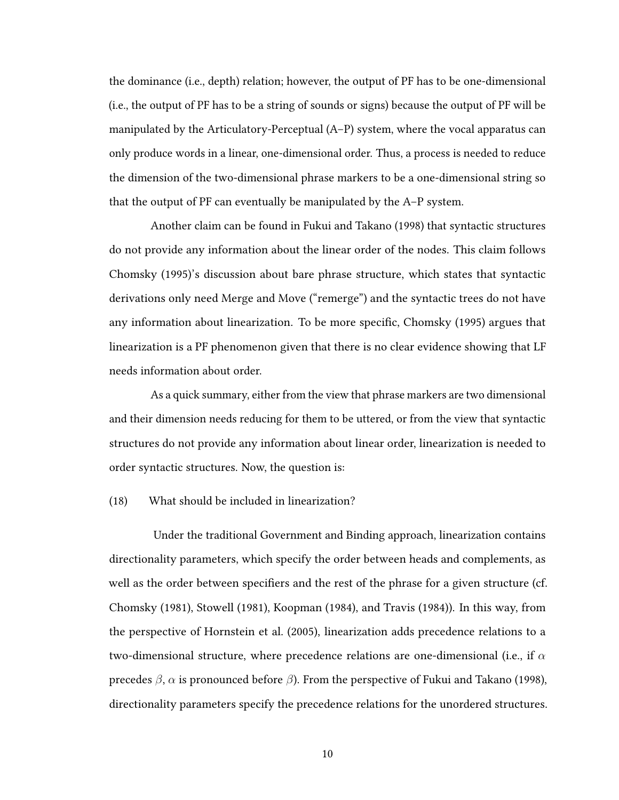the dominance (i.e., depth) relation; however, the output of PF has to be one-dimensional (i.e., the output of PF has to be a string of sounds or signs) because the output of PF will be manipulated by the Articulatory-Perceptual (A–P) system, where the vocal apparatus can only produce words in a linear, one-dimensional order. Thus, a process is needed to reduce the dimension of the two-dimensional phrase markers to be a one-dimensional string so that the output of PF can eventually be manipulated by the A–P system.

Another claim can be found in Fukui and Takano (1998) that syntactic structures do not provide any information about the linear order of the nodes. This claim follows Chomsky (1995)'s discussion about bare phrase structure, which states that syntactic derivations only need Merge and Move ("remerge") and the syntactic trees do not have any information about linearization. To be more specific, Chomsky (1995) argues that linearization is a PF phenomenon given that there is no clear evidence showing that LF needs information about order.

As a quick summary, either from the view that phrase markers are two dimensional and their dimension needs reducing for them to be uttered, or from the view that syntactic structures do not provide any information about linear order, linearization is needed to order syntactic structures. Now, the question is:

#### (18) What should be included in linearization?

Under the traditional Government and Binding approach, linearization contains directionality parameters, which specify the order between heads and complements, as well as the order between specifiers and the rest of the phrase for a given structure (cf. Chomsky (1981), Stowell (1981), Koopman (1984), and Travis (1984)). In this way, from the perspective of Hornstein et al. (2005), linearization adds precedence relations to a two-dimensional structure, where precedence relations are one-dimensional (i.e., if  $\alpha$ precedes  $β$ ,  $α$  is pronounced before  $β$ ). From the perspective of Fukui and Takano (1998), directionality parameters specify the precedence relations for the unordered structures.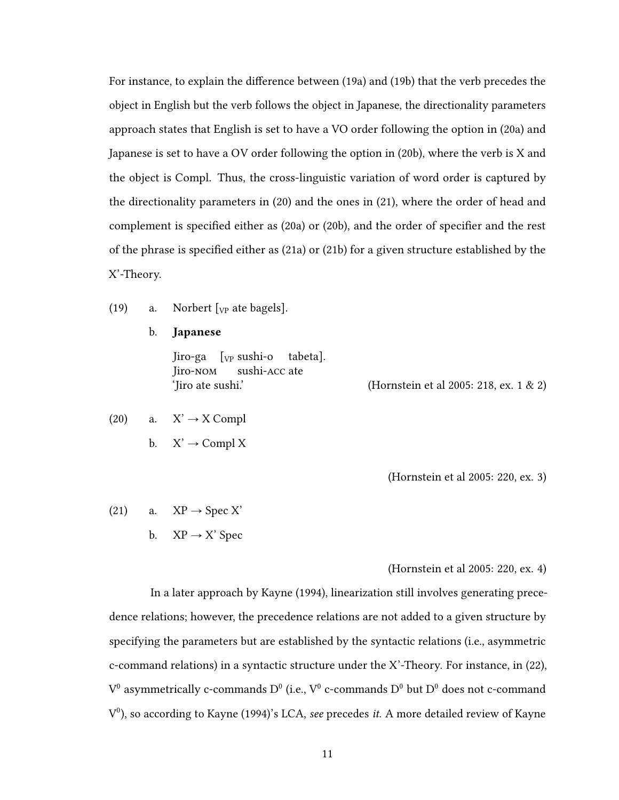For instance, to explain the difference between (19a) and (19b) that the verb precedes the object in English but the verb follows the object in Japanese, the directionality parameters approach states that English is set to have a VO order following the option in (20a) and Japanese is set to have a OV order following the option in (20b), where the verb is X and the object is Compl. Thus, the cross-linguistic variation of word order is captured by the directionality parameters in (20) and the ones in (21), where the order of head and complement is specified either as  $(20a)$  or  $(20b)$ , and the order of specifier and the rest of the phrase is specified either as  $(21a)$  or  $(21b)$  for a given structure established by the X'-Theory.

- (19) a. Norbert  $[\gamma_P]$  ate bagels].
	- b. Japanese

Jiro-ga [<sub>VP</sub> sushi-o Jiro-nom sushi-acc ate tabeta]. 'Jiro ate sushi.' (Hornstein et al 2005: 218, ex. 1 & 2)

- (20) a.  $X' \rightarrow X$  Compl
	- b.  $X' \rightarrow$  Compl X

(Hornstein et al 2005: 220, ex. 3)

(21) a.  $XP \rightarrow Spec X'$ b.  $XP \rightarrow X'$  Spec

(Hornstein et al 2005: 220, ex. 4)

In a later approach by Kayne (1994), linearization still involves generating precedence relations; however, the precedence relations are not added to a given structure by specifying the parameters but are established by the syntactic relations (i.e., asymmetric c-command relations) in a syntactic structure under the X'-Theory. For instance, in (22),  $V^0$  asymmetrically c-commands  $D^0$  (i.e.,  $V^0$  c-commands  $D^0$  but  $D^0$  does not c-command  $V^0$ ), so according to Kayne (1994)'s LCA, see precedes *it*. A more detailed review of Kayne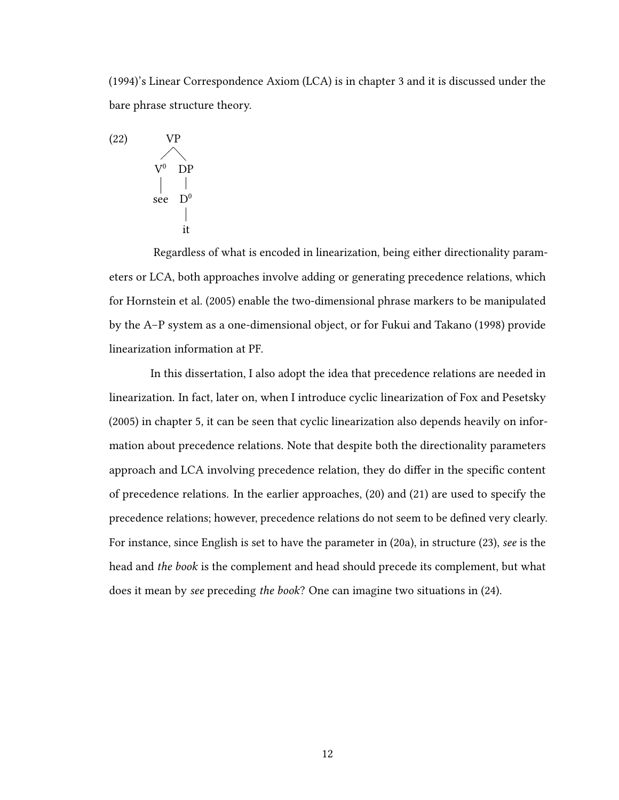(1994)'s Linear Correspondence Axiom (LCA) is in chapter 3 and it is discussed under the bare phrase structure theory.



Regardless of what is encoded in linearization, being either directionality parameters or LCA, both approaches involve adding or generating precedence relations, which for Hornstein et al. (2005) enable the two-dimensional phrase markers to be manipulated by the A–P system as a one-dimensional object, or for Fukui and Takano (1998) provide linearization information at PF.

In this dissertation, I also adopt the idea that precedence relations are needed in linearization. In fact, later on, when I introduce cyclic linearization of Fox and Pesetsky (2005) in chapter 5, it can be seen that cyclic linearization also depends heavily on information about precedence relations. Note that despite both the directionality parameters approach and LCA involving precedence relation, they do differ in the specific content of precedence relations. In the earlier approaches, (20) and (21) are used to specify the precedence relations; however, precedence relations do not seem to be defined very clearly. For instance, since English is set to have the parameter in (20a), in structure (23), see is the head and the book is the complement and head should precede its complement, but what does it mean by see preceding the book? One can imagine two situations in (24).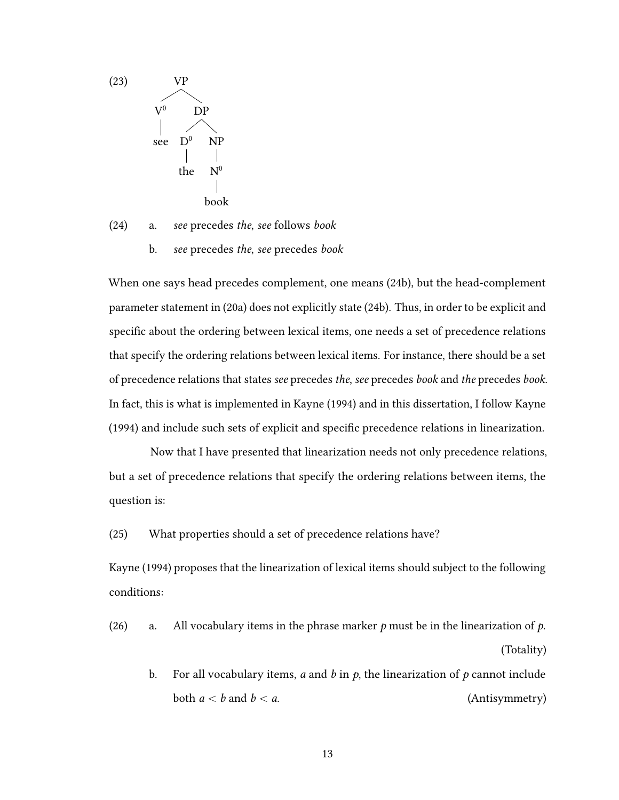

- (24) a. see precedes the, see follows book
	- b. see precedes the, see precedes book

When one says head precedes complement, one means (24b), but the head-complement parameter statement in (20a) does not explicitly state (24b). Thus, in order to be explicit and specific about the ordering between lexical items, one needs a set of precedence relations that specify the ordering relations between lexical items. For instance, there should be a set of precedence relations that states see precedes the, see precedes book and the precedes book. In fact, this is what is implemented in Kayne (1994) and in this dissertation, I follow Kayne (1994) and include such sets of explicit and specific precedence relations in linearization.

Now that I have presented that linearization needs not only precedence relations, but a set of precedence relations that specify the ordering relations between items, the question is:

(25) What properties should a set of precedence relations have?

Kayne (1994) proposes that the linearization of lexical items should subject to the following conditions:

- (26) a. All vocabulary items in the phrase marker  $p$  must be in the linearization of  $p$ . (Totality)
	- b. For all vocabulary items, a and b in  $p$ , the linearization of  $p$  cannot include both  $a < b$  and  $b < a$ . (Antisymmetry)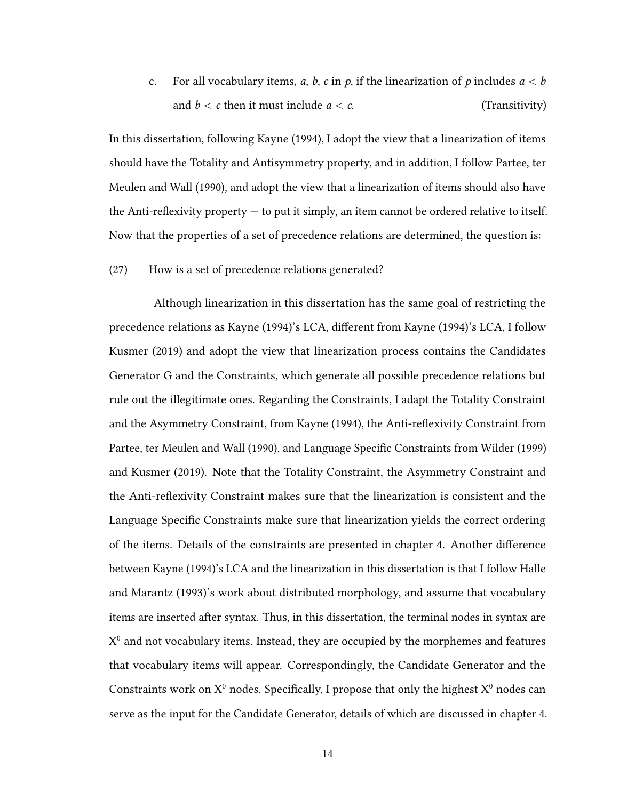c. For all vocabulary items, a, b, c in p, if the linearization of p includes  $a < b$ and  $b < c$  then it must include  $a < c$ . (Transitivity)

In this dissertation, following Kayne (1994), I adopt the view that a linearization of items should have the Totality and Antisymmetry property, and in addition, I follow Partee, ter Meulen and Wall (1990), and adopt the view that a linearization of items should also have the Anti-reflexivity property  $-$  to put it simply, an item cannot be ordered relative to itself. Now that the properties of a set of precedence relations are determined, the question is:

(27) How is a set of precedence relations generated?

Although linearization in this dissertation has the same goal of restricting the precedence relations as Kayne (1994)'s LCA, different from Kayne (1994)'s LCA, I follow Kusmer (2019) and adopt the view that linearization process contains the Candidates Generator G and the Constraints, which generate all possible precedence relations but rule out the illegitimate ones. Regarding the Constraints, I adapt the Totality Constraint and the Asymmetry Constraint, from Kayne (1994), the Anti-reflexivity Constraint from Partee, ter Meulen and Wall (1990), and Language Specific Constraints from Wilder (1999) and Kusmer (2019). Note that the Totality Constraint, the Asymmetry Constraint and the Anti-reflexivity Constraint makes sure that the linearization is consistent and the Language Specific Constraints make sure that linearization yields the correct ordering of the items. Details of the constraints are presented in chapter 4. Another difference between Kayne (1994)'s LCA and the linearization in this dissertation is that I follow Halle and Marantz (1993)'s work about distributed morphology, and assume that vocabulary items are inserted after syntax. Thus, in this dissertation, the terminal nodes in syntax are  $X^0$  and not vocabulary items. Instead, they are occupied by the morphemes and features that vocabulary items will appear. Correspondingly, the Candidate Generator and the Constraints work on  $X^0$  nodes. Specifically, I propose that only the highest  $X^0$  nodes can serve as the input for the Candidate Generator, details of which are discussed in chapter 4.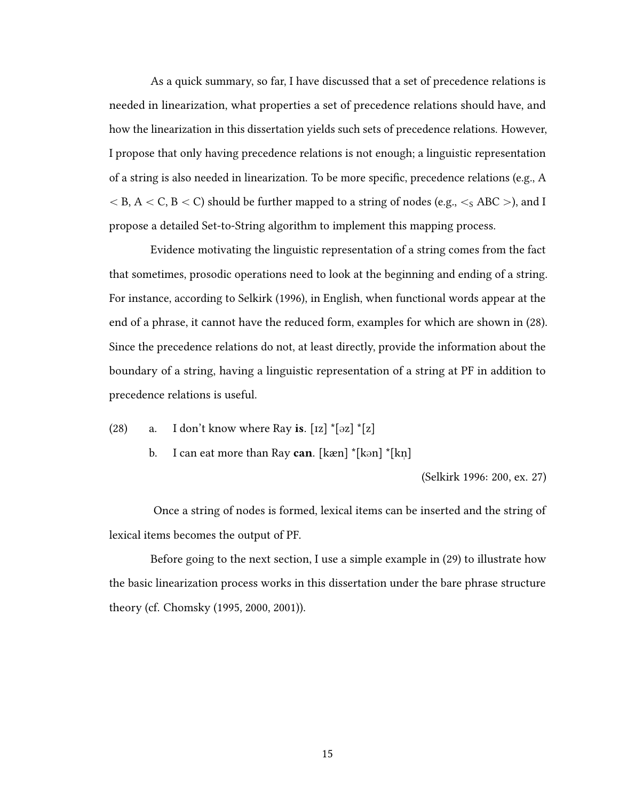As a quick summary, so far, I have discussed that a set of precedence relations is needed in linearization, what properties a set of precedence relations should have, and how the linearization in this dissertation yields such sets of precedence relations. However, I propose that only having precedence relations is not enough; a linguistic representation of a string is also needed in linearization. To be more specific, precedence relations (e.g., A  $<$  B, A  $<$  C, B  $<$  C) should be further mapped to a string of nodes (e.g.,  $<$ <sub>S</sub> ABC  $>$ ), and I propose a detailed Set-to-String algorithm to implement this mapping process.

Evidence motivating the linguistic representation of a string comes from the fact that sometimes, prosodic operations need to look at the beginning and ending of a string. For instance, according to Selkirk (1996), in English, when functional words appear at the end of a phrase, it cannot have the reduced form, examples for which are shown in (28). Since the precedence relations do not, at least directly, provide the information about the boundary of a string, having a linguistic representation of a string at PF in addition to precedence relations is useful.

- (28) a. I don't know where Ray is.  $\lceil rz \rceil * \lceil 2z \rceil * \lceil z \rceil$ 
	- b. I can eat more than Ray **can**. [kæn] \*[kən] \*[kn "  $\overline{1}$

(Selkirk 1996: 200, ex. 27)

Once a string of nodes is formed, lexical items can be inserted and the string of lexical items becomes the output of PF.

Before going to the next section, I use a simple example in (29) to illustrate how the basic linearization process works in this dissertation under the bare phrase structure theory (cf. Chomsky (1995, 2000, 2001)).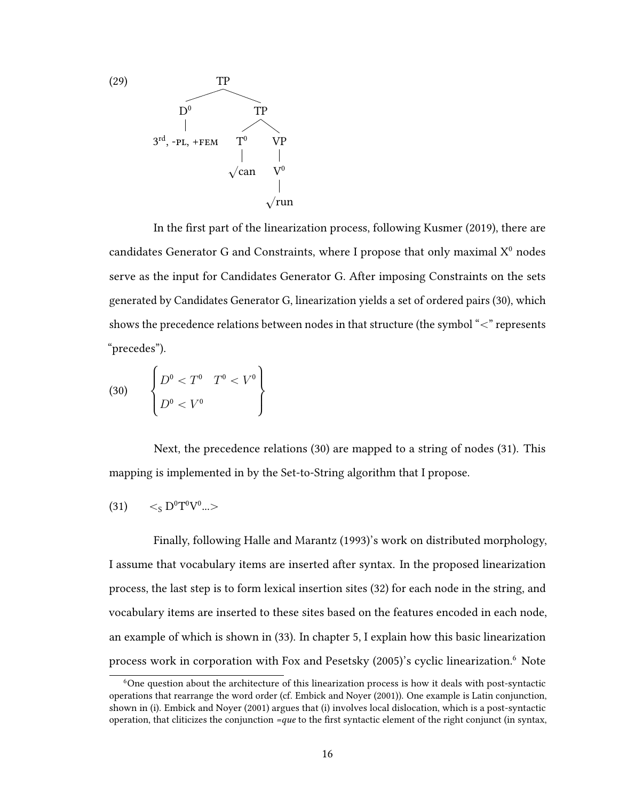

In the first part of the linearization process, following Kusmer (2019), there are candidates Generator G and Constraints, where I propose that only maximal  $X^0$  nodes serve as the input for Candidates Generator G. After imposing Constraints on the sets generated by Candidates Generator G, linearization yields a set of ordered pairs (30), which shows the precedence relations between nodes in that structure (the symbol  $\ll$ " represents "precedes").

$$
(30) \qquad \begin{Bmatrix} D^0 < T^0 & T^0 < V^0 \\ D^0 < V^0 & \end{Bmatrix}
$$

Next, the precedence relations (30) are mapped to a string of nodes (31). This mapping is implemented in by the Set-to-String algorithm that I propose.

$$
(31)\qquad <_S D^0 T^0 V^0 ... >
$$

Finally, following Halle and Marantz (1993)'s work on distributed morphology, I assume that vocabulary items are inserted after syntax. In the proposed linearization process, the last step is to form lexical insertion sites (32) for each node in the string, and vocabulary items are inserted to these sites based on the features encoded in each node, an example of which is shown in (33). In chapter 5, I explain how this basic linearization process work in corporation with Fox and Pesetsky (2005)'s cyclic linearization.<sup>6</sup> Note

<sup>&</sup>lt;sup>6</sup>One question about the architecture of this linearization process is how it deals with post-syntactic operations that rearrange the word order (cf. Embick and Noyer (2001)). One example is Latin conjunction, shown in (i). Embick and Noyer (2001) argues that (i) involves local dislocation, which is a post-syntactic operation, that cliticizes the conjunction  $=que$  to the first syntactic element of the right conjunct (in syntax,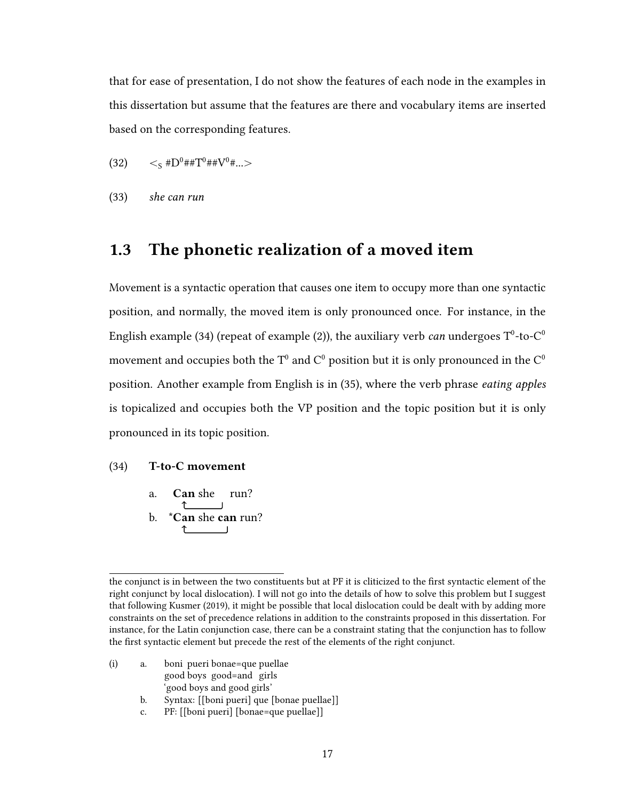that for ease of presentation, I do not show the features of each node in the examples in this dissertation but assume that the features are there and vocabulary items are inserted based on the corresponding features.

- (32)  $\langle 32 \rangle$   $\langle 5 \text{ H} \text{D}^0 \text{H} \text{H} \text{T}^0 \text{H} \text{H} \text{V}^0 \text{H} \dots \rangle$
- (33) she can run

## 1.3 The phonetic realization of a moved item

Movement is a syntactic operation that causes one item to occupy more than one syntactic position, and normally, the moved item is only pronounced once. For instance, in the English example (34) (repeat of example (2)), the auxiliary verb *can* undergoes  $\text{T}^0$ -to-C $^0$ movement and occupies both the T<sup>0</sup> and C<sup>0</sup> position but it is only pronounced in the C<sup>0</sup> position. Another example from English is in (35), where the verb phrase eating apples is topicalized and occupies both the VP position and the topic position but it is only pronounced in its topic position.

#### (34) T-to-C movement

- a. Can she run? b. \*Can she can run?
	-

- (i) a. boni pueri bonae=que puellae good boys good=and girls 'good boys and good girls'
	- b. Syntax: [[boni pueri] que [bonae puellae]]
	- c. PF: [[boni pueri] [bonae=que puellae]]

the conjunct is in between the two constituents but at PF it is cliticized to the first syntactic element of the right conjunct by local dislocation). I will not go into the details of how to solve this problem but I suggest that following Kusmer (2019), it might be possible that local dislocation could be dealt with by adding more constraints on the set of precedence relations in addition to the constraints proposed in this dissertation. For instance, for the Latin conjunction case, there can be a constraint stating that the conjunction has to follow the first syntactic element but precede the rest of the elements of the right conjunct.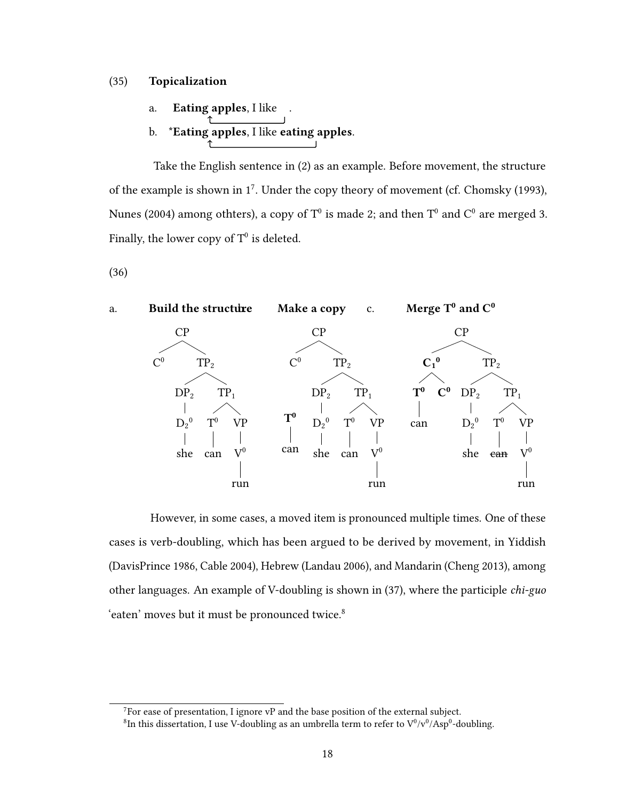#### (35) Topicalization

- a. Eating apples, I like
- b. \*Eating apples, I like eating apples.

Take the English sentence in (2) as an example. Before movement, the structure of the example is shown in  $1^7$ . Under the copy theory of movement (cf. Chomsky (1993), Nunes (2004) among othters), a copy of  $T^0$  is made 2: and then  $T^0$  and  $C^0$  are merged 3. Finally, the lower copy of  $T^0$  is deleted.

(36)



However, in some cases, a moved item is pronounced multiple times. One of these cases is verb-doubling, which has been argued to be derived by movement, in Yiddish (DavisPrince 1986, Cable 2004), Hebrew (Landau 2006), and Mandarin (Cheng 2013), among other languages. An example of V-doubling is shown in (37), where the participle chi-guo 'eaten' moves but it must be pronounced twice.<sup>8</sup>

<sup>&</sup>lt;sup>7</sup>For ease of presentation, I ignore vP and the base position of the external subject.

<sup>&</sup>lt;sup>8</sup>In this dissertation. I use V-doubling as an umbrella term to refer to  $V^0/v^0/Asp^0$ -doubling.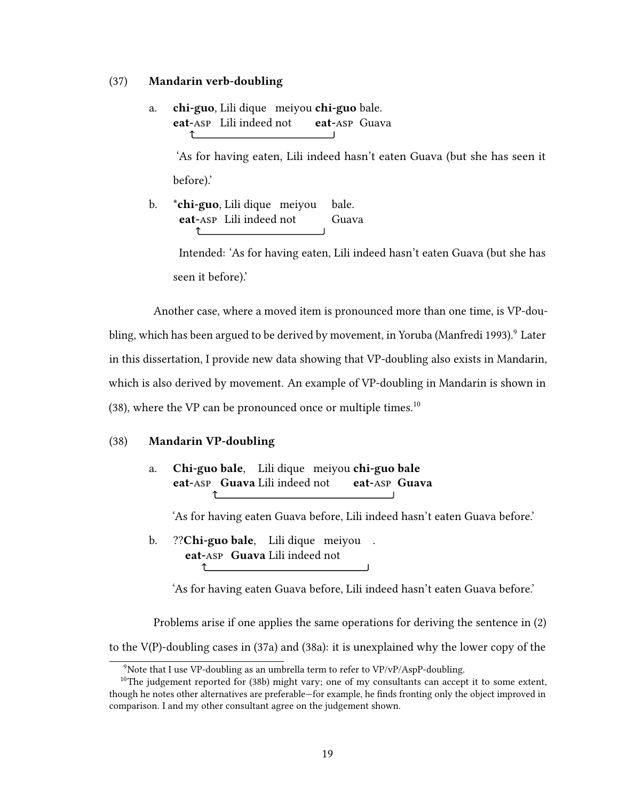#### (37) Mandarin verb-doubling

a. **chi-guo**, Lili dique meiyou **chi-guo** bale. eat-asp Lili indeed not eat-asp Guava  $\uparrow$ 

> 'As for having eaten, Lili indeed hasn't eaten Guava (but she has seen it before).'

b. \* **chi-guo**. Lili dique meiyou bale. eat-asp Lili indeed not Guava ↑

> Intended: 'As for having eaten, Lili indeed hasn't eaten Guava (but she has seen it before).'

Another case, where a moved item is pronounced more than one time, is VP-doubling, which has been argued to be derived by movement, in Yoruba (Manfredi 1993).<sup>9</sup> Later in this dissertation, I provide new data showing that VP-doubling also exists in Mandarin, which is also derived by movement. An example of VP-doubling in Mandarin is shown in  $(38)$ , where the VP can be pronounced once or multiple times.<sup>10</sup>

#### (38) Mandarin VP-doubling

a. Chi-guo bale. Lili dique meiyou chi-guo bale eat-asp Guava Lili indeed not eat-asp Guava ↑

'As for having eaten Guava before, Lili indeed hasn't eaten Guava before.'

b. ??Chi-guo bale. Lili dique meiyou. eat-asp Guava Lili indeed not ↑

'As for having eaten Guava before, Lili indeed hasn't eaten Guava before.'

Problems arise if one applies the same operations for deriving the sentence in (2)

to the V(P)-doubling cases in (37a) and (38a): it is unexplained why the lower copy of the

<sup>&</sup>lt;sup>9</sup>Note that I use VP-doubling as an umbrella term to refer to  $VP/vP/AspP-doubling$ .

 $10$ The judgement reported for (38b) might vary; one of my consultants can accept it to some extent, though he notes other alternatives are preferable—for example, he finds fronting only the object improved in comparison. I and my other consultant agree on the judgement shown.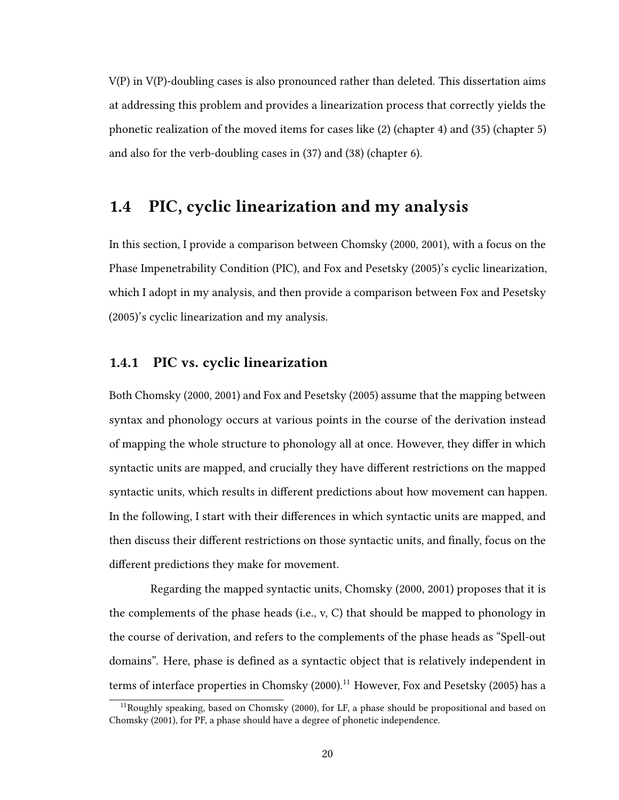V(P) in V(P)-doubling cases is also pronounced rather than deleted. This dissertation aims at addressing this problem and provides a linearization process that correctly yields the phonetic realization of the moved items for cases like (2) (chapter 4) and (35) (chapter 5) and also for the verb-doubling cases in (37) and (38) (chapter 6).

## 1.4 PIC, cyclic linearization and my analysis

In this section, I provide a comparison between Chomsky (2000, 2001), with a focus on the Phase Impenetrability Condition (PIC), and Fox and Pesetsky (2005)'s cyclic linearization, which I adopt in my analysis, and then provide a comparison between Fox and Pesetsky (2005)'s cyclic linearization and my analysis.

#### 1.4.1 PIC vs. cyclic linearization

Both Chomsky (2000, 2001) and Fox and Pesetsky (2005) assume that the mapping between syntax and phonology occurs at various points in the course of the derivation instead of mapping the whole structure to phonology all at once. However, they differ in which syntactic units are mapped, and crucially they have different restrictions on the mapped syntactic units, which results in different predictions about how movement can happen. In the following, I start with their differences in which syntactic units are mapped, and then discuss their different restrictions on those syntactic units, and finally, focus on the different predictions they make for movement.

Regarding the mapped syntactic units, Chomsky (2000, 2001) proposes that it is the complements of the phase heads (i.e.,  $v$ , C) that should be mapped to phonology in the course of derivation, and refers to the complements of the phase heads as "Spell-out domains". Here, phase is defined as a syntactic object that is relatively independent in terms of interface properties in Chomsky (2000).<sup>11</sup> However, Fox and Pesetsky (2005) has a

<sup>&</sup>lt;sup>11</sup>Roughly speaking, based on Chomsky (2000), for LF, a phase should be propositional and based on Chomsky (2001), for PF, a phase should have a degree of phonetic independence.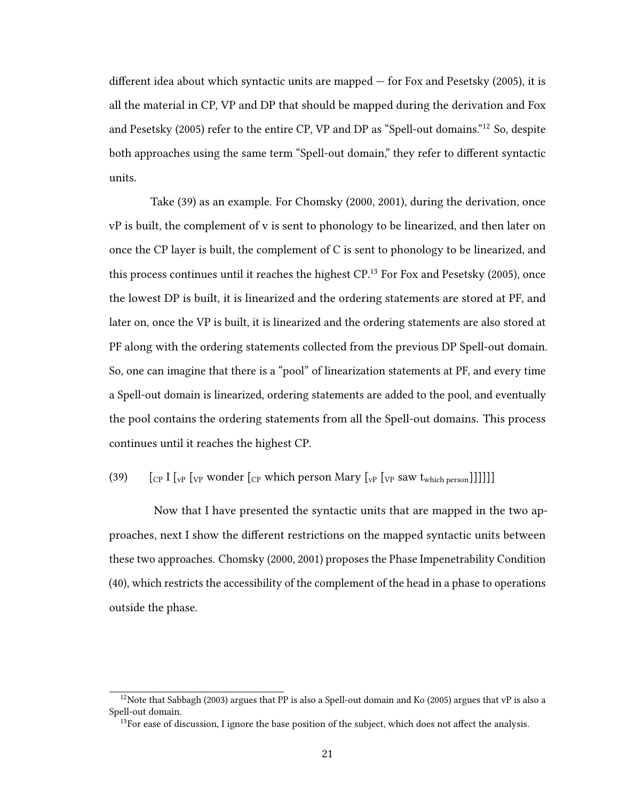different idea about which syntactic units are mapped  $-$  for Fox and Pesetsky (2005), it is all the material in CP, VP and DP that should be mapped during the derivation and Fox and Pesetsky (2005) refer to the entire CP, VP and DP as "Spell-out domains."<sup>12</sup> So, despite both approaches using the same term "Spell-out domain," they refer to different syntactic units.

Take (39) as an example. For Chomsky (2000, 2001), during the derivation, once vP is built, the complement of v is sent to phonology to be linearized, and then later on once the CP layer is built, the complement of C is sent to phonology to be linearized, and this process continues until it reaches the highest  $CP<sup>13</sup>$  For Fox and Pesetsky (2005), once the lowest DP is built, it is linearized and the ordering statements are stored at PF, and later on, once the VP is built, it is linearized and the ordering statements are also stored at PF along with the ordering statements collected from the previous DP Spell-out domain. So, one can imagine that there is a "pool" of linearization statements at PF, and every time a Spell-out domain is linearized, ordering statements are added to the pool, and eventually the pool contains the ordering statements from all the Spell-out domains. This process continues until it reaches the highest CP.

## (39)  $\left[\begin{array}{cc} \begin{bmatrix} \text{Cp} & \text{I} \end{bmatrix} \begin{bmatrix} \text{vp} & \text{wonder} \end{bmatrix} \begin{bmatrix} \text{Cp} & \text{which person} \end{bmatrix} \text{Mary} \begin{bmatrix} \text{vp} & \text{Saw t}_{\text{which person}} \end{bmatrix} \end{array}\right]\right]$

Now that I have presented the syntactic units that are mapped in the two approaches, next I show the different restrictions on the mapped syntactic units between these two approaches. Chomsky (2000, 2001) proposes the Phase Impenetrability Condition (40), which restricts the accessibility of the complement of the head in a phase to operations outside the phase.

 $12$ Note that Sabbagh (2003) argues that PP is also a Spell-out domain and Ko (2005) argues that vP is also a Spell-out domain.

 $13$ For ease of discussion, I ignore the base position of the subject, which does not affect the analysis.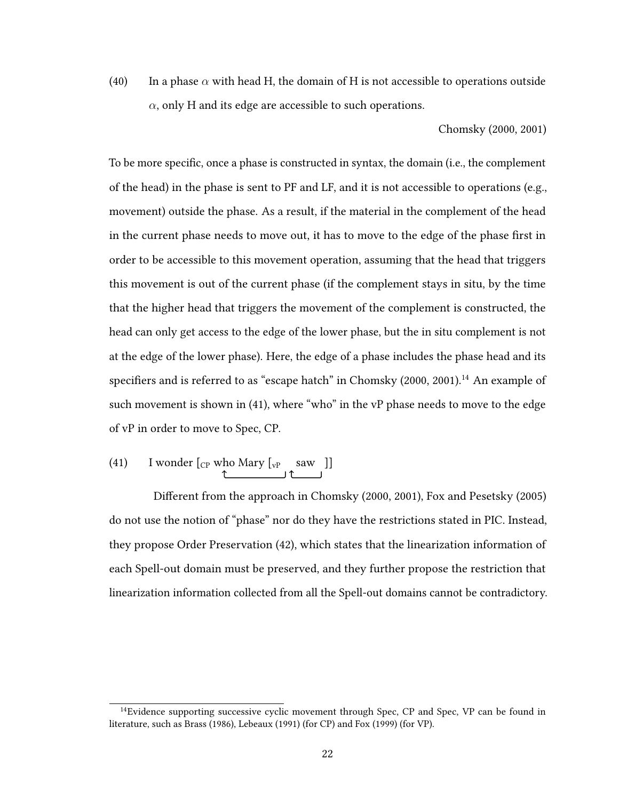(40) In a phase  $\alpha$  with head H, the domain of H is not accessible to operations outside  $\alpha$ , only H and its edge are accessible to such operations.

## Chomsky (2000, 2001)

To be more specific, once a phase is constructed in syntax, the domain (i.e., the complement of the head) in the phase is sent to PF and LF, and it is not accessible to operations (e.g., movement) outside the phase. As a result, if the material in the complement of the head in the current phase needs to move out, it has to move to the edge of the phase first in order to be accessible to this movement operation, assuming that the head that triggers this movement is out of the current phase (if the complement stays in situ, by the time that the higher head that triggers the movement of the complement is constructed, the head can only get access to the edge of the lower phase, but the in situ complement is not at the edge of the lower phase). Here, the edge of a phase includes the phase head and its specifiers and is referred to as "escape hatch" in Chomsky (2000, 2001).<sup>14</sup> An example of such movement is shown in (41), where "who" in the vP phase needs to move to the edge of vP in order to move to Spec, CP.

(41) I wonder 
$$
[_{CP}
$$
 who Mary  $[_{vP}$  saw ]]

Different from the approach in Chomsky (2000, 2001), Fox and Pesetsky (2005) do not use the notion of "phase" nor do they have the restrictions stated in PIC. Instead, they propose Order Preservation (42), which states that the linearization information of each Spell-out domain must be preserved, and they further propose the restriction that linearization information collected from all the Spell-out domains cannot be contradictory.

 $14$ Evidence supporting successive cyclic movement through Spec, CP and Spec, VP can be found in literature, such as Brass (1986), Lebeaux (1991) (for CP) and Fox (1999) (for VP).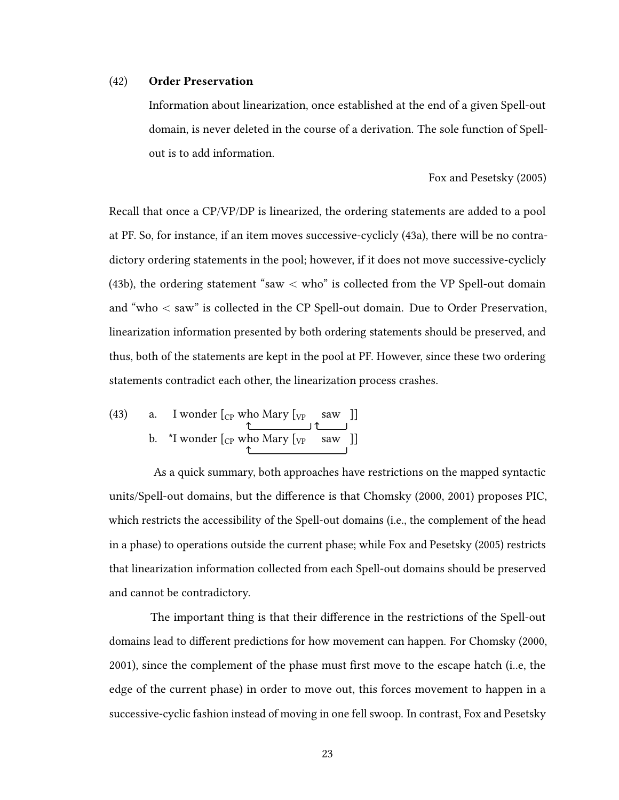### (42) Order Preservation

Information about linearization, once established at the end of a given Spell-out domain, is never deleted in the course of a derivation. The sole function of Spellout is to add information.

#### Fox and Pesetsky (2005)

Recall that once a CP/VP/DP is linearized, the ordering statements are added to a pool at PF. So, for instance, if an item moves successive-cyclicly (43a), there will be no contradictory ordering statements in the pool; however, if it does not move successive-cyclicly (43b), the ordering statement "saw  $\langle$  who" is collected from the VP Spell-out domain and "who  $<$  saw" is collected in the CP Spell-out domain. Due to Order Preservation, linearization information presented by both ordering statements should be preserved, and thus, both of the statements are kept in the pool at PF. However, since these two ordering statements contradict each other, the linearization process crashes.

(43) a. I wonder [<sub>CP</sub> who Mary [<sub>VP</sub> saw ]]  
b. \*I wonder [<sub>CP</sub> who Mary [<sub>VP</sub> saw ]]  

$$
\uparrow
$$
 saw ]]

As a quick summary, both approaches have restrictions on the mapped syntactic units/Spell-out domains, but the difference is that Chomsky (2000, 2001) proposes PIC, which restricts the accessibility of the Spell-out domains (i.e., the complement of the head in a phase) to operations outside the current phase; while Fox and Pesetsky (2005) restricts that linearization information collected from each Spell-out domains should be preserved and cannot be contradictory.

The important thing is that their difference in the restrictions of the Spell-out domains lead to different predictions for how movement can happen. For Chomsky (2000,  $2001$ ), since the complement of the phase must first move to the escape hatch (i..e, the edge of the current phase) in order to move out, this forces movement to happen in a successive-cyclic fashion instead of moving in one fell swoop. In contrast, Fox and Pesetsky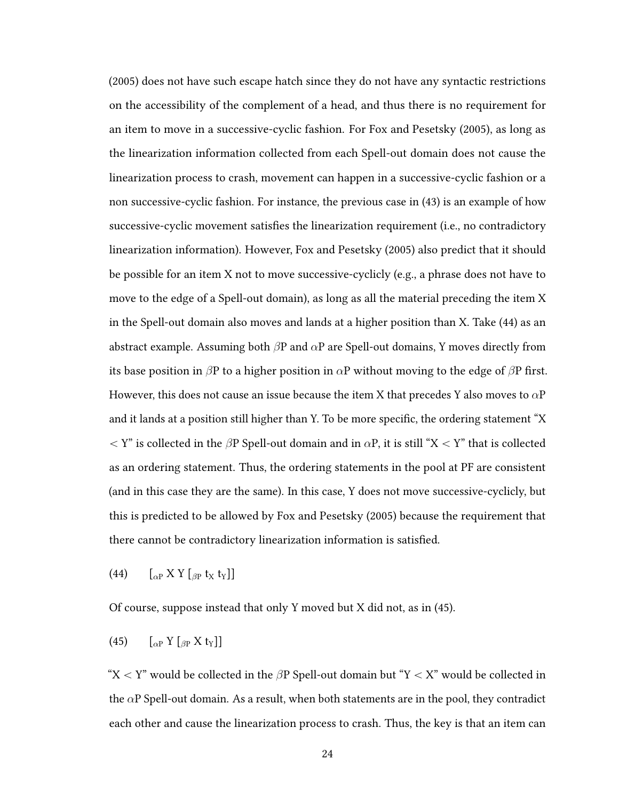(2005) does not have such escape hatch since they do not have any syntactic restrictions on the accessibility of the complement of a head, and thus there is no requirement for an item to move in a successive-cyclic fashion. For Fox and Pesetsky (2005), as long as the linearization information collected from each Spell-out domain does not cause the linearization process to crash, movement can happen in a successive-cyclic fashion or a non successive-cyclic fashion. For instance, the previous case in (43) is an example of how successive-cyclic movement satisfies the linearization requirement (i.e., no contradictory linearization information). However, Fox and Pesetsky (2005) also predict that it should be possible for an item X not to move successive-cyclicly (e.g., a phrase does not have to move to the edge of a Spell-out domain), as long as all the material preceding the item X in the Spell-out domain also moves and lands at a higher position than X. Take (44) as an abstract example. Assuming both  $\beta P$  and  $\alpha P$  are Spell-out domains, Y moves directly from its base position in  $\beta P$  to a higher position in  $\alpha P$  without moving to the edge of  $\beta P$  first. However, this does not cause an issue because the item X that precedes Y also moves to  $\alpha P$ and it lands at a position still higher than Y. To be more specific, the ordering statement "X  $Y'$  is collected in the  $\beta P$  Spell-out domain and in  $\alpha P$ , it is still "X  $Y'$ " that is collected as an ordering statement. Thus, the ordering statements in the pool at PF are consistent (and in this case they are the same). In this case, Y does not move successive-cyclicly, but this is predicted to be allowed by Fox and Pesetsky (2005) because the requirement that there cannot be contradictory linearization information is satisfied.

(44)  $\left[\begin{matrix} \alpha P & X Y \\ \beta P & x \end{matrix}\right]$ 

Of course, suppose instead that only Y moved but X did not, as in (45).

(45)  $\left[\begin{matrix} 0 & \text{if } 0 \\ 0 & \text{if } 0 \end{matrix} \right]$ 

" $X < Y$ " would be collected in the  $\beta P$  Spell-out domain but "Y  $X'$ " would be collected in the  $\alpha$ P Spell-out domain. As a result, when both statements are in the pool, they contradict each other and cause the linearization process to crash. Thus, the key is that an item can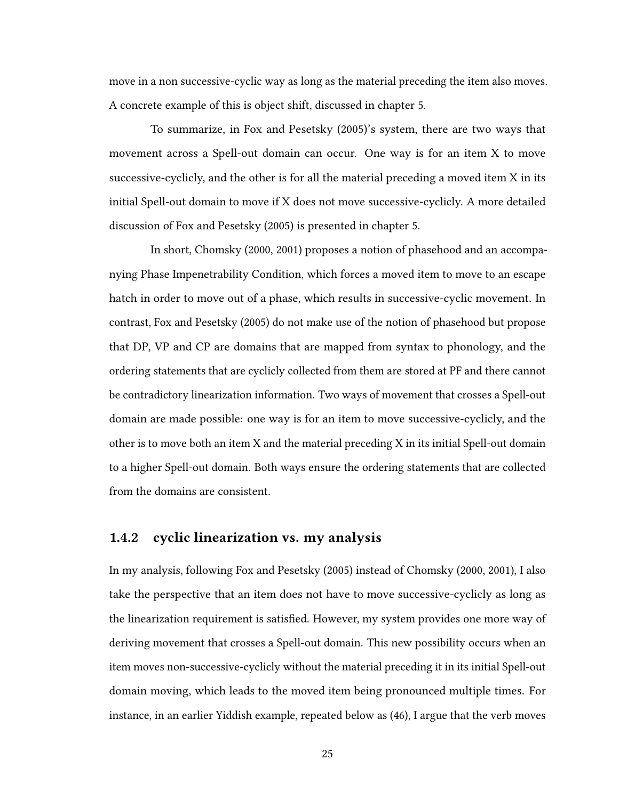move in a non successive-cyclic way as long as the material preceding the item also moves. A concrete example of this is object shift, discussed in chapter 5.

To summarize, in Fox and Pesetsky (2005)'s system, there are two ways that movement across a Spell-out domain can occur. One way is for an item X to move successive-cyclicly, and the other is for all the material preceding a moved item X in its initial Spell-out domain to move if X does not move successive-cyclicly. A more detailed discussion of Fox and Pesetsky (2005) is presented in chapter 5.

In short, Chomsky (2000, 2001) proposes a notion of phasehood and an accompanying Phase Impenetrability Condition, which forces a moved item to move to an escape hatch in order to move out of a phase, which results in successive-cyclic movement. In contrast, Fox and Pesetsky (2005) do not make use of the notion of phasehood but propose that DP, VP and CP are domains that are mapped from syntax to phonology, and the ordering statements that are cyclicly collected from them are stored at PF and there cannot be contradictory linearization information. Two ways of movement that crosses a Spell-out domain are made possible: one way is for an item to move successive-cyclicly, and the other is to move both an item X and the material preceding X in its initial Spell-out domain to a higher Spell-out domain. Both ways ensure the ordering statements that are collected from the domains are consistent.

### 1.4.2 cyclic linearization vs. my analysis

In my analysis, following Fox and Pesetsky (2005) instead of Chomsky (2000, 2001), I also take the perspective that an item does not have to move successive-cyclicly as long as the linearization requirement is satisfied. However, my system provides one more way of deriving movement that crosses a Spell-out domain. This new possibility occurs when an item moves non-successive-cyclicly without the material preceding it in its initial Spell-out domain moving, which leads to the moved item being pronounced multiple times. For instance, in an earlier Yiddish example, repeated below as (46), I argue that the verb moves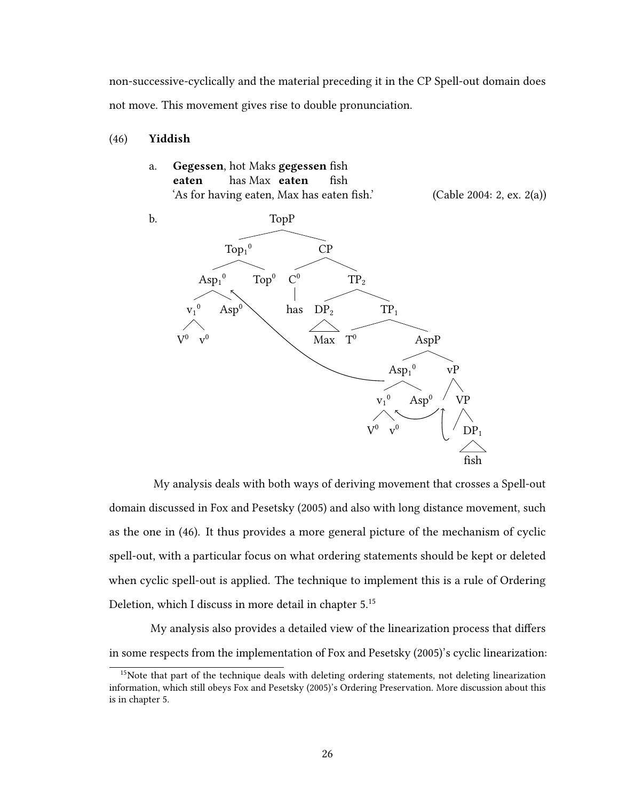non-successive-cyclically and the material preceding it in the CP Spell-out domain does not move. This movement gives rise to double pronunciation.

### (46) Yiddish

a. Gegessen, hot Maks gegessen fish eaten has Max eaten fish 'As for having eaten, Max has eaten fish.' (Cable 2004: 2, ex. 2(a))



My analysis deals with both ways of deriving movement that crosses a Spell-out domain discussed in Fox and Pesetsky (2005) and also with long distance movement, such as the one in (46). It thus provides a more general picture of the mechanism of cyclic spell-out, with a particular focus on what ordering statements should be kept or deleted when cyclic spell-out is applied. The technique to implement this is a rule of Ordering Deletion, which I discuss in more detail in chapter 5.<sup>15</sup>

My analysis also provides a detailed view of the linearization process that differs in some respects from the implementation of Fox and Pesetsky (2005)'s cyclic linearization:

<sup>&</sup>lt;sup>15</sup>Note that part of the technique deals with deleting ordering statements, not deleting linearization information, which still obeys Fox and Pesetsky (2005)'s Ordering Preservation. More discussion about this is in chapter 5.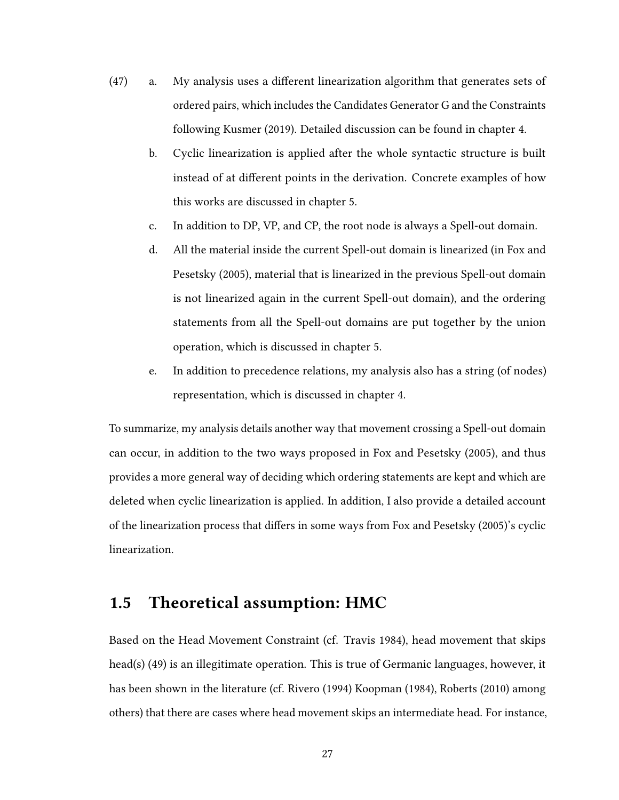- (47) a. My analysis uses a different linearization algorithm that generates sets of ordered pairs, which includes the Candidates Generator G and the Constraints following Kusmer (2019). Detailed discussion can be found in chapter 4.
	- b. Cyclic linearization is applied after the whole syntactic structure is built instead of at different points in the derivation. Concrete examples of how this works are discussed in chapter 5.
	- c. In addition to DP, VP, and CP, the root node is always a Spell-out domain.
	- d. All the material inside the current Spell-out domain is linearized (in Fox and Pesetsky (2005), material that is linearized in the previous Spell-out domain is not linearized again in the current Spell-out domain), and the ordering statements from all the Spell-out domains are put together by the union operation, which is discussed in chapter 5.
	- e. In addition to precedence relations, my analysis also has a string (of nodes) representation, which is discussed in chapter 4.

To summarize, my analysis details another way that movement crossing a Spell-out domain can occur, in addition to the two ways proposed in Fox and Pesetsky (2005), and thus provides a more general way of deciding which ordering statements are kept and which are deleted when cyclic linearization is applied. In addition, I also provide a detailed account of the linearization process that differs in some ways from Fox and Pesetsky (2005)'s cyclic linearization.

# 1.5 Theoretical assumption: HMC

Based on the Head Movement Constraint (cf. Travis 1984), head movement that skips head(s) (49) is an illegitimate operation. This is true of Germanic languages, however, it has been shown in the literature (cf. Rivero (1994) Koopman (1984), Roberts (2010) among others) that there are cases where head movement skips an intermediate head. For instance,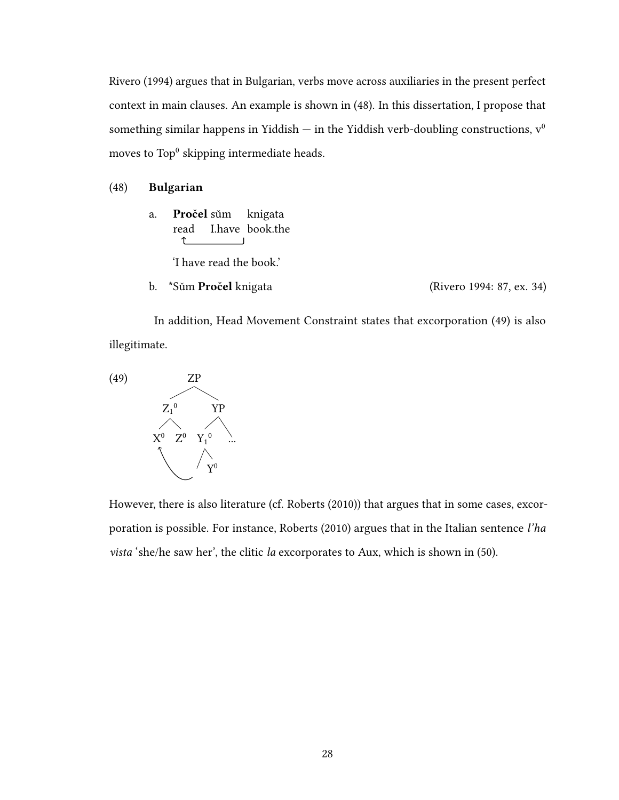Rivero (1994) argues that in Bulgarian, verbs move across auxiliaries in the present perfect context in main clauses. An example is shown in (48). In this dissertation, I propose that something similar happens in Yiddish — in the Yiddish verb-doubling constructions,  $v^0$ moves to  $\text{Top}^0$  skipping intermediate heads.

#### (48) Bulgarian

a. **Pročel** sům knigata read I.have book.the  $\uparrow$ 

'I have read the book.'

b. \*Sum Pročel knigata (Rivero 1994: 87, ex. 34)

In addition, Head Movement Constraint states that excorporation (49) is also illegitimate.



However, there is also literature (cf. Roberts (2010)) that argues that in some cases, excorporation is possible. For instance, Roberts (2010) argues that in the Italian sentence l'ha vista 'she/he saw her', the clitic la excorporates to Aux, which is shown in (50).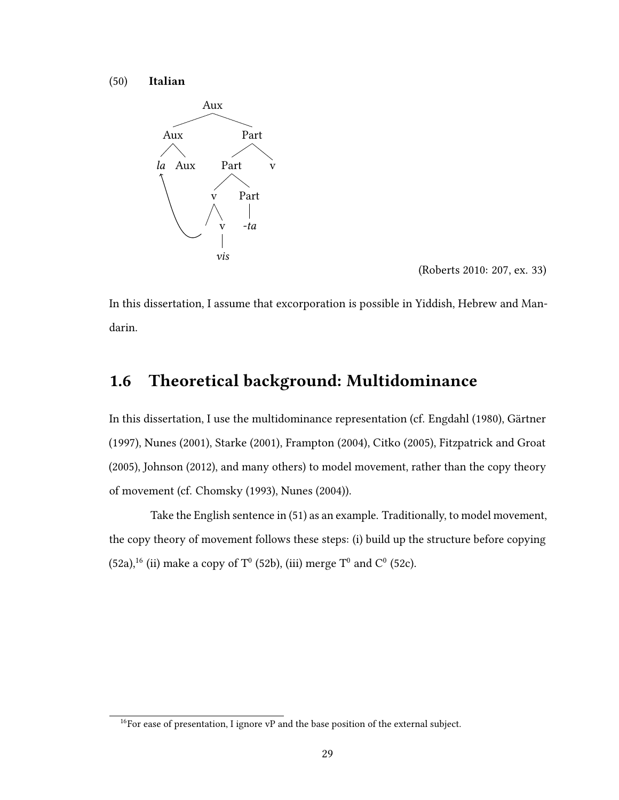(50) Italian



(Roberts 2010: 207, ex. 33)

In this dissertation, I assume that excorporation is possible in Yiddish, Hebrew and Mandarin.

# 1.6 Theoretical background: Multidominance

In this dissertation, I use the multidominance representation (cf. Engdahl (1980), Gärtner (1997), Nunes (2001), Starke (2001), Frampton (2004), Citko (2005), Fitzpatrick and Groat (2005), Johnson (2012), and many others) to model movement, rather than the copy theory of movement (cf. Chomsky (1993), Nunes (2004)).

Take the English sentence in (51) as an example. Traditionally, to model movement, the copy theory of movement follows these steps: (i) build up the structure before copying  $(52a)^{16}$  (ii) make a copy of T<sup>0</sup> (52b), (iii) merge T<sup>0</sup> and C<sup>0</sup> (52c).

 $16$ For ease of presentation, I ignore vP and the base position of the external subject.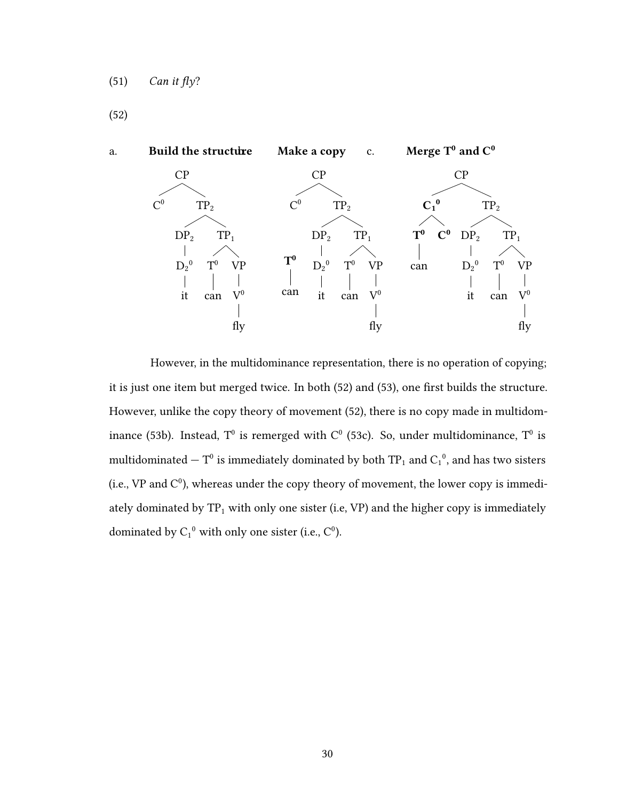(52)



However, in the multidominance representation, there is no operation of copying; it is just one item but merged twice. In both  $(52)$  and  $(53)$ , one first builds the structure. However, unlike the copy theory of movement (52), there is no copy made in multidominance (53b). Instead,  $T^0$  is remerged with  $C^0$  (53c). So, under multidominance,  $T^0$  is multidominated  $-$  T<sup>0</sup> is immediately dominated by both TP<sub>1</sub> and C<sub>1</sub><sup>0</sup>, and has two sisters (i.e., VP and  $C^0$ ), whereas under the copy theory of movement, the lower copy is immediately dominated by  $TP_1$  with only one sister (i.e, VP) and the higher copy is immediately dominated by  $C_1^0$  with only one sister (i.e.,  $C_1^0$ ).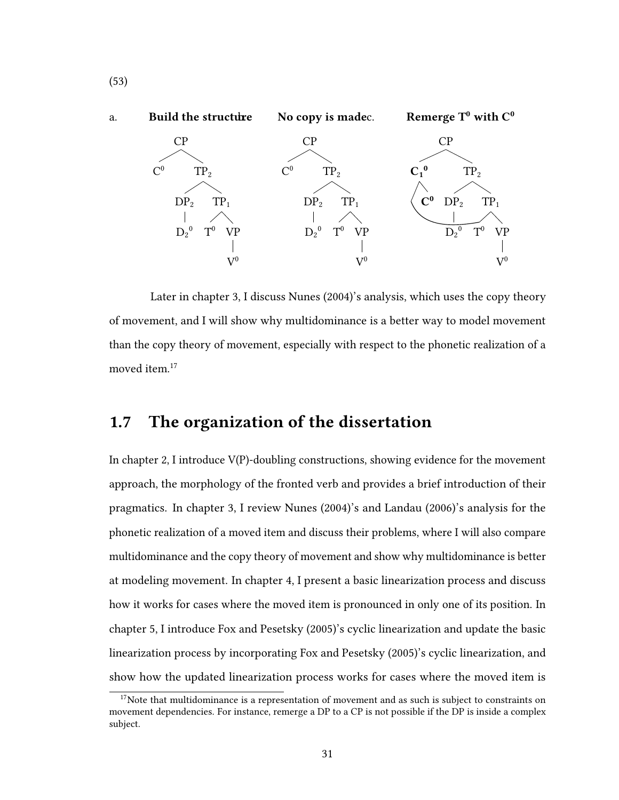

Later in chapter 3, I discuss Nunes (2004)'s analysis, which uses the copy theory of movement, and I will show why multidominance is a better way to model movement than the copy theory of movement, especially with respect to the phonetic realization of a moved item.<sup>17</sup>

# 1.7 The organization of the dissertation

In chapter 2, I introduce V(P)-doubling constructions, showing evidence for the movement approach, the morphology of the fronted verb and provides a brief introduction of their pragmatics. In chapter 3, I review Nunes (2004)'s and Landau (2006)'s analysis for the phonetic realization of a moved item and discuss their problems, where I will also compare multidominance and the copy theory of movement and show why multidominance is better at modeling movement. In chapter 4, I present a basic linearization process and discuss how it works for cases where the moved item is pronounced in only one of its position. In chapter 5, I introduce Fox and Pesetsky (2005)'s cyclic linearization and update the basic linearization process by incorporating Fox and Pesetsky (2005)'s cyclic linearization, and show how the updated linearization process works for cases where the moved item is

(53)

 $17$ Note that multidominance is a representation of movement and as such is subject to constraints on movement dependencies. For instance, remerge a DP to a CP is not possible if the DP is inside a complex subject.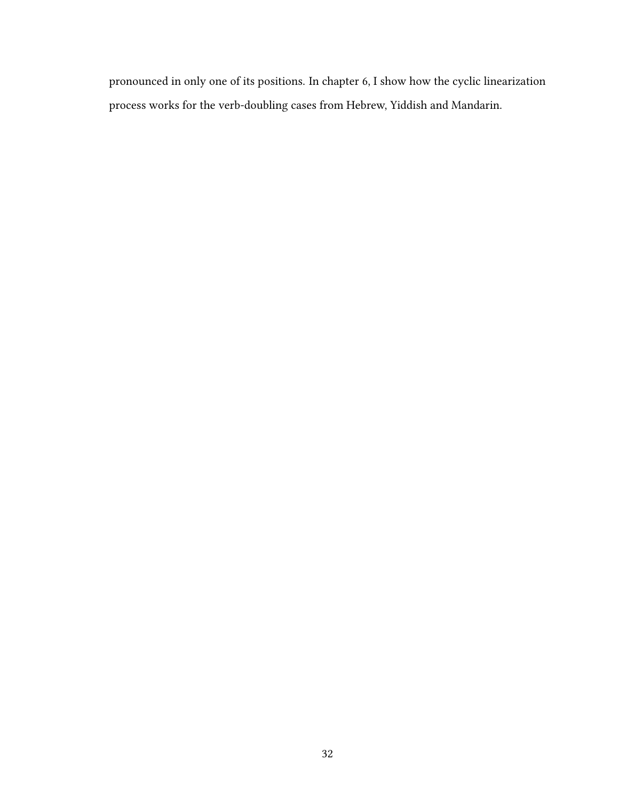pronounced in only one of its positions. In chapter 6, I show how the cyclic linearization process works for the verb-doubling cases from Hebrew, Yiddish and Mandarin.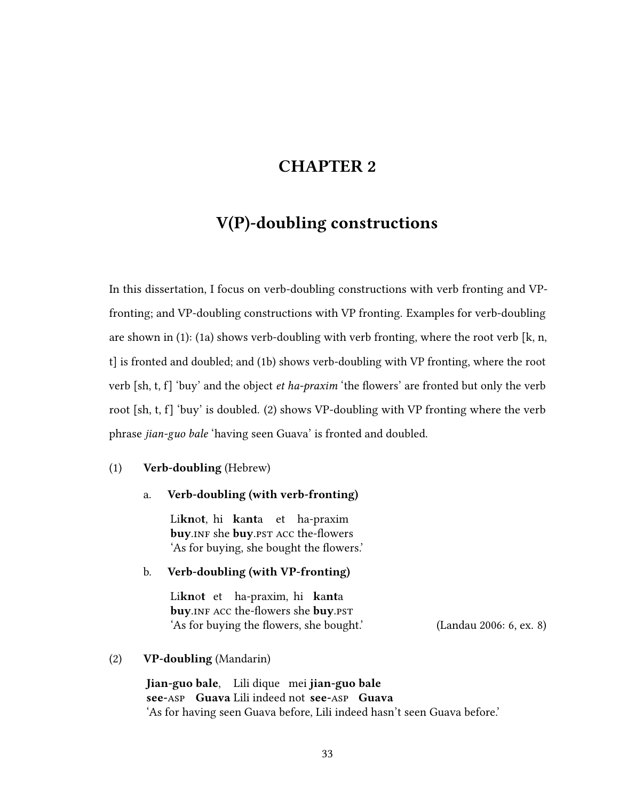# CHAPTER 2

# V(P)-doubling constructions

In this dissertation, I focus on verb-doubling constructions with verb fronting and VPfronting; and VP-doubling constructions with VP fronting. Examples for verb-doubling are shown in  $(1)$ :  $(1a)$  shows verb-doubling with verb fronting, where the root verb [k, n, t] is fronted and doubled; and (1b) shows verb-doubling with VP fronting, where the root verb  $[sh, t, f]$  'buy' and the object *et ha-praxim* 'the flowers' are fronted but only the verb root [sh, t, f] 'buy' is doubled. (2) shows VP-doubling with VP fronting where the verb phrase jian-guo bale 'having seen Guava' is fronted and doubled.

### (1) Verb-doubling (Hebrew)

### a. Verb-doubling (with verb-fronting)

Li**knot**, hi **kanta** et ha-praxim buy.inf she buy.pst ACC the-flowers 'As for buying, she bought the flowers.'

### b. Verb-doubling (with VP-fronting)

Li**kn**ot et ha-praxim, hi ka**nt**a buy. INF ACC the-flowers she buy. PST 'As for buying the flowers, she bought.' (Landau 2006: 6, ex. 8)

#### (2) VP-doubling (Mandarin)

Iian-guo bale. Lili dique mei iian-guo bale see-asp Guava Lili indeed not see-asp Guava 'As for having seen Guava before, Lili indeed hasn't seen Guava before.'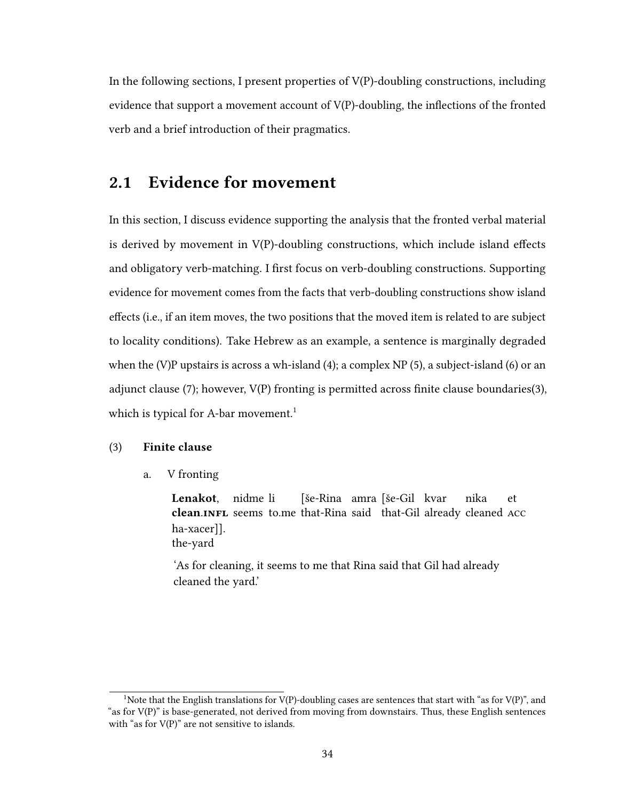In the following sections, I present properties of  $V(P)$ -doubling constructions, including evidence that support a movement account of  $V(P)$ -doubling, the inflections of the fronted verb and a brief introduction of their pragmatics.

# 2.1 Evidence for movement

In this section, I discuss evidence supporting the analysis that the fronted verbal material is derived by movement in  $V(P)$ -doubling constructions, which include island effects and obligatory verb-matching. I first focus on verb-doubling constructions. Supporting evidence for movement comes from the facts that verb-doubling constructions show island effects (i.e., if an item moves, the two positions that the moved item is related to are subject to locality conditions). Take Hebrew as an example, a sentence is marginally degraded when the (V)P upstairs is across a wh-island  $(4)$ ; a complex NP  $(5)$ , a subject-island  $(6)$  or an adjunct clause (7); however,  $V(P)$  fronting is permitted across finite clause boundaries(3), which is typical for A-bar movement.<sup>1</sup>

## (3) Finite clause

a. V fronting

Lenakot, clean.INFL seems to.me that-Rina said that-Gil already cleaned ACC nidme li [še-Rina amra [še-Gil kvar nika et ha-xacer]]. the-yard

'As for cleaning, it seems to me that Rina said that Gil had already cleaned the yard.'

<sup>&</sup>lt;sup>1</sup>Note that the English translations for V(P)-doubling cases are sentences that start with "as for V(P)", and "as for V(P)" is base-generated, not derived from moving from downstairs. Thus, these English sentences with "as for V(P)" are not sensitive to islands.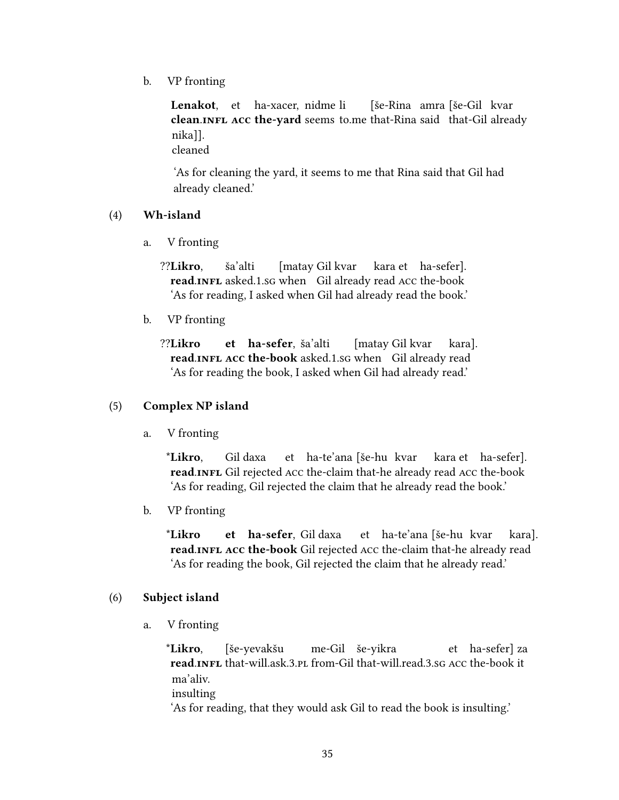b. VP fronting

Lenakot, et ha-xacer, nidme li clean.INFL ACC the-vard seems to.me that-Rina said that-Gil already [še-Rina amra [še-Gil kvar nika]]. cleaned

'As for cleaning the yard, it seems to me that Rina said that Gil had already cleaned.'

## (4) Wh-island

a. V fronting

??Likro, read.INFL asked.1.sg when Gil already read ACC the-book ša'alti [matay Gil kvar kara et ha-sefer]. 'As for reading, I asked when Gil had already read the book.'

b. VP fronting

??Likro read.INFL ACC the-book asked.1.sg when Gil already read et ha-sefer, ša'alti [matay Gil kvar kara]. 'As for reading the book, I asked when Gil had already read.'

### (5) Complex NP island

a. V fronting

\*Likro, read.INFL Gil rejected ACC the-claim that-he already read ACC the-book Gil daxa et ha-te'ana [še-hu kvar kara et ha-sefer]. 'As for reading, Gil rejected the claim that he already read the book.'

b. VP fronting

\*Likro read.INFL ACC the-book Gil rejected ACC the-claim that-he already read et ha-sefer, Gil daxa et ha-te'ana [še-hu kvar kara]. 'As for reading the book, Gil rejected the claim that he already read.'

## (6) Subject island

a. V fronting

\*Likro, read.INFL that-will.ask.3.pl from-Gil that-will.read.3.sg ACC the-book it [še-yevakšu me-Gil še-yikra et ha-sefer] za ma'aliv. insulting 'As for reading, that they would ask Gil to read the book is insulting.'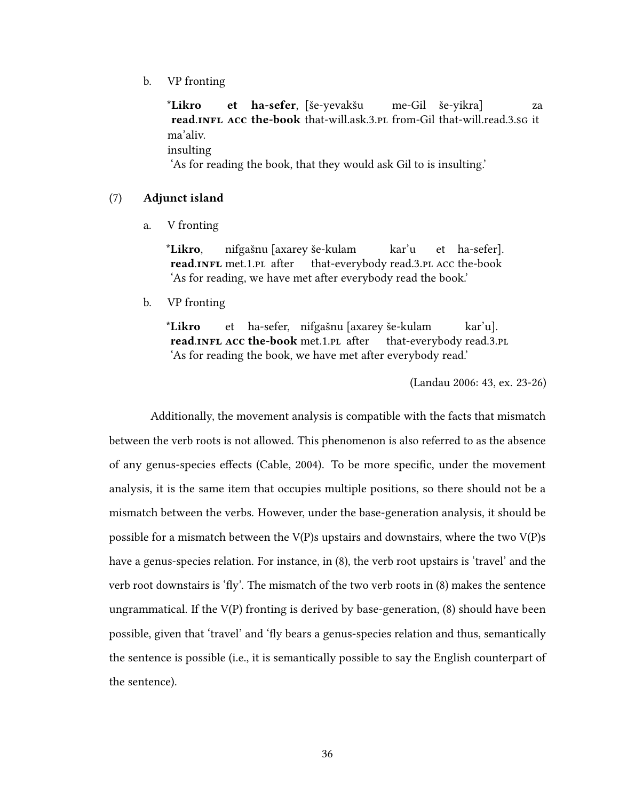b. VP fronting

\*Likro read.INFL ACC the-book that-will.ask.3.pl from-Gil that-will.read.3.sg it et ha-sefer, [še-yevakšu me-Gil še-yikra] za ma'aliv. insulting 'As for reading the book, that they would ask Gil to is insulting.'

#### (7) Adjunct island

a. V fronting

\*Likro, read.INFL met.1.PL after nifgašnu [axarey še-kulam that-everybody read.3.pl acc the-book kar'u et ha-sefer]. 'As for reading, we have met after everybody read the book.'

b. VP fronting

\*Likro read.INFL ACC the-book met.1.PL after et ha-sefer, nifgašnu [axarey še-kulam that-everybody read.3.pl kar'u]. 'As for reading the book, we have met after everybody read.'

(Landau 2006: 43, ex. 23-26)

Additionally, the movement analysis is compatible with the facts that mismatch between the verb roots is not allowed. This phenomenon is also referred to as the absence of any genus-species effects (Cable, 2004). To be more specific, under the movement analysis, it is the same item that occupies multiple positions, so there should not be a mismatch between the verbs. However, under the base-generation analysis, it should be possible for a mismatch between the V(P)s upstairs and downstairs, where the two V(P)s have a genus-species relation. For instance, in (8), the verb root upstairs is 'travel' and the verb root downstairs is 'fly'. The mismatch of the two verb roots in  $(8)$  makes the sentence ungrammatical. If the V(P) fronting is derived by base-generation, (8) should have been possible, given that 'travel' and 'fly bears a genus-species relation and thus, semantically the sentence is possible (i.e., it is semantically possible to say the English counterpart of the sentence).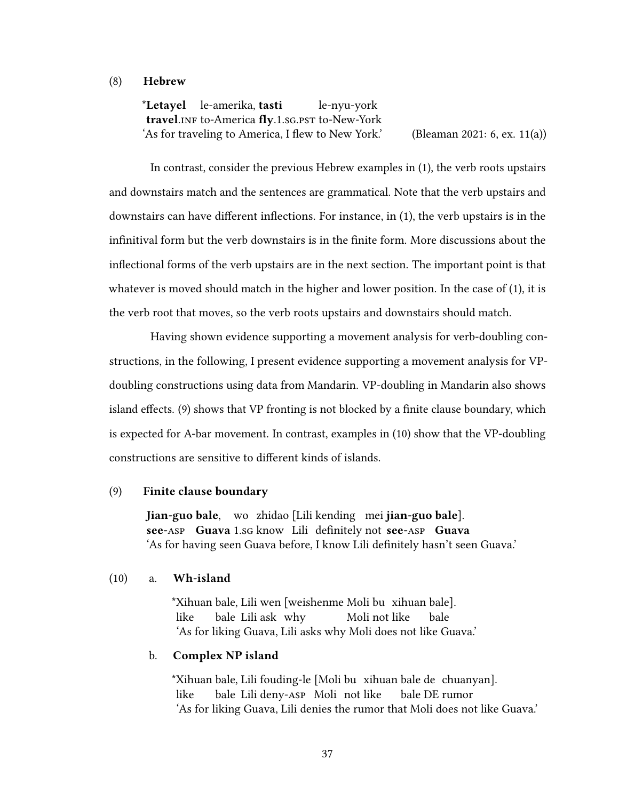#### (8) Hebrew

\*Letayel le-amerika, tasti travel.INF to-America flv.1.sg.pst to-New-York le-nyu-york 'As for traveling to America, I flew to New York.' (Bleaman 2021: 6, ex. 11(a))

In contrast, consider the previous Hebrew examples in (1), the verb roots upstairs and downstairs match and the sentences are grammatical. Note that the verb upstairs and downstairs can have different inflections. For instance, in  $(1)$ , the verb upstairs is in the infinitival form but the verb downstairs is in the finite form. More discussions about the inflectional forms of the verb upstairs are in the next section. The important point is that whatever is moved should match in the higher and lower position. In the case of (1), it is the verb root that moves, so the verb roots upstairs and downstairs should match.

Having shown evidence supporting a movement analysis for verb-doubling constructions, in the following, I present evidence supporting a movement analysis for VPdoubling constructions using data from Mandarin. VP-doubling in Mandarin also shows island effects. (9) shows that VP fronting is not blocked by a finite clause boundary, which is expected for A-bar movement. In contrast, examples in (10) show that the VP-doubling constructions are sensitive to different kinds of islands.

#### (9) Finite clause boundary

lian-guo bale, wo zhidao [Lili kending mei jian-guo bale]. see-ASP Guava 1.sg know Lili definitely not see-ASP Guava 'As for having seen Guava before, I know Lili definitely hasn't seen Guava.'

### (10) a. Wh-island

\*Xihuan bale, Lili wen [weishenme Moli bu xihuan bale]. like bale Lili ask why Moli not like bale 'As for liking Guava, Lili asks why Moli does not like Guava.'

#### b. Complex NP island

\*Xihuan bale, Lili fouding-le [Moli bu xihuan bale de chuanyan]. like bale Lili deny-asp Moli not like bale DE rumor 'As for liking Guava, Lili denies the rumor that Moli does not like Guava.'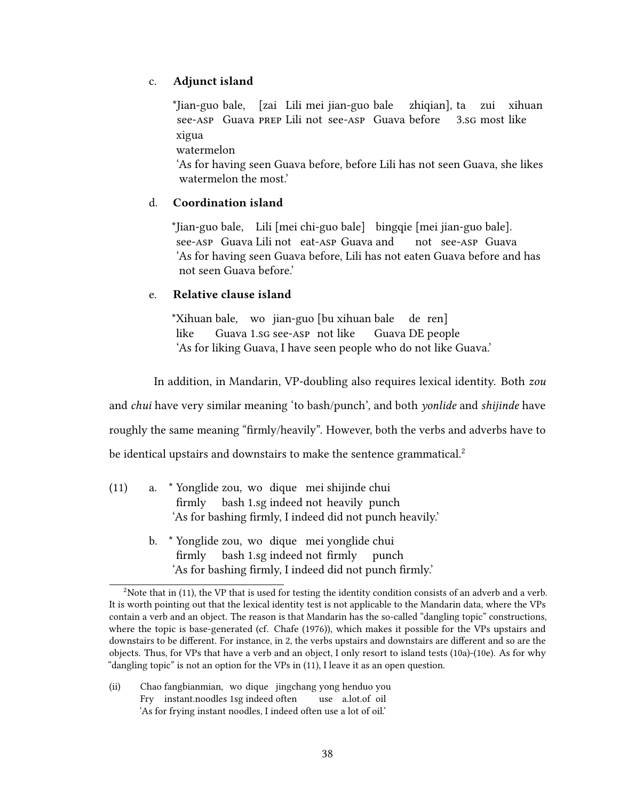# c. Adjunct island

\*Ijan-guo bale. [zai Lili mei jian-guo bale see-asp Guava PREP Lili not see-asp Guava before zhiqian], ta 3.sg most like zui xihuan xigua

watermelon

'As for having seen Guava before, before Lili has not seen Guava, she likes watermelon the most.'

## d. Coordination island

\*Iian-guo bale. Lili [mei chi-guo bale] bingqie [mei jian-guo bale]. see-asp Guava Lili not eat-asp Guava and not see-asp Guava 'As for having seen Guava before, Lili has not eaten Guava before and has not seen Guava before.'

## e. Relative clause island

\*Xihuan bale, wo jian-guo [bu xihuan bale like Guava 1.sg see-asp not like Guava DE people de ren] 'As for liking Guava, I have seen people who do not like Guava.'

In addition, in Mandarin, VP-doubling also requires lexical identity. Both zou

and *chui* have very similar meaning 'to bash/punch', and both *yonlide* and *shijinde* have

roughly the same meaning "firmly/heavily". However, both the verbs and adverbs have to

be identical upstairs and downstairs to make the sentence grammatical.<sup>2</sup>

- (11) a. \* Yonglide zou, wo dique mei shijinde chui firmly bash 1.sg indeed not heavily punch 'As for bashing firmly, I indeed did not punch heavily.'
	- b. \* Yonglide zou, wo dique mei vonglide chui firmly bash 1.sg indeed not firmly punch 'As for bashing firmly, I indeed did not punch firmly.'

(ii) Chao fangbianmian, wo dique jingchang yong henduo you Fry instant.noodles 1sg indeed often use a.lot.of oil 'As for frying instant noodles, I indeed often use a lot of oil.'

<sup>&</sup>lt;sup>2</sup>Note that in (11), the VP that is used for testing the identity condition consists of an adverb and a verb. It is worth pointing out that the lexical identity test is not applicable to the Mandarin data, where the VPs contain a verb and an object. The reason is that Mandarin has the so-called "dangling topic" constructions, where the topic is base-generated (cf. Chafe (1976)), which makes it possible for the VPs upstairs and downstairs to be different. For instance, in 2, the verbs upstairs and downstairs are different and so are the objects. Thus, for VPs that have a verb and an object, I only resort to island tests (10a)-(10e). As for why "dangling topic" is not an option for the VPs in (11), I leave it as an open question.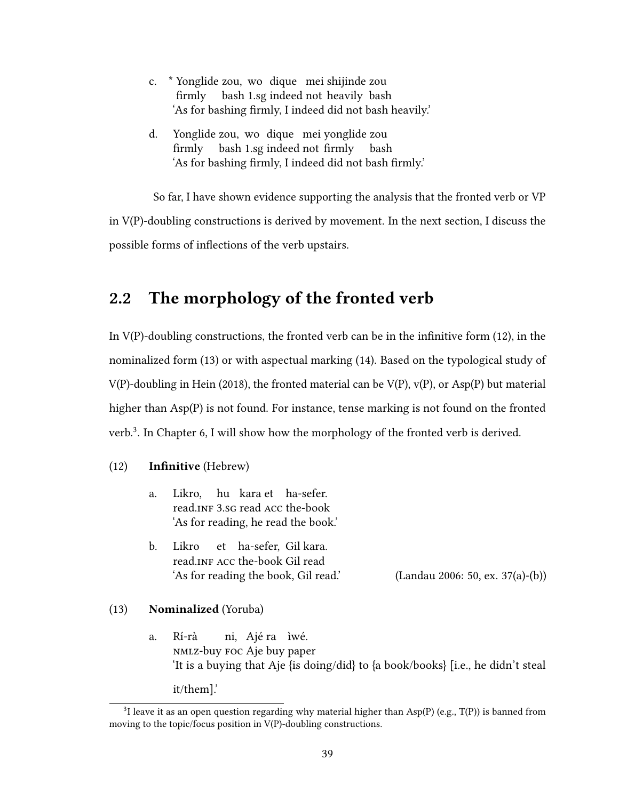| c. * Yonglide zou, wo dique mei shijinde zou            |
|---------------------------------------------------------|
| firmly bash 1.sg indeed not heavily bash                |
| 'As for bashing firmly, I indeed did not bash heavily.' |
|                                                         |
| d. Yonglide zou, wo dique mei yonglide zou              |

firmly bash 1.sg indeed not firmly bash 'As for bashing firmly, I indeed did not bash firmly.'

So far, I have shown evidence supporting the analysis that the fronted verb or VP in V(P)-doubling constructions is derived by movement. In the next section, I discuss the possible forms of inflections of the verb upstairs.

# 2.2 The morphology of the fronted verb

In  $V(P)$ -doubling constructions, the fronted verb can be in the infinitive form (12), in the nominalized form (13) or with aspectual marking (14). Based on the typological study of V(P)-doubling in Hein (2018), the fronted material can be V(P), v(P), or Asp(P) but material higher than Asp(P) is not found. For instance, tense marking is not found on the fronted verb.<sup>3</sup> . In Chapter 6, I will show how the morphology of the fronted verb is derived.

## (12) **Infinitive** (Hebrew)

- a. Likro, hu kara et ha-sefer. read.INF 3.sG read ACC the-book 'As for reading, he read the book.'
- b. Likro read.INF ACC the-book Gil read et ha-sefer, Gil kara. 'As for reading the book, Gil read.' (Landau 2006: 50, ex. 37(a)-(b))

### (13) Nominalized (Yoruba)

a. Rí-rà nmlz-buy foc Aje buy paper ni, Ajé ra ìwé. 'It is a buying that Aje {is doing/did} to {a book/books} [i.e., he didn't steal

it/them].'

<sup>&</sup>lt;sup>3</sup>I leave it as an open question regarding why material higher than Asp(P) (e.g., T(P)) is banned from moving to the topic/focus position in V(P)-doubling constructions.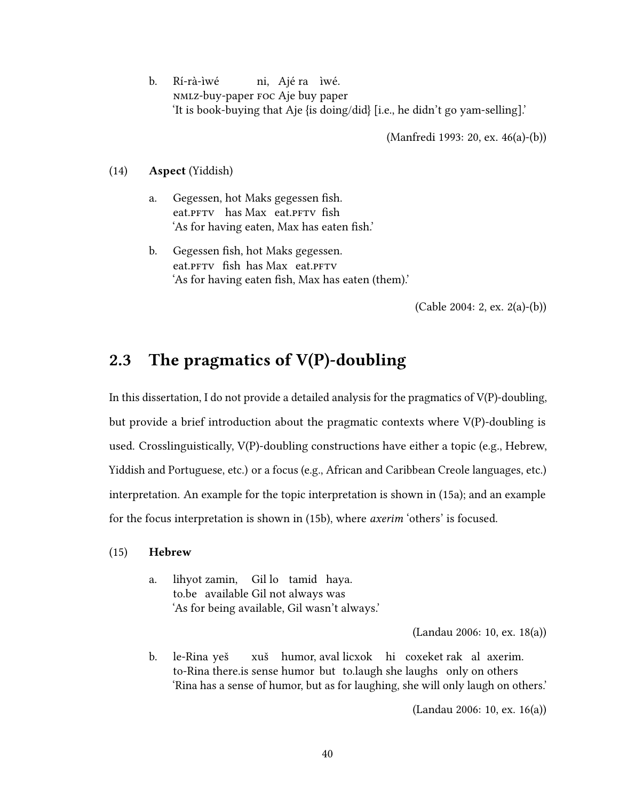b. Rí-rà-ìwé nmlz-buy-paper foc Aje buy paper ni, Ajé ra ìwé. 'It is book-buying that Aje {is doing/did} [i.e., he didn't go yam-selling].'

(Manfredi 1993: 20, ex. 46(a)-(b))

(14) Aspect (Yiddish)

- a. Gegessen, hot Maks gegessen sh. eat. PFTV has Max eat. PFTV fish 'As for having eaten, Max has eaten fish.'
- b. Gegessen fish, hot Maks gegessen. eat. PFTV fish has Max eat. PFTV 'As for having eaten fish, Max has eaten (them).'

(Cable 2004: 2, ex. 2(a)-(b))

# 2.3 The pragmatics of  $V(P)$ -doubling

In this dissertation, I do not provide a detailed analysis for the pragmatics of V(P)-doubling, but provide a brief introduction about the pragmatic contexts where V(P)-doubling is used. Crosslinguistically, V(P)-doubling constructions have either a topic (e.g., Hebrew, Yiddish and Portuguese, etc.) or a focus (e.g., African and Caribbean Creole languages, etc.) interpretation. An example for the topic interpretation is shown in (15a); and an example for the focus interpretation is shown in (15b), where axerim 'others' is focused.

#### (15) Hebrew

a. lihyot zamin, Gil lo tamid haya. to.be available Gil not always was 'As for being available, Gil wasn't always.'

(Landau 2006: 10, ex. 18(a))

b. le-Rina yeš to-Rina there is sense humor but to laugh she laughs only on others xuš humor, aval licxok hi coxeket rak al axerim. 'Rina has a sense of humor, but as for laughing, she will only laugh on others.'

(Landau 2006: 10, ex. 16(a))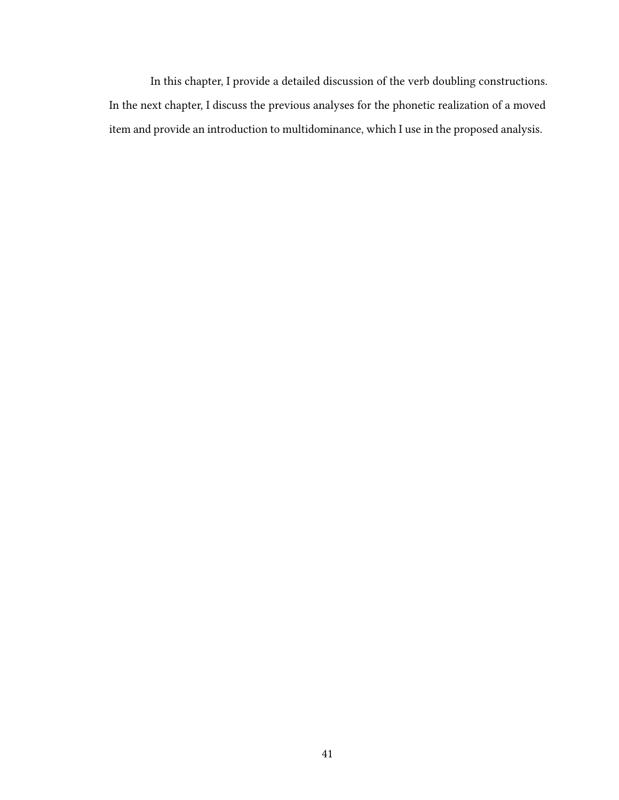In this chapter, I provide a detailed discussion of the verb doubling constructions. In the next chapter, I discuss the previous analyses for the phonetic realization of a moved item and provide an introduction to multidominance, which I use in the proposed analysis.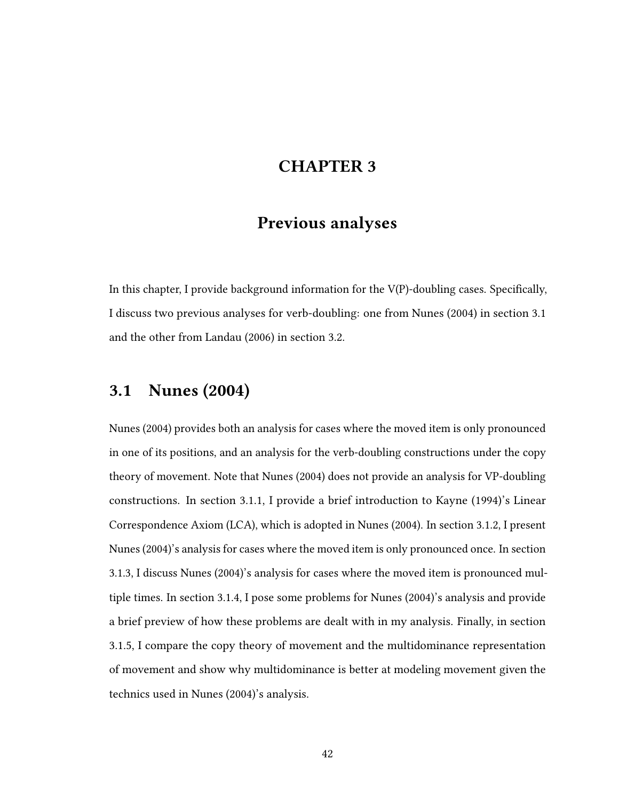# CHAPTER 3

# Previous analyses

In this chapter, I provide background information for the  $V(P)$ -doubling cases. Specifically, I discuss two previous analyses for verb-doubling: one from Nunes (2004) in section 3.1 and the other from Landau (2006) in section 3.2.

# 3.1 Nunes (2004)

Nunes (2004) provides both an analysis for cases where the moved item is only pronounced in one of its positions, and an analysis for the verb-doubling constructions under the copy theory of movement. Note that Nunes (2004) does not provide an analysis for VP-doubling constructions. In section 3.1.1, I provide a brief introduction to Kayne (1994)'s Linear Correspondence Axiom (LCA), which is adopted in Nunes (2004). In section 3.1.2, I present Nunes (2004)'s analysis for cases where the moved item is only pronounced once. In section 3.1.3, I discuss Nunes (2004)'s analysis for cases where the moved item is pronounced multiple times. In section 3.1.4, I pose some problems for Nunes (2004)'s analysis and provide a brief preview of how these problems are dealt with in my analysis. Finally, in section 3.1.5, I compare the copy theory of movement and the multidominance representation of movement and show why multidominance is better at modeling movement given the technics used in Nunes (2004)'s analysis.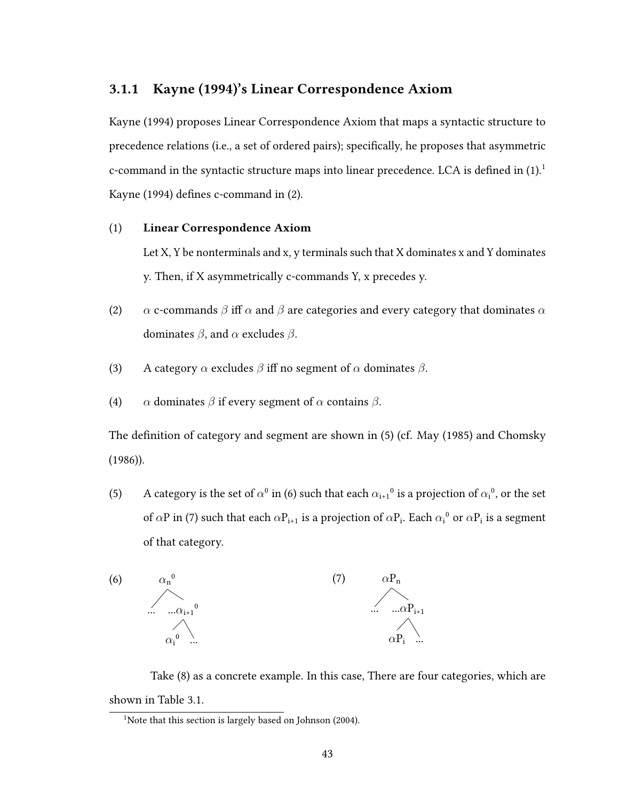# 3.1.1 Kayne (1994)'s Linear Correspondence Axiom

Kayne (1994) proposes Linear Correspondence Axiom that maps a syntactic structure to precedence relations (i.e., a set of ordered pairs); specifically, he proposes that asymmetric c-command in the syntactic structure maps into linear precedence. LCA is defined in  $(1).<sup>1</sup>$ Kayne (1994) defines c-command in (2).

### (1) Linear Correspondence Axiom

Let X, Y be nonterminals and x, y terminals such that X dominates x and Y dominates y. Then, if X asymmetrically c-commands Y, x precedes y.

- (2)  $\alpha$  c-commands  $\beta$  iff  $\alpha$  and  $\beta$  are categories and every category that dominates  $\alpha$ dominates  $\beta$ , and  $\alpha$  excludes  $\beta$ .
- (3) A category  $\alpha$  excludes  $\beta$  iff no segment of  $\alpha$  dominates  $\beta$ .
- (4)  $\alpha$  dominates  $\beta$  if every segment of  $\alpha$  contains  $\beta$ .

The definition of category and segment are shown in  $(5)$  (cf. May  $(1985)$  and Chomsky (1986)).

(5) A category is the set of  $\alpha^0$  in (6) such that each  $\alpha_{i+1}^0$  is a projection of  $\alpha_i^0$ , or the set of  $\alpha$ P in (7) such that each  $\alpha P_{i+1}$  is a projection of  $\alpha P_i$ . Each  $\alpha_i{}^0$  or  $\alpha P_i$  is a segment of that category.



Take (8) as a concrete example. In this case, There are four categories, which are shown in Table 3.1.

<sup>&</sup>lt;sup>1</sup>Note that this section is largely based on Johnson (2004).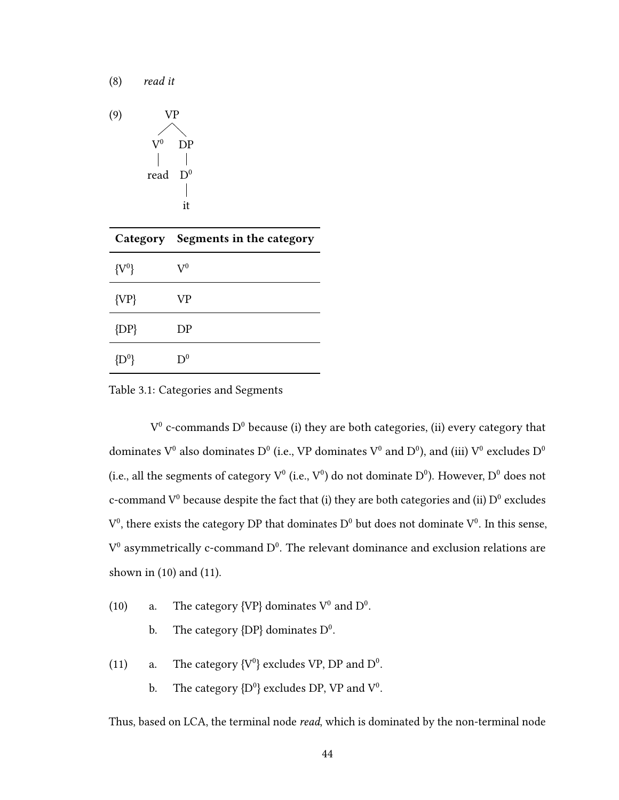$$
(9) \quad VP
$$
\n
$$
V^0 \quad DP
$$
\n
$$
read \quad D^0
$$
\n
$$
\begin{array}{c}\n \mid \\
 \mid \\
 \mid \\
 \text{it}\n \end{array}
$$

(8) read it

|           | Category Segments in the category |
|-----------|-----------------------------------|
| $\{V^0\}$ | $\mathrm{V}^0$                    |
| ${VP}$    | VP                                |
| ${DP}$    | DΡ                                |
| $D^0$     | $D^0$                             |

Table 3.1: Categories and Segments

 $V^0$  c-commands  $D^0$  because (i) they are both categories, (ii) every category that dominates  $V^0$  also dominates  $D^0$  (i.e., VP dominates  $V^0$  and  $D^0$ ), and (iii)  $V^0$  excludes  $D^0$ (i.e., all the segments of category  $V^0$  (i.e.,  $V^0$ ) do not dominate  $D^0$ ). However,  $D^0$  does not c-command  $V^0$  because despite the fact that (i) they are both categories and (ii)  $D^0$  excludes  $V^0$ , there exists the category DP that dominates D<sup>0</sup> but does not dominate  $V^0$ . In this sense,  $V^0$  asymmetrically c-command  $D^0$ . The relevant dominance and exclusion relations are shown in (10) and (11).

- (10) a. The category {VP} dominates  $V^0$  and  $D^0$ .
	- b. The category  ${D}P$  dominates  $D^0$ .
- (11) a. The category  $\{V^0\}$  excludes VP, DP and  $D^0$ .
	- b. The category  ${D^0}$  excludes DP, VP and  $V^0$ .

Thus, based on LCA, the terminal node read, which is dominated by the non-terminal node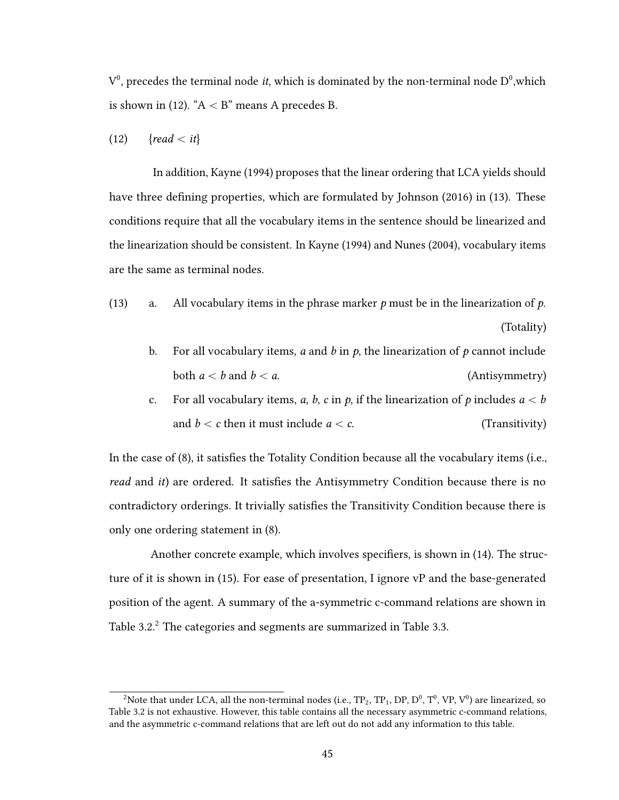$V^0$ , precedes the terminal node *it*, which is dominated by the non-terminal node  $D^0$ , which is shown in (12). " $A < B$ " means A precedes B.

$$
(12) \qquad \{read < it\}
$$

In addition, Kayne (1994) proposes that the linear ordering that LCA yields should have three defining properties, which are formulated by Johnson (2016) in (13). These conditions require that all the vocabulary items in the sentence should be linearized and the linearization should be consistent. In Kayne (1994) and Nunes (2004), vocabulary items are the same as terminal nodes.

- (13) a. All vocabulary items in the phrase marker  $p$  must be in the linearization of  $p$ . (Totality)
	- b. For all vocabulary items, a and b in  $p$ , the linearization of p cannot include both  $a < b$  and  $b < a$ . (Antisymmetry)
	- c. For all vocabulary items, a, b, c in p, if the linearization of p includes  $a < b$ and  $b < c$  then it must include  $a < c$ . (Transitivity)

In the case of  $(8)$ , it satisfies the Totality Condition because all the vocabulary items (i.e., read and *it*) are ordered. It satisfies the Antisymmetry Condition because there is no contradictory orderings. It trivially satisfies the Transitivity Condition because there is only one ordering statement in (8).

Another concrete example, which involves specifiers, is shown in  $(14)$ . The structure of it is shown in (15). For ease of presentation, I ignore vP and the base-generated position of the agent. A summary of the a-symmetric c-command relations are shown in Table 3.2.<sup>2</sup> The categories and segments are summarized in Table 3.3.

<sup>&</sup>lt;sup>2</sup>Note that under LCA, all the non-terminal nodes (i.e.,  $TP_2$ ,  $TP_1$ , DP, D<sup>0</sup>, T<sup>0</sup>, VP, V<sup>0</sup>) are linearized, so Table 3.2 is not exhaustive. However, this table contains all the necessary asymmetric c-command relations, and the asymmetric c-command relations that are left out do not add any information to this table.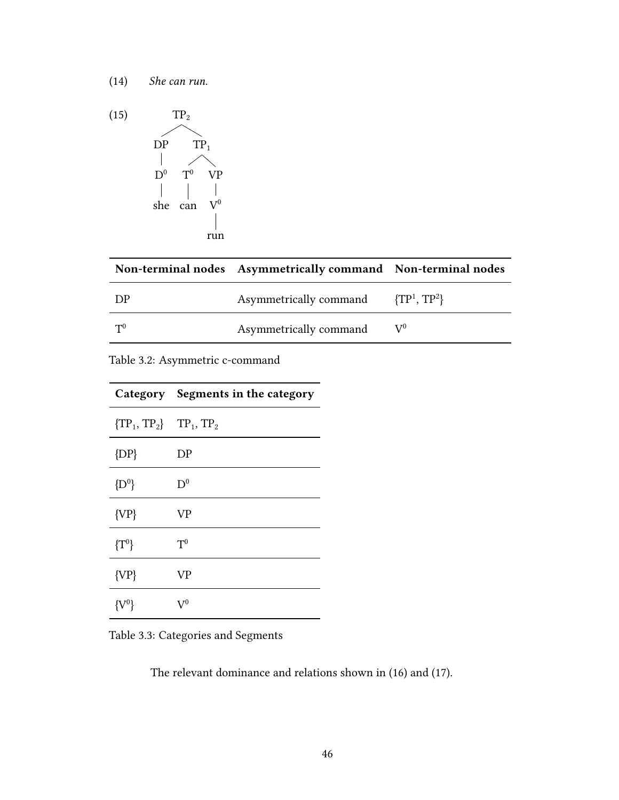

|       | Non-terminal nodes Asymmetrically command Non-terminal nodes |                                     |
|-------|--------------------------------------------------------------|-------------------------------------|
| DP    | Asymmetrically command                                       | $\{ \text{TP}^1, \, \text{TP}^2 \}$ |
| $T^0$ | Asymmetrically command                                       | $V^0$                               |

Table 3.2: Asymmetric c-command

|                             | Category Segments in the category |
|-----------------------------|-----------------------------------|
| ${TP_1, TP_2}$ $TP_1, TP_2$ |                                   |
| ${DP}$                      | DP                                |
| ${D^0}$                     | $\mathrm{D}^0$                    |
| ${VP}$                      | VP                                |
| $\{T^0\}$                   | $\mathrm{T}^0$                    |
| ${VP}$                      | VР                                |
| ${V^0}$                     | $V^{0}$                           |

Table 3.3: Categories and Segments

The relevant dominance and relations shown in (16) and (17).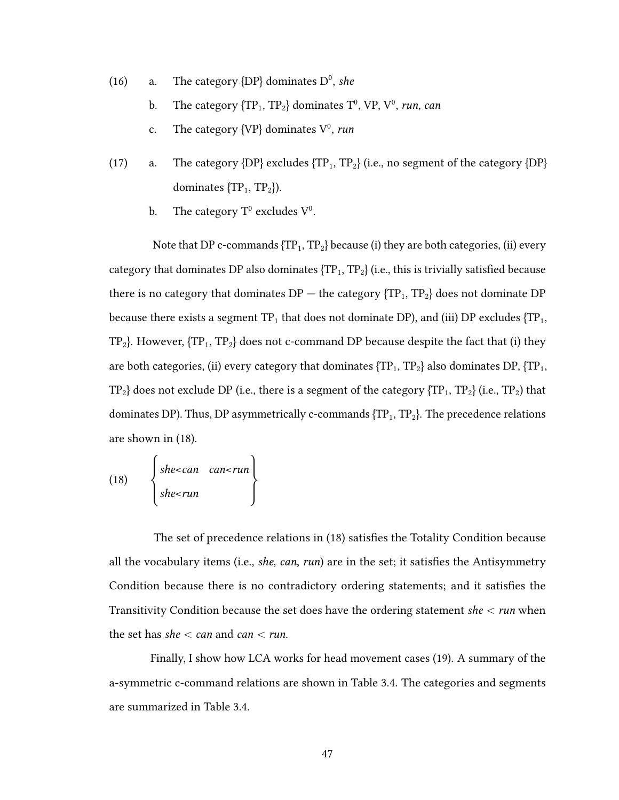- (16) a. The category  ${DP}$  dominates  $D^0$ , she
	- b. The category  ${TP_1, TP_2}$  dominates  $T^0$ , VP, V<sup>0</sup>, run, can
	- c. The category  $\{VP\}$  dominates  $V^0$ , run
- (17) a. The category  ${DP}$  excludes  ${TP_1, TP_2}$  (i.e., no segment of the category  ${DP}$ dominates  ${TP_1, TP_2}.$ 
	- b. The category  $T^0$  excludes  $V^0$ .

Note that DP c-commands  ${TP_1, TP_2}$  because (i) they are both categories, (ii) every category that dominates DP also dominates  ${TP_1, TP_2}$  (i.e., this is trivially satisfied because there is no category that dominates  $DP -$  the category  ${TP_1, TP_2}$  does not dominate  $DP$ because there exists a segment  $TP_1$  that does not dominate DP), and (iii) DP excludes  ${TP_1,$  $TP_2$ . However,  ${TP_1, TP_2}$  does not c-command DP because despite the fact that (i) they are both categories, (ii) every category that dominates  ${TP_1, TP_2}$  also dominates DP,  ${TP_1,$  $TP_2$  does not exclude DP (i.e., there is a segment of the category  ${TP_1, TP_2}$  (i.e.,  $TP_2$ ) that dominates DP). Thus, DP asymmetrically c-commands  ${TP_1, TP_2}$ . The precedence relations are shown in (18).

(18) 
$$
\begin{cases} she
$$

The set of precedence relations in (18) satisfies the Totality Condition because all the vocabulary items (i.e., *she, can, run*) are in the set; it satisfies the Antisymmetry Condition because there is no contradictory ordering statements; and it satisfies the Transitivity Condition because the set does have the ordering statement she  $\lt$  run when the set has she  $<$  can and can  $<$  run.

Finally, I show how LCA works for head movement cases (19). A summary of the a-symmetric c-command relations are shown in Table 3.4. The categories and segments are summarized in Table 3.4.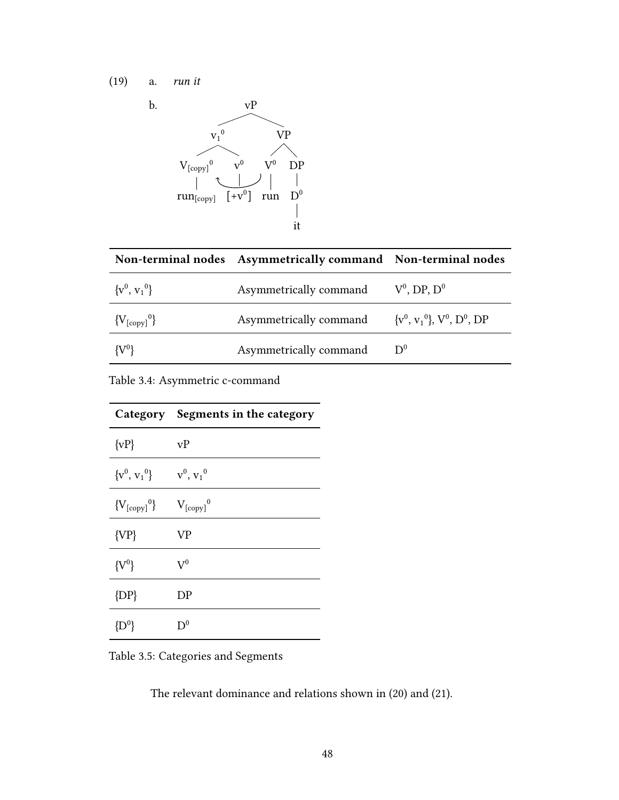

|                  | Non-terminal nodes Asymmetrically command Non-terminal nodes |                   |
|------------------|--------------------------------------------------------------|-------------------|
| $\{v^0, v_1^0\}$ | Asymmetrically command                                       | $V^0$ , DP, $D^0$ |
| ${V_{[copy]}^0}$ | Asymmetrically command $\{v^0, v_1^0\}$ , $V^0$ , $D^0$ , DP |                   |
| $\{V^0\}$        | Asymmetrically command                                       | $D^{0}$           |

Table 3.4: Asymmetric c-command

|                   | Category Segments in the category |
|-------------------|-----------------------------------|
| $\{vP\}$          | vP                                |
| ${v^0, v_1^0}$    | $v^0, v_1^0$                      |
| ${V_{[copy]}^0}$  | $V_{[copy]}^0$                    |
| ${VP}$            | <b>VP</b>                         |
| $\{ {\rm V}^0 \}$ | $\mathrm{V}^0$                    |
| ${DP}$            | DP                                |
| $\{ {\rm D}^0 \}$ | $D^0$                             |

Table 3.5: Categories and Segments

The relevant dominance and relations shown in (20) and (21).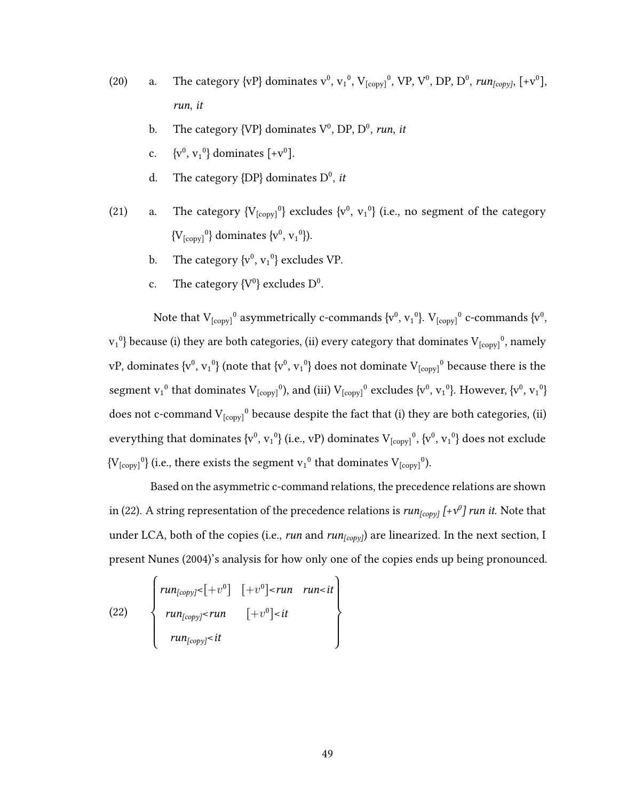- (20) a. The category  $\{vP\}$  dominates  $v^0$ ,  $v_1^0$ ,  $V_{[copy]}^0$ ,  $VP$ ,  $V^0$ ,  $DP$ ,  $D^0$ ,  $run_{[copy]}$ ,  $[+v^0]$ , run, it
	- b. The category  $\{VP\}$  dominates  $V^0$ , DP, D<sup>0</sup>, run, it
	- c.  $\{v^0, v_1^0\}$  dominates  $[+v^0]$ .
	- d. The category  ${DP}$  dominates  $D^0$ , it
- (21) a. The category  ${V_{[conv]}^0}$  excludes  ${v^0, v_1^0}$  (i.e., no segment of the category  ${V_{[conv]}^0}$  dominates  ${v^0, v_1^0}$ .
	- b. The category  $\{v^0, v_1^0\}$  excludes VP.
	- c. The category  $\{V^0\}$  excludes  $D^0$ .

Note that  $V_{[copy]}^0$  asymmetrically c-commands  $\{v^0, v_1^0\}$ .  $V_{[copy]}^0$  c-commands  $\{v^0, v_2^0\}$  $v_1^0$ } because (i) they are both categories, (ii) every category that dominates  $V_{[copy]}^0$ , namely vP, dominates  $\{v^0, v_1^0\}$  (note that  $\{v^0, v_1^0\}$  does not dominate  $V_{[conv]}^0$  because there is the segment  $v_1^0$  that dominates  $V_{[conv]}^0$ , and (iii)  $V_{[conv]}^0$  excludes  $\{v^0, v_1^0\}$ . However,  $\{v^0, v_1^0\}$ does not c-command  $V_{[copy]}^0$  because despite the fact that (i) they are both categories, (ii) everything that dominates  $\{v^0, v_1^0\}$  (i.e., vP) dominates  $V_{[copy]}^0$ ,  $\{v^0, v_1^0\}$  does not exclude  ${V_{\text{conv}}}^0$  (i.e., there exists the segment  $v_1^0$  that dominates  $V_{\text{conv}}^0$ ).

Based on the asymmetric c-command relations, the precedence relations are shown in (22). A string representation of the precedence relations is  $\mathit{run}_{[copy]}$  [+v $^{\scriptsize o}$ ]  $\mathit{run}$  it. Note that under LCA, both of the copies (i.e., run and  $run_{[copy]}$ ) are linearized. In the next section, I present Nunes (2004)'s analysis for how only one of the copies ends up being pronounced.

(22) 
$$
\begin{cases}\n\mathbf{run}_{[copy]} < [+v^0] \quad [+v^0] < \mathbf{run} \quad \mathbf{run} < \mathbf{it} \\
\mathbf{run}_{[copy]} < \mathbf{run} \quad [+v^0] < \mathbf{it} \\
\mathbf{run}_{[copy]} < \mathbf{it}\n\end{cases}
$$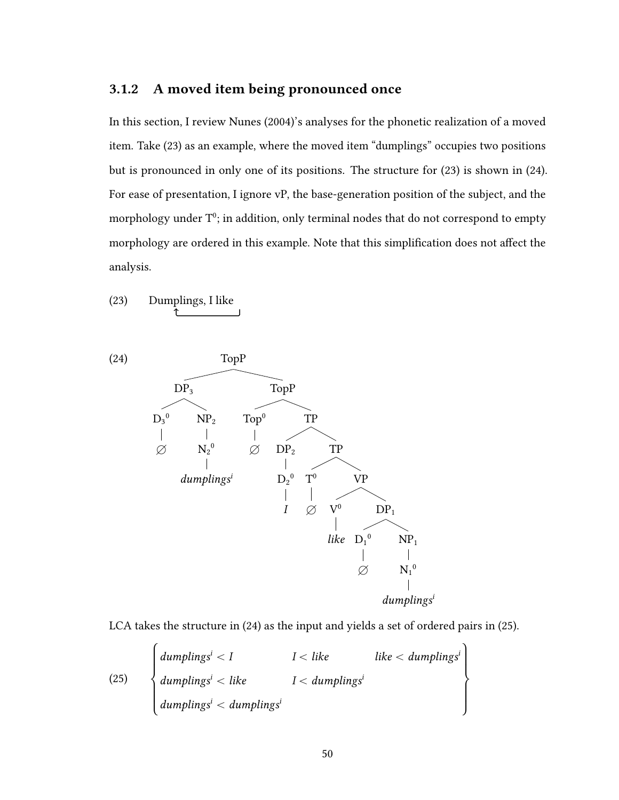# 3.1.2 A moved item being pronounced once

In this section, I review Nunes (2004)'s analyses for the phonetic realization of a moved item. Take (23) as an example, where the moved item "dumplings" occupies two positions but is pronounced in only one of its positions. The structure for (23) is shown in (24). For ease of presentation, I ignore vP, the base-generation position of the subject, and the morphology under  $T^0$ : in addition, only terminal nodes that do not correspond to empty morphology are ordered in this example. Note that this simplification does not affect the analysis.

(23) Dumplings, I like x



LCA takes the structure in (24) as the input and yields a set of ordered pairs in (25).

(25)

\n
$$
\begin{cases}\n\text{dumplings}^{i} < I & I < like & like < \text{dumplings}^{i} \\
\text{dumplings}^{i} < like & I < \text{dumplings}^{i} \\
\text{dumplings}^{i} < \text{dumplings}^{i}\n\end{cases}
$$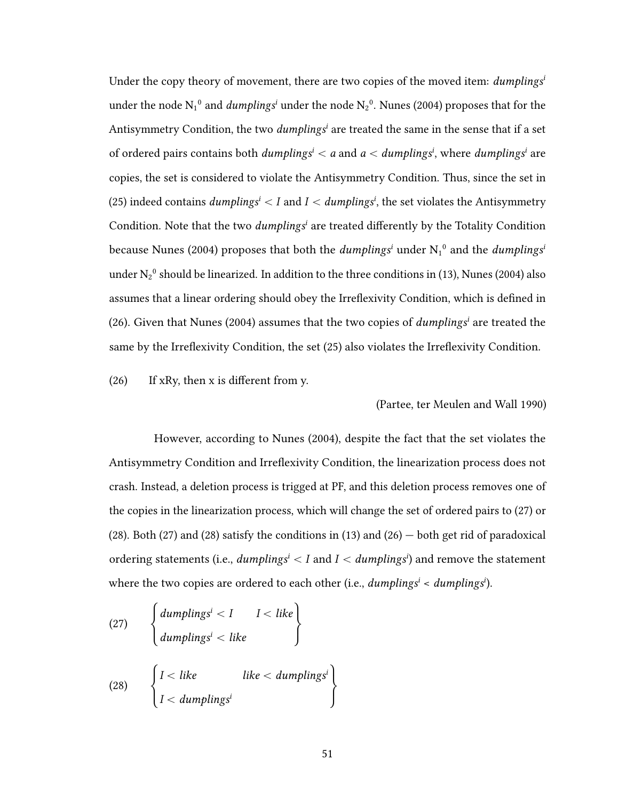Under the copy theory of movement, there are two copies of the moved item:  $dumplings<sup>i</sup>$ under the node  $\mathrm{N_1}^0$  and  $\mathit{dumplings}^i$  under the node  $\mathrm{N_2}^0.$  Nunes (2004) proposes that for the Antisymmetry Condition, the two *dumplings<sup>i</sup>* are treated the same in the sense that if a set of ordered pairs contains both  $\boldsymbol{d}$ umplings $^i < a$  and  $a < \boldsymbol{d}$ umplings $^i$ , where  $\boldsymbol{d}$ umplings $^i$  are copies, the set is considered to violate the Antisymmetry Condition. Thus, since the set in (25) indeed contains  $\textit{dumplings}^i < I$  and  $I < \textit{dumplings}^i$ , the set violates the Antisymmetry Condition. Note that the two *dumplings<sup>i</sup>* are treated differently by the Totality Condition because Nunes (2004) proposes that both the  $\textit{dumplings}^{i}$  under  $\mathrm{N_1}^0$  and the  $\textit{dumplings}^{i}$ under  $N_2^0$  should be linearized. In addition to the three conditions in (13), Nunes (2004) also assumes that a linear ordering should obey the Irreflexivity Condition, which is defined in (26). Given that Nunes (2004) assumes that the two copies of  $dumplings<sup>i</sup>$  are treated the same by the Irreflexivity Condition, the set (25) also violates the Irreflexivity Condition.

 $(26)$  If xRy, then x is different from y.

(Partee, ter Meulen and Wall 1990)

However, according to Nunes (2004), despite the fact that the set violates the Antisymmetry Condition and Irreflexivity Condition, the linearization process does not crash. Instead, a deletion process is trigged at PF, and this deletion process removes one of the copies in the linearization process, which will change the set of ordered pairs to (27) or (28). Both (27) and (28) satisfy the conditions in (13) and (26)  $-$  both get rid of paradoxical ordering statements (i.e.,  $\emph{dumplings}^{i} < I$  and  $I < \emph{dumplings}^{i}$ ) and remove the statement where the two copies are ordered to each other (i.e.,  $dumplings<sup>i</sup> < dumplings<sup>i</sup>$ ).

(27) 
$$
\begin{cases} \text{dumplings}^{i} < I & I < like \\ \text{dumplings}^{i} < like & \end{cases}
$$
\n(28) 
$$
\begin{cases} I < like \\ I < \text{dumplings}^{i} \\ I < \text{dumplings}^{i} \end{cases}
$$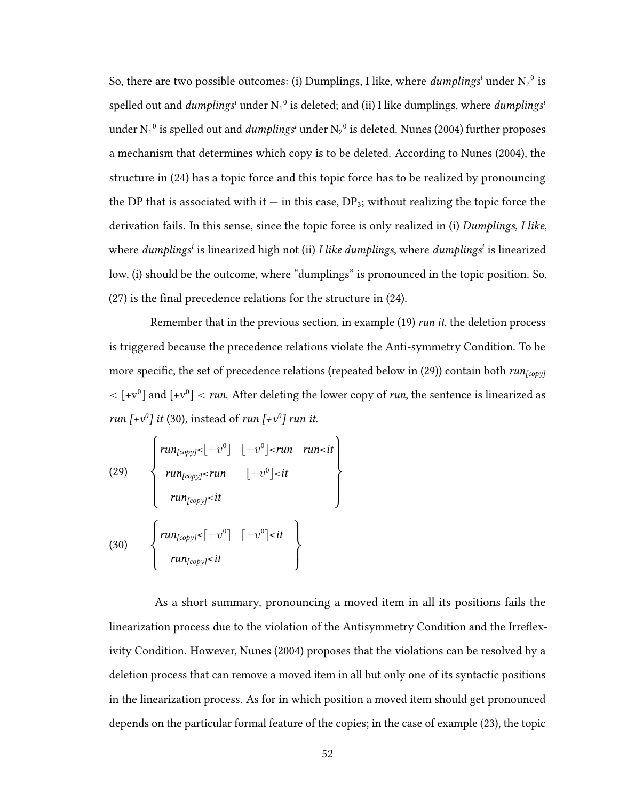So, there are two possible outcomes: (i) Dumplings, I like, where  $\textit{dumplings}^i$  under  $\mathrm{N_2}^0$  is spelled out and  ${\it dumplings}^i$  under  $\mathrm{N_1}^0$  is deleted; and (ii) I like dumplings, where  ${\it dumplings}^i$ under  $\rm N_1^{\,0}$  is spelled out and  $dumplings^i$  under  $\rm N_2^{\,0}$  is deleted. Nunes (2004) further proposes a mechanism that determines which copy is to be deleted. According to Nunes (2004), the structure in (24) has a topic force and this topic force has to be realized by pronouncing the DP that is associated with it — in this case,  $DP_3$ ; without realizing the topic force the derivation fails. In this sense, since the topic force is only realized in (i) Dumplings, I like, where *dumplings<sup>i</sup>* is linearized high not (ii) I like dumplings, where dumplings<sup>i</sup> is linearized low, (i) should be the outcome, where "dumplings" is pronounced in the topic position. So,  $(27)$  is the final precedence relations for the structure in  $(24)$ .

Remember that in the previous section, in example (19) run it, the deletion process is triggered because the precedence relations violate the Anti-symmetry Condition. To be more specific, the set of precedence relations (repeated below in (29)) contain both  $run_{[copy]}$  $\langle$  [+v<sup>0</sup>] and [+v<sup>0</sup>]  $\langle$  *run.* After deleting the lower copy of *run*, the sentence is linearized as run  $[+v^0]$  it (30), instead of run  $[+v^0]$  run it.  $\ddot{\phantom{0}}$ 

(29) 
$$
\begin{cases}\n\mathit{run}_{[copy]} < [+v^0] & \text{run} \quad \mathit{run} < \mathit{it} \\
\mathit{run}_{[copy]} < \mathit{run} \quad [+v^0] < \mathit{it} \\
\mathit{run}_{[copy]} < \mathit{it}\n\end{cases}
$$
\n(30) 
$$
\begin{cases}\n\mathit{run}_{[copy]} < [+v^0] & \text{if} \\
\mathit{run}_{[copy]} < \mathit{it}\n\end{cases}
$$

As a short summary, pronouncing a moved item in all its positions fails the linearization process due to the violation of the Antisymmetry Condition and the Irreflexivity Condition. However, Nunes (2004) proposes that the violations can be resolved by a deletion process that can remove a moved item in all but only one of its syntactic positions in the linearization process. As for in which position a moved item should get pronounced depends on the particular formal feature of the copies; in the case of example (23), the topic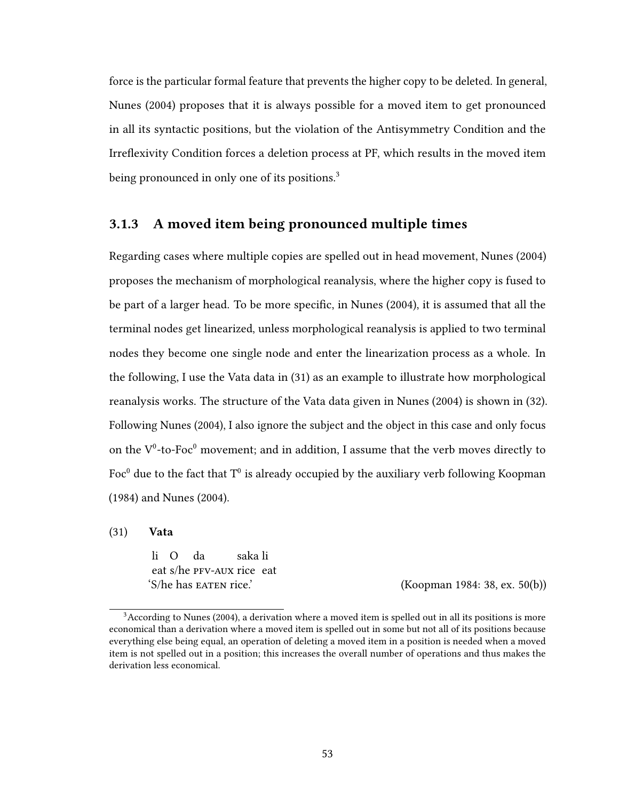force is the particular formal feature that prevents the higher copy to be deleted. In general, Nunes (2004) proposes that it is always possible for a moved item to get pronounced in all its syntactic positions, but the violation of the Antisymmetry Condition and the Irreflexivity Condition forces a deletion process at PF, which results in the moved item being pronounced in only one of its positions.<sup>3</sup>

## 3.1.3 A moved item being pronounced multiple times

Regarding cases where multiple copies are spelled out in head movement, Nunes (2004) proposes the mechanism of morphological reanalysis, where the higher copy is fused to be part of a larger head. To be more specific, in Nunes (2004), it is assumed that all the terminal nodes get linearized, unless morphological reanalysis is applied to two terminal nodes they become one single node and enter the linearization process as a whole. In the following, I use the Vata data in (31) as an example to illustrate how morphological reanalysis works. The structure of the Vata data given in Nunes (2004) is shown in (32). Following Nunes (2004), I also ignore the subject and the object in this case and only focus on the  $V^0$ -to-Fo $c^0$  movement; and in addition. I assume that the verb moves directly to Foc<sup>0</sup> due to the fact that T<sup>0</sup> is already occupied by the auxiliary verb following Koopman (1984) and Nunes (2004).

(31) Vata

li O eat s/he pfv-aux rice eat da saka li

 $(S/\text{he has EATEN rice}$ . (Koopman 1984: 38, ex. 50(b))

 $3$ According to Nunes (2004), a derivation where a moved item is spelled out in all its positions is more economical than a derivation where a moved item is spelled out in some but not all of its positions because everything else being equal, an operation of deleting a moved item in a position is needed when a moved item is not spelled out in a position; this increases the overall number of operations and thus makes the derivation less economical.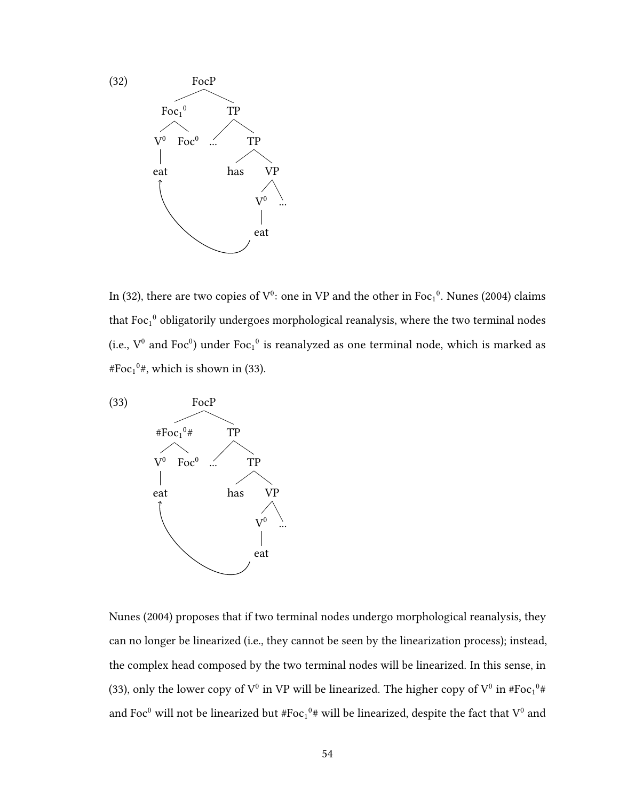

In (32), there are two copies of  $V^0$ : one in VP and the other in Foc<sub>1</sub><sup>0</sup>. Nunes (2004) claims that Foc<sub>1</sub><sup>0</sup> obligatorily undergoes morphological reanalysis, where the two terminal nodes (i.e.,  $V^0$  and Foc<sup>0</sup>) under Foc<sub>1</sub><sup>0</sup> is reanalyzed as one terminal node, which is marked as #Foc $_1^0$ #, which is shown in (33).



Nunes (2004) proposes that if two terminal nodes undergo morphological reanalysis, they can no longer be linearized (i.e., they cannot be seen by the linearization process); instead, the complex head composed by the two terminal nodes will be linearized. In this sense, in (33), only the lower copy of  $V^0$  in VP will be linearized. The higher copy of  $V^0$  in #Foc<sub>1</sub><sup>0</sup># and Foc<sup>0</sup> will not be linearized but #Foc<sub>1</sub><sup>0</sup># will be linearized, despite the fact that V<sup>0</sup> and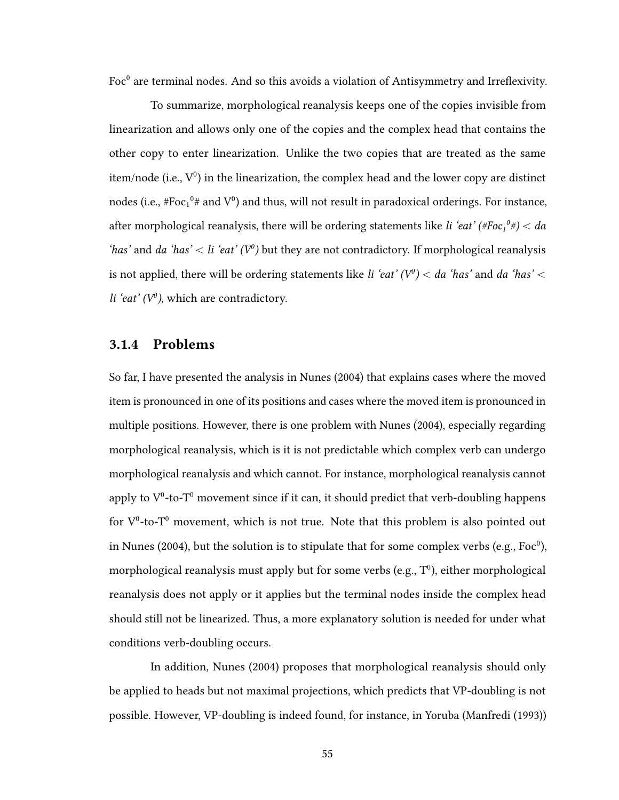Foc $^0$  are terminal nodes. And so this avoids a violation of Antisymmetry and Irreflexivity.

To summarize, morphological reanalysis keeps one of the copies invisible from linearization and allows only one of the copies and the complex head that contains the other copy to enter linearization. Unlike the two copies that are treated as the same item/node (i.e.,  $V^0$ ) in the linearization, the complex head and the lower copy are distinct nodes (i.e.,  $#Foc_1^0#$  and  $V^0$ ) and thus, will not result in paradoxical orderings. For instance, after morphological reanalysis, there will be ordering statements like *li 'eat' (#Foc* $_1{}^0$ *#)*  $<$  *da* 'has' and da 'has' < li 'eat' ( $V^0$ ) but they are not contradictory. If morphological reanalysis is not applied, there will be ordering statements like *li 'eat'* ( $V^0$ )  $<$  da *'has'* and da 'has'  $<$ li 'eat'  $(V^0)$ , which are contradictory.

## 3.1.4 Problems

So far, I have presented the analysis in Nunes (2004) that explains cases where the moved item is pronounced in one of its positions and cases where the moved item is pronounced in multiple positions. However, there is one problem with Nunes (2004), especially regarding morphological reanalysis, which is it is not predictable which complex verb can undergo morphological reanalysis and which cannot. For instance, morphological reanalysis cannot apply to  $V^0$ -to-T<sup>o</sup> movement since if it can, it should predict that verb-doubling happens for  $V^0$ -to-T<sup> $0$ </sup> movement, which is not true. Note that this problem is also pointed out in Nunes (2004), but the solution is to stipulate that for some complex verbs (e.g., Foc $^0$ ), morphological reanalysis must apply but for some verbs (e.g.,  $T^0$ ), either morphological reanalysis does not apply or it applies but the terminal nodes inside the complex head should still not be linearized. Thus, a more explanatory solution is needed for under what conditions verb-doubling occurs.

In addition, Nunes (2004) proposes that morphological reanalysis should only be applied to heads but not maximal projections, which predicts that VP-doubling is not possible. However, VP-doubling is indeed found, for instance, in Yoruba (Manfredi (1993))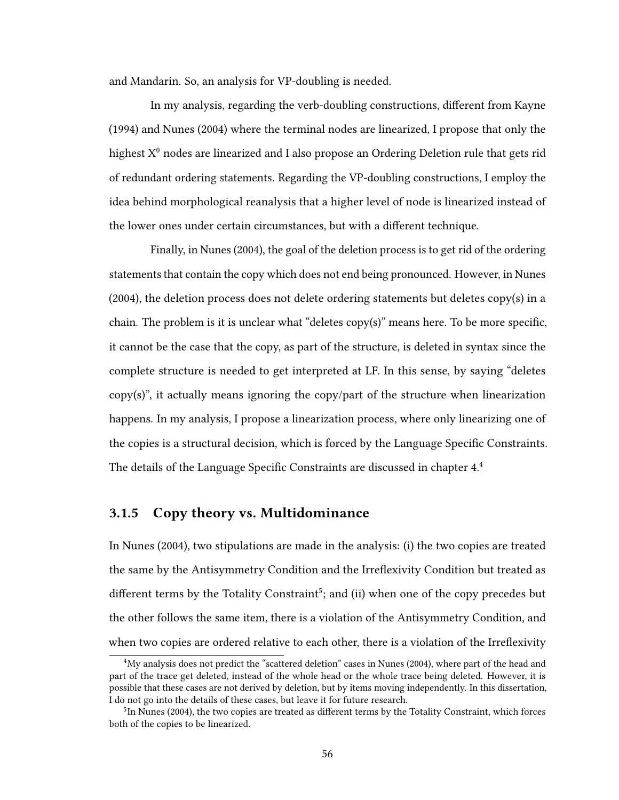and Mandarin. So, an analysis for VP-doubling is needed.

In my analysis, regarding the verb-doubling constructions, different from Kayne (1994) and Nunes (2004) where the terminal nodes are linearized, I propose that only the highest  $X^0$  nodes are linearized and I also propose an Ordering Deletion rule that gets rid of redundant ordering statements. Regarding the VP-doubling constructions, I employ the idea behind morphological reanalysis that a higher level of node is linearized instead of the lower ones under certain circumstances, but with a different technique.

Finally, in Nunes (2004), the goal of the deletion process is to get rid of the ordering statements that contain the copy which does not end being pronounced. However, in Nunes  $(2004)$ , the deletion process does not delete ordering statements but deletes copy $(s)$  in a chain. The problem is it is unclear what "deletes copy(s)" means here. To be more specific, it cannot be the case that the copy, as part of the structure, is deleted in syntax since the complete structure is needed to get interpreted at LF. In this sense, by saying "deletes  $\langle \text{copy}(s) \rangle$ , it actually means ignoring the copy/part of the structure when linearization happens. In my analysis, I propose a linearization process, where only linearizing one of the copies is a structural decision, which is forced by the Language Specific Constraints. The details of the Language Specific Constraints are discussed in chapter  $4.4$ 

## 3.1.5 Copy theory vs. Multidominance

In Nunes (2004), two stipulations are made in the analysis: (i) the two copies are treated the same by the Antisymmetry Condition and the Irreflexivity Condition but treated as different terms by the Totality Constraint<sup>5</sup>: and (ii) when one of the copy precedes but the other follows the same item, there is a violation of the Antisymmetry Condition, and when two copies are ordered relative to each other, there is a violation of the Irreflexivity

<sup>4</sup>My analysis does not predict the "scattered deletion" cases in Nunes (2004), where part of the head and part of the trace get deleted, instead of the whole head or the whole trace being deleted. However, it is possible that these cases are not derived by deletion, but by items moving independently. In this dissertation, I do not go into the details of these cases, but leave it for future research.

 $^{5}$ In Nunes (2004), the two copies are treated as different terms by the Totality Constraint, which forces both of the copies to be linearized.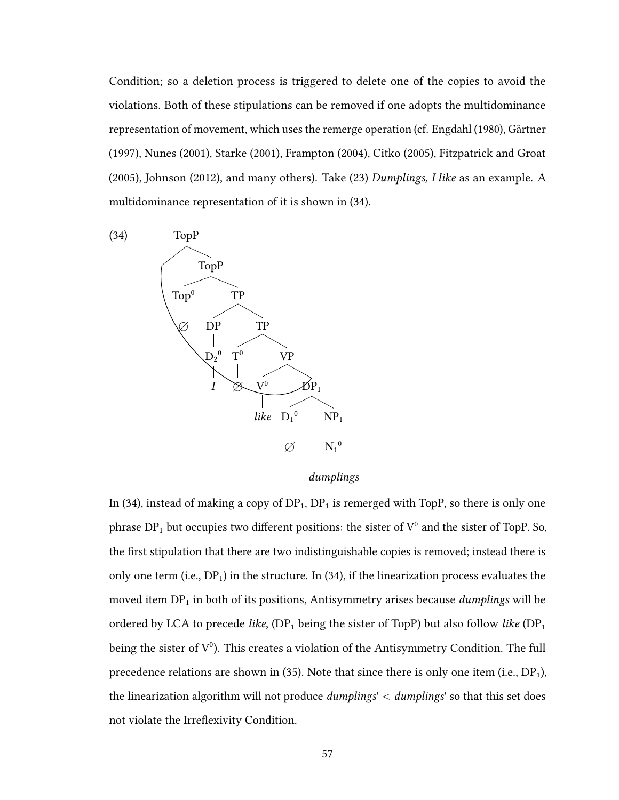Condition; so a deletion process is triggered to delete one of the copies to avoid the violations. Both of these stipulations can be removed if one adopts the multidominance representation of movement, which uses the remerge operation (cf. Engdahl (1980), Gärtner (1997), Nunes (2001), Starke (2001), Frampton (2004), Citko (2005), Fitzpatrick and Groat (2005), Johnson (2012), and many others). Take (23) Dumplings, I like as an example. A multidominance representation of it is shown in (34).



In (34), instead of making a copy of  $DP_1$ ,  $DP_1$  is remerged with TopP, so there is only one phrase  $DP_1$  but occupies two different positions: the sister of  $V^0$  and the sister of TopP. So, the first stipulation that there are two indistinguishable copies is removed; instead there is only one term (i.e.,  $DP_1$ ) in the structure. In (34), if the linearization process evaluates the moved item  $DP_1$  in both of its positions, Antisymmetry arises because *dumplings* will be ordered by LCA to precede like,  $(DP_1$  being the sister of TopP) but also follow like  $(DP_1)$ being the sister of  $V^0$ ). This creates a violation of the Antisymmetry Condition. The full precedence relations are shown in (35). Note that since there is only one item (i.e.,  $DP_1$ ), the linearization algorithm will not produce  $\textit{dumplings}^i < \textit{dumplings}^i$  so that this set does not violate the Irreflexivity Condition.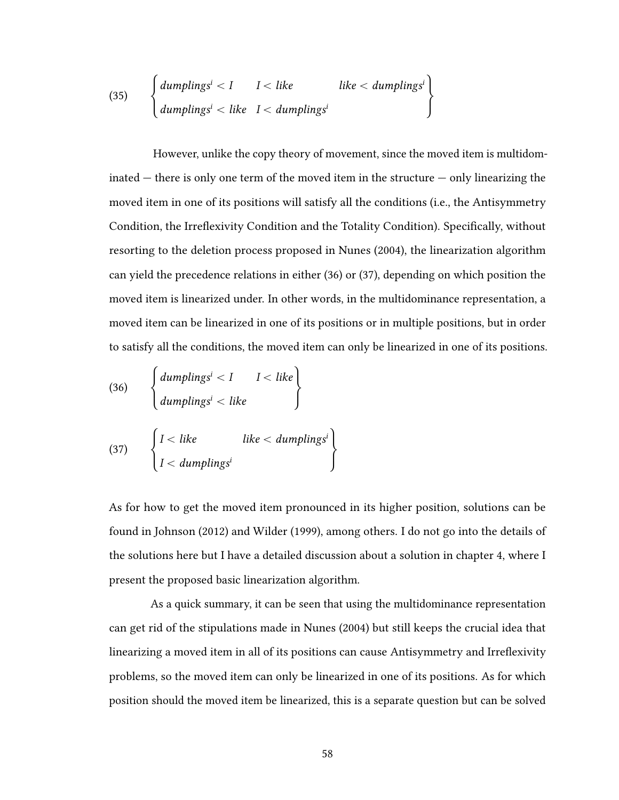(35) 
$$
\begin{cases} \text{dumplings}^i < I & I < like \\ \text{dumplings}^i < like & I < \text{dumplings}^i \end{cases}
$$

However, unlike the copy theory of movement, since the moved item is multidominated  $-$  there is only one term of the moved item in the structure  $-$  only linearizing the moved item in one of its positions will satisfy all the conditions (i.e., the Antisymmetry Condition, the Irreflexivity Condition and the Totality Condition). Specifically, without resorting to the deletion process proposed in Nunes (2004), the linearization algorithm can yield the precedence relations in either (36) or (37), depending on which position the moved item is linearized under. In other words, in the multidominance representation, a moved item can be linearized in one of its positions or in multiple positions, but in order to satisfy all the conditions, the moved item can only be linearized in one of its positions.

(36) 
$$
\begin{cases} \text{dumplings}^{i} < I & I < like \\ \text{dumplings}^{i} < like & \end{cases}
$$
\n(37) 
$$
\begin{cases} I < like \\ I < \text{dumplings}^{i} \\ I < \text{dumplings}^{i} \end{cases}
$$

As for how to get the moved item pronounced in its higher position, solutions can be found in Johnson (2012) and Wilder (1999), among others. I do not go into the details of the solutions here but I have a detailed discussion about a solution in chapter 4, where I present the proposed basic linearization algorithm.

As a quick summary, it can be seen that using the multidominance representation can get rid of the stipulations made in Nunes (2004) but still keeps the crucial idea that linearizing a moved item in all of its positions can cause Antisymmetry and Irreflexivity problems, so the moved item can only be linearized in one of its positions. As for which position should the moved item be linearized, this is a separate question but can be solved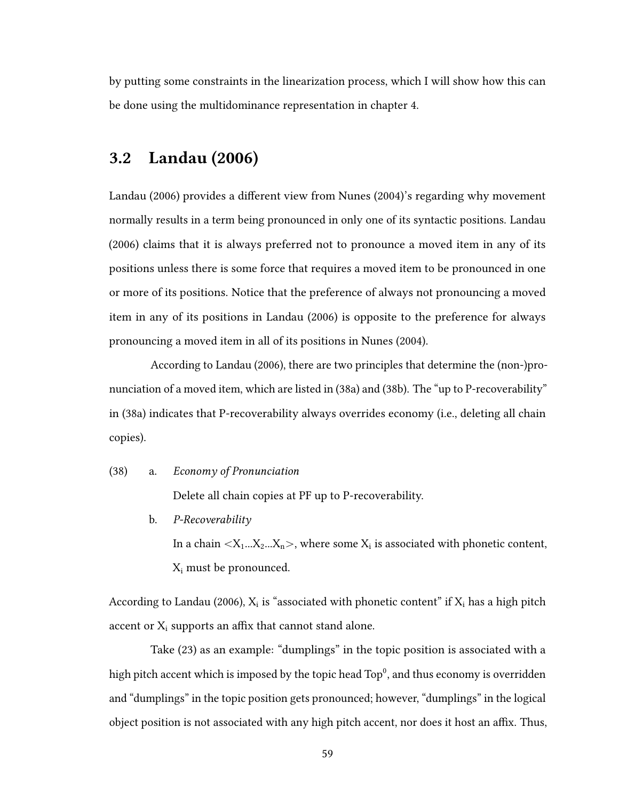by putting some constraints in the linearization process, which I will show how this can be done using the multidominance representation in chapter 4.

## 3.2 Landau (2006)

Landau (2006) provides a different view from Nunes (2004)'s regarding why movement normally results in a term being pronounced in only one of its syntactic positions. Landau (2006) claims that it is always preferred not to pronounce a moved item in any of its positions unless there is some force that requires a moved item to be pronounced in one or more of its positions. Notice that the preference of always not pronouncing a moved item in any of its positions in Landau (2006) is opposite to the preference for always pronouncing a moved item in all of its positions in Nunes (2004).

According to Landau (2006), there are two principles that determine the (non-)pronunciation of a moved item, which are listed in (38a) and (38b). The "up to P-recoverability" in (38a) indicates that P-recoverability always overrides economy (i.e., deleting all chain copies).

### (38) a. Economy of Pronunciation

Delete all chain copies at PF up to P-recoverability.

b. P-Recoverability

In a chain  $\langle X_1...X_2...X_n\rangle$ , where some  $X_i$  is associated with phonetic content,  $X_i$  must be pronounced.

According to Landau (2006),  $X_i$  is "associated with phonetic content" if  $X_i$  has a high pitch accent or  $X_i$  supports an affix that cannot stand alone.

Take (23) as an example: "dumplings" in the topic position is associated with a high pitch accent which is imposed by the topic head  $\text{Top}^0$ , and thus economy is overridden and "dumplings" in the topic position gets pronounced; however, "dumplings" in the logical object position is not associated with any high pitch accent, nor does it host an affix. Thus,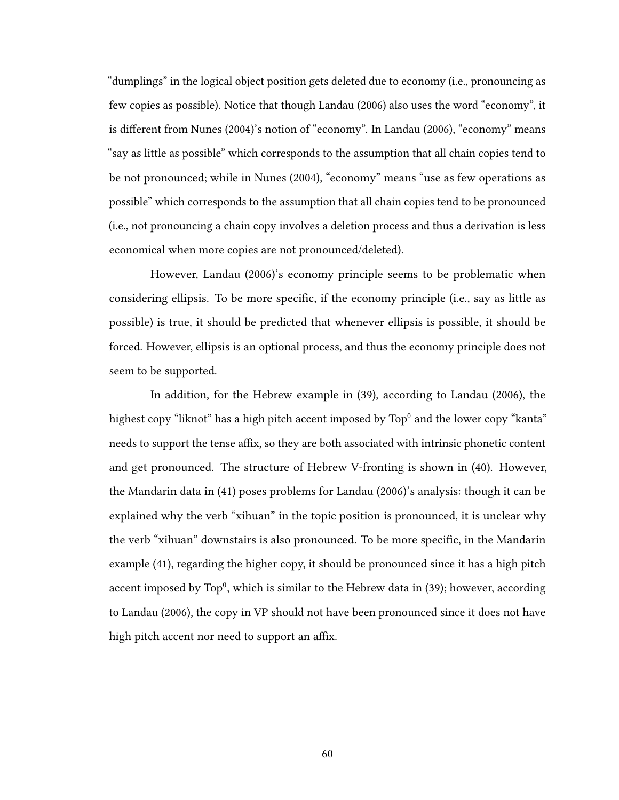"dumplings" in the logical object position gets deleted due to economy (i.e., pronouncing as few copies as possible). Notice that though Landau (2006) also uses the word "economy", it is different from Nunes (2004)'s notion of "economy". In Landau (2006), "economy" means "say as little as possible" which corresponds to the assumption that all chain copies tend to be not pronounced; while in Nunes (2004), "economy" means "use as few operations as possible" which corresponds to the assumption that all chain copies tend to be pronounced (i.e., not pronouncing a chain copy involves a deletion process and thus a derivation is less economical when more copies are not pronounced/deleted).

However, Landau (2006)'s economy principle seems to be problematic when considering ellipsis. To be more specific, if the economy principle (i.e., say as little as possible) is true, it should be predicted that whenever ellipsis is possible, it should be forced. However, ellipsis is an optional process, and thus the economy principle does not seem to be supported.

In addition, for the Hebrew example in (39), according to Landau (2006), the highest copy "liknot" has a high pitch accent imposed by  $\text{Top}^0$  and the lower copy "kanta" needs to support the tense affix, so they are both associated with intrinsic phonetic content and get pronounced. The structure of Hebrew V-fronting is shown in (40). However, the Mandarin data in (41) poses problems for Landau (2006)'s analysis: though it can be explained why the verb "xihuan" in the topic position is pronounced, it is unclear why the verb "xihuan" downstairs is also pronounced. To be more specific, in the Mandarin example (41), regarding the higher copy, it should be pronounced since it has a high pitch accent imposed by  $\text{Top}^0$ , which is similar to the Hebrew data in (39): however, according to Landau (2006), the copy in VP should not have been pronounced since it does not have high pitch accent nor need to support an affix.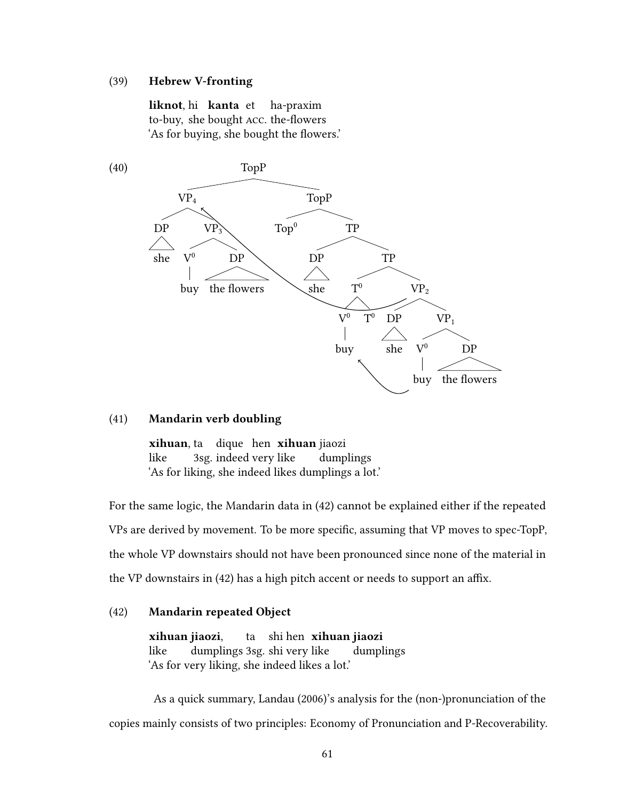## (39) Hebrew V-fronting

liknot hi kanta et to-buy, she bought ACC, the-flowers ha-praxim 'As for buying, she bought the flowers.'



### (41) Mandarin verb doubling

xihuan ta dique hen xihuan jiaozi like 3sg. indeed very like dumplings 'As for liking, she indeed likes dumplings a lot.'

For the same logic, the Mandarin data in (42) cannot be explained either if the repeated VPs are derived by movement. To be more specific, assuming that VP moves to spec-TopP, the whole VP downstairs should not have been pronounced since none of the material in the VP downstairs in  $(42)$  has a high pitch accent or needs to support an affix.

## (42) Mandarin repeated Object

xihuan jiaozi, like dumplings 3sg. shi very like ta shi hen **xihuan jiaozi** dumplings 'As for very liking, she indeed likes a lot.'

As a quick summary, Landau (2006)'s analysis for the (non-)pronunciation of the copies mainly consists of two principles: Economy of Pronunciation and P-Recoverability.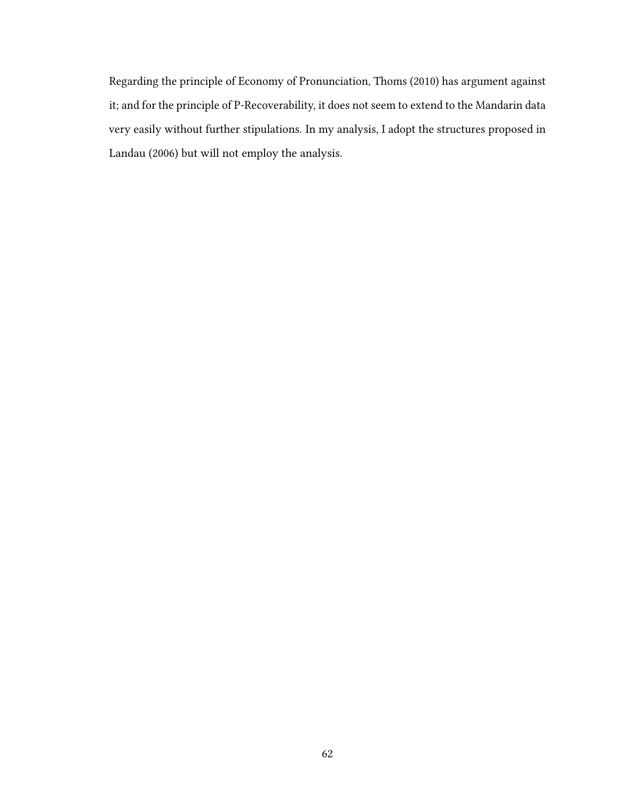Regarding the principle of Economy of Pronunciation, Thoms (2010) has argument against it; and for the principle of P-Recoverability, it does not seem to extend to the Mandarin data very easily without further stipulations. In my analysis, I adopt the structures proposed in Landau (2006) but will not employ the analysis.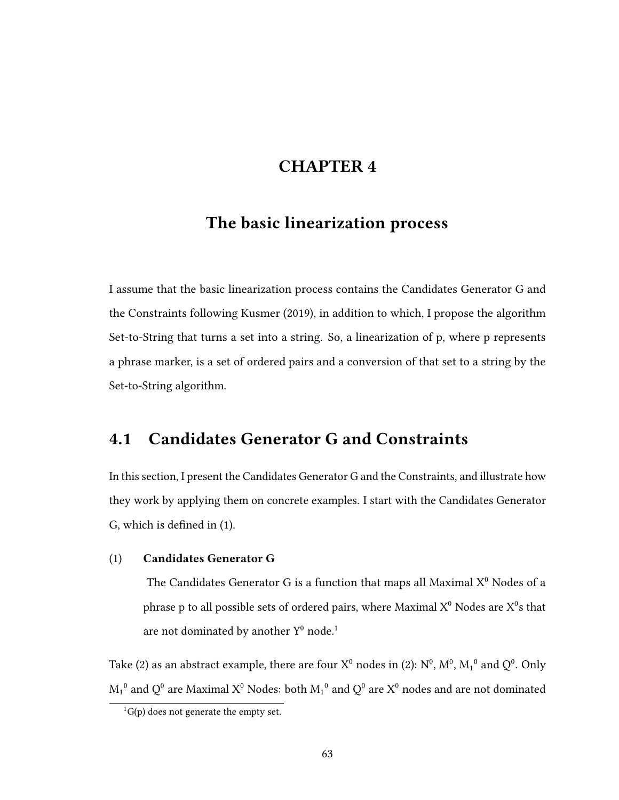# CHAPTER 4

# The basic linearization process

I assume that the basic linearization process contains the Candidates Generator G and the Constraints following Kusmer (2019), in addition to which, I propose the algorithm Set-to-String that turns a set into a string. So, a linearization of p, where p represents a phrase marker, is a set of ordered pairs and a conversion of that set to a string by the Set-to-String algorithm.

## 4.1 Candidates Generator G and Constraints

In this section, I present the Candidates Generator G and the Constraints, and illustrate how they work by applying them on concrete examples. I start with the Candidates Generator G, which is defined in  $(1)$ .

## (1) Candidates Generator G

The Candidates Generator G is a function that maps all Maximal  $X^0$  Nodes of a phrase p to all possible sets of ordered pairs, where Maximal  $\mathrm{X}^0$  Nodes are  $\mathrm{X}^0\mathrm{s}$  that are not dominated by another  $Y^0$  node.<sup>1</sup>

Take (2) as an abstract example, there are four  $X^0$  nodes in (2):  $N^0$ ,  $M^0$ ,  $M_1{}^0$  and  $Q^0$ . Only  $M_1^0$  and  $Q^0$  are Maximal  $X^0$  Nodes: both  $M_1^0$  and  $Q^0$  are  $X^0$  nodes and are not dominated

 ${}^{1}G(p)$  does not generate the empty set.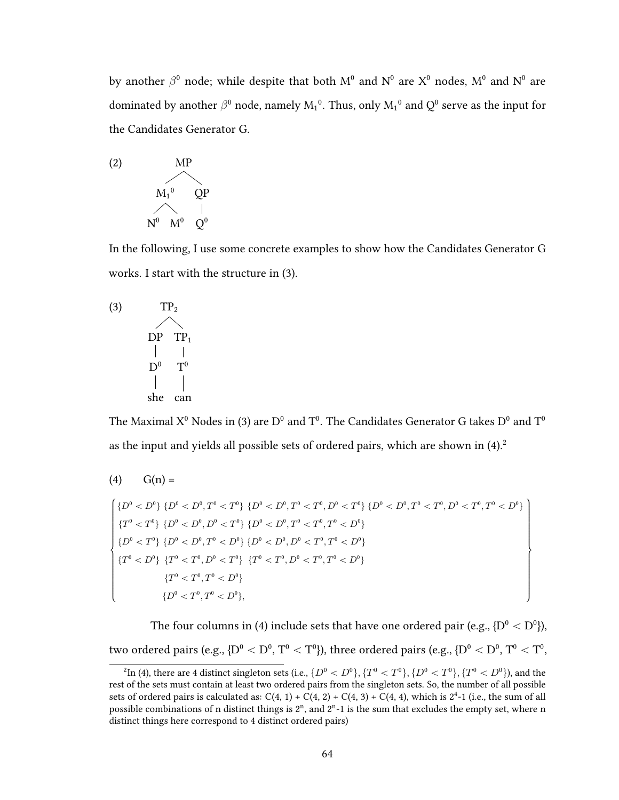by another  $\beta^0$  node; while despite that both  $M^0$  and  $N^0$  are  $X^0$  nodes,  $M^0$  and  $N^0$  are dominated by another  $\beta^0$  node, namely  $\mathrm{M_1}^0$ . Thus, only  $\mathrm{M_1}^0$  and  $\mathrm{Q}^0$  serve as the input for the Candidates Generator G.



In the following, I use some concrete examples to show how the Candidates Generator G works. I start with the structure in (3).

$$
\begin{array}{cc}\n(3) & TP_2 \\
\text{DP} & TP_1 \\
 & | & | \\
D^0 & T^0 \\
 & & | & | \\
\text{she can}\n\end{array}
$$

The Maximal  $\mathrm{X}^0$  Nodes in (3) are  $\mathrm{D}^0$  and  $\mathrm{T}^0.$  The Candidates Generator G takes  $\mathrm{D}^0$  and  $\mathrm{T}^0$ as the input and yields all possible sets of ordered pairs, which are shown in  $(4)$ .<sup>2</sup>

$$
(4) \qquad G(n) =
$$

$$
\begin{cases} \{D^0 < D^0\} \{D^0 < D^0, T^0 < T^0\} \{D^0 < D^0, T^0 < T^0, D^0 < T^0\} \{D^0 < D^0, T^0 < T^0, D^0 < T^0, D^0 < T^0, T^0 < T^0, T^0 < T^0, T^0 < T^0, T^0 < T^0, T^0 < T^0, T^0 < T^0, T^0 < T^0, T^0 < T^0, T^0 < T^0, T^0 < T^0, T^0 < T^0, T^0 < T^0, T^0 < T^0, T^0 < T^0, T^0 < T^0, T^0 < T^0, T^0 < T^0, T^0 < T^0, T^0 < T^0, T^0 < T^0, T^0 < T^0, T^0 < T^0, T^0 < T^0, T^0 < T^0, T^0 < T^0, T^0 < T^0, T^0 < T^0, T^0 < T^0, T^0 < T^0, T^0 < T^0, T^0 < T^0, T^0 < T^0, T^0 < T^0, T^0 < T^0, T^0 < T^0, T^0 < T^0, T^0 < T^0, T^0 < T^0, T^0 < T^0, T^0 < T^0, T^0 < T^0, T^0 < T^0, T^0 < T^0, T^0 < T^0, T^0 < T^0, T^0 < T^0, T^0 < T^0, T^0 < T^0, T^0 < T^0, T^0 < T^0, T^0 < T^0, T^0 < T^0, T^0 < T^0, T^0 < T^0, T^0 < T^0, T^0 < T^0, T^0 < T^0, T^0 < T^0, T^0 < T^0, T^0 < T^0, T^0 < T^0, T^0 < T^0, T^0 < T^0, T^0 < T^0, T^0 < T^0, T^0 < T^0, T^
$$

The four columns in (4) include sets that have one ordered pair (e.g.,  $\{\mathrm{D}^0 < \mathrm{D}^0\}$ ), two ordered pairs (e.g., { $\rm D^{0} < D^{0}, T^{0} < T^{0}$ }), three ordered pairs (e.g., { $\rm D^{0} < D^{0}, T^{0} < T^{0},$ 

 $^2$ In (4), there are 4 distinct singleton sets (i.e.,  $\{D^0 < D^0\}, \{T^0 < T^0\}, \{D^0 < T^0\}, \{T^0 < D^0\}$ ), and the rest of the sets must contain at least two ordered pairs from the singleton sets. So, the number of all possible sets of ordered pairs is calculated as:  $C(4, 1) + C(4, 2) + C(4, 3) + C(4, 4)$ , which is  $2<sup>4</sup>$ -1 (i.e., the sum of all possible combinations of n distinct things is  $2^n$ , and  $2^{n}-1$  is the sum that excludes the empty set, where n distinct things here correspond to 4 distinct ordered pairs)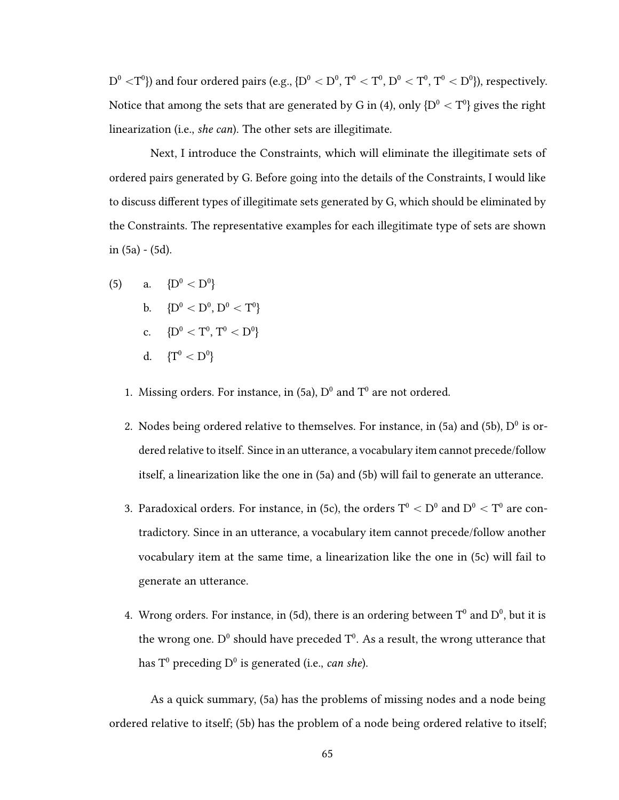${\rm D}^0<{\rm T}^0$ }) and four ordered pairs (e.g.,  $\{{\rm D}^0<{\rm D}^0,$   ${\rm T}^0<{\rm T}^0,$   ${\rm D}^0<{\rm T}^0,$   ${\rm T}^0<{\rm D}^0\}$ ), respectively. Notice that among the sets that are generated by G in (4), only  $\{ \mathrm{D}^0 < \mathrm{T}^0 \}$  gives the right linearization (i.e., she can). The other sets are illegitimate.

Next, I introduce the Constraints, which will eliminate the illegitimate sets of ordered pairs generated by G. Before going into the details of the Constraints, I would like to discuss different types of illegitimate sets generated by G, which should be eliminated by the Constraints. The representative examples for each illegitimate type of sets are shown in (5a) - (5d).

- (5) a.  ${D^0 < D^0}$ b.  ${D^0 < D^0, D^0 < T^0}$ c.  ${D^0 < T^0, T^0 < D^0}$ d.  ${T^0 < D^0}$ 
	- 1. Missing orders, For instance, in  $(5a)$ ,  $D^0$  and  $T^0$  are not ordered.
	- 2. Nodes being ordered relative to themselves. For instance, in  $(5a)$  and  $(5b)$ ,  $D^0$  is ordered relative to itself. Since in an utterance, a vocabulary item cannot precede/follow itself, a linearization like the one in (5a) and (5b) will fail to generate an utterance.
	- 3. Paradoxical orders. For instance, in (5c), the orders  $\rm T^0 < D^0$  and  $\rm D^0 < T^0$  are contradictory. Since in an utterance, a vocabulary item cannot precede/follow another vocabulary item at the same time, a linearization like the one in (5c) will fail to generate an utterance.
	- 4. Wrong orders, For instance, in (5d), there is an ordering between  $T^0$  and  $D^0$ , but it is the wrong one.  $D^0$  should have preceded  $T^0$ . As a result, the wrong utterance that has  $\mathsf{T}^0$  preceding  $\mathsf{D}^0$  is generated (i.e., *can she*).

As a quick summary, (5a) has the problems of missing nodes and a node being ordered relative to itself; (5b) has the problem of a node being ordered relative to itself;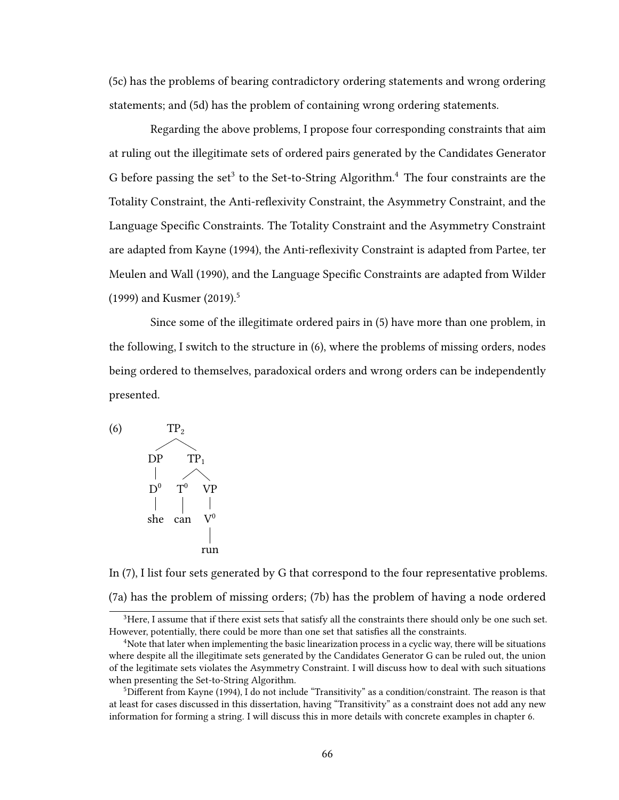(5c) has the problems of bearing contradictory ordering statements and wrong ordering statements; and (5d) has the problem of containing wrong ordering statements.

Regarding the above problems, I propose four corresponding constraints that aim at ruling out the illegitimate sets of ordered pairs generated by the Candidates Generator G before passing the set<sup>3</sup> to the Set-to-String Algorithm.<sup>4</sup> The four constraints are the Totality Constraint, the Anti-reflexivity Constraint, the Asymmetry Constraint, and the Language Specific Constraints. The Totality Constraint and the Asymmetry Constraint are adapted from Kayne (1994), the Anti-reflexivity Constraint is adapted from Partee, ter Meulen and Wall (1990), and the Language Specific Constraints are adapted from Wilder (1999) and Kusmer (2019).<sup>5</sup>

Since some of the illegitimate ordered pairs in (5) have more than one problem, in the following, I switch to the structure in (6), where the problems of missing orders, nodes being ordered to themselves, paradoxical orders and wrong orders can be independently presented.



In (7), I list four sets generated by G that correspond to the four representative problems. (7a) has the problem of missing orders; (7b) has the problem of having a node ordered

<sup>&</sup>lt;sup>3</sup>Here, I assume that if there exist sets that satisfy all the constraints there should only be one such set. However, potentially, there could be more than one set that satisfies all the constraints.

<sup>4</sup>Note that later when implementing the basic linearization process in a cyclic way, there will be situations where despite all the illegitimate sets generated by the Candidates Generator G can be ruled out, the union of the legitimate sets violates the Asymmetry Constraint. I will discuss how to deal with such situations when presenting the Set-to-String Algorithm.

 $5$ Different from Kayne (1994), I do not include "Transitivity" as a condition/constraint. The reason is that at least for cases discussed in this dissertation, having "Transitivity" as a constraint does not add any new information for forming a string. I will discuss this in more details with concrete examples in chapter 6.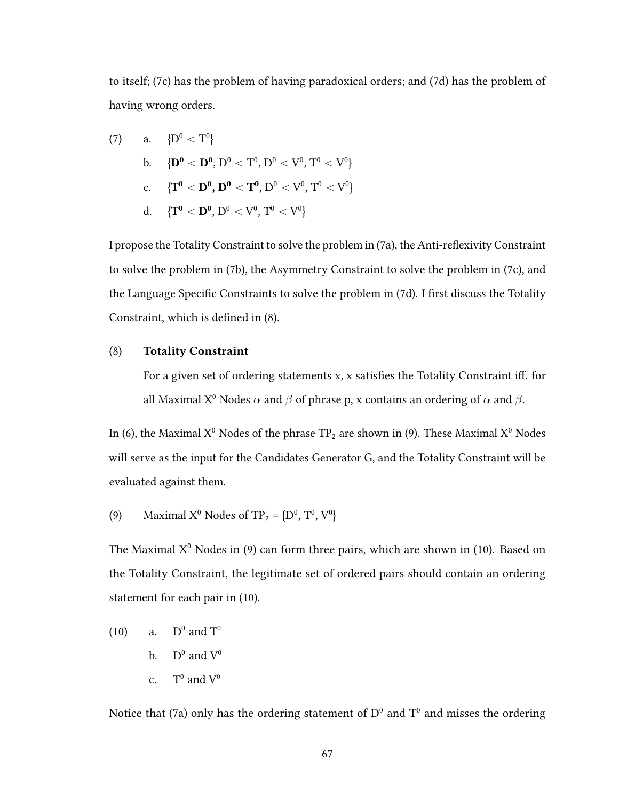to itself; (7c) has the problem of having paradoxical orders; and (7d) has the problem of having wrong orders.

(7) a. 
$$
\{D^0 < T^0\}
$$
  
\nb. 
$$
\{D^0 < D^0, D^0 < T^0, D^0 < V^0, T^0 < V^0\}
$$
  
\nc. 
$$
\{T^0 < D^0, D^0 < T^0, D^0 < V^0, T^0 < V^0\}
$$
  
\nd. 
$$
\{T^0 < D^0, D^0 < V^0, T^0 < V^0\}
$$

I propose the Totality Constraint to solve the problem in (7a), the Anti-reflexivity Constraint to solve the problem in (7b), the Asymmetry Constraint to solve the problem in (7c), and the Language Specific Constraints to solve the problem in (7d). I first discuss the Totality Constraint, which is defined in  $(8)$ .

### (8) Totality Constraint

For a given set of ordering statements x, x satisfies the Totality Constraint iff. for all Maximal X<sup>0</sup> Nodes  $\alpha$  and  $\beta$  of phrase p, x contains an ordering of  $\alpha$  and  $\beta$ .

In (6), the Maximal  $X^0$  Nodes of the phrase TP<sub>2</sub> are shown in (9). These Maximal  $X^0$  Nodes will serve as the input for the Candidates Generator G, and the Totality Constraint will be evaluated against them.

(9) Maximal  $X^0$  Nodes of TP<sub>2</sub> = { $D^0$ ,  $T^0$ ,  $V^0$ }

The Maximal  $X^0$  Nodes in (9) can form three pairs, which are shown in (10). Based on the Totality Constraint, the legitimate set of ordered pairs should contain an ordering statement for each pair in (10).

(10) a. 
$$
D^0
$$
 and  $T^0$   
b.  $D^0$  and  $V^0$   
c.  $T^0$  and  $V^0$ 

Notice that (7a) only has the ordering statement of  $D^0$  and  $T^0$  and misses the ordering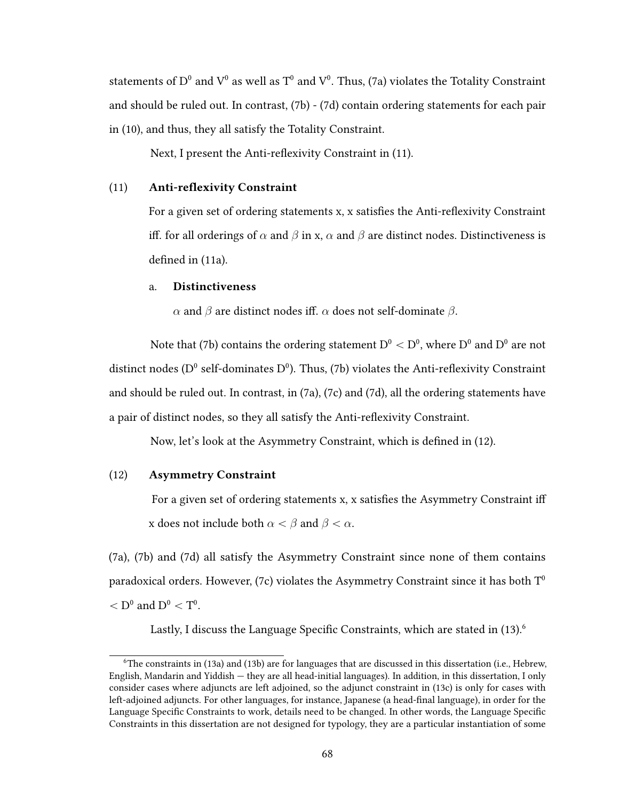statements of  $D^0$  and  $V^0$  as well as  $T^0$  and  $V^0$ . Thus, (7a) violates the Totality Constraint and should be ruled out. In contrast, (7b) - (7d) contain ordering statements for each pair in (10), and thus, they all satisfy the Totality Constraint.

Next, I present the Anti-reflexivity Constraint in (11).

### $(11)$  Anti-reflexivity Constraint

For a given set of ordering statements x, x satisfies the Anti-reflexivity Constraint iff. for all orderings of  $\alpha$  and  $\beta$  in x,  $\alpha$  and  $\beta$  are distinct nodes. Distinctiveness is defined in  $(11a)$ .

## a. Distinctiveness

α and β are distinct nodes iff.  $\alpha$  does not self-dominate  $\beta$ .

Note that (7b) contains the ordering statement  $\rm D^{0} < D^{0},$  where  $\rm D^{0}$  and  $\rm D^{0}$  are not distinct nodes (D<sup>0</sup> self-dominates D<sup>0</sup>). Thus, (7b) violates the Anti-reflexivity Constraint and should be ruled out. In contrast, in (7a), (7c) and (7d), all the ordering statements have a pair of distinct nodes, so they all satisfy the Anti-reflexivity Constraint.

Now, let's look at the Asymmetry Constraint, which is defined in (12).

## (12) Asymmetry Constraint

For a given set of ordering statements x, x satisfies the Asymmetry Constraint iff x does not include both  $\alpha < \beta$  and  $\beta < \alpha$ .

(7a), (7b) and (7d) all satisfy the Asymmetry Constraint since none of them contains paradoxical orders. However, (7c) violates the Asymmetry Constraint since it has both  $T^0$  $<$  D<sup>0</sup> and D<sup>0</sup>  $<$  T<sup>0</sup>.

Lastly, I discuss the Language Specific Constraints, which are stated in  $(13)$ .<sup>6</sup>

 $6$ The constraints in (13a) and (13b) are for languages that are discussed in this dissertation (i.e., Hebrew, English, Mandarin and Yiddish — they are all head-initial languages). In addition, in this dissertation, I only consider cases where adjuncts are left adjoined, so the adjunct constraint in (13c) is only for cases with left-adjoined adjuncts. For other languages, for instance, Japanese (a head-final language), in order for the Language Specific Constraints to work, details need to be changed. In other words, the Language Specific Constraints in this dissertation are not designed for typology, they are a particular instantiation of some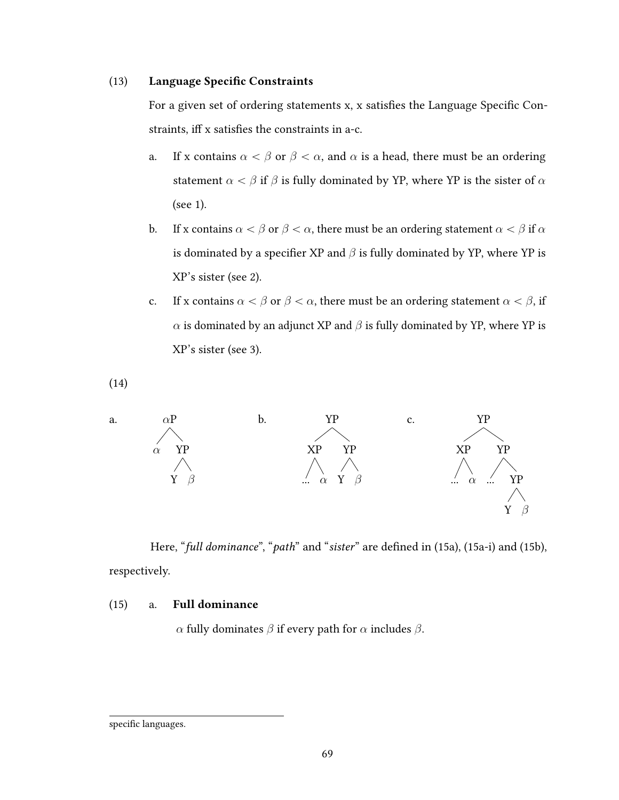## (13) Language Specific Constraints

For a given set of ordering statements x, x satisfies the Language Specific Constraints, iff x satisfies the constraints in a-c.

- a. If x contains  $\alpha < \beta$  or  $\beta < \alpha$ , and  $\alpha$  is a head, there must be an ordering statement  $\alpha < \beta$  if  $\beta$  is fully dominated by YP, where YP is the sister of  $\alpha$ (see 1).
- b. If x contains  $\alpha < \beta$  or  $\beta < \alpha$ , there must be an ordering statement  $\alpha < \beta$  if  $\alpha$ is dominated by a specifier XP and  $\beta$  is fully dominated by YP, where YP is XP's sister (see 2).
- c. If x contains  $\alpha < \beta$  or  $\beta < \alpha$ , there must be an ordering statement  $\alpha < \beta$ , if  $\alpha$  is dominated by an adjunct XP and  $\beta$  is fully dominated by YP, where YP is XP's sister (see 3).

(14)



Here, "full dominance", "path" and "sister" are defined in (15a), (15a-i) and (15b), respectively.

## (15) a. Full dominance

α fully dominates  $β$  if every path for  $α$  includes  $β$ .

specific languages.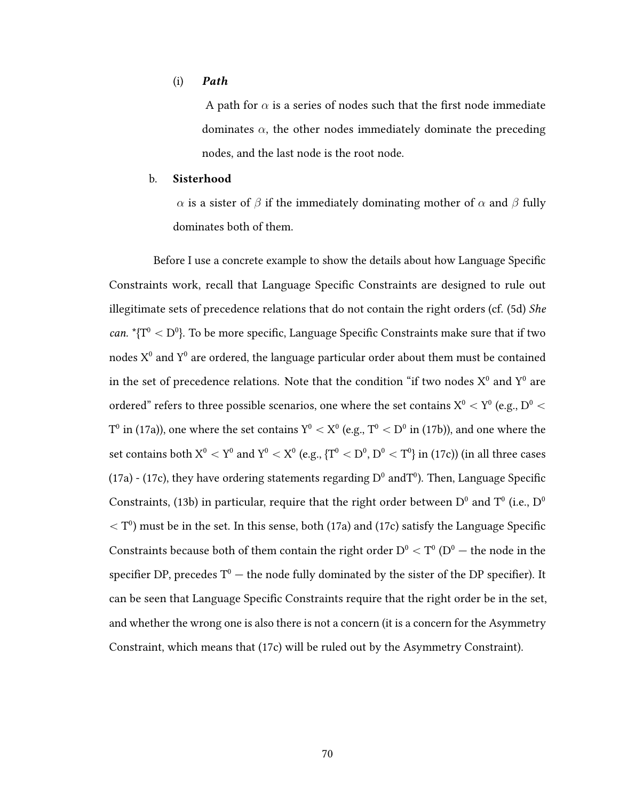#### (i) Path

A path for  $\alpha$  is a series of nodes such that the first node immediate dominates  $\alpha$ , the other nodes immediately dominate the preceding nodes, and the last node is the root node.

### b. Sisterhood

 $\alpha$  is a sister of  $\beta$  if the immediately dominating mother of  $\alpha$  and  $\beta$  fully dominates both of them.

Before I use a concrete example to show the details about how Language Specific Constraints work, recall that Language Specific Constraints are designed to rule out illegitimate sets of precedence relations that do not contain the right orders (cf.  $(5d)$  *She can.*  ${}^*{\{T^0} < D^0\}$ . To be more specific, Language Specific Constraints make sure that if two nodes  $\mathrm{X}^0$  and  $\mathrm{Y}^0$  are ordered, the language particular order about them must be contained in the set of precedence relations. Note that the condition "if two nodes  $\mathrm{X}^0$  and  $\mathrm{Y}^0$  are ordered" refers to three possible scenarios, one where the set contains  $\rm X^0 < Y^0$  (e.g.,  $\rm D^0 <$  $T^0$  in (17a)), one where the set contains  $Y^0 < X^0$  (e.g.,  $T^0 < D^0$  in (17b)), and one where the set contains both  $X^0 < Y^0$  and  $Y^0 < X^0$  (e.g.,  $\{T^0 < D^0, D^0 < T^0\}$  in (17c)) (in all three cases (17a) - (17c), they have ordering statements regarding  $D^0$  and  $T^0$ ). Then, Language Specific Constraints, (13b) in particular, require that the right order between  $D^0$  and  $T^0$  (i.e.,  $D^0$  $<$  T<sup>0</sup>) must be in the set. In this sense, both (17a) and (17c) satisfy the Language Specific Constraints because both of them contain the right order  $\mathrm{D}^0 < \mathrm{T}^0$   $(\mathrm{D}^0 -$  the node in the specifier DP, precedes  $T^0$  — the node fully dominated by the sister of the DP specifier). It can be seen that Language Specific Constraints require that the right order be in the set, and whether the wrong one is also there is not a concern (it is a concern for the Asymmetry Constraint, which means that (17c) will be ruled out by the Asymmetry Constraint).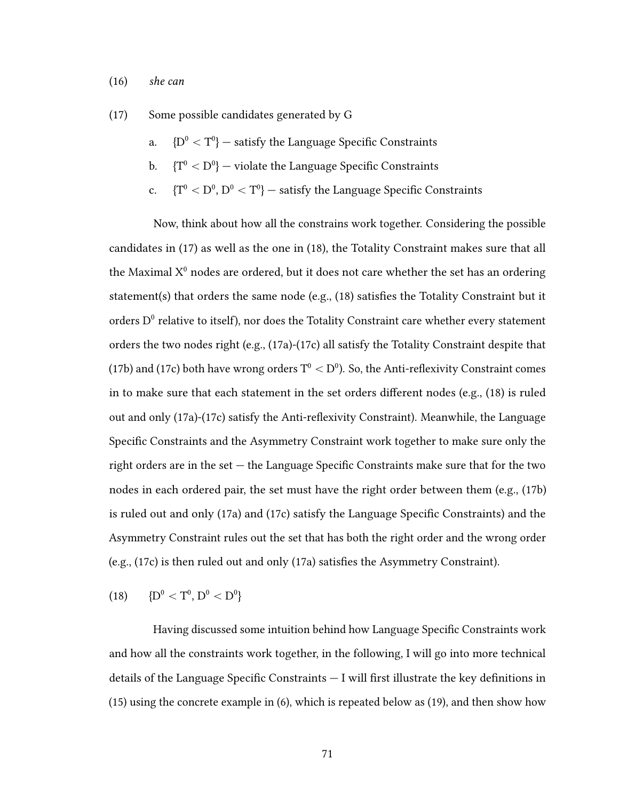#### (16) she can

(17) Some possible candidates generated by G

- a.  ${D^0 < T^0}$  satisfy the Language Specific Constraints
- b.  ${T^0 < D^0}$  violate the Language Specific Constraints
- c.  ${T^0 < D^0, D^0 < T^0}$  satisfy the Language Specific Constraints

Now, think about how all the constrains work together. Considering the possible candidates in (17) as well as the one in (18), the Totality Constraint makes sure that all the Maximal  $X^0$  nodes are ordered, but it does not care whether the set has an ordering statement(s) that orders the same node (e.g.,  $(18)$  satisfies the Totality Constraint but it orders  $D^0$  relative to itself), nor does the Totality Constraint care whether every statement orders the two nodes right (e.g., (17a)-(17c) all satisfy the Totality Constraint despite that (17b) and (17c) both have wrong orders  $\rm T^{0} < D^{0}$ ). So, the Anti-reflexivity Constraint comes in to make sure that each statement in the set orders different nodes (e.g.,  $(18)$  is ruled out and only (17a)-(17c) satisfy the Anti-reflexivity Constraint). Meanwhile, the Language Specific Constraints and the Asymmetry Constraint work together to make sure only the right orders are in the set  $-$  the Language Specific Constraints make sure that for the two nodes in each ordered pair, the set must have the right order between them (e.g., (17b) is ruled out and only (17a) and (17c) satisfy the Language Specific Constraints) and the Asymmetry Constraint rules out the set that has both the right order and the wrong order (e.g.,  $(17c)$  is then ruled out and only  $(17a)$  satisfies the Asymmetry Constraint).

$$
(18) \qquad \{D^0 < T^0, \, D^0 < D^0\}
$$

Having discussed some intuition behind how Language Specific Constraints work and how all the constraints work together, in the following, I will go into more technical details of the Language Specific Constraints  $-$  I will first illustrate the key definitions in (15) using the concrete example in (6), which is repeated below as (19), and then show how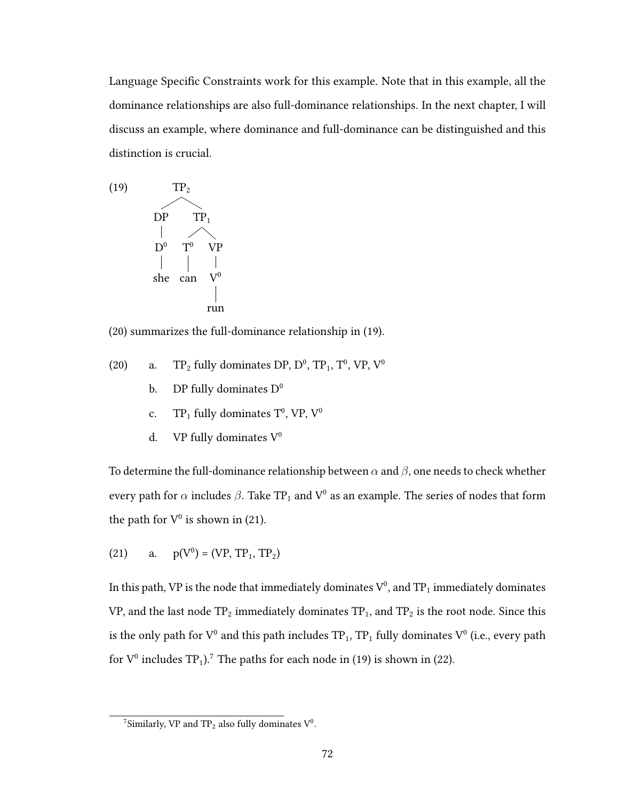Language Specific Constraints work for this example. Note that in this example, all the dominance relationships are also full-dominance relationships. In the next chapter, I will discuss an example, where dominance and full-dominance can be distinguished and this distinction is crucial.



(20) summarizes the full-dominance relationship in (19).

- (20) a. TP<sub>2</sub> fully dominates DP,  $D^0$ , TP<sub>1</sub>, T<sup>0</sup>, VP, V<sup>0</sup>
	- b. DP fully dominates  $D^0$
	- c. TP<sub>1</sub> fully dominates  $T^0$ , VP, V<sup>0</sup>
	- d. VP fully dominates  $V^0$

To determine the full-dominance relationship between  $\alpha$  and  $\beta$ , one needs to check whether every path for  $\alpha$  includes  $\beta$ . Take TP $_1$  and  $\rm V^0$  as an example. The series of nodes that form the path for  $V^0$  is shown in (21).

(21) a.  $p(V^0) = (VP, TP_1, TP_2)$ 

In this path, VP is the node that immediately dominates  $\rm V^0$ , and  $\rm TP_1$  immediately dominates VP, and the last node  $TP_2$  immediately dominates  $TP_1$ , and  $TP_2$  is the root node. Since this is the only path for  $V^0$  and this path includes  $TP_1$ ,  $TP_1$  fully dominates  $V^0$  (i.e., every path for  $V^0$  includes TP<sub>1</sub>).<sup>7</sup> The paths for each node in (19) is shown in (22).

<sup>&</sup>lt;sup>7</sup>Similarly, VP and  $TP_2$  also fully dominates  $V^0$ .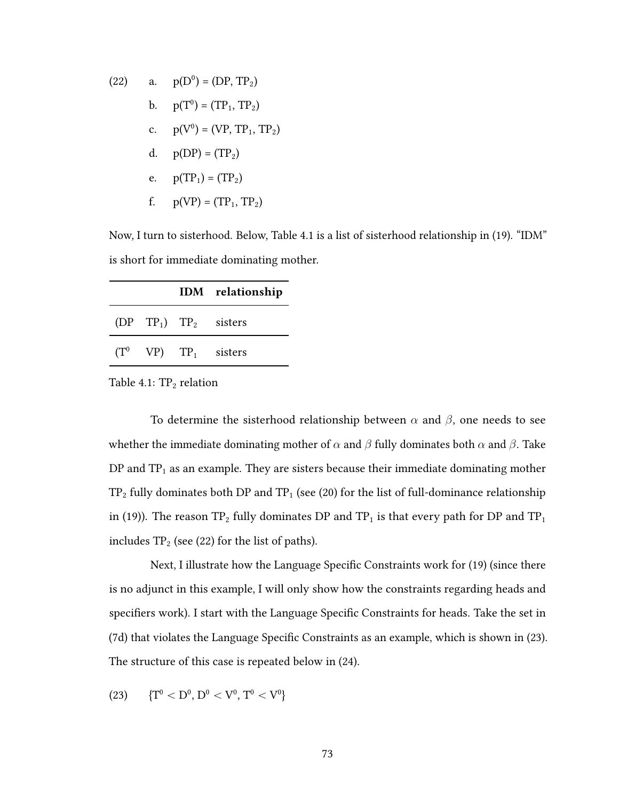(22) a. 
$$
p(D^0) = (DP, TP_2)
$$
  
\nb.  $p(T^0) = (TP_1, TP_2)$   
\nc.  $p(V^0) = (VP, TP_1, TP_2)$   
\nd.  $p(DP) = (TP_2)$   
\ne.  $p(TP_1) = (TP_2)$   
\nf.  $p(VP) = (TP_1, TP_2)$ 

Now, I turn to sisterhood. Below, Table 4.1 is a list of sisterhood relationship in (19). "IDM" is short for immediate dominating mother.

|  | IDM relationship          |
|--|---------------------------|
|  | $(DPTP_1)TP_2$ sisters    |
|  | $(T^0$ VP) $TP_1$ sisters |

Table  $4.1: TP<sub>2</sub>$  relation

To determine the sisterhood relationship between  $\alpha$  and  $\beta$ , one needs to see whether the immediate dominating mother of  $\alpha$  and  $\beta$  fully dominates both  $\alpha$  and  $\beta$ . Take DP and  $TP_1$  as an example. They are sisters because their immediate dominating mother  $TP_2$  fully dominates both DP and  $TP_1$  (see (20) for the list of full-dominance relationship in (19)). The reason  $TP_2$  fully dominates DP and  $TP_1$  is that every path for DP and  $TP_1$ includes  $TP_2$  (see (22) for the list of paths).

Next, I illustrate how the Language Specific Constraints work for (19) (since there is no adjunct in this example, I will only show how the constraints regarding heads and specifiers work). I start with the Language Specific Constraints for heads. Take the set in (7d) that violates the Language Specific Constraints as an example, which is shown in (23). The structure of this case is repeated below in (24).

$$
(23) \qquad \{T^0 < D^0, \, D^0 < V^0, \, T^0 < V^0\}
$$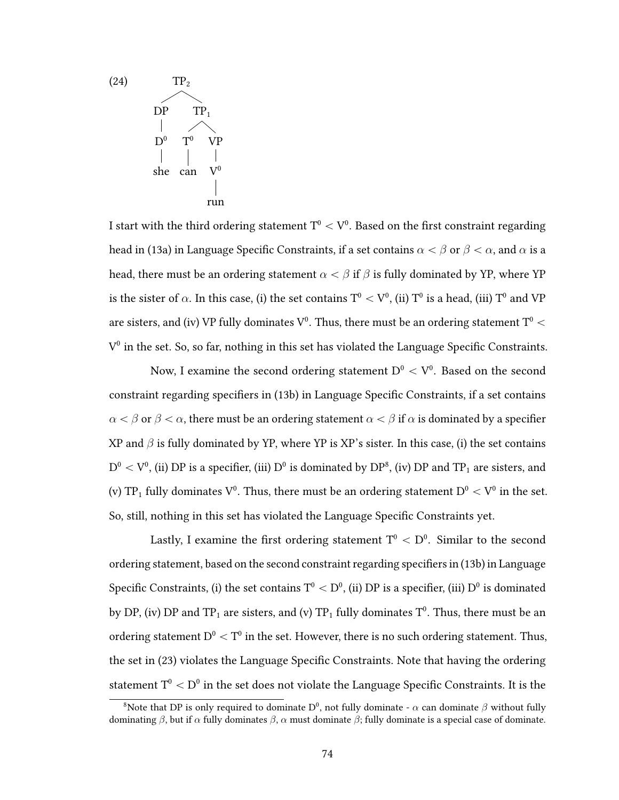

I start with the third ordering statement  $\mathrm{T}^{0} < \mathrm{V}^{0}.$  Based on the first constraint regarding head in (13a) in Language Specific Constraints, if a set contains  $\alpha < \beta$  or  $\beta < \alpha$ , and  $\alpha$  is a head, there must be an ordering statement  $\alpha < \beta$  if  $\beta$  is fully dominated by YP, where YP is the sister of  $\alpha$ . In this case, (i) the set contains  $\rm T^0 < V^0$ , (ii)  $\rm T^0$  is a head, (iii)  $\rm T^0$  and  $\rm VP$ are sisters, and (iv) VP fully dominates  $\rm V^0.$  Thus, there must be an ordering statement  $\rm T^0 <$  $V^0$  in the set. So, so far, nothing in this set has violated the Language Specific Constraints.

Now, I examine the second ordering statement  $\mathrm{D}^0 < \mathrm{V}^0.$  Based on the second constraint regarding specifiers in (13b) in Language Specific Constraints, if a set contains  $\alpha < \beta$  or  $\beta < \alpha$ , there must be an ordering statement  $\alpha < \beta$  if  $\alpha$  is dominated by a specifier XP and  $\beta$  is fully dominated by YP, where YP is XP's sister. In this case, (i) the set contains  $\rm D^0 < V^0$ , (ii)  $\rm DP$  is a specifier, (iii)  $\rm D^0$  is dominated by  $\rm DP^8$ , (iv)  $\rm DP$  and  $\rm TP_1$  are sisters, and (v) TP $_1$  fully dominates  $\rm V^0.$  Thus, there must be an ordering statement  $\rm D^0 < V^0$  in the set. So, still, nothing in this set has violated the Language Specific Constraints yet.

Lastly, I examine the first ordering statement  $\mathrm{T}^{0}<\mathrm{D}^{0}.$  Similar to the second ordering statement, based on the second constraint regarding specifiers in (13b) in Language Specific Constraints, (i) the set contains  $\rm T^{0} < D^{0}$ , (ii)  $\rm DP$  is a specifier, (iii)  $\rm D^{0}$  is dominated by DP, (iv) DP and TP<sub>1</sub> are sisters, and (v) TP<sub>1</sub> fully dominates  $T^0$ . Thus, there must be an ordering statement  $D^0 < T^0$  in the set. However, there is no such ordering statement. Thus, the set in (23) violates the Language Specific Constraints. Note that having the ordering statement  $\rm T^{0} < D^{0}$  in the set does not violate the Language Specific Constraints. It is the

<sup>&</sup>lt;sup>8</sup>Note that DP is only required to dominate D<sup>0</sup>, not fully dominate -  $\alpha$  can dominate  $\beta$  without fully dominating β, but if  $\alpha$  fully dominates  $\beta$ ,  $\alpha$  must dominate  $\beta$ ; fully dominate is a special case of dominate.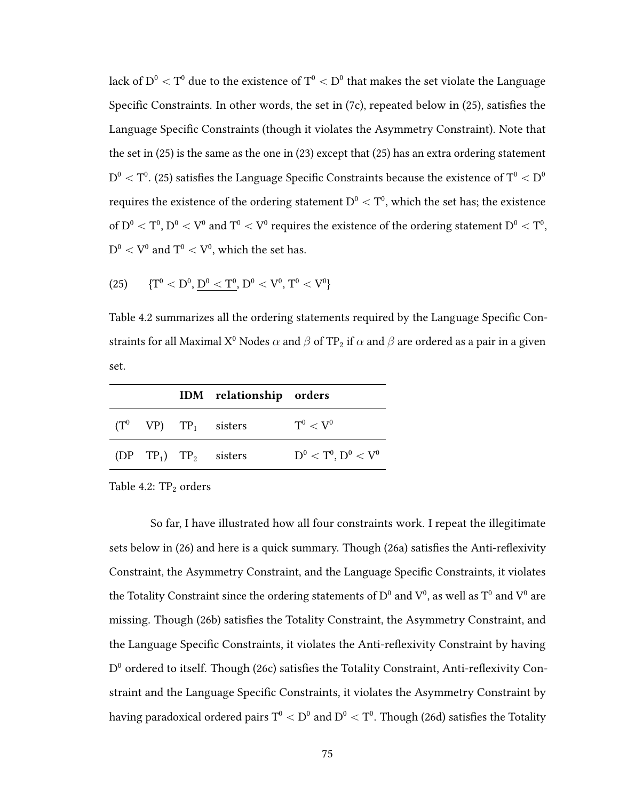lack of  $\rm D^0 < T^0$  due to the existence of  $\rm T^0 < D^0$  that makes the set violate the Language Specific Constraints. In other words, the set in  $(7c)$ , repeated below in  $(25)$ , satisfies the Language Specific Constraints (though it violates the Asymmetry Constraint). Note that the set in (25) is the same as the one in (23) except that (25) has an extra ordering statement  $\rm D^{0} < T^{0}.$  (25) satisfies the Language Specific Constraints because the existence of  $\rm T^{0} < D^{0}$ requires the existence of the ordering statement  $\rm D^{0} < T^{0},$  which the set has; the existence of  $\rm D^{0}< T^{0}, D^{0} < V^{0}$  and  $T^{0} < V^{0}$  requires the existence of the ordering statement  $\rm D^{0} < T^{0},$  $D^0 < V^0$  and  $T^0 < V^0$ , which the set has.

(25) 
$$
\{T^0 < D^0, \underline{D^0} < T^0, D^0 < V^0, T^0 < V^0\}
$$

Table 4.2 summarizes all the ordering statements required by the Language Specific Constraints for all Maximal X<sup>0</sup> Nodes  $\alpha$  and  $\beta$  of TP<sub>2</sub> if  $\alpha$  and  $\beta$  are ordered as a pair in a given set.

|  | IDM relationship orders              |                           |
|--|--------------------------------------|---------------------------|
|  | $(T^0$ VP) $TP_1$ sisters            | $\rm T^0 < V^0$           |
|  | (DP TP <sub>1</sub> ) $TP_2$ sisters | $D^0 < T^0$ , $D^0 < V^0$ |

Table 4.2:  $TP_2$  orders

So far, I have illustrated how all four constraints work. I repeat the illegitimate sets below in  $(26)$  and here is a quick summary. Though  $(26a)$  satisfies the Anti-reflexivity Constraint, the Asymmetry Constraint, and the Language Specific Constraints, it violates the Totality Constraint since the ordering statements of  $D^0$  and  $V^0$ , as well as  $T^0$  and  $V^0$  are missing. Though (26b) satisfies the Totality Constraint, the Asymmetry Constraint, and the Language Specific Constraints, it violates the Anti-reflexivity Constraint by having  $D^0$  ordered to itself. Though (26c) satisfies the Totality Constraint, Anti-reflexivity Constraint and the Language Specific Constraints, it violates the Asymmetry Constraint by having paradoxical ordered pairs  $\rm T^{0} < D^{0}$  and  $\rm D^{0} < T^{0}.$  Though (26d) satisfies the Totality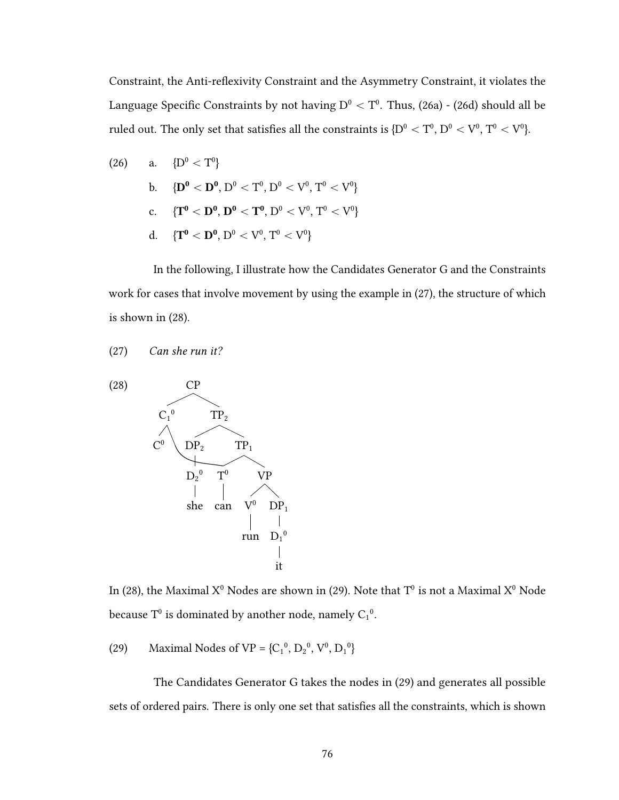Constraint, the Anti-reflexivity Constraint and the Asymmetry Constraint, it violates the Language Specific Constraints by not having  $\rm D^{0} < T^{0}.$  Thus, (26a) - (26d) should all be ruled out. The only set that satisfies all the constraints is  $\rm \{D^0 < T^0,D^0 < V^0,$   $T^0 < V^0\}$ .

(26) a. 
$$
{D^0 < T^0}
$$
  
\nb.  ${D^0 < D^0, D^0 < T^0, D^0 < V^0, T^0 < V^0}$   
\nc.  ${T^0 < D^0, D^0 < T^0, D^0 < V^0, T^0 < V^0}$   
\nd.  ${T^0 < D^0, D^0 < V^0, T^0 < V^0}$ 

In the following, I illustrate how the Candidates Generator G and the Constraints work for cases that involve movement by using the example in (27), the structure of which is shown in (28).

(27) Can she run it?



In (28), the Maximal  $X^0$  Nodes are shown in (29). Note that  $T^0$  is not a Maximal  $X^0$  Node because  $T^0$  is dominated by another node, namely  $C_1{}^0$ .

(29) Maximal Nodes of VP =  ${C_1}^0$ ,  ${D_2}^0$ ,  ${V}^0$ ,  ${D_1}^0$ }

The Candidates Generator G takes the nodes in (29) and generates all possible sets of ordered pairs. There is only one set that satisfies all the constraints, which is shown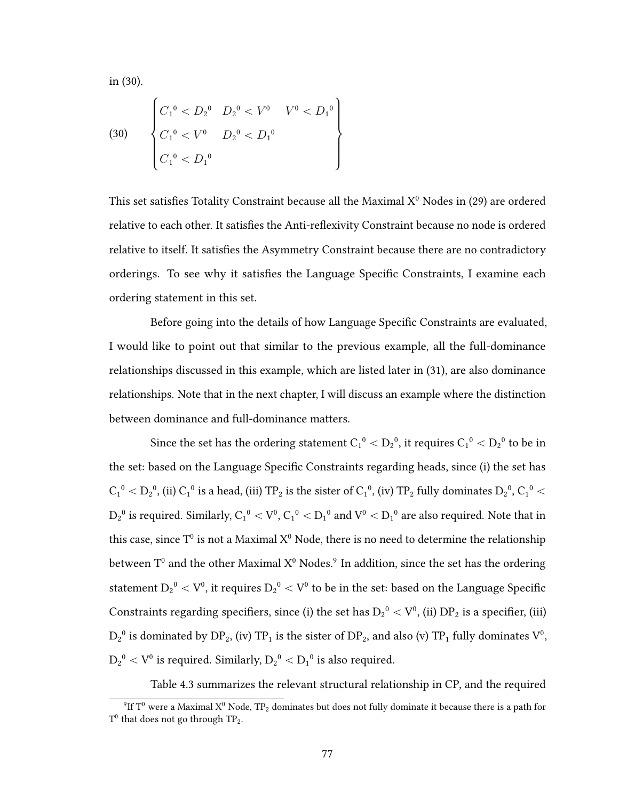in (30).

(30) 
$$
\begin{cases} C_1^0 < D_2^0 & D_2^0 < V^0 < D_1^0 \\ C_1^0 < V^0 & D_2^0 < D_1^0 \\ C_1^0 < D_1^0 & \end{cases}
$$

This set satisfies Totality Constraint because all the Maximal  $X^0$  Nodes in (29) are ordered relative to each other. It satisfies the Anti-reflexivity Constraint because no node is ordered relative to itself. It satisfies the Asymmetry Constraint because there are no contradictory orderings. To see why it satisfies the Language Specific Constraints, I examine each ordering statement in this set.

Before going into the details of how Language Specific Constraints are evaluated, I would like to point out that similar to the previous example, all the full-dominance relationships discussed in this example, which are listed later in (31), are also dominance relationships. Note that in the next chapter, I will discuss an example where the distinction between dominance and full-dominance matters.

Since the set has the ordering statement  $\rm C_1^{\,0} < D_2^{\,0},$  it requires  $\rm C_1^{\,0} < D_2^{\,0}$  to be in the set: based on the Language Specific Constraints regarding heads, since (i) the set has  $C_1{}^0 < D_2{}^0$ , (ii)  $C_1{}^0$  is a head, (iii) TP $_2$  is the sister of  $C_1{}^0$ , (iv) TP $_2$  fully dominates  $D_2{}^0$ ,  $C_1{}^0 <$  $D_2{}^0$  is required. Similarly,  $C_1{}^0 < V^0,$   $C_1{}^0 < D_1{}^0$  and  $V^0 < D_1{}^0$  are also required. Note that in this case, since T $^{\rm 0}$  is not a Maximal X $^{\rm 0}$  Node, there is no need to determine the relationship between T<sup>0</sup> and the other Maximal  $X^0$  Nodes.<sup>9</sup> In addition, since the set has the ordering statement  $\rm D_2^{\,0} < V^0$ , it requires  $\rm D_2^{\,0} < V^0$  to be in the set: based on the Language Specific Constraints regarding specifiers, since (i) the set has  $\rm D_2^{\,o} < V^0$ , (ii)  $\rm DP_2$  is a specifier, (iii)  $D_2^0$  is dominated by  $DP_2$ , (iv) TP<sub>1</sub> is the sister of  $DP_2$ , and also (v) TP<sub>1</sub> fully dominates  $V^0$ ,  $\rm D_2^{\,0} < V^0$  is required. Similarly,  $\rm D_2^{\,0} < D_1^{\,0}$  is also required.

Table 4.3 summarizes the relevant structural relationship in CP, and the required

<sup>&</sup>lt;sup>9</sup>If T<sup>0</sup> were a Maximal X<sup>0</sup> Node, TP<sub>2</sub> dominates but does not fully dominate it because there is a path for  $T^0$  that does not go through  $TP_2$ .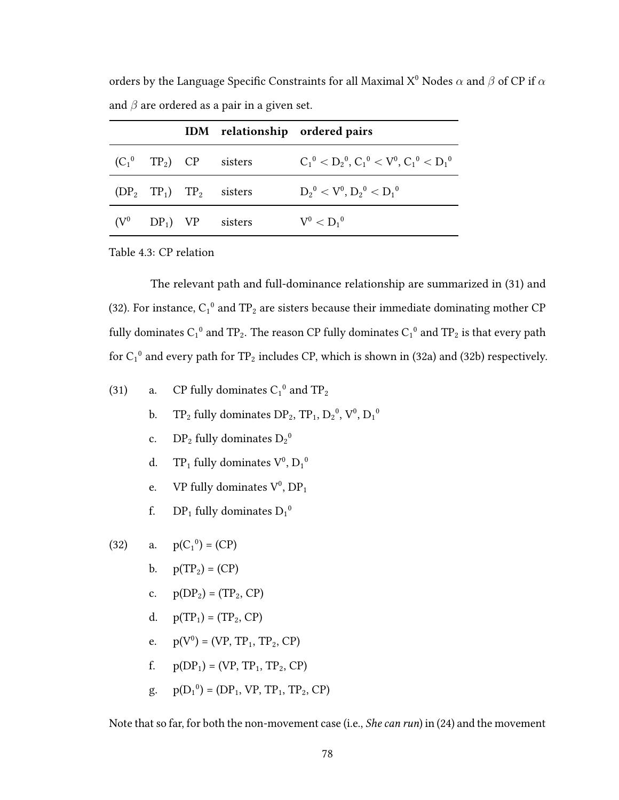|         |  |                                       | IDM relationship ordered pairs                    |
|---------|--|---------------------------------------|---------------------------------------------------|
|         |  | $(C_1^0$ TP <sub>2</sub> ) CP sisters | $C_1^0 < D_2^0$ , $C_1^0 < V^0$ , $C_1^0 < D_1^0$ |
|         |  | $(DP_2 \tTP_1) \tTP_2$ sisters        | $D_2{}^0 < V^0, D_2{}^0 < D_1{}^0$                |
| $(V^0)$ |  | $DP_1$ ) VP sisters                   | $V^0 < D_1{}^0$                                   |

orders by the Language Specific Constraints for all Maximal X<sup>0</sup> Nodes  $\alpha$  and  $\beta$  of CP if  $\alpha$ and  $\beta$  are ordered as a pair in a given set.

Table 4.3: CP relation

The relevant path and full-dominance relationship are summarized in (31) and (32). For instance,  $C_1^0$  and TP<sub>2</sub> are sisters because their immediate dominating mother CP fully dominates  $C_1{}^0$  and TP<sub>2</sub>. The reason CP fully dominates  $C_1{}^0$  and TP<sub>2</sub> is that every path for  $C_1^0$  and every path for TP<sub>2</sub> includes CP, which is shown in (32a) and (32b) respectively.

(31) a. CP fully dominates 
$$
C_1^0
$$
 and  $TP_2$ 

- b. TP<sub>2</sub> fully dominates  $DP_2$ , TP<sub>1</sub>,  $D_2^0$ ,  $V^0$ ,  $D_1^0$
- c. DP<sub>2</sub> fully dominates  $D_2^0$
- d. TP<sub>1</sub> fully dominates  $V^0$ ,  $D_1{}^0$
- e. VP fully dominates  $V^0$ ,  $DP_1$
- f. DP<sub>1</sub> fully dominates  $D_1^0$

(32) a. 
$$
p(C_1^0) = (CP)
$$

- b.  $p(TP_2) = (CP)$
- c.  $p(DP_2) = (TP_2, CP)$
- d.  $p(TP_1) = (TP_2, CP)$
- e.  $p(V^0) = (VP, TP_1, TP_2, CP)$
- f.  $p(DP_1) = (VP, TP_1, TP_2, CP)$
- g.  $p(D_1^0) = (DP_1, VP, TP_1, TP_2, CP)$

Note that so far, for both the non-movement case (i.e., *She can run*) in (24) and the movement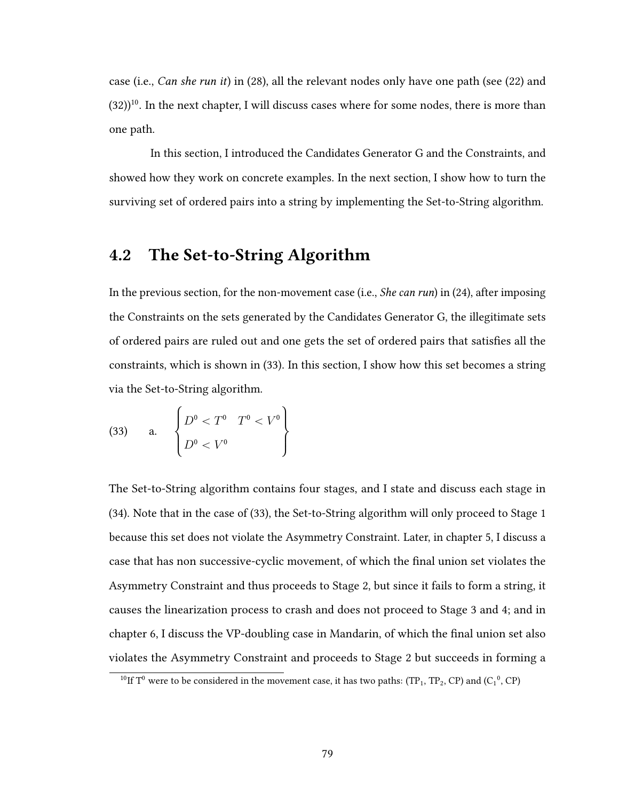case (i.e., Can she run it) in (28), all the relevant nodes only have one path (see (22) and  $(32)$ <sup>10</sup>. In the next chapter, I will discuss cases where for some nodes, there is more than one path.

In this section, I introduced the Candidates Generator G and the Constraints, and showed how they work on concrete examples. In the next section, I show how to turn the surviving set of ordered pairs into a string by implementing the Set-to-String algorithm.

# 4.2 The Set-to-String Algorithm

In the previous section, for the non-movement case (i.e., *She can run*) in (24), after imposing the Constraints on the sets generated by the Candidates Generator G, the illegitimate sets of ordered pairs are ruled out and one gets the set of ordered pairs that satisfies all the constraints, which is shown in (33). In this section, I show how this set becomes a string via the Set-to-String algorithm.

(33) a. 
$$
\begin{Bmatrix} D^0 < T^0 & T^0 < V^0 \\ D^0 < V^0 & \end{Bmatrix}
$$

The Set-to-String algorithm contains four stages, and I state and discuss each stage in (34). Note that in the case of (33), the Set-to-String algorithm will only proceed to Stage 1 because this set does not violate the Asymmetry Constraint. Later, in chapter 5, I discuss a case that has non successive-cyclic movement, of which the final union set violates the Asymmetry Constraint and thus proceeds to Stage 2, but since it fails to form a string, it causes the linearization process to crash and does not proceed to Stage 3 and 4; and in chapter 6, I discuss the VP-doubling case in Mandarin, of which the final union set also violates the Asymmetry Constraint and proceeds to Stage 2 but succeeds in forming a

<sup>&</sup>lt;sup>10</sup>If T<sup>0</sup> were to be considered in the movement case, it has two paths: (TP<sub>1</sub>, TP<sub>2</sub>, CP) and (C<sub>1</sub><sup>0</sup>, CP)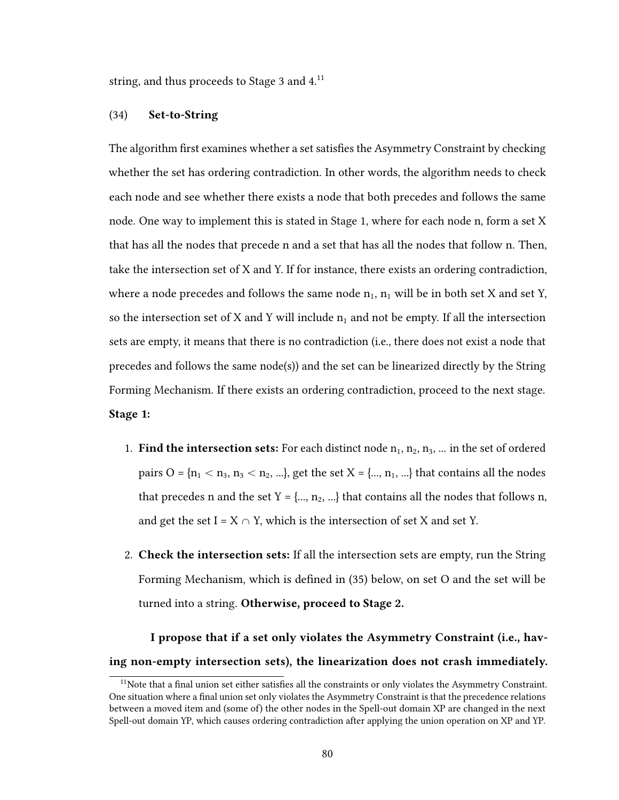string, and thus proceeds to Stage 3 and 4.<sup>11</sup>

### (34) Set-to-String

The algorithm first examines whether a set satisfies the Asymmetry Constraint by checking whether the set has ordering contradiction. In other words, the algorithm needs to check each node and see whether there exists a node that both precedes and follows the same node. One way to implement this is stated in Stage 1, where for each node n, form a set X that has all the nodes that precede n and a set that has all the nodes that follow n. Then, take the intersection set of X and Y. If for instance, there exists an ordering contradiction, where a node precedes and follows the same node  $n_1$ ,  $n_1$  will be in both set X and set Y, so the intersection set of X and Y will include  $n_1$  and not be empty. If all the intersection sets are empty, it means that there is no contradiction (i.e., there does not exist a node that precedes and follows the same node(s)) and the set can be linearized directly by the String Forming Mechanism. If there exists an ordering contradiction, proceed to the next stage. Stage 1:

- 1. Find the intersection sets: For each distinct node  $n_1, n_2, n_3, ...$  in the set of ordered pairs  $O = {n_1 < n_3, n_3 < n_2, ...}$ , get the set  $X = {..., n_1, ...}$  that contains all the nodes that precedes n and the set  $Y = \{..., n_2, ...\}$  that contains all the nodes that follows n, and get the set I =  $X \cap Y$ , which is the intersection of set X and set Y.
- 2. Check the intersection sets: If all the intersection sets are empty, run the String Forming Mechanism, which is defined in (35) below, on set O and the set will be turned into a string. Otherwise, proceed to Stage 2.

I propose that if a set only violates the Asymmetry Constraint (i.e., having non-empty intersection sets), the linearization does not crash immediately.

 $11$ Note that a final union set either satisfies all the constraints or only violates the Asymmetry Constraint. One situation where a final union set only violates the Asymmetry Constraint is that the precedence relations between a moved item and (some of) the other nodes in the Spell-out domain XP are changed in the next Spell-out domain YP, which causes ordering contradiction after applying the union operation on XP and YP.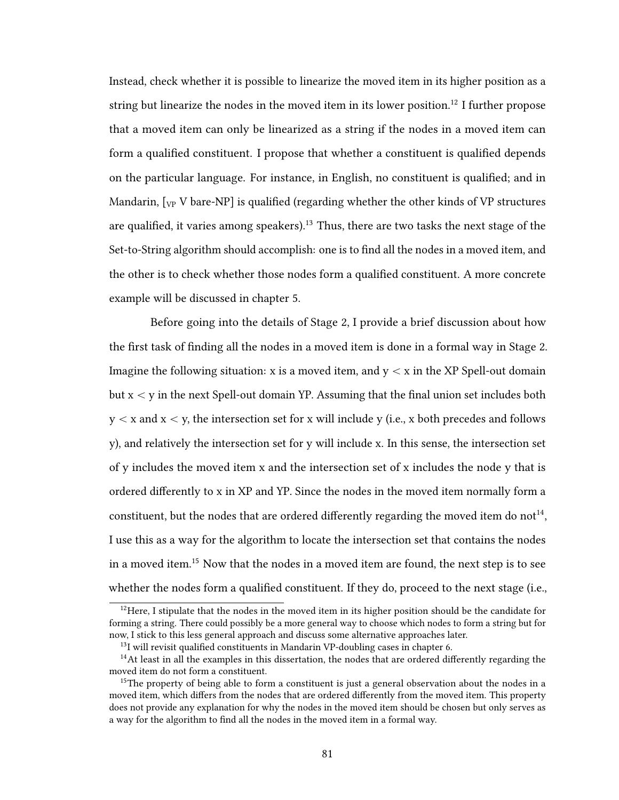Instead, check whether it is possible to linearize the moved item in its higher position as a string but linearize the nodes in the moved item in its lower position.<sup>12</sup> I further propose that a moved item can only be linearized as a string if the nodes in a moved item can form a qualified constituent. I propose that whether a constituent is qualified depends on the particular language. For instance, in English, no constituent is qualified; and in Mandarin,  $[\gamma_{\rm P}$  V bare-NP] is qualified (regarding whether the other kinds of VP structures are qualified, it varies among speakers).<sup>13</sup> Thus, there are two tasks the next stage of the Set-to-String algorithm should accomplish: one is to find all the nodes in a moved item, and the other is to check whether those nodes form a qualified constituent. A more concrete example will be discussed in chapter 5.

Before going into the details of Stage 2, I provide a brief discussion about how the first task of finding all the nodes in a moved item is done in a formal way in Stage 2. Imagine the following situation: x is a moved item, and  $y < x$  in the XP Spell-out domain but  $x < y$  in the next Spell-out domain YP. Assuming that the final union set includes both  $y < x$  and  $x < y$ , the intersection set for x will include y (i.e., x both precedes and follows y), and relatively the intersection set for y will include x. In this sense, the intersection set of y includes the moved item x and the intersection set of x includes the node y that is ordered differently to x in XP and YP. Since the nodes in the moved item normally form a constituent, but the nodes that are ordered differently regarding the moved item do not<sup>14</sup>. I use this as a way for the algorithm to locate the intersection set that contains the nodes in a moved item.<sup>15</sup> Now that the nodes in a moved item are found, the next step is to see whether the nodes form a qualified constituent. If they do, proceed to the next stage (i.e.,

<sup>&</sup>lt;sup>12</sup>Here, I stipulate that the nodes in the moved item in its higher position should be the candidate for forming a string. There could possibly be a more general way to choose which nodes to form a string but for now, I stick to this less general approach and discuss some alternative approaches later.

 $13$ I will revisit qualified constituents in Mandarin VP-doubling cases in chapter 6.

 $14$ At least in all the examples in this dissertation, the nodes that are ordered differently regarding the moved item do not form a constituent.

<sup>&</sup>lt;sup>15</sup>The property of being able to form a constituent is just a general observation about the nodes in a moved item, which differs from the nodes that are ordered differently from the moved item. This property does not provide any explanation for why the nodes in the moved item should be chosen but only serves as a way for the algorithm to find all the nodes in the moved item in a formal way.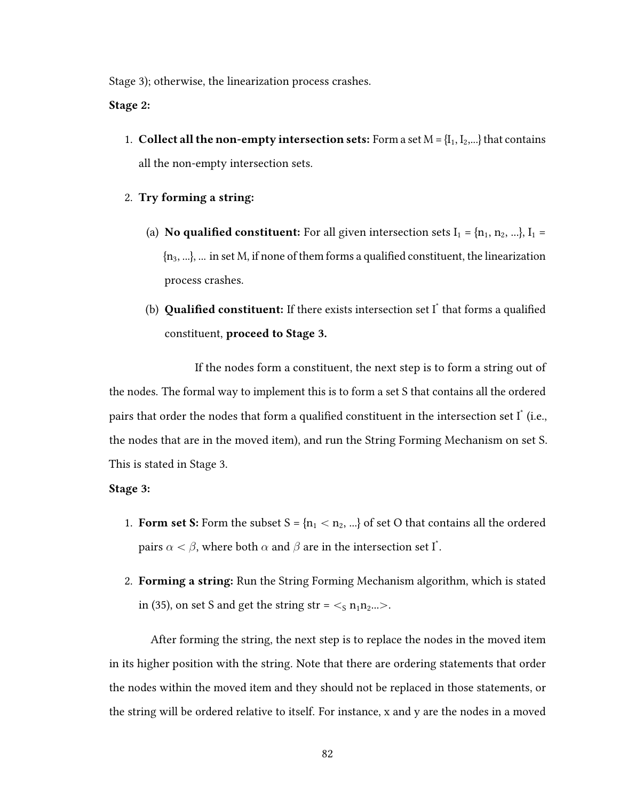Stage 3); otherwise, the linearization process crashes.

Stage 2:

- 1. Collect all the non-empty intersection sets: Form a set  $M = \{I_1, I_2, ...\}$  that contains all the non-empty intersection sets.
- 2. Try forming a string:
	- (a) **No qualified constituent:** For all given intersection sets  $I_1 = \{n_1, n_2, ...\}$ ,  $I_1 =$  $\{n_3, ...\}$ ,  $\ldots$  in set M, if none of them forms a qualified constituent, the linearization process crashes.
	- (b) **Qualified constituent:** If there exists intersection set  $I^*$  that forms a qualified constituent, proceed to Stage 3.

If the nodes form a constituent, the next step is to form a string out of the nodes. The formal way to implement this is to form a set S that contains all the ordered pairs that order the nodes that form a qualified constituent in the intersection set  $I^*$  (i.e., the nodes that are in the moved item), and run the String Forming Mechanism on set S. This is stated in Stage 3.

## Stage 3:

- 1. Form set S: Form the subset  $S = \{n_1 < n_2, ...\}$  of set O that contains all the ordered pairs  $\alpha < \beta$ , where both  $\alpha$  and  $\beta$  are in the intersection set I $^*$ .
- 2. Forming a string: Run the String Forming Mechanism algorithm, which is stated in (35), on set S and get the string str =  $\langle \sin n_1 n_2 \rangle$ ...

After forming the string, the next step is to replace the nodes in the moved item in its higher position with the string. Note that there are ordering statements that order the nodes within the moved item and they should not be replaced in those statements, or the string will be ordered relative to itself. For instance, x and y are the nodes in a moved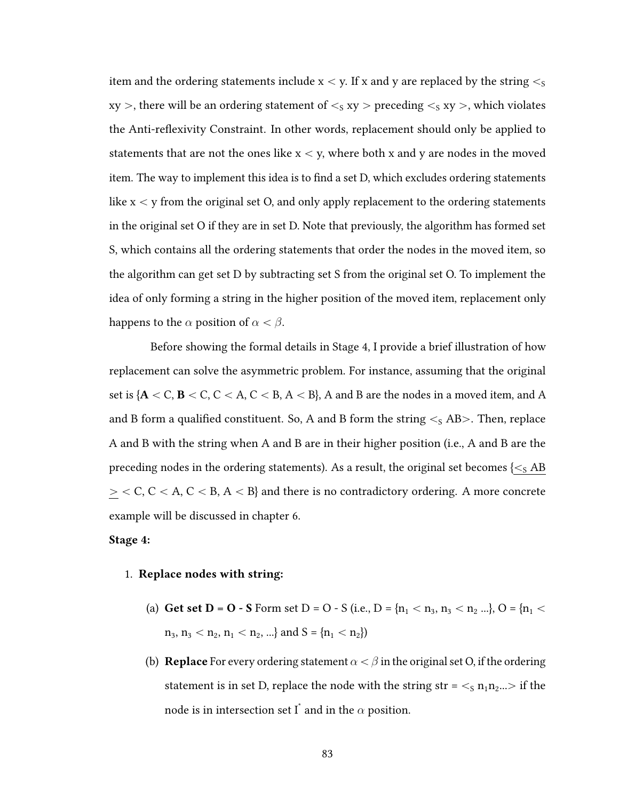item and the ordering statements include  $x < y$ . If x and y are replaced by the string  $\lt s$  $xy >$ , there will be an ordering statement of  $\lt$ <sub>S</sub> xy  $>$  preceding  $\lt$ <sub>S</sub> xy  $>$ , which violates the Anti-reflexivity Constraint. In other words, replacement should only be applied to statements that are not the ones like  $x < y$ , where both x and y are nodes in the moved item. The way to implement this idea is to find a set D, which excludes ordering statements like  $x < y$  from the original set O, and only apply replacement to the ordering statements in the original set O if they are in set D. Note that previously, the algorithm has formed set S, which contains all the ordering statements that order the nodes in the moved item, so the algorithm can get set D by subtracting set S from the original set O. To implement the idea of only forming a string in the higher position of the moved item, replacement only happens to the  $\alpha$  position of  $\alpha < \beta$ .

Before showing the formal details in Stage 4, I provide a brief illustration of how replacement can solve the asymmetric problem. For instance, assuming that the original set is  ${A < C, B < C, C < A, C < B, A < B}$ , A and B are the nodes in a moved item, and A and B form a qualified constituent. So, A and B form the string  $\lt$ <sub>S</sub> AB $>$ . Then, replace A and B with the string when A and B are in their higher position (i.e., A and B are the preceding nodes in the ordering statements). As a result, the original set becomes  $\{\leq S \text{ AB}\}$  $\geq$  < C, C < A, C < B, A < B} and there is no contradictory ordering. A more concrete example will be discussed in chapter 6.

### Stage 4:

#### 1. Replace nodes with string:

- (a) Get set D = O S Form set D = O S (i.e., D =  $\{n_1 < n_3, n_3 < n_2 \ldots\}$ , O =  $\{n_1$   $<$  $n_3, n_3 < n_2, n_1 < n_2, ...$ } and  $S = {n_1 < n_2}$
- (b) **Replace** For every ordering statement  $\alpha < \beta$  in the original set O, if the ordering statement is in set D, replace the node with the string str =  $\lt$ <sub>s</sub> n<sub>1</sub>n<sub>2</sub>... if the node is in intersection set  $\overline{\mathrm{I}}^*$  and in the  $\alpha$  position.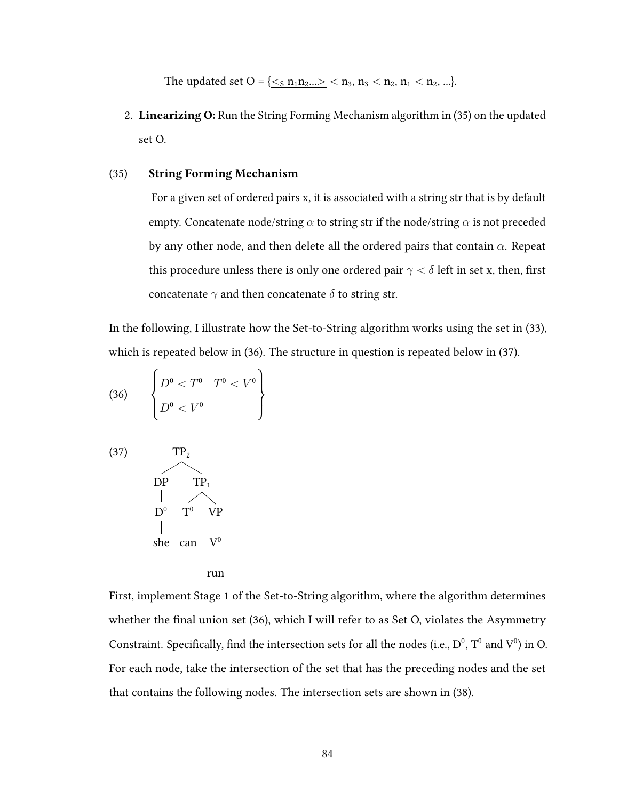The updated set O = { $\lt s_n n_1 n_2 ... > \lt n_3, n_3 < n_2, n_1 < n_2, ...$ }.

2. Linearizing O: Run the String Forming Mechanism algorithm in (35) on the updated set O.

## (35) String Forming Mechanism

For a given set of ordered pairs x, it is associated with a string str that is by default empty. Concatenate node/string  $\alpha$  to string str if the node/string  $\alpha$  is not preceded by any other node, and then delete all the ordered pairs that contain  $\alpha$ . Repeat this procedure unless there is only one ordered pair  $\gamma < \delta$  left in set x, then, first concatenate  $\gamma$  and then concatenate  $\delta$  to string str.

In the following, I illustrate how the Set-to-String algorithm works using the set in (33), which is repeated below in (36). The structure in question is repeated below in (37).  $\overline{\phantom{a}}$ 

(36) 
$$
\begin{Bmatrix} D^0 < T^0 & T^0 < V^0 \\ D^0 < V^0 & \end{Bmatrix}
$$

(37) 
$$
TP_{2}
$$
\n
$$
DP \tTP_{1}
$$
\n
$$
D^{0} \tTP_{1}
$$
\n
$$
D^{0} \tTP_{1}
$$
\n
$$
P \t\Pr
$$
\n
$$
P
$$
\n
$$
P
$$
\n
$$
P
$$
\n
$$
P
$$
\n
$$
P
$$
\n
$$
P
$$
\n
$$
P
$$
\n
$$
P
$$
\n
$$
P
$$
\n
$$
P
$$
\n
$$
P
$$
\n
$$
P
$$
\n
$$
P
$$
\n
$$
P
$$
\n
$$
P
$$
\n
$$
P
$$
\n
$$
P
$$
\n
$$
P
$$
\n
$$
P
$$
\n
$$
P
$$
\n
$$
P
$$
\n
$$
P
$$
\n
$$
P
$$
\n
$$
P
$$
\n
$$
P
$$
\n
$$
P
$$

First, implement Stage 1 of the Set-to-String algorithm, where the algorithm determines whether the final union set  $(36)$ , which I will refer to as Set O, violates the Asymmetry Constraint. Specifically, find the intersection sets for all the nodes (i.e.,  $D^0$ ,  $T^0$  and  $V^0$ ) in Q. For each node, take the intersection of the set that has the preceding nodes and the set that contains the following nodes. The intersection sets are shown in (38).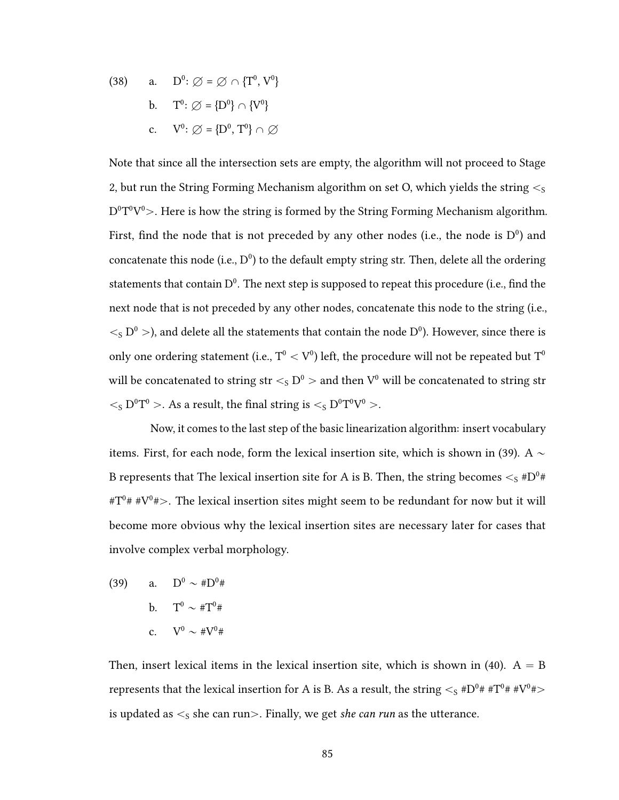(38) a. 
$$
D^0
$$
:  $\varnothing = \varnothing \cap \{T^0, V^0\}$   
b.  $T^0$ :  $\varnothing = \{D^0\} \cap \{V^0\}$   
c.  $V^0$ :  $\varnothing = \{D^0, T^0\} \cap \varnothing$ 

Note that since all the intersection sets are empty, the algorithm will not proceed to Stage 2, but run the String Forming Mechanism algorithm on set O, which yields the string  $\lt$ <sub>S</sub>  $\rm D^0T^0V^0$ >. Here is how the string is formed by the String Forming Mechanism algorithm. First, find the node that is not preceded by any other nodes (i.e., the node is  $D^0$ ) and concatenate this node (i.e.,  $D^0$ ) to the default empty string str. Then, delete all the ordering statements that contain  $D^0$ . The next step is supposed to repeat this procedure (i.e., find the next node that is not preceded by any other nodes, concatenate this node to the string (i.e.,  $\langle S_{\rm S}$  D<sup>0</sup>  $>$ ), and delete all the statements that contain the node D<sup>0</sup>). However, since there is only one ordering statement (i.e.,  $\rm T^{0} < V^{0}$ ) left, the procedure will not be repeated but  $\rm T^{0}$ will be concatenated to string  $\text{str} <_\text{S} \text{D}^\text{0} >$  and then  $\text{V}^\text{0}$  will be concatenated to string str  $\langle \cdot_S D^0 T^0 \rangle$ . As a result, the final string is  $\langle \cdot_S D^0 T^0 V^0 \rangle$ .

Now, it comes to the last step of the basic linearization algorithm: insert vocabulary items. First, for each node, form the lexical insertion site, which is shown in (39). A  $\sim$ B represents that The lexical insertion site for A is B. Then, the string becomes  $<_{\mathrm{S}} \# \mathrm{D}^0\#$ #T $9$ # #V $9$ # $>$ . The lexical insertion sites might seem to be redundant for now but it will become more obvious why the lexical insertion sites are necessary later for cases that involve complex verbal morphology.

(39) a.  $D^0 \sim #D^0#$ b.  $T^0 \sim #T^0#$ c.  $V^0 \sim #V^0#$ 

Then, insert lexical items in the lexical insertion site, which is shown in (40).  $A = B$ represents that the lexical insertion for A is B. As a result, the string  $<_{\text{S}} \# \text{D}^0# * \text{T}^0# * \text{V}^0#>$ is updated as  $\leq_S$  she can run $>$ . Finally, we get she can run as the utterance.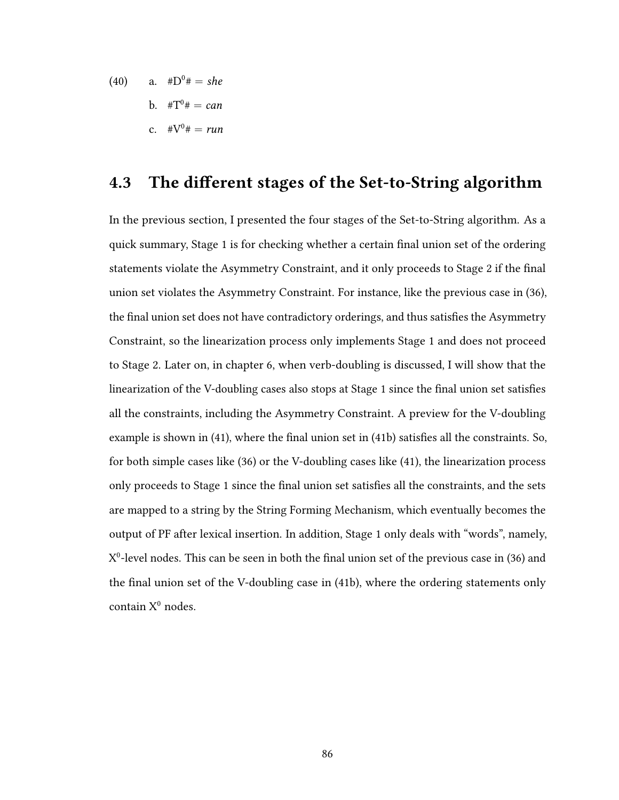(40) a. 
$$
\#D^0 \# = she
$$
  
b.  $\#T^0 \# = can$   
c.  $\#V^0 \# = run$ 

# 4.3 The different stages of the Set-to-String algorithm

In the previous section, I presented the four stages of the Set-to-String algorithm. As a quick summary, Stage 1 is for checking whether a certain final union set of the ordering statements violate the Asymmetry Constraint, and it only proceeds to Stage 2 if the final union set violates the Asymmetry Constraint. For instance, like the previous case in (36), the final union set does not have contradictory orderings, and thus satisfies the Asymmetry Constraint, so the linearization process only implements Stage 1 and does not proceed to Stage 2. Later on, in chapter 6, when verb-doubling is discussed, I will show that the linearization of the V-doubling cases also stops at Stage 1 since the final union set satisfies all the constraints, including the Asymmetry Constraint. A preview for the V-doubling example is shown in  $(41)$ , where the final union set in  $(41b)$  satisfies all the constraints. So, for both simple cases like (36) or the V-doubling cases like (41), the linearization process only proceeds to Stage 1 since the final union set satisfies all the constraints, and the sets are mapped to a string by the String Forming Mechanism, which eventually becomes the output of PF after lexical insertion. In addition, Stage 1 only deals with "words", namely,  $X^0$ -level nodes. This can be seen in both the final union set of the previous case in (36) and the final union set of the V-doubling case in (41b), where the ordering statements only contain  $X^0$  nodes.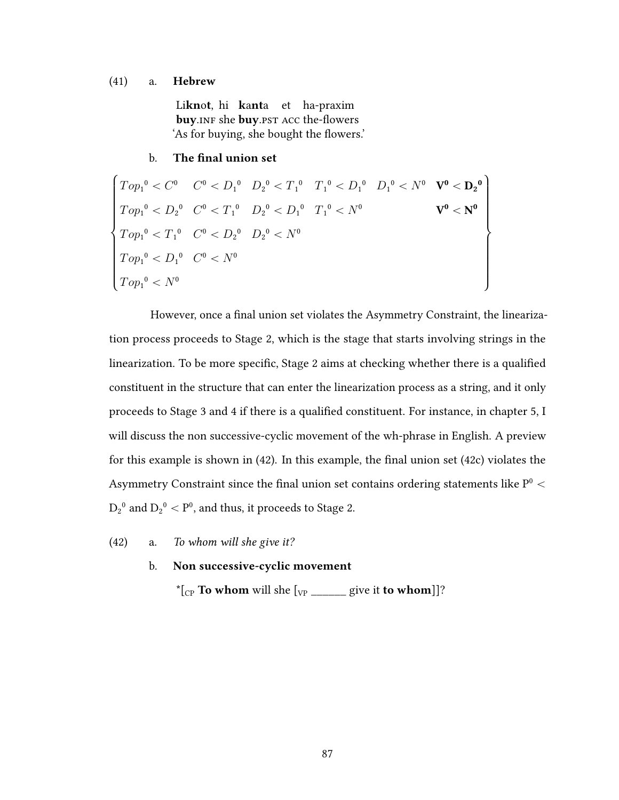#### (41) a. Hebrew

Li**knot**, hi kanta et ha-praxim buy.INF she buy.PST ACC the-flowers 'As for buying, she bought the flowers.'

## b. The final union set

''''''''''&  $\left.\rule{0pt}{10pt}\right]$  $Top_1^0 < C^0$  $Top_1^0 < D_2^0$  $Top_1^0 < T_1^0$  $Top_1^0 < D_1^0$  $Top_1^0 < N^0$  $C^0 < D_1^0$  $C^0 < T_1^0$  $C^0 < D_2^0$  $C^{0} < N^{0}$  $D_2^{\,0} < T_1^{\,0}$  $D_2^{\,0} < D_1^{\,0}$  $D_2{}^0 < N^0$  $T_1^0 < D_1^0$  $T_1^0 < N^0$  $D_1^0 < N^0 \quad \mathbf{V^0} < \mathbf{D_2}^0$  ${\rm V}^0<{\rm N}^0$ //////////.  $\sqrt{2}$ 

However, once a final union set violates the Asymmetry Constraint, the linearization process proceeds to Stage 2, which is the stage that starts involving strings in the linearization. To be more specific, Stage 2 aims at checking whether there is a qualified constituent in the structure that can enter the linearization process as a string, and it only proceeds to Stage 3 and 4 if there is a qualified constituent. For instance, in chapter 5, I will discuss the non successive-cyclic movement of the wh-phrase in English. A preview for this example is shown in  $(42)$ . In this example, the final union set  $(42c)$  violates the Asymmetry Constraint since the final union set contains ordering statements like  $P^0$   $<$  $D_2^0$  and  $D_2^0 < P^0$ , and thus, it proceeds to Stage 2.

(42) a. To whom will she give it?

## b. Non successive-cyclic movement

\* $[\begin{bmatrix} C \\ C \end{bmatrix}]$  To whom will she  $[\begin{bmatrix} V \\ V \end{bmatrix}]$  give it to whom  $]$ ?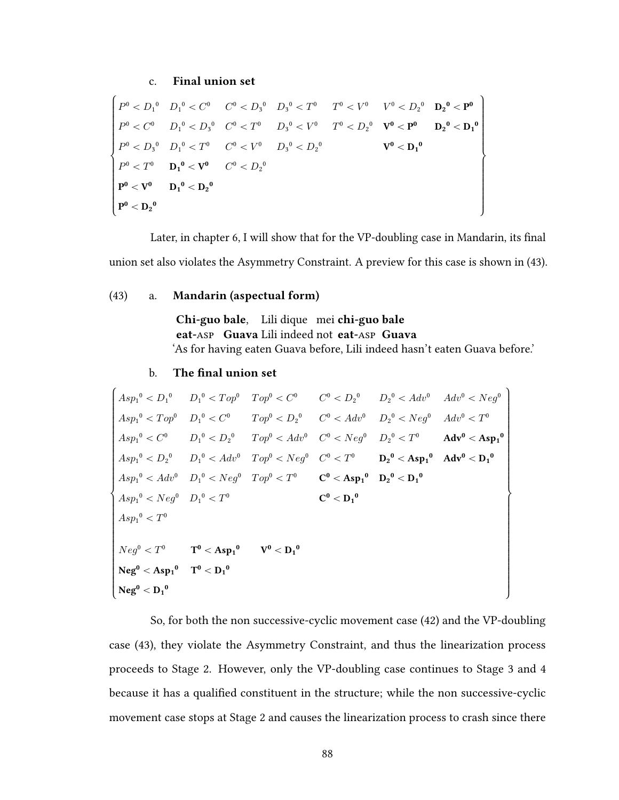## c. Final union set

''''''''''''''&  $\begin{picture}(150,20) \put(0,0){\line(1,0){10}} \put(10,0){\line(1,0){10}} \put(10,0){\line(1,0){10}} \put(10,0){\line(1,0){10}} \put(10,0){\line(1,0){10}} \put(10,0){\line(1,0){10}} \put(10,0){\line(1,0){10}} \put(10,0){\line(1,0){10}} \put(10,0){\line(1,0){10}} \put(10,0){\line(1,0){10}} \put(10,0){\line(1,0){10}} \put(10,0){\line($  $P^0 < D_1^0$  $P^0 < C^0$  $P^0 < D_3^0$  $P^0 < T^0$  ${\bf P^0 < V^0}$  $\mathbf{P^0} < \mathbf{D_2}^0$  $D_1{}^0 < C^0$  $D_1{}^0 < D_3{}^0$  $D_1{}^0 < T^0$  $D_1{}^0 < V^0$  ${\bf D_1}^0 < {\bf D_2}^0$  $C^0 < D_3{}^0$  $C^{0} < T^{0}$  $C^0 < V^0$  $C^0 < D_2^0$  $D_3{}^0 < T^0$  $D_3{}^0 < V^0$  $D_3^{\,0} < D_2^{\,0}$  $T^0 < V^0$  $T^0 < D_2^0$  $V^0 < D_2{}^0$  $V^0 < P^0$  $\rm V^0 < {D_1}^0$  $D_2{}^0 < P^0$  $\mathbf{D_2}^0 < \mathbf{D_1}^0$  $\bigg)$  $\sqrt{2}$ 

Later, in chapter 6, I will show that for the VP-doubling case in Mandarin, its final union set also violates the Asymmetry Constraint. A preview for this case is shown in (43).

#### (43) a. Mandarin (aspectual form)

Chi-guo bale. Lili dique mei chi-guo bale eat-Asp Guava Lili indeed not eat-Asp Guava 'As for having eaten Guava before, Lili indeed hasn't eaten Guava before.'

 $\lambda$ 

#### b. The final union set

$$
\begin{cases}\nAsp_1^0 & D_1^0 & D_1^0 & < Top^0 & < \mathbb{C}^0 \\
Asp_1^0 & D_1^0 & < \mathbb{C}^0\n\end{cases}
$$
\n
$$
\begin{cases}\nAsp_1^0 & D_1^0 & < \mathbb{C}^0 \\
Asp_1^0 & < \mathbb{C}^0\n\end{cases}
$$
\n
$$
\begin{cases}\nTop^0 & D_1^0 & < \mathbb{C}^0 \\
Top^0 & < \mathbb{C}^0\n\end{cases}
$$
\n
$$
\begin{cases}\nTop^0 & < \mathbb{C}^0 \\
Top^0 & < \mathbb{C}^0\n\end{cases}
$$
\n
$$
\begin{cases}\nC^0 & \mathbb{C}^0 \\
C^0 & < \mathbb{C}^0\n\end{cases}
$$
\n
$$
\begin{cases}\nC^0 & \mathbb{C}^0 \\
D_2^0 & < \mathbb{C}^0\n\end{cases}
$$
\n
$$
\begin{cases}\nTop^0 & < \mathbb{C}^0 \\
Aop^0 & < \mathbb{C}^0\n\end{cases}
$$
\n
$$
\begin{cases}\nTop^0 & < \mathbb{C}^0 \\
Aop^0 & < \mathbb{C}^0\n\end{cases}
$$
\n
$$
\begin{cases}\nTop^0 & < \mathbb{C}^0 \\
Aop^0 & < \mathbb{C}^0\n\end{cases}
$$
\n
$$
\begin{cases}\nTop^0 & < \mathbb{C}^0 \\
Aop^0 & < \mathbb{C}^0\n\end{cases}
$$
\n
$$
\begin{cases}\nTop^0 & < \mathbb{C}^0 \\
Aop^0 & < \mathbb{C}^0\n\end{cases}
$$
\n
$$
\begin{cases}\nTop^0 & < \mathbb{C}^0 \\
Aop^0 & < \mathbb{C}^0\n\end{cases}
$$
\n
$$
\begin{cases}\nTop^0 & < \mathbb{C}^0 \\
Aop^0 & < \mathbb{C}^0\n\end{cases}
$$
\n
$$
\begin{cases}\nTop^0 & < \mathbb{C}^0 \\
Aop^0 & < \mathbb{C}^0\n\end{cases}
$$
\n
$$
\begin{cases}\nTop^0 & < \mathbb{C}^0 \\
Aop^0 & < \mathbb{C}^0
$$

So, for both the non successive-cyclic movement case (42) and the VP-doubling case (43), they violate the Asymmetry Constraint, and thus the linearization process proceeds to Stage 2. However, only the VP-doubling case continues to Stage 3 and 4 because it has a qualified constituent in the structure; while the non successive-cyclic movement case stops at Stage 2 and causes the linearization process to crash since there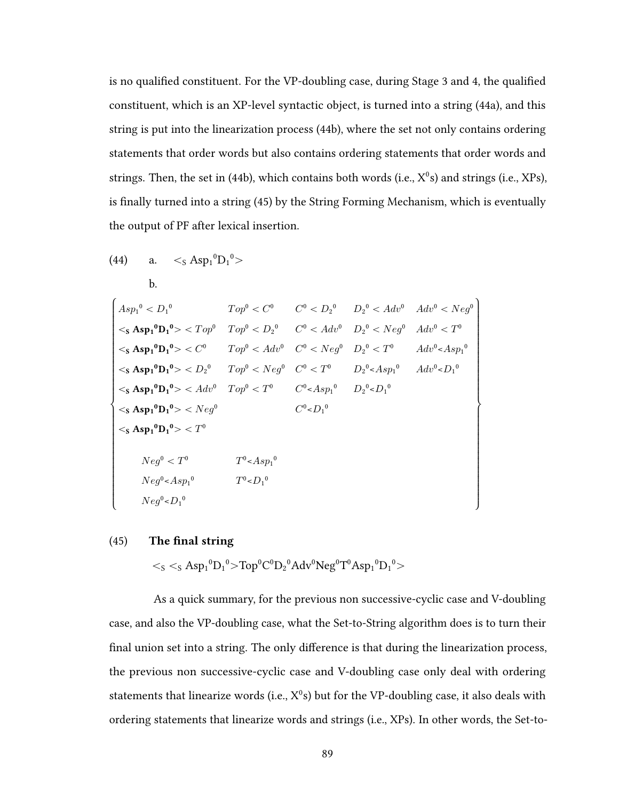is no qualified constituent. For the VP-doubling case, during Stage 3 and 4, the qualified constituent, which is an XP-level syntactic object, is turned into a string (44a), and this string is put into the linearization process (44b), where the set not only contains ordering statements that order words but also contains ordering statements that order words and strings. Then, the set in (44b), which contains both words (i.e.,  $X^0$ s) and strings (i.e.,  $XPs$ ), is finally turned into a string (45) by the String Forming Mechanism, which is eventually the output of PF after lexical insertion.

(44) a. 
$$
\langle S \text{ Asp}_1^0 D_1^0 \rangle
$$
  
\nb.  
\n
$$
\begin{cases}\nAsp_1^0 & Top^0 < C^0 \\
\langle S \text{ Asp}_1^0 D_1^0 \rangle < Top^0 < D_2^0 \\
\langle S \text{ Asp}_1^0 D_1^0 \rangle < Top^0 < D_2^0 \\
\langle S \text{ Asp}_1^0 D_1^0 \rangle < C^0 & Top^0 < D_2^0 \\
\langle S \text{ Asp}_1^0 D_1^0 \rangle < C^0 & Top^0 < Adv^0 \\
\langle S \text{ Asp}_1^0 D_1^0 \rangle < C^0 & Top^0 < Adv^0 \\
\langle S \text{ Asp}_1^0 D_1^0 \rangle < D_2^0 & Top^0 < Neg^0 \\
\langle S \text{ Asp}_1^0 D_1^0 \rangle < M_2^0 & Top^0 < T^0 \\
\langle S \text{ Asp}_1^0 D_1^0 \rangle < M_2^0 & Top^0 < T^0 \\
\langle S \text{ Asp}_1^0 D_1^0 \rangle < N_2^0 & D_2^0 < N_2^0 \\
\langle S \text{ Asp}_1^0 D_1^0 \rangle < N_2^0 & D_2^0 & D_2^0 < D_1^0 \\
\langle S \text{ Asp}_1^0 D_1^0 \rangle < N_2^0 & D_2^0 & D_2^0 & D_2^0 \\
\langle S \text{ Asp}_1^0 D_1^0 \rangle < N_2^0 & T_2^0 & D_2^0 & D_2^0 \\
\langle S \text{ Asp}_1^0 D_1^0 \rangle < T^0 & T_2^0 & D_2^0 & D_2^0 & D_2^0 \\
\langle S \text{ Asp}_1^0 D_1^0 \rangle < T^0 & T_2^0 & D_2^0 & D_2^0 & D_2^0 \\
\langle S \text{ Asp}_1^0 D_1^0 \rangle < T^0 & T_2^0 & D_2^0 & D_2^0 & D_2^0 & D_2^0 \\
\langle S \text{ Asp}_1^0
$$

### $(45)$  The final string

 $\langle$ s  $\langle$ s Asp<sub>1</sub><sup>0</sup>D<sub>1</sub><sup>0</sup>>Top<sup>0</sup>C<sup>0</sup>D<sub>2</sub><sup>0</sup>Adv<sup>0</sup>Neg<sup>0</sup>T<sup>0</sup>Asp<sub>1</sub><sup>0</sup>D<sub>1</sub><sup>0</sup>>

As a quick summary, for the previous non successive-cyclic case and V-doubling case, and also the VP-doubling case, what the Set-to-String algorithm does is to turn their final union set into a string. The only difference is that during the linearization process, the previous non successive-cyclic case and V-doubling case only deal with ordering statements that linearize words (i.e.,  $X^0$ s) but for the VP-doubling case, it also deals with ordering statements that linearize words and strings (i.e., XPs). In other words, the Set-to-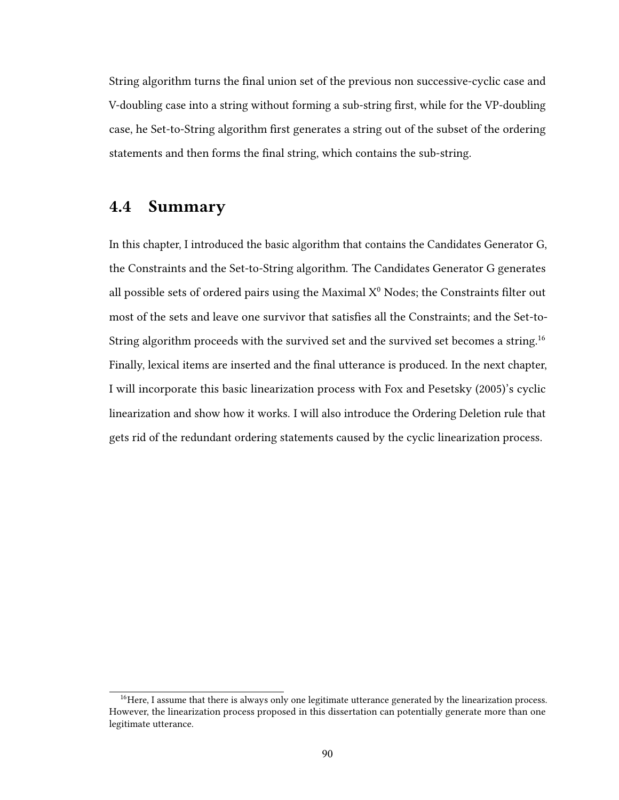String algorithm turns the final union set of the previous non successive-cyclic case and V-doubling case into a string without forming a sub-string first, while for the VP-doubling case, he Set-to-String algorithm first generates a string out of the subset of the ordering statements and then forms the final string, which contains the sub-string.

## 4.4 Summary

In this chapter, I introduced the basic algorithm that contains the Candidates Generator G, the Constraints and the Set-to-String algorithm. The Candidates Generator G generates all possible sets of ordered pairs using the Maximal  $X^0$  Nodes; the Constraints filter out most of the sets and leave one survivor that satisfies all the Constraints; and the Set-to-String algorithm proceeds with the survived set and the survived set becomes a string.<sup>16</sup> Finally, lexical items are inserted and the final utterance is produced. In the next chapter, I will incorporate this basic linearization process with Fox and Pesetsky (2005)'s cyclic linearization and show how it works. I will also introduce the Ordering Deletion rule that gets rid of the redundant ordering statements caused by the cyclic linearization process.

<sup>&</sup>lt;sup>16</sup>Here, I assume that there is always only one legitimate utterance generated by the linearization process. However, the linearization process proposed in this dissertation can potentially generate more than one legitimate utterance.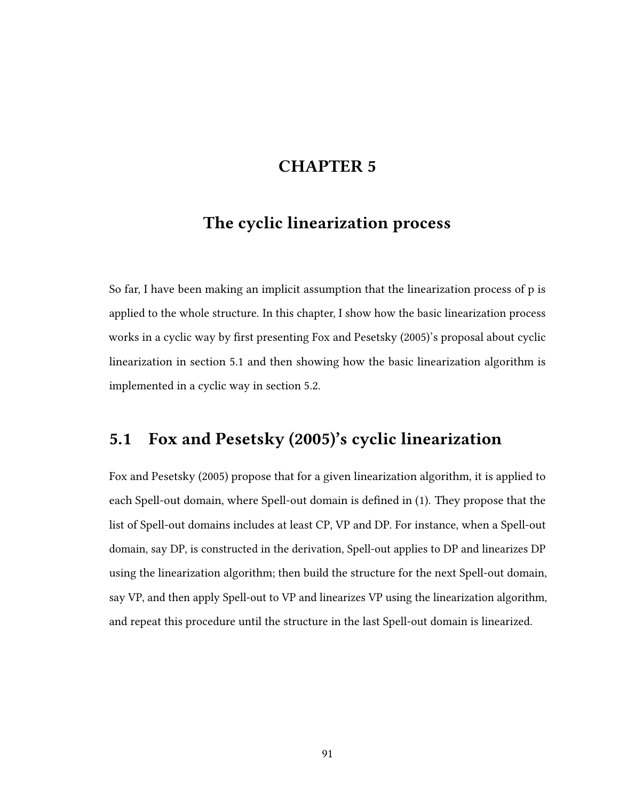# CHAPTER 5

# The cyclic linearization process

So far, I have been making an implicit assumption that the linearization process of p is applied to the whole structure. In this chapter, I show how the basic linearization process works in a cyclic way by first presenting Fox and Pesetsky (2005)'s proposal about cyclic linearization in section 5.1 and then showing how the basic linearization algorithm is implemented in a cyclic way in section 5.2.

# 5.1 Fox and Pesetsky (2005)'s cyclic linearization

Fox and Pesetsky (2005) propose that for a given linearization algorithm, it is applied to each Spell-out domain, where Spell-out domain is defined in (1). They propose that the list of Spell-out domains includes at least CP, VP and DP. For instance, when a Spell-out domain, say DP, is constructed in the derivation, Spell-out applies to DP and linearizes DP using the linearization algorithm; then build the structure for the next Spell-out domain, say VP, and then apply Spell-out to VP and linearizes VP using the linearization algorithm, and repeat this procedure until the structure in the last Spell-out domain is linearized.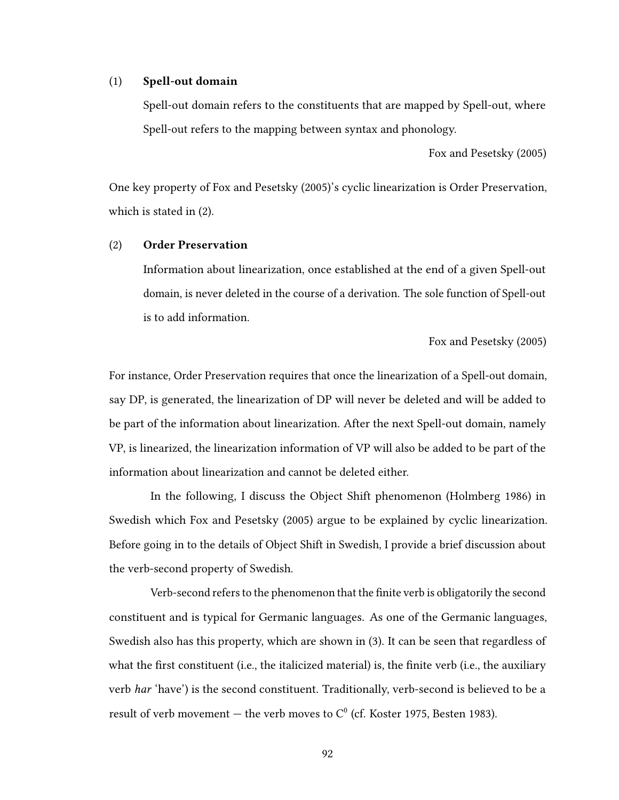#### (1) Spell-out domain

Spell-out domain refers to the constituents that are mapped by Spell-out, where Spell-out refers to the mapping between syntax and phonology.

Fox and Pesetsky (2005)

One key property of Fox and Pesetsky (2005)'s cyclic linearization is Order Preservation, which is stated in (2).

### (2) Order Preservation

Information about linearization, once established at the end of a given Spell-out domain, is never deleted in the course of a derivation. The sole function of Spell-out is to add information.

Fox and Pesetsky (2005)

For instance, Order Preservation requires that once the linearization of a Spell-out domain, say DP, is generated, the linearization of DP will never be deleted and will be added to be part of the information about linearization. After the next Spell-out domain, namely VP, is linearized, the linearization information of VP will also be added to be part of the information about linearization and cannot be deleted either.

In the following, I discuss the Object Shift phenomenon (Holmberg 1986) in Swedish which Fox and Pesetsky (2005) argue to be explained by cyclic linearization. Before going in to the details of Object Shift in Swedish, I provide a brief discussion about the verb-second property of Swedish.

Verb-second refers to the phenomenon that the finite verb is obligatorily the second constituent and is typical for Germanic languages. As one of the Germanic languages, Swedish also has this property, which are shown in (3). It can be seen that regardless of what the first constituent (i.e., the italicized material) is, the finite verb (i.e., the auxiliary verb har 'have') is the second constituent. Traditionally, verb-second is believed to be a result of verb movement  $-$  the verb moves to  $\mathrm{C}^0$  (cf. Koster 1975, Besten 1983).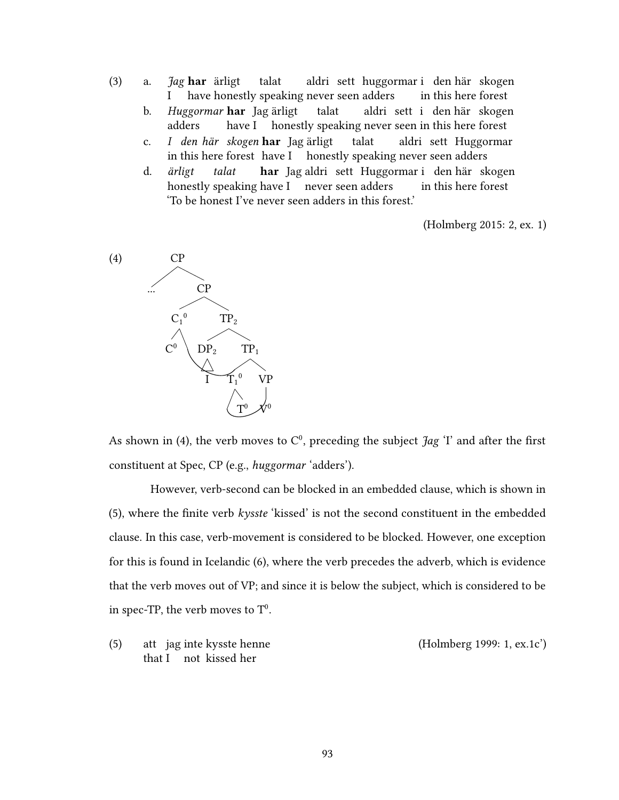- (3) a. *Jag* har ärligt I have honestly speaking never seen adders talat aldri sett huggormar i den här skogen in this here forest
	- b. Huggormar **har** Jag ärligt adders have I honestly speaking never seen in this here forest talat aldri sett i den här skogen
	- c. in this here forest have I honestly speaking never seen adders den här skogen har Jag ärligt talat aldri sett Huggormar
	- d. ärligt honestly speaking have I never seen adders talat **har** Jagualdri sett Huggormari den här skogen in this here forest 'To be honest I've never seen adders in this forest.'

(Holmberg 2015: 2, ex. 1)



As shown in (4), the verb moves to  $C^0$ , preceding the subject  $\tilde{J}ag$  'I' and after the first constituent at Spec, CP (e.g., huggormar 'adders').

However, verb-second can be blocked in an embedded clause, which is shown in  $(5)$ , where the finite verb kysste 'kissed' is not the second constituent in the embedded clause. In this case, verb-movement is considered to be blocked. However, one exception for this is found in Icelandic (6), where the verb precedes the adverb, which is evidence that the verb moves out of VP; and since it is below the subject, which is considered to be in spec-TP, the verb moves to  $\mathbf{T}^0$ .

 $(5)$ that I not kissed her jag inte kysste henne (Holmberg 1999: 1, ex.1c')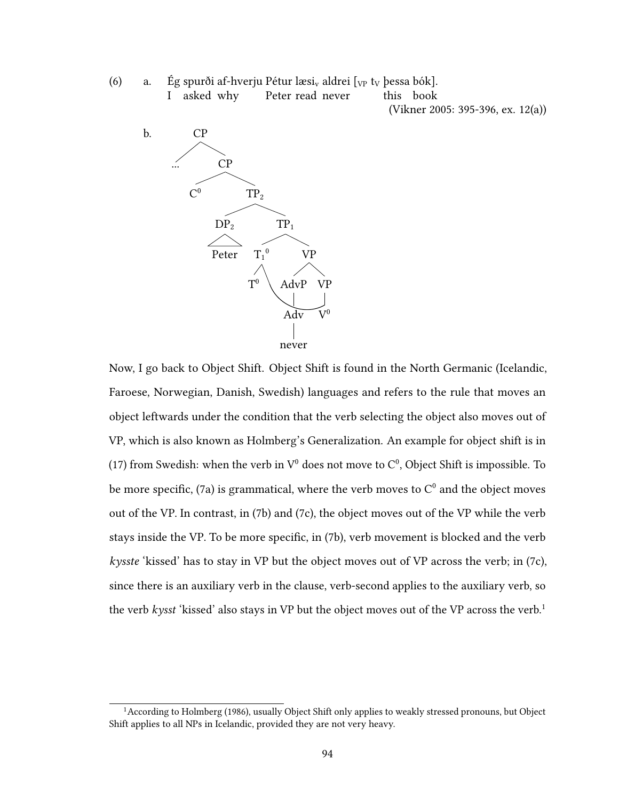(6) a. Ég spurði af-hverju Pétur læsi, aldrei  $\lceil v_p \rceil$  ty þessa bók].

I asked why Peter read never

(Vikner 2005: 395-396, ex. 12(a))

-<br>this book



Now, I go back to Object Shift. Object Shift is found in the North Germanic (Icelandic, Faroese, Norwegian, Danish, Swedish) languages and refers to the rule that moves an object leftwards under the condition that the verb selecting the object also moves out of VP, which is also known as Holmberg's Generalization. An example for object shift is in (17) from Swedish: when the verb in  $V^0$  does not move to  $C^0$ . Object Shift is impossible. To be more specific. (7a) is grammatical, where the verb moves to  $C^0$  and the object moves out of the VP. In contrast, in (7b) and (7c), the object moves out of the VP while the verb stays inside the VP. To be more specific, in (7b), verb movement is blocked and the verb kysste 'kissed' has to stay in VP but the object moves out of VP across the verb; in (7c), since there is an auxiliary verb in the clause, verb-second applies to the auxiliary verb, so the verb kysst 'kissed' also stays in VP but the object moves out of the VP across the verb.<sup>1</sup>

<sup>&</sup>lt;sup>1</sup> According to Holmberg (1986), usually Object Shift only applies to weakly stressed pronouns, but Object Shift applies to all NPs in Icelandic, provided they are not very heavy.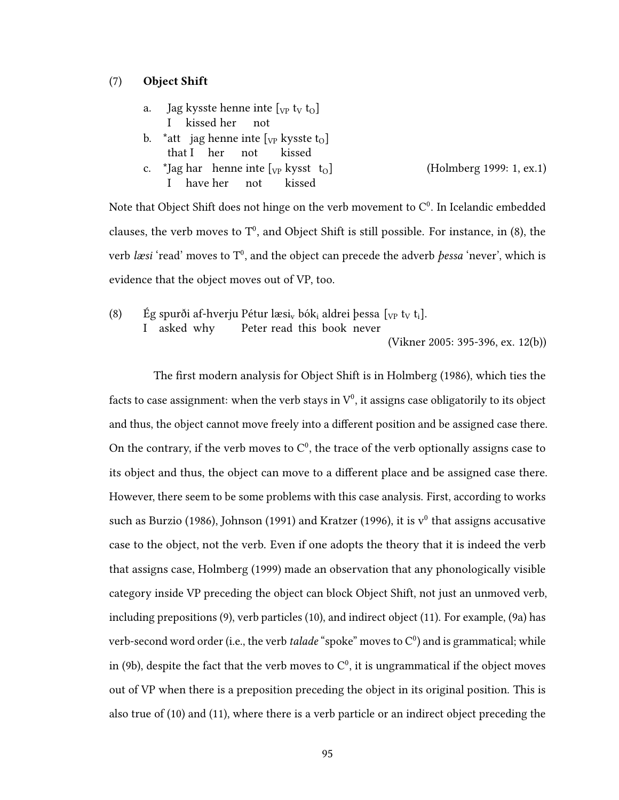## (7) Object Shift

| а. – | Jag kysste henne inte $[\rm_{VP}$ t <sub>V</sub> t <sub>0</sub> ] |  |  |  |
|------|-------------------------------------------------------------------|--|--|--|
|      | I kissed her not                                                  |  |  |  |

- b. \*att jag henne inte  $[\gamma_P]$  kysste t<sub>o</sub>] that I her not kissed
- c. \*Jag har henne inte [<sub>VP</sub> kysst I have her not kissed (Holmberg 1999: 1, ex.1)

Note that Object Shift does not hinge on the verb movement to  $C^0$ . In Icelandic embedded clauses, the verb moves to  $T^0$ , and Object Shift is still possible. For instance, in (8), the verb *læsi* 'read' moves to  $T^0$ , and the object can precede the adverb *þessa* 'never', which is evidence that the object moves out of VP, too.

 $(8)$ I asked why spurði af-hverju Pétur læsi<sub>v</sub> bók<sub>i</sub> aldrei þessa [<sub>VP</sub> t<sub>V</sub> t<sub>i</sub>]. Peter read this book never

(Vikner 2005: 395-396, ex. 12(b))

The first modern analysis for Object Shift is in Holmberg (1986), which ties the facts to case assignment: when the verb stavs in  $\mathrm{V}^0.$  it assigns case obligatorily to its object and thus, the object cannot move freely into a different position and be assigned case there. On the contrary, if the verb moves to  $C^0$ , the trace of the verb optionally assigns case to its object and thus, the object can move to a different place and be assigned case there. However, there seem to be some problems with this case analysis. First, according to works such as Burzio (1986), Johnson (1991) and Kratzer (1996), it is  $v^0$  that assigns accusative case to the object, not the verb. Even if one adopts the theory that it is indeed the verb that assigns case, Holmberg (1999) made an observation that any phonologically visible category inside VP preceding the object can block Object Shift, not just an unmoved verb, including prepositions (9), verb particles (10), and indirect object (11). For example, (9a) has verb-second word order (i.e., the verb *talade* "spoke" moves to  $C^0$ ) and is grammatical; while in (9b), despite the fact that the verb moves to  $C^0$ , it is ungrammatical if the object moves out of VP when there is a preposition preceding the object in its original position. This is also true of (10) and (11), where there is a verb particle or an indirect object preceding the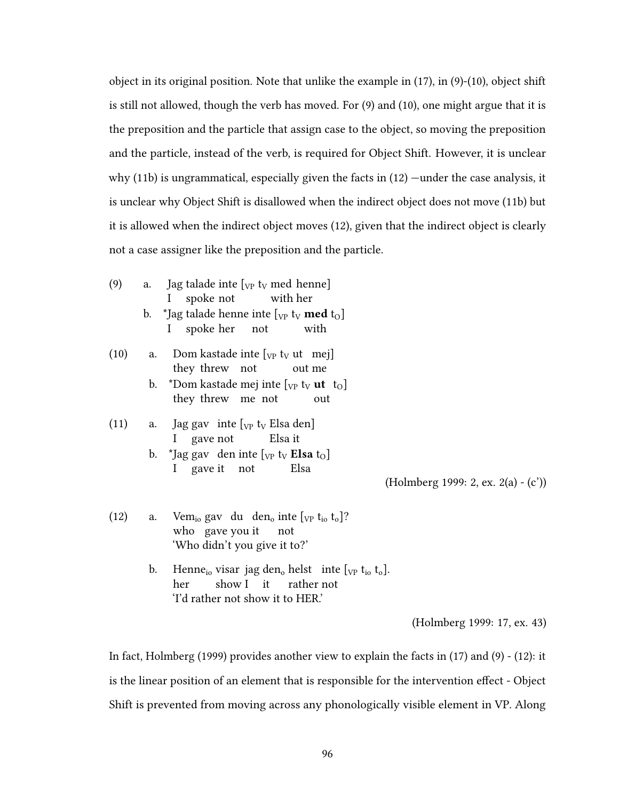object in its original position. Note that unlike the example in (17), in (9)-(10), object shift is still not allowed, though the verb has moved. For (9) and (10), one might argue that it is the preposition and the particle that assign case to the object, so moving the preposition and the particle, instead of the verb, is required for Object Shift. However, it is unclear why (11b) is ungrammatical, especially given the facts in (12) —under the case analysis, it is unclear why Object Shift is disallowed when the indirect object does not move (11b) but it is allowed when the indirect object moves (12), given that the indirect object is clearly not a case assigner like the preposition and the particle.

- (9) a. Jag talade inte  $[\sqrt{v} \, t_V \, \text{med } \text{henne}]$ I spoke not with her b. \*Jag talade henne inte  $[\sqrt{v} \cdot v]$  med  $t_0$ ]
	- I spoke her not with
- (10) a. Dom kastade inte  $[\text{vp } t_{V} \text{ ut } m\text{ej}]$ they threw not out me
	- b. \*Dom kastade mej inte  $[\sqrt{v} \cdot v]$  **ut**  $t_0$ they threw me not out

(11) a. Jag gav inte 
$$
[v_P t_V E
$$
lsa den] I gave not Elsa it

b. \*Jag gav den inte  $[\text{v}_P \text{ t}_V \text{ Elsa } t_O]$ I gave it not Elsa

(Holmberg 1999: 2, ex. 2(a) - (c'))

- (12) a. Vem<sub>io</sub> gav du den<sub>o</sub> inte  $[\text{v}_P \text{ t}_{io} \text{ t}_{o}]$ ? who gave vou it not 'Who didn't you give it to?'
	- b. Henne<sub>io</sub> visar jag den<sub>o</sub> helst inte  $[\sqrt{p} t_{io} t_{o}]$ . her show I it rather not 'I'd rather not show it to HER.'

(Holmberg 1999: 17, ex. 43)

In fact, Holmberg (1999) provides another view to explain the facts in (17) and (9) - (12): it is the linear position of an element that is responsible for the intervention effect - Object Shift is prevented from moving across any phonologically visible element in VP. Along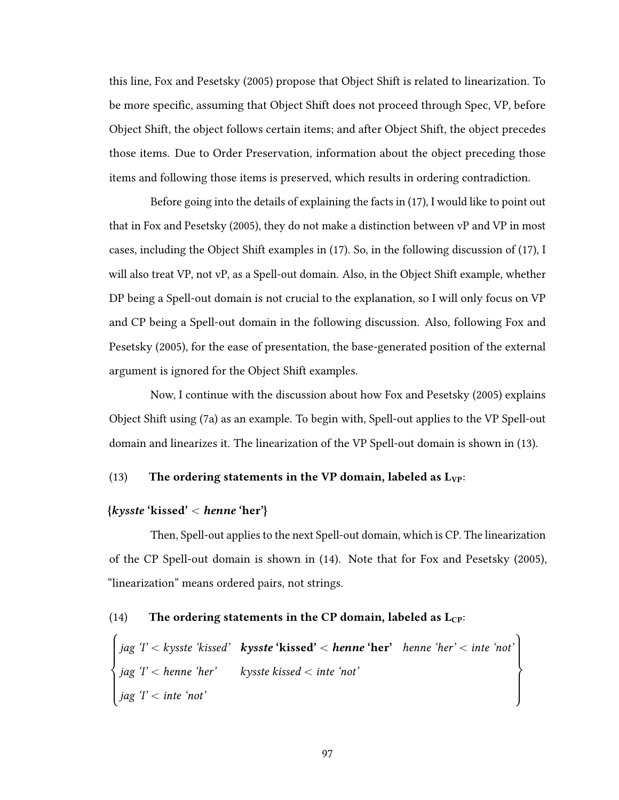this line, Fox and Pesetsky (2005) propose that Object Shift is related to linearization. To be more specific, assuming that Object Shift does not proceed through Spec, VP, before Object Shift, the object follows certain items; and after Object Shift, the object precedes those items. Due to Order Preservation, information about the object preceding those items and following those items is preserved, which results in ordering contradiction.

Before going into the details of explaining the facts in (17), I would like to point out that in Fox and Pesetsky (2005), they do not make a distinction between vP and VP in most cases, including the Object Shift examples in (17). So, in the following discussion of (17), I will also treat VP, not vP, as a Spell-out domain. Also, in the Object Shift example, whether DP being a Spell-out domain is not crucial to the explanation, so I will only focus on VP and CP being a Spell-out domain in the following discussion. Also, following Fox and Pesetsky (2005), for the ease of presentation, the base-generated position of the external argument is ignored for the Object Shift examples.

Now, I continue with the discussion about how Fox and Pesetsky (2005) explains Object Shift using (7a) as an example. To begin with, Spell-out applies to the VP Spell-out domain and linearizes it. The linearization of the VP Spell-out domain is shown in (13).

## (13) The ordering statements in the VP domain, labeled as  $L_{VP}$ :

## $\{kysste'kissed' < \text{henne 'her'}\}$

Then, Spell-out applies to the next Spell-out domain, which is CP. The linearization of the CP Spell-out domain is shown in (14). Note that for Fox and Pesetsky (2005), "linearization" means ordered pairs, not strings.

## (14) The ordering statements in the CP domain, labeled as  $L_{CP}$ : \$

 $\left\lceil \cdot \right\rceil$  $\Bigg\}$ jag T' < kysste 'kissed' jag 'I' < henne 'her' jag ' $l'$  < inte 'not'  $k$ ysste 'kissed'  $<$  henne 'her' kysste kissed  $<$  inte 'not' henne 'her'  $<$  inte 'not'  $\bigg)$  $\sqrt{ }$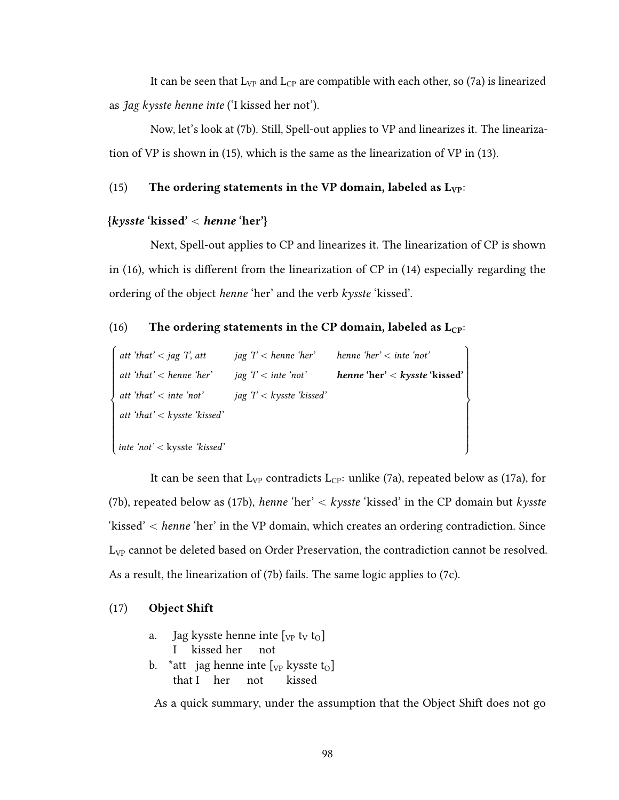It can be seen that  $L_{VP}$  and  $L_{CP}$  are compatible with each other, so (7a) is linearized as Jag kysste henne inte ('I kissed her not').

Now, let's look at (7b). Still, Spell-out applies to VP and linearizes it. The linearization of VP is shown in (15), which is the same as the linearization of VP in (13).

## (15) The ordering statements in the VP domain, labeled as  $L_{VP}$ :

## $\{kyste'kissed' < henne'her'\}$

Next, Spell-out applies to CP and linearizes it. The linearization of CP is shown in  $(16)$ , which is different from the linearization of CP in  $(14)$  especially regarding the ordering of the object henne 'her' and the verb kysste 'kissed'.

## (16) The ordering statements in the CP domain, labeled as  $L_{CP}$ :

| att 'that' $\lt$ jag 'I', att    | jag $T$ < henne 'her' henne 'her' < inte 'not' |                               |
|----------------------------------|------------------------------------------------|-------------------------------|
| att 'that' $\lt$ henne 'her'     | jag $T <$ inte 'not'                           | henne 'her' < kysste 'kissed' |
| att 'that' $<$ inte 'not'        | jag ' $T < k$ ysste 'kissed'                   |                               |
| att 'that' $\lt$ kysste 'kissed' |                                                |                               |
|                                  |                                                |                               |
| inte 'not' < kysste 'kissed'     |                                                |                               |

It can be seen that  $L_{VP}$  contradicts  $L_{CP}$ : unlike (7a), repeated below as (17a), for (7b), repeated below as (17b), henne 'her'  $\langle$  kysste 'kissed' in the CP domain but kysste 'kissed'  $\lt$  henne 'her' in the VP domain, which creates an ordering contradiction. Since L<sub>VP</sub> cannot be deleted based on Order Preservation, the contradiction cannot be resolved. As a result, the linearization of (7b) fails. The same logic applies to (7c).

## (17) Object Shift

a. Jag kysste henne inte  $[\sqrt{v} \, t_V \, t_O]$ I kissed her not b. \*att jag henne inte  $[\gamma_P]$  kysste t<sub>o</sub>]

that I her not kissed

As a quick summary, under the assumption that the Object Shift does not go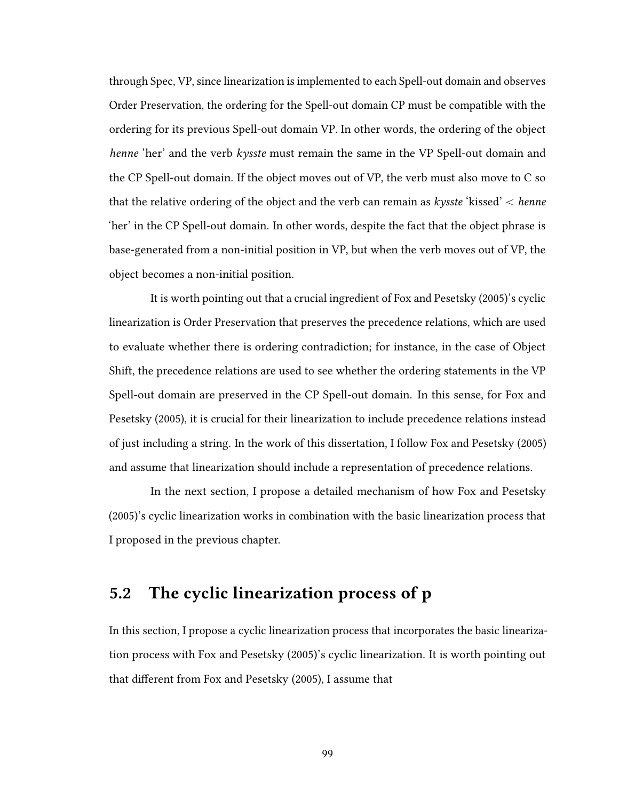through Spec, VP, since linearization is implemented to each Spell-out domain and observes Order Preservation, the ordering for the Spell-out domain CP must be compatible with the ordering for its previous Spell-out domain VP. In other words, the ordering of the object henne 'her' and the verb kysste must remain the same in the VP Spell-out domain and the CP Spell-out domain. If the object moves out of VP, the verb must also move to C so that the relative ordering of the object and the verb can remain as  $k$ ysste 'kissed'  $\lt$  henne 'her' in the CP Spell-out domain. In other words, despite the fact that the object phrase is base-generated from a non-initial position in VP, but when the verb moves out of VP, the object becomes a non-initial position.

It is worth pointing out that a crucial ingredient of Fox and Pesetsky (2005)'s cyclic linearization is Order Preservation that preserves the precedence relations, which are used to evaluate whether there is ordering contradiction; for instance, in the case of Object Shift, the precedence relations are used to see whether the ordering statements in the VP Spell-out domain are preserved in the CP Spell-out domain. In this sense, for Fox and Pesetsky (2005), it is crucial for their linearization to include precedence relations instead of just including a string. In the work of this dissertation, I follow Fox and Pesetsky (2005) and assume that linearization should include a representation of precedence relations.

In the next section, I propose a detailed mechanism of how Fox and Pesetsky (2005)'s cyclic linearization works in combination with the basic linearization process that I proposed in the previous chapter.

# 5.2 The cyclic linearization process of p

In this section, I propose a cyclic linearization process that incorporates the basic linearization process with Fox and Pesetsky (2005)'s cyclic linearization. It is worth pointing out that different from Fox and Pesetsky (2005), I assume that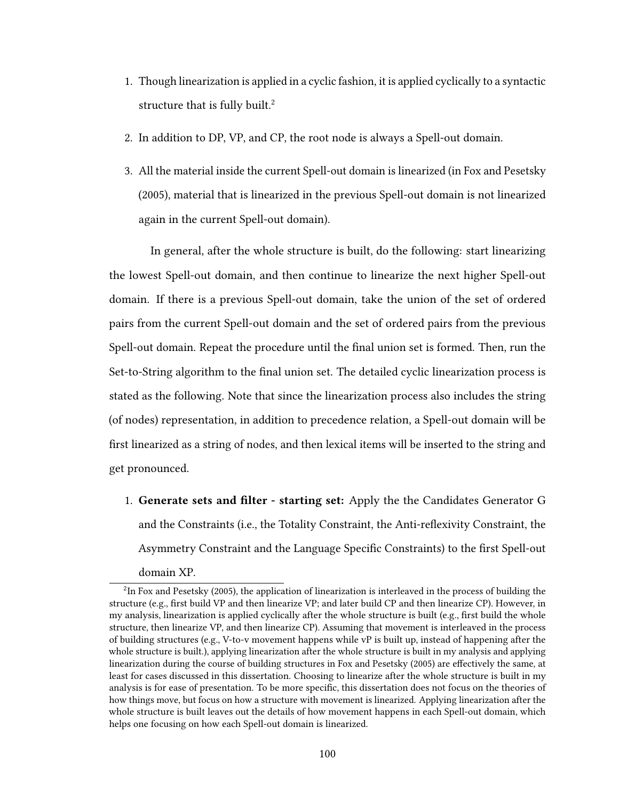- 1. Though linearization is applied in a cyclic fashion, it is applied cyclically to a syntactic structure that is fully built.<sup>2</sup>
- 2. In addition to DP, VP, and CP, the root node is always a Spell-out domain.
- 3. All the material inside the current Spell-out domain is linearized (in Fox and Pesetsky (2005), material that is linearized in the previous Spell-out domain is not linearized again in the current Spell-out domain).

In general, after the whole structure is built, do the following: start linearizing the lowest Spell-out domain, and then continue to linearize the next higher Spell-out domain. If there is a previous Spell-out domain, take the union of the set of ordered pairs from the current Spell-out domain and the set of ordered pairs from the previous Spell-out domain. Repeat the procedure until the final union set is formed. Then, run the Set-to-String algorithm to the final union set. The detailed cyclic linearization process is stated as the following. Note that since the linearization process also includes the string (of nodes) representation, in addition to precedence relation, a Spell-out domain will be first linearized as a string of nodes, and then lexical items will be inserted to the string and get pronounced.

1. Generate sets and filter - starting set: Apply the the Candidates Generator G and the Constraints (i.e., the Totality Constraint, the Anti-reflexivity Constraint, the Asymmetry Constraint and the Language Specific Constraints) to the first Spell-out domain XP.

<sup>&</sup>lt;sup>2</sup>In Fox and Pesetsky (2005), the application of linearization is interleaved in the process of building the structure (e.g., first build VP and then linearize VP; and later build CP and then linearize CP). However, in my analysis, linearization is applied cyclically after the whole structure is built (e.g., first build the whole structure, then linearize VP, and then linearize CP). Assuming that movement is interleaved in the process of building structures (e.g., V-to-v movement happens while vP is built up, instead of happening after the whole structure is built.), applying linearization after the whole structure is built in my analysis and applying linearization during the course of building structures in Fox and Pesetsky (2005) are effectively the same, at least for cases discussed in this dissertation. Choosing to linearize after the whole structure is built in my analysis is for ease of presentation. To be more specific, this dissertation does not focus on the theories of how things move, but focus on how a structure with movement is linearized. Applying linearization after the whole structure is built leaves out the details of how movement happens in each Spell-out domain, which helps one focusing on how each Spell-out domain is linearized.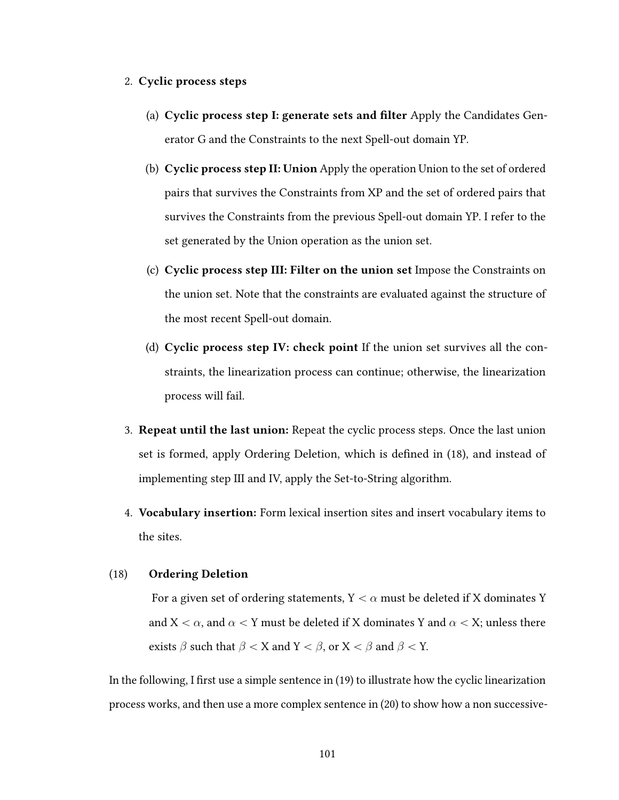## 2. Cyclic process steps

- (a) Cyclic process step I: generate sets and filter Apply the Candidates Generator G and the Constraints to the next Spell-out domain YP.
- (b) Cyclic process step II: Union Apply the operation Union to the set of ordered pairs that survives the Constraints from XP and the set of ordered pairs that survives the Constraints from the previous Spell-out domain YP. I refer to the set generated by the Union operation as the union set.
- (c) Cyclic process step III: Filter on the union set Impose the Constraints on the union set. Note that the constraints are evaluated against the structure of the most recent Spell-out domain.
- (d) Cyclic process step IV: check point If the union set survives all the constraints, the linearization process can continue; otherwise, the linearization process will fail.
- 3. Repeat until the last union: Repeat the cyclic process steps. Once the last union set is formed, apply Ordering Deletion, which is defined in  $(18)$ , and instead of implementing step III and IV, apply the Set-to-String algorithm.
- 4. Vocabulary insertion: Form lexical insertion sites and insert vocabulary items to the sites.

## (18) Ordering Deletion

For a given set of ordering statements,  $Y < \alpha$  must be deleted if X dominates Y and  $X < \alpha$ , and  $\alpha < Y$  must be deleted if X dominates Y and  $\alpha < X$ ; unless there exists  $\beta$  such that  $\beta < X$  and  $Y < \beta$ , or  $X < \beta$  and  $\beta < Y$ .

In the following, I first use a simple sentence in  $(19)$  to illustrate how the cyclic linearization process works, and then use a more complex sentence in (20) to show how a non successive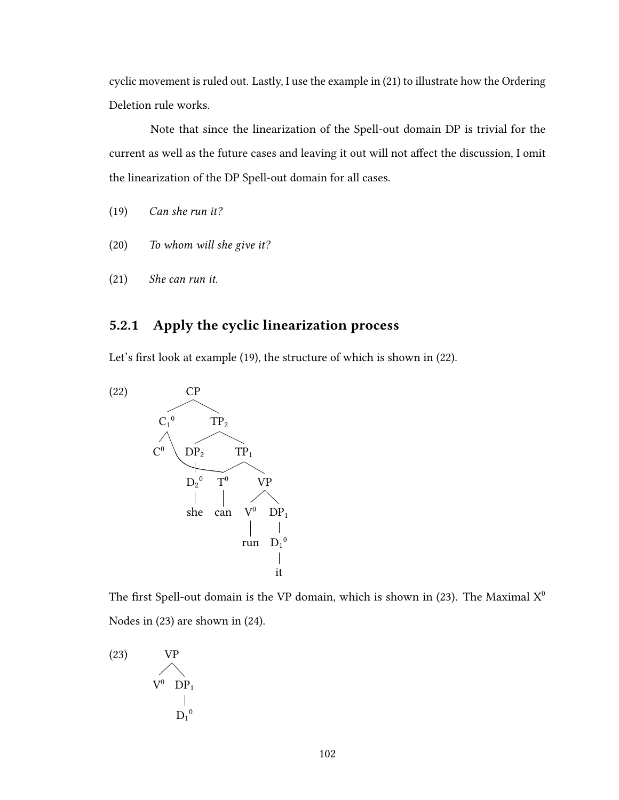cyclic movement is ruled out. Lastly, I use the example in (21) to illustrate how the Ordering Deletion rule works.

Note that since the linearization of the Spell-out domain DP is trivial for the current as well as the future cases and leaving it out will not affect the discussion, I omit the linearization of the DP Spell-out domain for all cases.

- (19) Can she run it?
- (20) To whom will she give it?
- (21) She can run it.

## 5.2.1 Apply the cyclic linearization process

Let's first look at example (19), the structure of which is shown in (22).



The first Spell-out domain is the VP domain, which is shown in (23). The Maximal  $X^0$ Nodes in (23) are shown in (24).

(23) VP  
\n
$$
V^{0} \t D P_{1}
$$
\n
$$
\begin{array}{c}\n| \\
| \\
D_{1}^{0}\n\end{array}
$$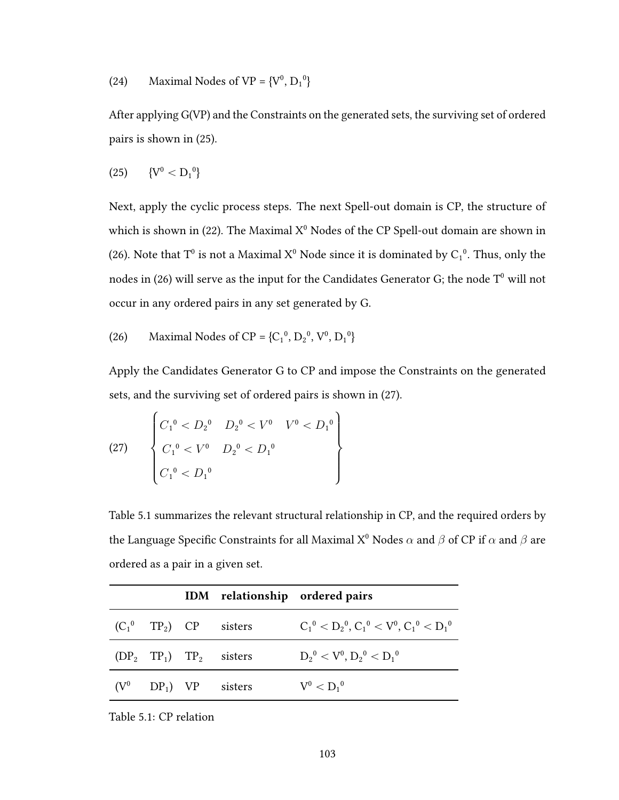Maximal Nodes of  $VP = \{V^0, D_1^0\}$  $(24)$ 

After applying G(VP) and the Constraints on the generated sets, the surviving set of ordered pairs is shown in (25).

$$
(25) \qquad \{V^0 < D_1{}^0\}
$$

Next, apply the cyclic process steps. The next Spell-out domain is CP, the structure of which is shown in (22). The Maximal  $X^0$  Nodes of the CP Spell-out domain are shown in (26). Note that T<sup>0</sup> is not a Maximal  $X^0$  Node since it is dominated by  $C_1^0$ . Thus, only the nodes in (26) will serve as the input for the Candidates Generator G; the node  $T^0$  will not occur in any ordered pairs in any set generated by G.

Maximal Nodes of CP = { $C_1^0$ ,  $D_2^0$ ,  $V^0$ ,  $D_1^0$ }  $(26)$ 

Apply the Candidates Generator G to CP and impose the Constraints on the generated sets, and the surviving set of ordered pairs is shown in (27).

$$
(27) \qquad \begin{cases} C_1^0 < D_2^0 & D_2^0 < V^0 & V^0 < D_1^0 \\ C_1^0 < V^0 & D_2^0 < D_1^0 \\ C_1^0 < D_1^0 & \end{cases}
$$

Table 5.1 summarizes the relevant structural relationship in CP, and the required orders by the Language Specific Constraints for all Maximal  $X^0$  Nodes  $\alpha$  and  $\beta$  of CP if  $\alpha$  and  $\beta$  are ordered as a pair in a given set.

|  |                                       | IDM relationship ordered pairs                    |
|--|---------------------------------------|---------------------------------------------------|
|  | $(C_1^0$ TP <sub>2</sub> ) CP sisters | $C_1^0 < D_2^0$ , $C_1^0 < V^0$ , $C_1^0 < D_1^0$ |
|  | $(DP_2 \tTP_1) \tTP_2$ sisters        | $D_2^0 < V^0, D_2^0 < D_1^0$                      |
|  | $(V^0$ DP <sub>1</sub> ) VP sisters   | $\rm V^0 < {D_1}^0$                               |

Table 5.1: CP relation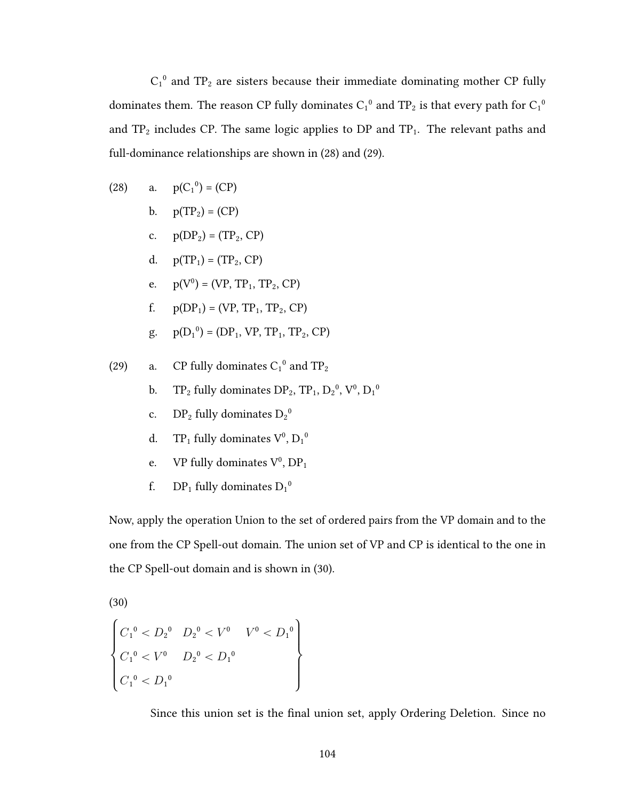$C_1^0$  and TP<sub>2</sub> are sisters because their immediate dominating mother CP fully dominates them. The reason CP fully dominates  $C_1{}^0$  and  $\mathrm{TP}_2$  is that every path for  $C_1{}^0$ and  $TP_2$  includes CP. The same logic applies to DP and  $TP_1$ . The relevant paths and full-dominance relationships are shown in (28) and (29).

(28) a. 
$$
p(C_1^0) = (CP)
$$

- $p(TP_2) = (CP)$  $\mathbf{b}$ .
- c.  $p(DP_2) = (TP_2, CP)$
- d.  $p(TP_1) = (TP_2, CP)$
- e.  $p(V^0) = (VP, TP_1, TP_2, CP)$
- $p(DP_1) = (VP, TP_1, TP_2, CP)$ f.
- $p(D_1^0) = (DP_1, VP, TP_1, TP_2, CP)$ g.
- CP fully dominates  $C_1^0$  and  $TP_2$  $(29)$ a.
	- $TP_2$  fully dominates  $DP_2$ ,  $TP_1$ ,  $D_2^0$ ,  $V^0$ ,  $D_1^0$  $\mathbf{b}$ .
	- $DP_2$  fully dominates  $D_2^0$  $\mathbf{c}$ .
	- $TP_1$  fully dominates  $V^0$ ,  $D_1^0$ d.
	- VP fully dominates  $V^0$ ,  $DP_1$ e.
	- $DP_1$  fully dominates  $D_1^0$ f.

Now, apply the operation Union to the set of ordered pairs from the VP domain and to the one from the CP Spell-out domain. The union set of VP and CP is identical to the one in the CP Spell-out domain and is shown in (30).

 $(30)$ 

$$
\begin{cases}\nC_1^0 < D_2^0 & D_2^0 < V^0 & V^0 < D_1^0 \\
C_1^0 < V^0 & D_2^0 < D_1^0 \\
C_1^0 < D_1^0 & \n\end{cases}
$$

Since this union set is the final union set, apply Ordering Deletion. Since no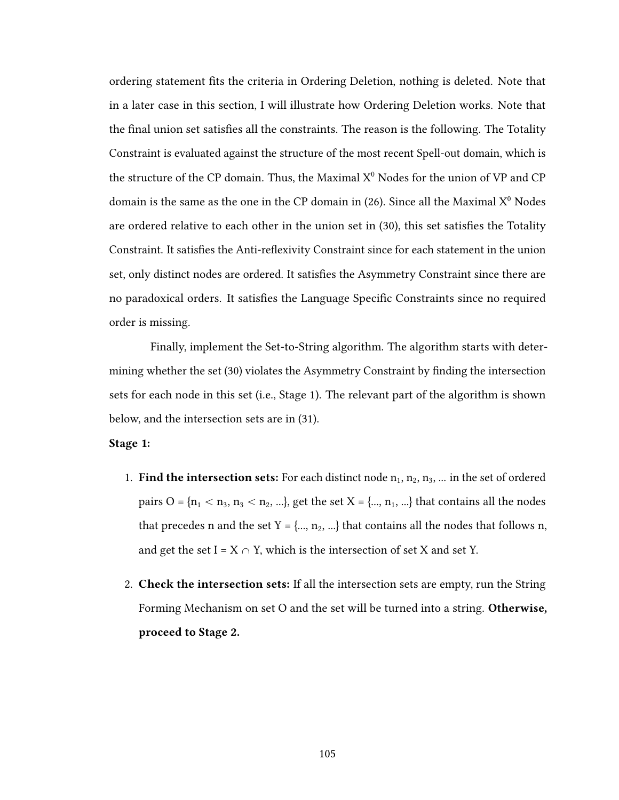ordering statement fits the criteria in Ordering Deletion, nothing is deleted. Note that in a later case in this section, I will illustrate how Ordering Deletion works. Note that the final union set satisfies all the constraints. The reason is the following. The Totality Constraint is evaluated against the structure of the most recent Spell-out domain, which is the structure of the CP domain. Thus, the Maximal  $X^0$  Nodes for the union of VP and CP domain is the same as the one in the CP domain in  $(26)$ . Since all the Maximal  $X^0$  Nodes are ordered relative to each other in the union set in (30), this set satisfies the Totality Constraint. It satisfies the Anti-reflexivity Constraint since for each statement in the union set, only distinct nodes are ordered. It satisfies the Asymmetry Constraint since there are no paradoxical orders. It satisfies the Language Specific Constraints since no required order is missing.

Finally, implement the Set-to-String algorithm. The algorithm starts with determining whether the set (30) violates the Asymmetry Constraint by finding the intersection sets for each node in this set (i.e., Stage 1). The relevant part of the algorithm is shown below, and the intersection sets are in (31).

## Stage 1:

- 1. Find the intersection sets: For each distinct node  $n_1, n_2, n_3, ...$  in the set of ordered pairs  $O = {n_1 < n_3, n_3 < n_2, ...}$ , get the set  $X = {..., n_1, ...}$  that contains all the nodes that precedes n and the set  $Y = \{..., n_2, ...\}$  that contains all the nodes that follows n, and get the set I =  $X \cap Y$ , which is the intersection of set X and set Y.
- 2. **Check the intersection sets:** If all the intersection sets are empty, run the String Forming Mechanism on set O and the set will be turned into a string. Otherwise, proceed to Stage 2.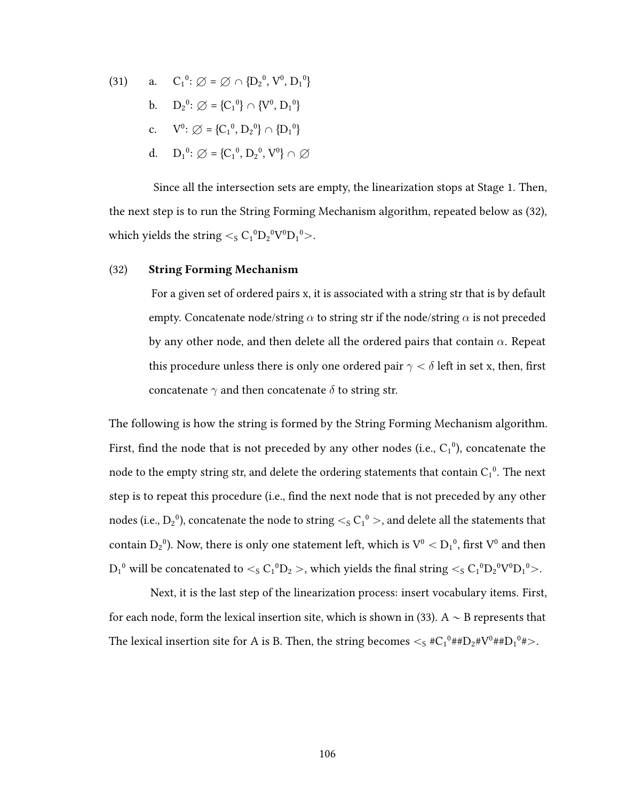(31) a. 
$$
C_1^0
$$
:  $\emptyset = \emptyset \cap \{D_2^0, V^0, D_1^0\}$   
\nb.  $D_2^0$ :  $\emptyset = \{C_1^0\} \cap \{V^0, D_1^0\}$   
\nc.  $V^0$ :  $\emptyset = \{C_1^0, D_2^0\} \cap \{D_1^0\}$   
\nd.  $D_1^0$ :  $\emptyset = \{C_1^0, D_2^0, V^0\} \cap \emptyset$ 

Since all the intersection sets are empty, the linearization stops at Stage 1. Then, the next step is to run the String Forming Mechanism algorithm, repeated below as (32), which yields the string  $\lt$ <sub>s</sub> C<sub>1</sub><sup>0</sup>D<sub>2</sub><sup>0</sup>V<sup>0</sup>D<sub>1</sub><sup>0</sup>>.

## (32) String Forming Mechanism

For a given set of ordered pairs x, it is associated with a string str that is by default empty. Concatenate node/string  $\alpha$  to string str if the node/string  $\alpha$  is not preceded by any other node, and then delete all the ordered pairs that contain  $\alpha$ . Repeat this procedure unless there is only one ordered pair  $\gamma < \delta$  left in set x, then, first concatenate  $\gamma$  and then concatenate  $\delta$  to string str.

The following is how the string is formed by the String Forming Mechanism algorithm. First, find the node that is not preceded by any other nodes (i.e.,  $C_1^0$ ), concatenate the node to the empty string str, and delete the ordering statements that contain  $C_1^0$ . The next step is to repeat this procedure (i.e., find the next node that is not preceded by any other nodes (i.e.,  $\rm D_2^{\ 0})$ , concatenate the node to string  $<_S C_1^{\ 0} >$ , and delete all the statements that contain  $\rm D_2$ <sup>0</sup>). Now, there is only one statement left, which is  $\rm V^0 < D_1{}^0,$  first  $\rm V^0$  and then  ${\rm D_1}^0$  will be concatenated to  $<_S C_1{}^0 {\rm D_2} >$ , which yields the final string  $<_S C_1{}^0 {\rm D_2}^0 {\rm V}^0 {\rm D_1}^0 >$ .

Next, it is the last step of the linearization process: insert vocabulary items. First, for each node, form the lexical insertion site, which is shown in (33). A  $\sim$  B represents that The lexical insertion site for A is B. Then, the string becomes  $<_S \#C_1^0 \# H D_2 \# V^0 \# H D_1^0 \#$ >.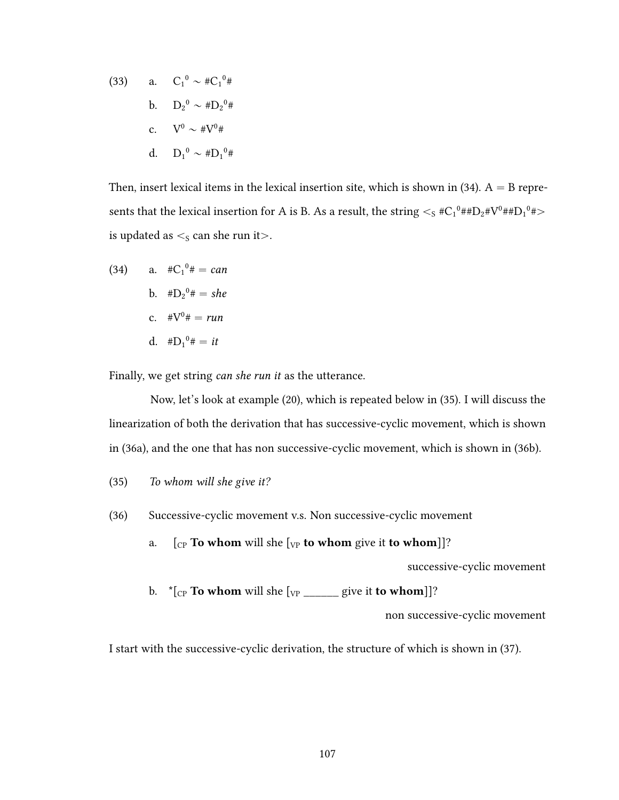(33) a. 
$$
C_1^0 \sim #C_1^0#
$$
  
\nb.  $D_2^0 \sim #D_2^0#$   
\nc.  $V^0 \sim #V^0#$   
\nd.  $D_1^0 \sim #D_1^0#$ 

Then, insert lexical items in the lexical insertion site, which is shown in  $(34)$ . A = B represents that the lexical insertion for A is B. As a result, the string  $\rm <_S$  #C $_1^0$ ##D $_2$ #V $^0$ ##D $_1^0$ # $>$ is updated as  $\lt$ <sub>s</sub> can she run it $>$ .

(34) a.  $\#C_1^0 \# = can$ b.  $\#D_2^0 \# = she$ c.  $\#V^0 \# = run$ d.  $#D_1^0# = it$ 

Finally, we get string can she run it as the utterance.

Now, let's look at example (20), which is repeated below in (35). I will discuss the linearization of both the derivation that has successive-cyclic movement, which is shown in (36a), and the one that has non successive-cyclic movement, which is shown in (36b).

- (35) To whom will she give it?
- (36) Successive-cyclic movement v.s. Non successive-cyclic movement
	- a.  $\left[\begin{smallmatrix}C_P\end{smallmatrix}\right]$  To whom will she  $\left[\begin{smallmatrix}V_P\end{smallmatrix}\right]$  to whom give it to whom]]?

successive-cyclic movement

b.  $*(C_{CP}$  To whom will she  $[v_{P} \_ \_$  give it to whom]]?

non successive-cyclic movement

I start with the successive-cyclic derivation, the structure of which is shown in (37).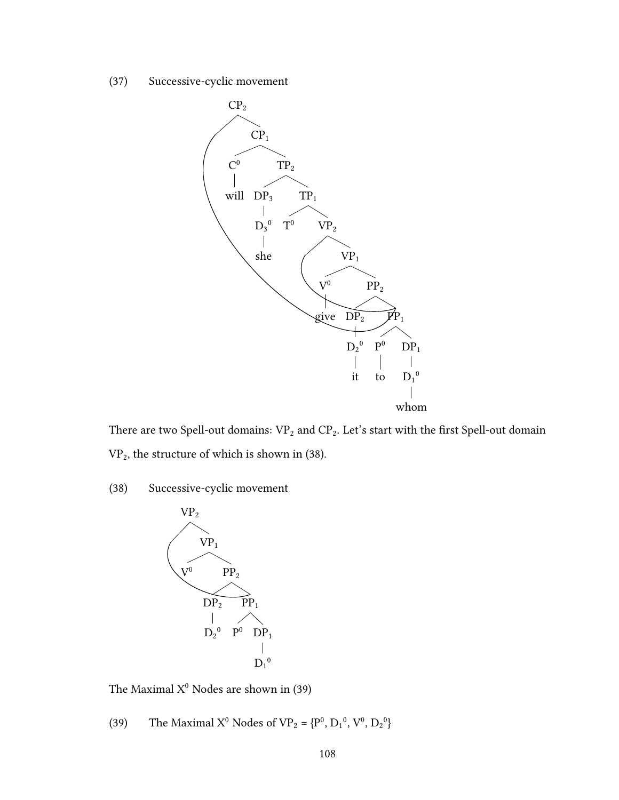(37) Successive-cyclic movement



There are two Spell-out domains:  $\mathtt{VP}_2$  and  $\mathtt{CP}_2.$  Let's start with the first Spell-out domain  $VP<sub>2</sub>$ , the structure of which is shown in (38).

(38) Successive-cyclic movement



The Maximal  $X^0$  Nodes are shown in (39)

(39) The Maximal  $X^0$  Nodes of  $VP_2 = {P^0, D_1^0, V^0, D_2^0}$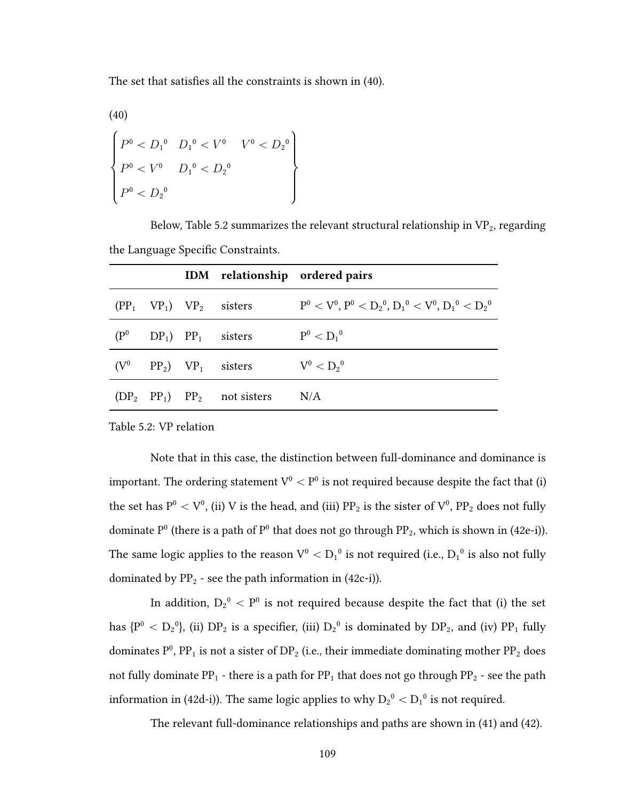The set that satisfies all the constraints is shown in (40).

(40) \$  $\left($  $\left.\right\}$  $P^0 < D_1^0$  $P^0 < V^0$  $P^0 < D_2^0$  $D_1{}^0 < V^0$  $D_1^{\,0} < D_2^{\,0}$  $V^0 < D_2{}^0$  $\sqrt{ }$ 

Below, Table 5.2 summarizes the relevant structural relationship in  $\mathrm{VP}_2$  , regarding the Language Specific Constraints.

|  |                                                       | IDM relationship ordered pairs                                |
|--|-------------------------------------------------------|---------------------------------------------------------------|
|  | $(PP_1 \quad VP_1) \quad VP_2 \quad$ sisters          | $P^0 < V^0$ , $P^0 < D_2^0$ , $D_1^0 < V^0$ , $D_1^0 < D_2^0$ |
|  | $(P^0 \t DP_1)$ PP <sub>1</sub> sisters $P^0 < D_1^0$ |                                                               |
|  | $(V^0 \t PP_2) \t VP_1 \t sisters \t V^0 < D_2^0$     |                                                               |
|  | $(DP_2 PP_1) PP_2$ not sisters N/A                    |                                                               |

Table 5.2: VP relation

Note that in this case, the distinction between full-dominance and dominance is important. The ordering statement  $\rm V^0 < P^0$  is not required because despite the fact that (i) the set has  $\rm P^0 < V^0$ , (ii) V is the head, and (iii)  $\rm PP_2$  is the sister of  $\rm V^0, \, PP_2$  does not fully dominate  $P^0$  (there is a path of  $P^0$  that does not go through  $PP_2$ , which is shown in (42e-i)). The same logic applies to the reason  $\rm V^0< D_1{}^0$  is not required (i.e.,  $\rm D_1{}^0$  is also not fully dominated by  $\rm PP_2$  - see the path information in (42c-i)).

In addition,  $D_2^0 < P^0$  is not required because despite the fact that (i) the set has {P<sup>0</sup> < D<sub>2</sub><sup>0</sup>}, (ii) DP<sub>2</sub> is a specifier, (iii) D<sub>2</sub><sup>0</sup> is dominated by DP<sub>2</sub>, and (iv) PP<sub>1</sub> fully dominates  $P^0$ , PP<sub>1</sub> is not a sister of DP<sub>2</sub> (i.e., their immediate dominating mother PP<sub>2</sub> does not fully dominate PP<sub>1</sub> - there is a path for PP<sub>1</sub> that does not go through PP<sub>2</sub> - see the path information in (42d-i)). The same logic applies to why  $\rm D_2^{\,o} < D_1^{\,o}$  is not required.

The relevant full-dominance relationships and paths are shown in (41) and (42).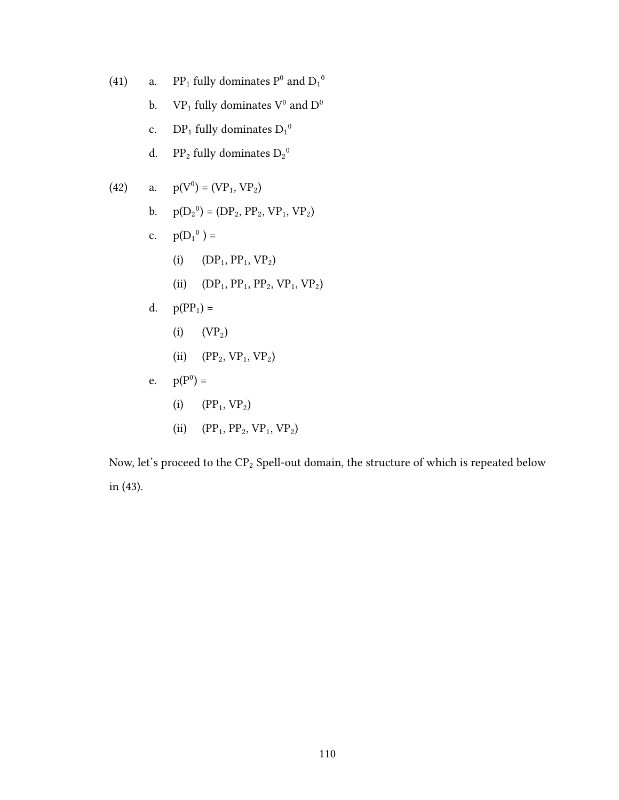(41) a. PP<sub>1</sub> fully dominates  $P^0$  and  $D_1^0$ b.  $\mathbf{VP}_1$  fully dominates  $\mathbf{V}^0$  and  $\mathbf{D}^0$ c. DP<sub>1</sub> fully dominates  $D_1^0$ d. PP<sub>2</sub> fully dominates  $D_2^0$ (42) a.  $p(V^0) = (VP_1, VP_2)$ b.  $p(D_2^0) = (DP_2, PP_2, VP_1, VP_2)$ c.  $p(D_1^0) =$ (i)  $(DP_1, PP_1, VP_2)$ (ii)  $(DP_1, PP_1, PP_2, VP_1, VP_2)$ d.  $p(PP_1) =$ (i)  $(VP_2)$ (ii)  $(PP_2, VP_1, VP_2)$ e.  $p(P^0) =$ (i)  $(PP_1, VP_2)$ (ii)  $(PP_1, PP_2, VP_1, VP_2)$ 

Now, let's proceed to the  $\text{CP}_2$  Spell-out domain, the structure of which is repeated below in (43).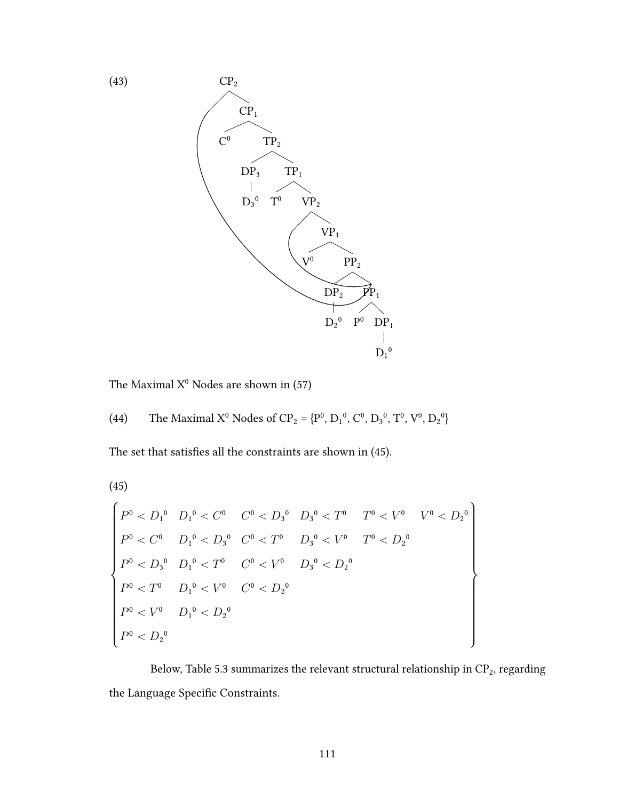

The Maximal  $X^0$  Nodes are shown in (57)

The set that satisfies all the constraints are shown in (45).

 $(45)$ 

$$
\begin{cases}\nP^{0} < D_{1}^{0} & D_{1}^{0} < C^{0} \\
P^{0} < C^{0} & D_{1}^{0} < D_{3}^{0} \\
P^{0} < C^{0} & D_{1}^{0} < D_{3}^{0} \\
P^{0} < D_{3}^{0} & D_{1}^{0} < T^{0} \\
P^{0} < D_{3}^{0} & D_{1}^{0} < T^{0} \\
P^{0} < D_{3}^{0} & D_{1}^{0} < V^{0} \\
P^{0} < T^{0} & D_{1}^{0} < V^{0} \\
P^{0} < T^{0} & D_{1}^{0} < U^{0} \\
P^{0} < V^{0} & D_{1}^{0} < D_{2}^{0} \\
P^{0} < D_{2}^{0} & \n\end{cases}
$$

Below, Table 5.3 summarizes the relevant structural relationship in  $\mathrm{CP}_2$  , regarding the Language Specific Constraints.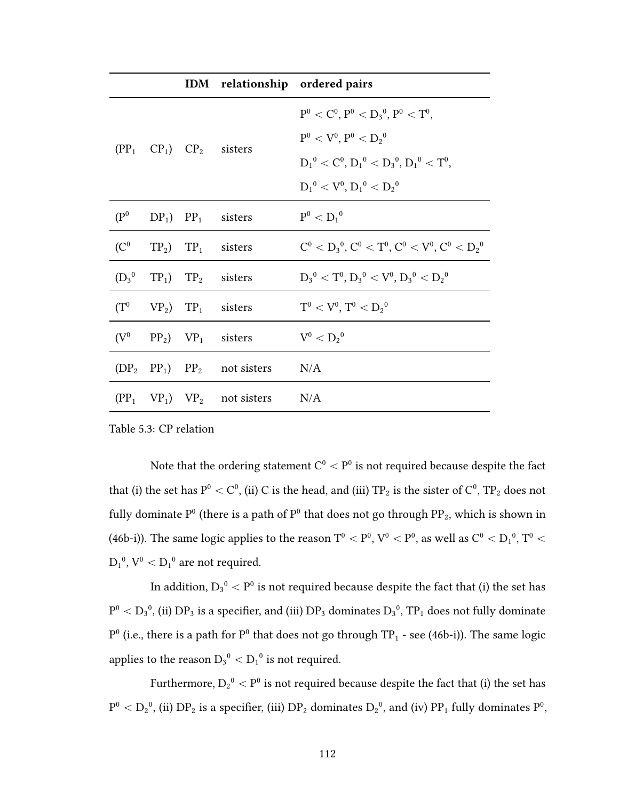|                   |  |                                                               | IDM relationship ordered pairs                            |
|-------------------|--|---------------------------------------------------------------|-----------------------------------------------------------|
|                   |  | $(PP_1$ $CP_1)$ $CP_2$ sisters                                | $P^0 < C^0$ , $P^0 < D_3^0$ , $P^0 < T^0$ ,               |
|                   |  |                                                               | $P^0 < V^0, P^0 < D_2^0$                                  |
|                   |  |                                                               | $D_1^0 < C^0$ , $D_1^0 < D_3^0$ , $D_1^0 < T^0$ ,         |
|                   |  |                                                               | $D_1^0 < V^0, D_1^0 < D_2^0$                              |
| (P <sup>0</sup> ) |  | $DP_1$ ) $PP_1$ sisters                                       | $P^0 < D_1{}^0$                                           |
| (C <sup>0</sup>   |  | $TP_2$ $TP_1$ sisters                                         | $C^0 < D_3^0$ , $C^0 < T^0$ , $C^0 < V^0$ , $C^0 < D_2^0$ |
|                   |  | $(D_3^0 \t T P_1) \t T P_2$ sisters                           | $D_3^0 < T^0$ , $D_3^0 < V^0$ , $D_3^0 < D_2^0$           |
|                   |  | $(T^0 \quad VP_2)$ $TP_1$ sisters                             | $T^0 < V^0$ , $T^0 < D_2^0$                               |
| $(\mathrm{V}^0$   |  | $PP_2$ ) $VP_1$ sisters                                       | $V^0 < D_2{}^0$                                           |
|                   |  | $(DP_2 PP_1) PP_2$ not sisters                                | N/A                                                       |
|                   |  | $(PP_1 \quad VP_1) \quad VP_2 \quad not \, sisters \quad N/A$ |                                                           |

Table 5.3: CP relation

Note that the ordering statement  $\mathrm{C}^0<\mathrm{P}^0$  is not required because despite the fact that (i) the set has  $\rm P^0 < C^0$ , (ii) C is the head, and (iii)  $\rm TP_2$  is the sister of  $\rm C^0$ ,  $\rm TP_2$  does not fully dominate  $P^0$  (there is a path of  $P^0$  that does not go through  $PP_2$ , which is shown in (46b-i)). The same logic applies to the reason  $\rm T^0< P^0, V^0< P^0,$  as well as  $\rm C^0< D_1^{\,0}, T^0<$  $D_1^0$ ,  $V^0 < D_1^0$  are not required.

In addition,  $D_3^{\;0} < P^0$  is not required because despite the fact that (i) the set has  ${\rm P}^0<{\rm D}_3^{-0}$ , (ii)  ${\rm DP}_3$  is a specifier, and (iii)  ${\rm DP}_3$  dominates  ${\rm D}_3^{-0}$ ,  ${\rm TP}_1$  does not fully dominate  $P^0$  (i.e., there is a path for  $P^0$  that does not go through TP<sub>1</sub> - see (46b-i)). The same logic applies to the reason  $D_3^{\,0} < D_1^{\,0}$  is not required.

Furthermore,  $\rm D_2^{\,0} < P^0$  is not required because despite the fact that (i) the set has  ${\rm P}^0<{\rm D_2}^0$ , (ii)  ${\rm DP_2}$  is a specifier, (iii)  ${\rm DP_2}$  dominates  ${\rm D_2}^0$ , and (iv)  ${\rm PP_1}$  fully dominates  ${\rm P}^0,$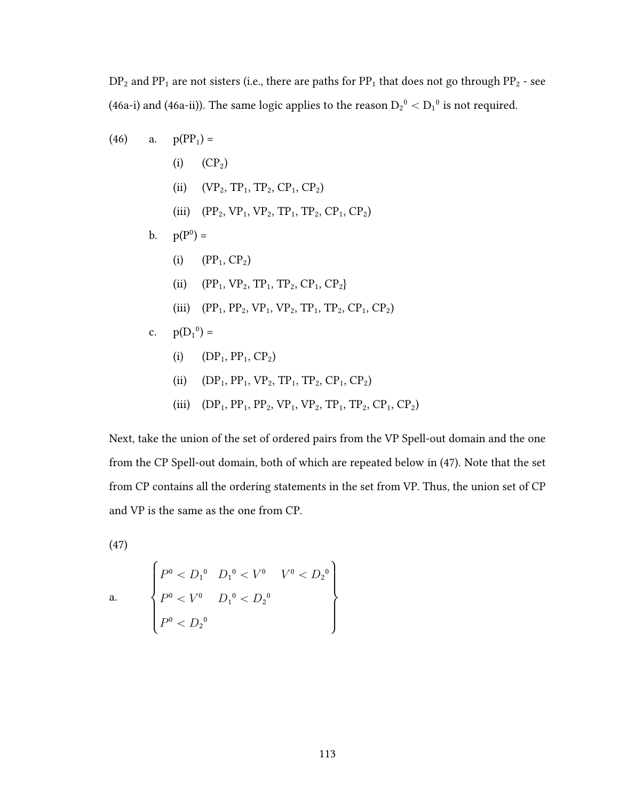$DP<sub>2</sub>$  and  $PP<sub>1</sub>$  are not sisters (i.e., there are paths for  $PP<sub>1</sub>$  that does not go through  $PP<sub>2</sub>$  - see (46a-i) and (46a-ii)). The same logic applies to the reason  $D_2{}^0 < D_1{}^0$  is not required.

(46) a. 
$$
p(PP_1) =
$$
  
\n(i)  $(CP_2)$   
\n(ii)  $(VP_2, TP_1, TP_2, CP_1, CP_2)$   
\n(iii)  $(PP_2, VP_1, VP_2, TP_1, TP_2, CP_1, CP_2)$   
\nb.  $p(P^0) =$   
\n(i)  $(PP_1, CP_2)$   
\n(ii)  $(PP_1, VP_2, TP_1, TP_2, CP_1, CP_2)$   
\n(iii)  $(PP_1, PP_2, VP_1, VP_2, TP_1, TP_2, CP_1, CP_2)$   
\nc.  $p(D_1^0) =$   
\n(i)  $(DP_1, PP_1, CP_2)$   
\n(ii)  $(DP_1, PP_1, VP_2, TP_1, TP_2, CP_1, CP_2)$ 

(iii)  $(DP_1, PP_1, PP_2, VP_1, VP_2, TP_1, TP_2, CP_1, CP_2)$ 

Next, take the union of the set of ordered pairs from the VP Spell-out domain and the one from the CP Spell-out domain, both of which are repeated below in (47). Note that the set from CP contains all the ordering statements in the set from VP. Thus, the union set of CP and VP is the same as the one from CP.

 $(47)$ 

a. 
$$
\begin{cases} P^{0} < D_{1}^{0} & D_{1}^{0} < V^{0} & V^{0} < D_{2}^{0} \\ P^{0} < V^{0} & D_{1}^{0} < D_{2}^{0} \\ P^{0} < D_{2}^{0} & \end{cases}
$$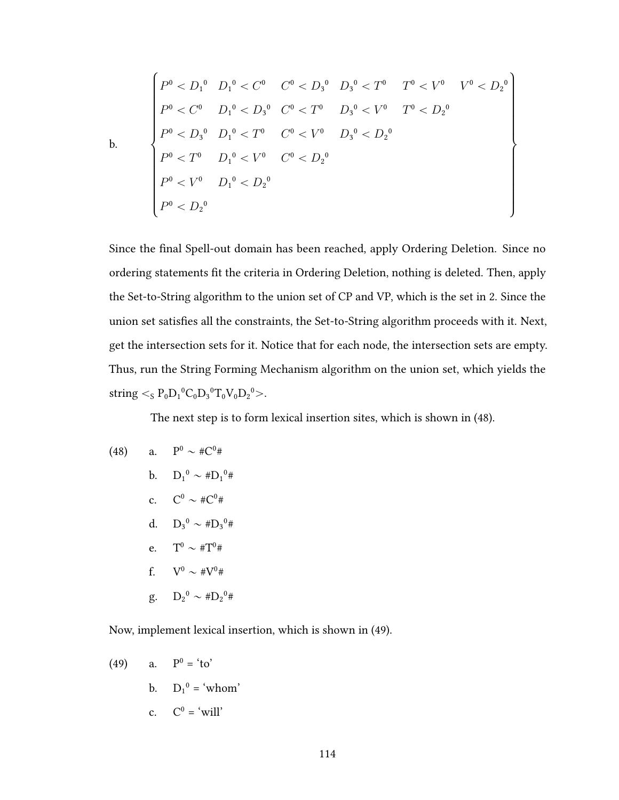$$
P^{0} < D_{1}^{0} \quad D_{1}^{0} < C^{0} \quad C^{0} < D_{3}^{0} \quad D_{3}^{0} < T^{0} \quad T^{0} < V^{0} \quad V^{0} < D_{2}^{0}
$$
\n
$$
P^{0} < C^{0} \quad D_{1}^{0} < D_{3}^{0} \quad C^{0} < T^{0} \quad D_{3}^{0} < V^{0} \quad T^{0} < D_{2}^{0}
$$
\n
$$
P^{0} < D_{3}^{0} \quad D_{1}^{0} < T^{0} \quad C^{0} < V^{0} \quad D_{3}^{0} < D_{2}^{0}
$$
\n
$$
P^{0} < T^{0} \quad D_{1}^{0} < V^{0} \quad C^{0} < D_{2}^{0}
$$
\n
$$
P^{0} < V^{0} \quad D_{1}^{0} < D_{2}^{0}
$$
\n
$$
P^{0} < D_{2}^{0}
$$

Since the final Spell-out domain has been reached, apply Ordering Deletion. Since no ordering statements fit the criteria in Ordering Deletion, nothing is deleted. Then, apply the Set-to-String algorithm to the union set of CP and VP, which is the set in 2. Since the union set satisfies all the constraints, the Set-to-String algorithm proceeds with it. Next, get the intersection sets for it. Notice that for each node, the intersection sets are empty. Thus, run the String Forming Mechanism algorithm on the union set, which yields the string  $\langle S_{S} P_{0} D_{1} {}^{0}C_{0} D_{3} {}^{0}T_{0}V_{0} D_{2} {}^{0} \rangle.$ 

The next step is to form lexical insertion sites, which is shown in (48).

(48) a. 
$$
P^{0} \sim \#C^{0} \#
$$
  
\nb.  $D_{1}^{0} \sim \#D_{1}^{0} \#$   
\nc.  $C^{0} \sim \#C^{0} \#$   
\nd.  $D_{3}^{0} \sim \#D_{3}^{0} \#$   
\ne.  $T^{0} \sim \#T^{0} \#$   
\nf.  $V^{0} \sim \#V^{0} \#$   
\ng.  $D_{2}^{0} \sim \#D_{2}^{0} \#$ 

Now, implement lexical insertion, which is shown in (49).

(49) a. 
$$
P^0 = 'to'
$$
  
b. 
$$
D_1^0 = 'whom'
$$
  
c. 
$$
C^0 = 'will'
$$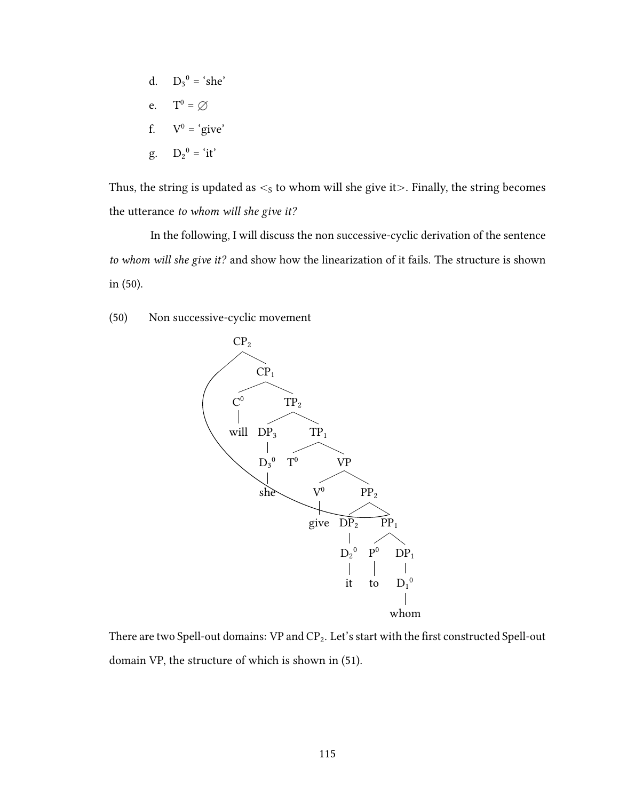d.  $D_3^0 = 'she'$ e.  $T^0 = \emptyset$ f.  $V^0 = 'give'$  $g.$   $D_2^0 = 'it'$ 

Thus, the string is updated as  $\lt$ <sub>s</sub> to whom will she give it $>$ . Finally, the string becomes the utterance to whom will she give it?

In the following, I will discuss the non successive-cyclic derivation of the sentence to whom will she give it? and show how the linearization of it fails. The structure is shown in (50).

(50) Non successive-cyclic movement



There are two Spell-out domains: VP and  $CP_2$ . Let's start with the first constructed Spell-out domain VP, the structure of which is shown in (51).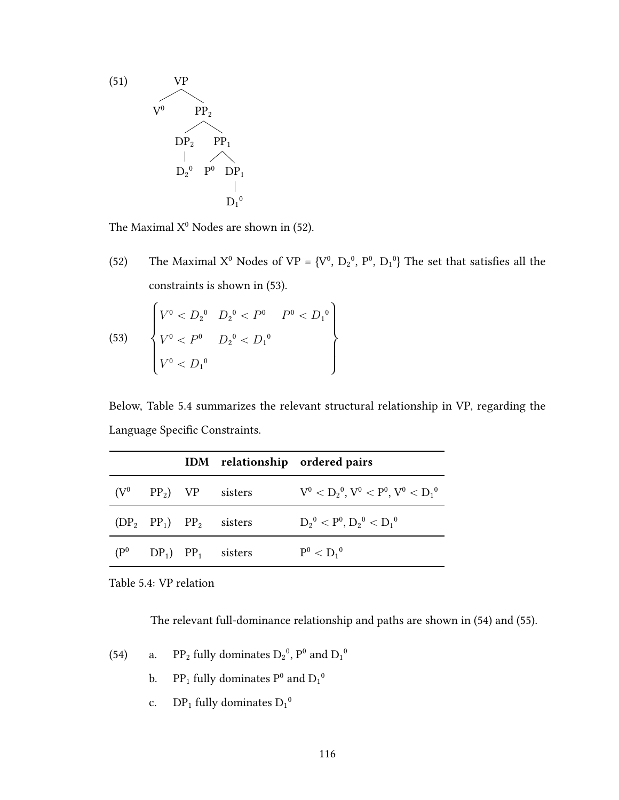

 $\overline{a}$ 

The Maximal  $X^0$  Nodes are shown in (52).

The Maximal X<sup>0</sup> Nodes of VP = {V<sup>0</sup>, D<sub>2</sub><sup>0</sup>, P<sup>0</sup>, D<sub>1</sub><sup>0</sup>} The set that satisfies all the  $(52)$ constraints is shown in (53).

(53) 
$$
\begin{cases} V^0 < D_2^0 & D_2^0 < P^0 & P^0 < D_1^0 \\ V^0 < P^0 & D_2^0 < D_1^0 \\ V^0 < D_1^0 & \end{cases}
$$

Below, Table 5.4 summarizes the relevant structural relationship in VP, regarding the Language Specific Constraints.

|                 |  |                                | IDM relationship ordered pairs              |
|-----------------|--|--------------------------------|---------------------------------------------|
|                 |  | $(V^0 \t PP_2) \t VP \t sites$ | $V^0 < D_2^0$ , $V^0 < P^0$ , $V^0 < D_1^0$ |
|                 |  | $(DP_2 PP_1) PP_2$ sisters     | $D_2^0 < P^0, D_2^0 < D_1^0$                |
| $(\mathrm{P}^0$ |  | $DP_1$ $PP_1$ sisters          | $P^0 < D_1{}^0$                             |

Table 5.4: VP relation

The relevant full-dominance relationship and paths are shown in (54) and (55).

- $PP_2$  fully dominates  $D_2{}^0$  ,  $P^0$  and  $D_1{}^0$  $(54)$ a.
	- $\text{PP}_1$  fully dominates  $\text{P}^0$  and  $\text{D}_1{}^0$ b.
	- $DP_1$  fully dominates  $D_1^0$ c.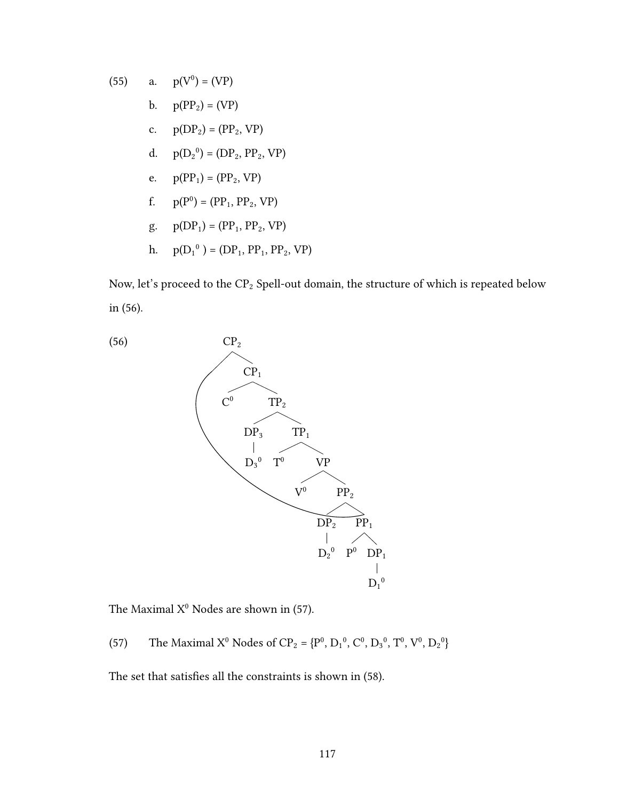(55) a. 
$$
p(V^0) = (VP)
$$
  
\nb.  $p(PP_2) = (VP)$   
\nc.  $p(DP_2) = (PP_2, VP)$   
\nd.  $p(D_2^0) = (DP_2, PP_2, VP)$   
\ne.  $p(PP_1) = (PP_2, VP)$   
\nf.  $p(P^0) = (PP_1, PP_2, VP)$   
\ng.  $p(DP_1) = (PP_1, PP_2, VP)$   
\nh.  $p(D_1^0) = (DP_1, PP_1, PP_2, VP)$ 

Now, let's proceed to the  $\text{CP}_2$  Spell-out domain, the structure of which is repeated below in (56).



The Maximal  $X^0$  Nodes are shown in (57).

(57) The Maximal X<sup>0</sup> Nodes of CP<sub>2</sub> = { $P^0$ ,  $D_1^0$ ,  $C^0$ ,  $D_3^0$ ,  $T^0$ ,  $V^0$ ,  $D_2^0$ }

The set that satisfies all the constraints is shown in (58).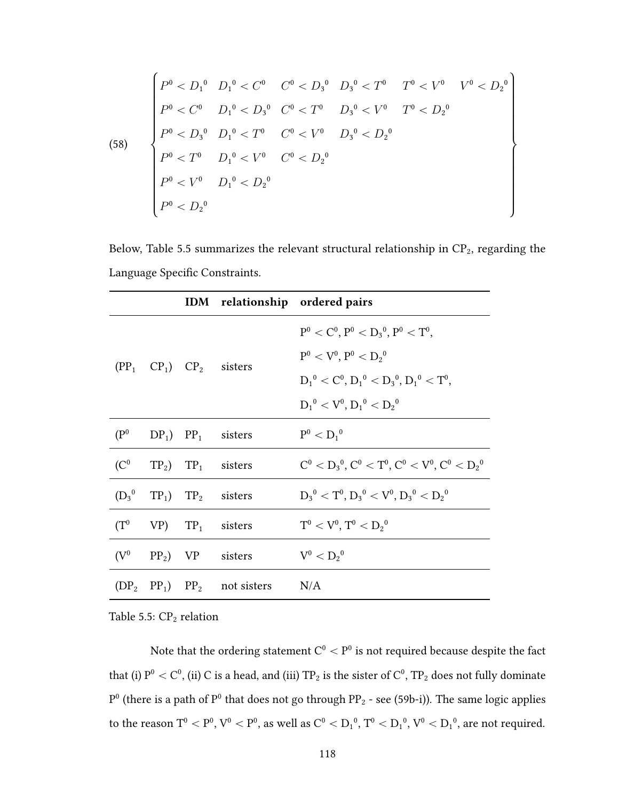(58) 
$$
\begin{cases} P^{0} < D_{1}^{0} & D_{1}^{0} < C^{0} & C^{0} < D_{3}^{0} & D_{3}^{0} < T^{0} & T^{0} < V^{0} & V^{0} < D_{2}^{0} \\ P^{0} < C^{0} & D_{1}^{0} < D_{3}^{0} & C^{0} < T^{0} & D_{3}^{0} < V^{0} & T^{0} < D_{2}^{0} \\ P^{0} < D_{3}^{0} & D_{1}^{0} < T^{0} & C^{0} < V^{0} & D_{3}^{0} < D_{2}^{0} \\ P^{0} < T^{0} & D_{1}^{0} < V^{0} & C^{0} < D_{2}^{0} & \\ P^{0} < V^{0} & D_{1}^{0} < D_{2}^{0} & & \\ P^{0} < D_{2}^{0} & & & \end{cases}
$$

Below, Table 5.5 summarizes the relevant structural relationship in  $CP_2$ , regarding the Language Specific Constraints.

|                   |  |                                                  | IDM relationship ordered pairs                            |
|-------------------|--|--------------------------------------------------|-----------------------------------------------------------|
|                   |  |                                                  | $P^0 < C^0$ , $P^0 < D_3^0$ , $P^0 < T^0$ ,               |
|                   |  | $(PP_1$ $CP_1)$ $CP_2$ sisters                   | $P^0 < V^0, P^0 < D_2^0$                                  |
|                   |  |                                                  | $D_1^0 < C^0$ , $D_1^0 < D_3^0$ , $D_1^0 < T^0$ ,         |
|                   |  |                                                  | $D_1^0 < V^0, D_1^0 < D_2^0$                              |
| (P <sup>0</sup> ) |  | $DP_1$ ) $PP_1$ sisters                          | $P^0 < D_1{}^0$                                           |
|                   |  | $(C^0$ TP <sub>2</sub> ) TP <sub>1</sub> sisters | $C^0 < D_3^0$ , $C^0 < T^0$ , $C^0 < V^0$ , $C^0 < D_2^0$ |
|                   |  | $(D_3^0 \t T P_1) \t T P_2$ sisters              | $D_3^0 < T^0$ , $D_3^0 < V^0$ , $D_3^0 < D_2^0$           |
|                   |  | $(T^0 \quad VP)$ $TP_1$ sisters                  | $T^0 < V^0$ , $T^0 < D_2^0$                               |
| (V <sup>0</sup> ) |  | $PP_2$ ) VP sisters                              | $V^0 < D_2{}^0$                                           |
|                   |  | $(DP_2 PP_1) PP_2$ not sisters                   | N/A                                                       |

Table 5.5:  $CP<sub>2</sub>$  relation

Note that the ordering statement  $C^0 < P^0$  is not required because despite the fact that (i)  $P^0 < C^0$ , (ii) C is a head, and (iii) TP<sub>2</sub> is the sister of  $C^0$ , TP<sub>2</sub> does not fully dominate  $P<sup>0</sup>$  (there is a path of  $P<sup>0</sup>$  that does not go through PP<sub>2</sub> - see (59b-i)). The same logic applies to the reason  $\rm T^0<\rm P^0,$   $\rm V^0<\rm P^0,$  as well as  $\rm C^0<\rm D_1^{\,0},$   $\rm T^0<\rm D_1^{\,0},$   $\rm V^0<\rm D_1^{\,0},$  are not required.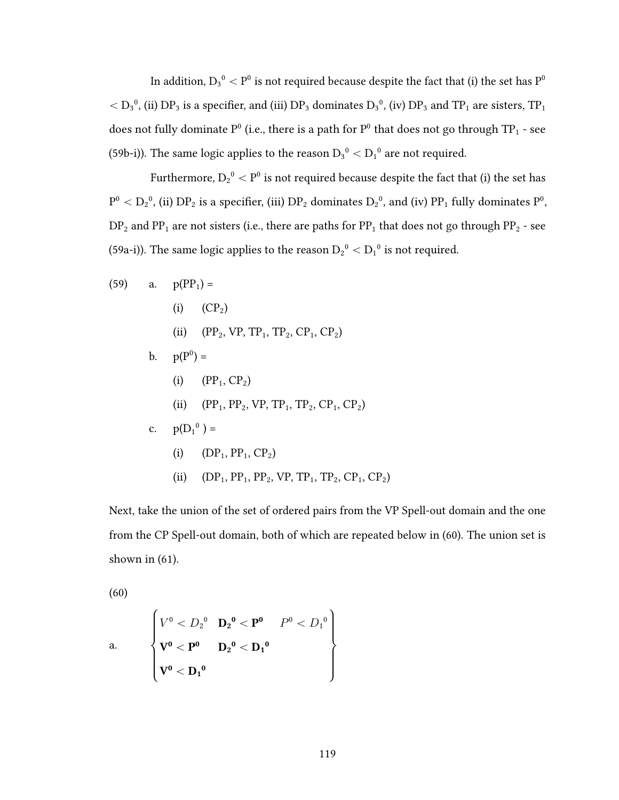In addition,  $D_3^0 < P^0$  is not required because despite the fact that (i) the set has  $P^0$  $<$   $\rm D_3^0,$  (ii)  $\rm DP_3$  is a specifier, and (iii)  $\rm DP_3$  dominates  $\rm D_3^0,$  (iv)  $\rm DP_3$  and  $\rm TP_1$  are sisters,  $\rm TP_1$ does not fully dominate  $P^0$  (i.e., there is a path for  $P^0$  that does not go through TP<sub>1</sub> - see (59b-i)). The same logic applies to the reason  $D_3^0 < D_1^0$  are not required.

Furthermore,  $D_2^0 < P^0$  is not required because despite the fact that (i) the set has  $P^0 < D_2^0$ , (ii)  $DP_2$  is a specifier, (iii)  $DP_2$  dominates  $D_2^0$ , and (iv)  $PP_1$  fully dominates  $P^0$ ,  $DP<sub>2</sub>$  and  $PP<sub>1</sub>$  are not sisters (i.e., there are paths for  $PP<sub>1</sub>$  that does not go through  $PP<sub>2</sub>$  - see (59a-i)). The same logic applies to the reason  $D_2{}^0 < D_1{}^0$  is not required.

(59) a. 
$$
p(PP_1) =
$$
  
\n(i)  $(CP_2)$   
\n(ii)  $(PP_2, VP, TP_1, TP_2, CP_1, CP_2)$   
\nb.  $p(P^0) =$   
\n(i)  $(PP_1, CP_2)$   
\n(ii)  $(PP_1, PP_2, VP, TP_1, TP_2, CP_1, CP_2)$   
\nc.  $p(D_1^0) =$   
\n(i)  $(DP_1, PP_1, CP_2)$   
\n(ii)  $(DP_1, PP_1, PP_2, VP, TP_1, TP_2, CP_1, CP_2)$ 

Next, take the union of the set of ordered pairs from the VP Spell-out domain and the one from the CP Spell-out domain, both of which are repeated below in (60). The union set is shown in  $(61)$ .

 $(60)$ 

a. 
$$
\begin{cases} V^0 < D_2{}^0 & \mathbf{D_2}^0 < \mathbf{P}^0 & P^0 < D_1{}^0 \\ \mathbf{V}^0 < \mathbf{P}^0 & \mathbf{D_2}^0 < \mathbf{D_1}^0 \\ \mathbf{V}^0 < \mathbf{D_1}^0 & \end{cases}
$$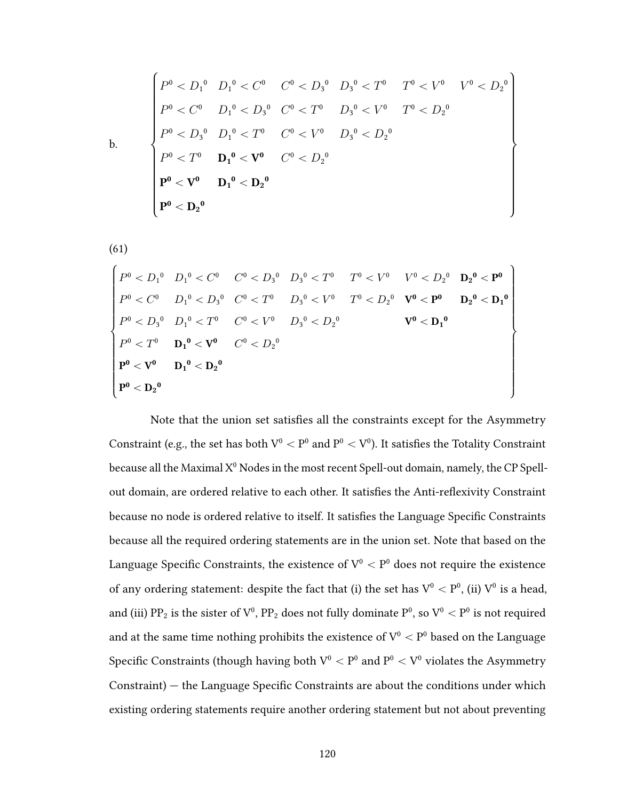$$
P^{0} < D_{1}^{0} & D_{1}^{0} < C^{0} & C^{0} < D_{3}^{0} & D_{3}^{0} < T^{0} & T^{0} < V^{0} & V^{0} < D_{2}^{0} \\ P^{0} < C^{0} & D_{1}^{0} < D_{3}^{0} & C^{0} < T^{0} & D_{3}^{0} < V^{0} & T^{0} < D_{2}^{0} \\ P^{0} < D_{3}^{0} & D_{1}^{0} < T^{0} & C^{0} < V^{0} & D_{3}^{0} < D_{2}^{0} \\ P^{0} < T^{0} & \mathbf{D}_{1}^{0} < \mathbf{V}^{0} & C^{0} < D_{2}^{0} \\ \mathbf{P}^{0} < \mathbf{V}^{0} & \mathbf{D}_{1}^{0} < \mathbf{D}_{2}^{0} & \\ \mathbf{P}^{0} < \mathbf{D}_{2}^{0} & \mathbf{D}_{3}^{0} < \mathbf{D}_{3}^{0} & \mathbf{D}_{3}^{0} < D_{3}^{0} \end{bmatrix}
$$

$$
(61)
$$

$$
\begin{cases}\nP^{0} < D_{1}^{0} & D_{1}^{0} < C^{0} \\
P^{0} < D_{1}^{0} < D_{2}^{0} \\
P^{0} < C^{0} & D_{1}^{0} < D_{3}^{0} \\
P^{0} < C^{0} & D_{1}^{0} < D_{3}^{0} \\
P^{0} < D_{3}^{0} & D_{1}^{0} < T^{0} \\
P^{0} < D_{3}^{0} & D_{1}^{0} < T^{0} \\
P^{0} < D_{3}^{0} & D_{1}^{0} < T^{0} \\
P^{0} < T^{0} & D_{1}^{0} < V^{0} \\
P^{0} < T^{0} & D_{1}^{0} < V^{0} \\
P^{0} < V^{0} & D_{2}^{0} \\
P^{0} < D_{2}^{0} \\
P^{0} < D_{2}^{0}\n\end{cases}\n\qquad\n\begin{cases}\nV^{0} < D_{2}^{0} & V^{0} < D_{2}^{0} \\
V^{0} < D_{1}^{0} < D_{2}^{0} \\
V^{0} < D_{2}^{0} & V^{0} \\
V^{0} < D_{2}^{0}\n\end{cases}
$$

Note that the union set satisfies all the constraints except for the Asymmetry Constraint (e.g., the set has both  $V^0 < P^0$  and  $P^0 < V^0$ ). It satisfies the Totality Constraint because all the Maximal  $X^0$  Nodes in the most recent Spell-out domain, namely, the CP Spellout domain, are ordered relative to each other. It satisfies the Anti-reflexivity Constraint because no node is ordered relative to itself. It satisfies the Language Specific Constraints because all the required ordering statements are in the union set. Note that based on the Language Specific Constraints, the existence of  $V^0 < P^0$  does not require the existence of any ordering statement: despite the fact that (i) the set has  $V^0 < P^0$ , (ii)  $V^0$  is a head, and (iii) PP<sub>2</sub> is the sister of  $V^0$ , PP<sub>2</sub> does not fully dominate P<sup>0</sup>, so  $V^0 < P^0$  is not required and at the same time nothing prohibits the existence of  $V^0 < P^0$  based on the Language Specific Constraints (though having both  $V^0 < P^0$  and  $P^0 < V^0$  violates the Asymmetry Constraint) – the Language Specific Constraints are about the conditions under which existing ordering statements require another ordering statement but not about preventing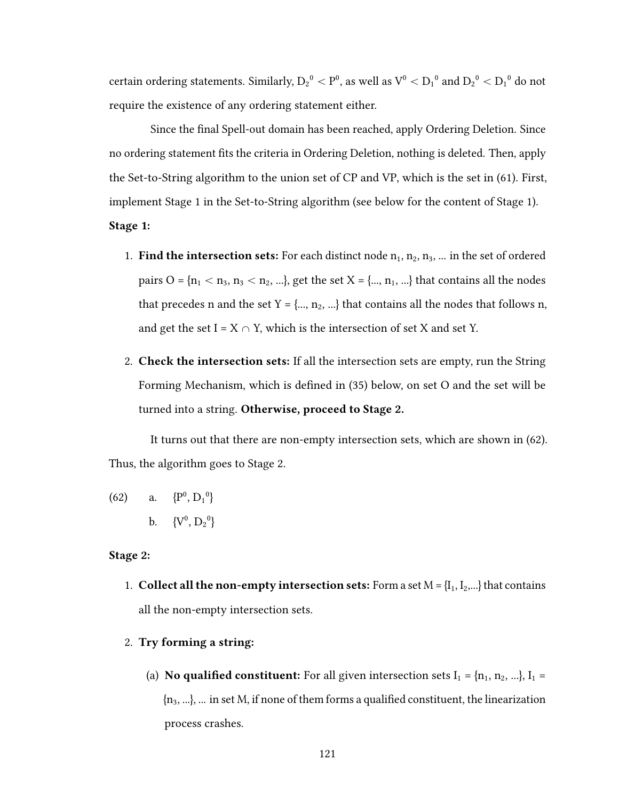certain ordering statements. Similarly,  ${\rm D_2}^{\rm 0} < {\rm P}^{\rm 0}$ , as well as  ${\rm V}^{\rm 0} < {\rm D_1}^{\rm 0}$  and  ${\rm D_2}^{\rm 0} < {\rm D_1}^{\rm 0}$  do not require the existence of any ordering statement either.

Since the final Spell-out domain has been reached, apply Ordering Deletion. Since no ordering statement fits the criteria in Ordering Deletion, nothing is deleted. Then, apply the Set-to-String algorithm to the union set of CP and VP, which is the set in (61). First, implement Stage 1 in the Set-to-String algorithm (see below for the content of Stage 1).

Stage 1:

- 1. Find the intersection sets: For each distinct node  $n_1, n_2, n_3, ...$  in the set of ordered pairs O =  $\{n_1 < n_3, n_3 < n_2, ...\}$ , get the set X =  $\{\ldots, n_1, ...\}$  that contains all the nodes that precedes n and the set  $Y = \{..., n_2, ...\}$  that contains all the nodes that follows n, and get the set  $I = X \cap Y$ , which is the intersection of set X and set Y.
- 2. **Check the intersection sets:** If all the intersection sets are empty, run the String Forming Mechanism, which is defined in (35) below, on set O and the set will be turned into a string. Otherwise, proceed to Stage 2.

It turns out that there are non-empty intersection sets, which are shown in (62). Thus, the algorithm goes to Stage 2.

(62) a.  $\{P^0, D_1^0\}$ b.  ${V^0, D_2^0}$ 

## Stage 2:

- 1. Collect all the non-empty intersection sets: Form a set  $M = \{I_1, I_2, ...\}$  that contains all the non-empty intersection sets.
- 2. Try forming a string:
	- (a) **No qualified constituent:** For all given intersection sets  $I_1 = \{n_1, n_2, ...\}$ ,  $I_1 =$  ${n_3, ...}$ , ... in set M, if none of them forms a qualified constituent, the linearization process crashes.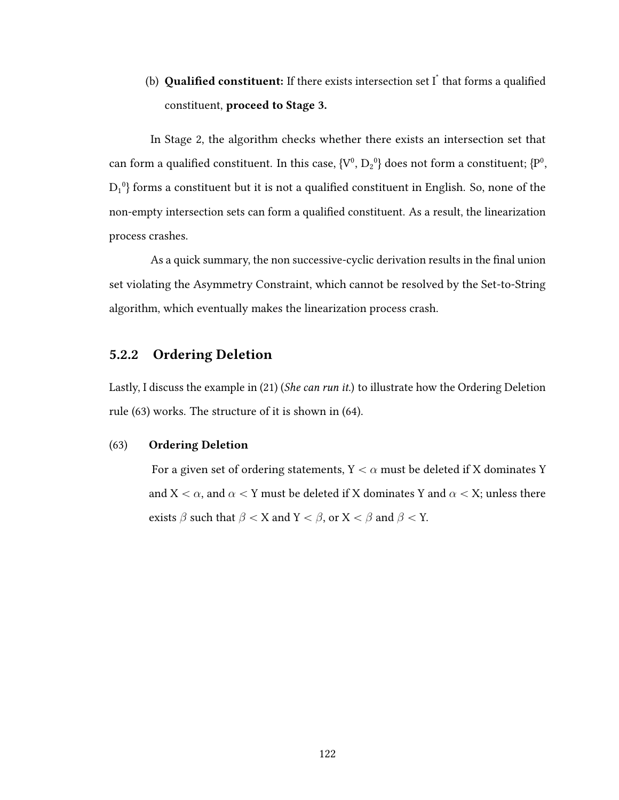# (b) **Qualified constituent:** If there exists intersection set  $I^*$  that forms a qualified constituent, proceed to Stage 3.

In Stage 2, the algorithm checks whether there exists an intersection set that can form a qualified constituent. In this case,  ${V^0, D_2^0}$  does not form a constituent;  ${P^0,}$  $D_1{}^0$ } forms a constituent but it is not a qualified constituent in English. So, none of the non-empty intersection sets can form a qualified constituent. As a result, the linearization process crashes.

As a quick summary, the non successive-cyclic derivation results in the final union set violating the Asymmetry Constraint, which cannot be resolved by the Set-to-String algorithm, which eventually makes the linearization process crash.

## 5.2.2 Ordering Deletion

Lastly, I discuss the example in (21) (She can run it.) to illustrate how the Ordering Deletion rule (63) works. The structure of it is shown in (64).

## (63) Ordering Deletion

For a given set of ordering statements,  $Y < \alpha$  must be deleted if X dominates Y and  $X < \alpha$ , and  $\alpha < Y$  must be deleted if X dominates Y and  $\alpha < X$ ; unless there exists  $\beta$  such that  $\beta < X$  and  $Y < \beta$ , or  $X < \beta$  and  $\beta < Y$ .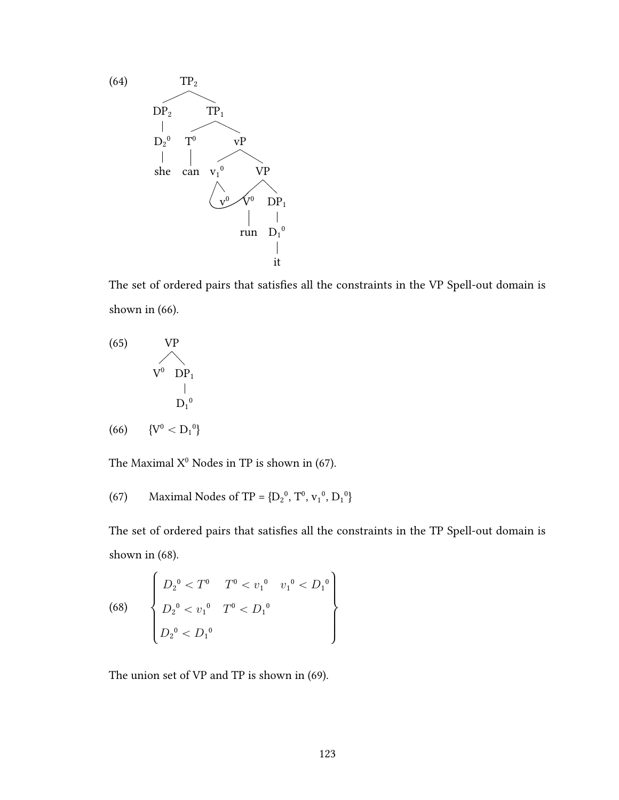

The set of ordered pairs that satisfies all the constraints in the VP Spell-out domain is shown in (66).

(65) VP  
\n
$$
V^{0} \t D P_{1}
$$
\n
$$
D_{1}^{0}
$$
\n(66) 
$$
\{V^{0} < D_{1}^{0}\}
$$

The Maximal  $X^0$  Nodes in TP is shown in (67).

(67) Maximal Nodes of TP = {
$$
D_2^0
$$
,  $T^0$ ,  $v_1^0$ ,  $D_1^0$ }

The set of ordered pairs that satisfies all the constraints in the TP Spell-out domain is shown in  $(68)$ .

(68) 
$$
\begin{cases} D_2^0 < T^0 < v_1^0 & v_1^0 < D_1^0 \\ D_2^0 < v_1^0 & T^0 < D_1^0 \\ D_2^0 < D_1^0 & \end{cases}
$$

The union set of VP and TP is shown in (69).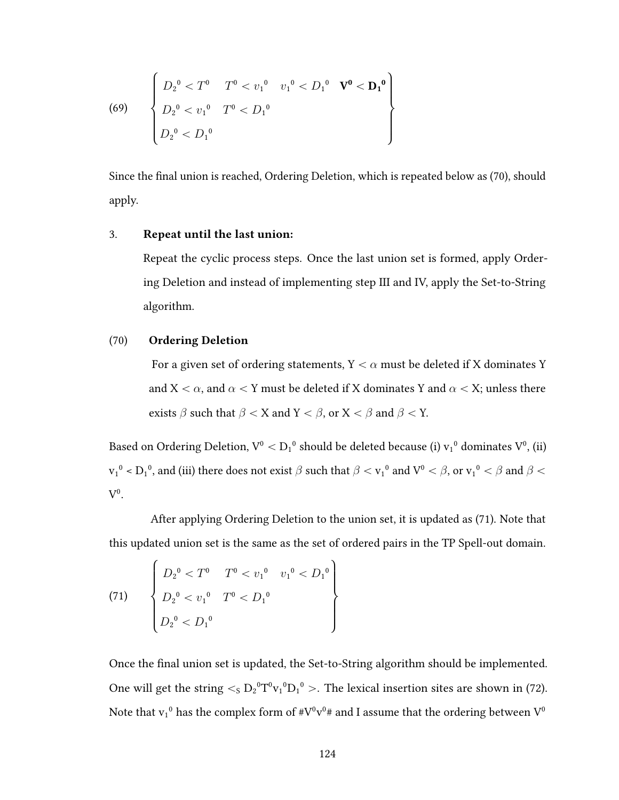(69) 
$$
\begin{cases} D_2^0 < T^0 & T^0 < v_1^0 < v_1^0 < D_1^0 & \mathbf{V}^0 < \mathbf{D_1}^0 \\ D_2^0 < v_1^0 & T^0 < D_1^0 \\ D_2^0 < D_1^0 & \end{cases}
$$

Since the final union is reached, Ordering Deletion, which is repeated below as (70), should apply.

#### 3. Repeat until the last union:

Repeat the cyclic process steps. Once the last union set is formed, apply Ordering Deletion and instead of implementing step III and IV, apply the Set-to-String algorithm.

#### $(70)$ **Ordering Deletion**

For a given set of ordering statements,  $Y < \alpha$  must be deleted if X dominates Y and  $X < \alpha$ , and  $\alpha < Y$  must be deleted if X dominates Y and  $\alpha < X$ ; unless there exists  $\beta$  such that  $\beta < X$  and  $Y < \beta$ , or  $X < \beta$  and  $\beta < Y$ .

Based on Ordering Deletion,  $V^0 < D_1^0$  should be deleted because (i)  $v_1^0$  dominates  $V^0$ , (ii)  $v_1^0$  <  $D_1^0$ , and (iii) there does not exist  $\beta$  such that  $\beta < v_1^0$  and  $V^0 < \beta$ , or  $v_1^0 < \beta$  and  $\beta <$  $V^0$ .

After applying Ordering Deletion to the union set, it is updated as (71). Note that this updated union set is the same as the set of ordered pairs in the TP Spell-out domain.

(71) 
$$
\begin{cases} D_2^0 < T^0 & T^0 < v_1^0 & v_1^0 < D_1^0 \\ D_2^0 < v_1^0 & T^0 < D_1^0 \\ D_2^0 < D_1^0 & D_2^0 \end{cases}
$$

Once the final union set is updated, the Set-to-String algorithm should be implemented. One will get the string  $\lt_S D_2^0 T^0 v_1^0 D_1^0$ . The lexical insertion sites are shown in (72). Note that  $v_1{}^0$  has the complex form of  $\#V^0v^0\#$  and I assume that the ordering between  $V^0$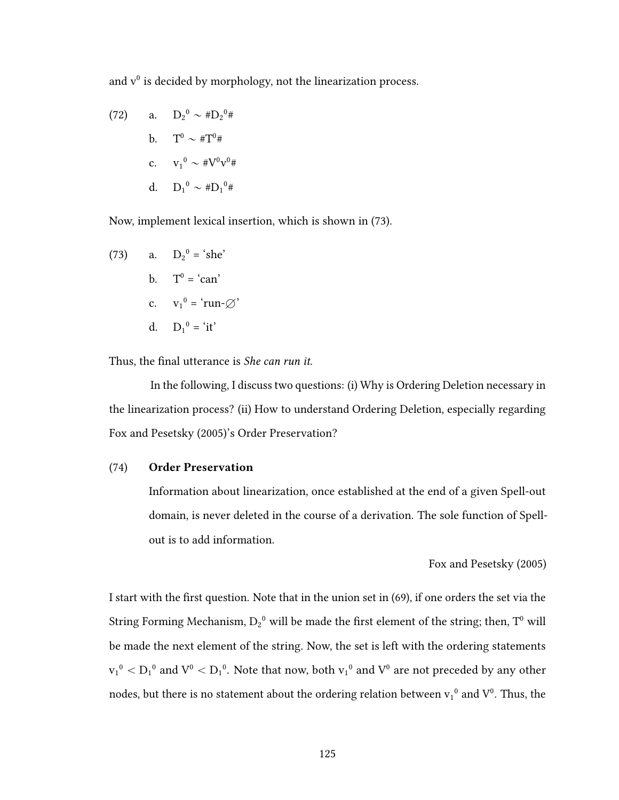and  $v^0$  is decided by morphology, not the linearization process.

(72) a. 
$$
D_2^0 \sim #D_2^0#
$$
  
\nb.  $T^0 \sim #T^0#$   
\nc.  $v_1^0 \sim #V^0v^0#$   
\nd.  $D_1^0 \sim #D_1^0#$ 

Now, implement lexical insertion, which is shown in (73).

(73) a. 
$$
D_2^0 = 'she'
$$
  
\nb.  $T^0 = 'can'$   
\nc.  $v_1^0 = 'run-\varnothing'$   
\nd.  $D_1^0 = 'it'$ 

Thus, the final utterance is She can run it.

In the following, I discuss two questions: (i) Why is Ordering Deletion necessary in the linearization process? (ii) How to understand Ordering Deletion, especially regarding Fox and Pesetsky (2005)'s Order Preservation?

## (74) Order Preservation

Information about linearization, once established at the end of a given Spell-out domain, is never deleted in the course of a derivation. The sole function of Spellout is to add information.

## Fox and Pesetsky (2005)

I start with the first question. Note that in the union set in  $(69)$ , if one orders the set via the String Forming Mechanism,  $D_2^0$  will be made the first element of the string; then,  $T^0$  will be made the next element of the string. Now, the set is left with the ordering statements  $v_1{}^0 < D_1{}^0$  and  $V^0 < D_1{}^0$ . Note that now, both  $v_1{}^0$  and  $V^0$  are not preceded by any other nodes, but there is no statement about the ordering relation between  $v_1^0$  and  $V^0$ . Thus, the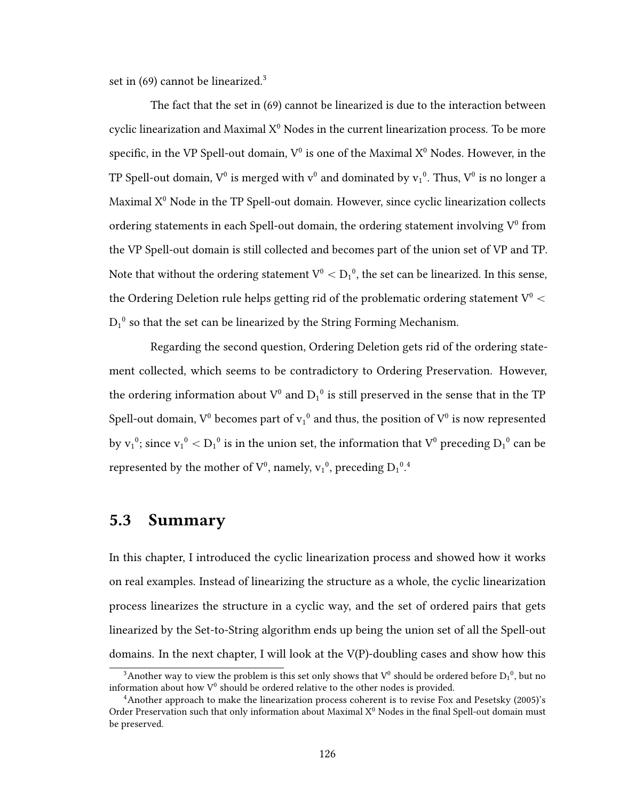set in  $(69)$  cannot be linearized.<sup>3</sup>

The fact that the set in (69) cannot be linearized is due to the interaction between cyclic linearization and Maximal  $X^0$  Nodes in the current linearization process. To be more specific, in the VP Spell-out domain,  $V^0$  is one of the Maximal  $X^0$  Nodes. However, in the TP Spell-out domain,  $V^0$  is merged with  $v^0$  and dominated by  $v_1^0$ . Thus,  $V^0$  is no longer a Maximal  $X^0$  Node in the TP Spell-out domain. However, since cyclic linearization collects ordering statements in each Spell-out domain, the ordering statement involving  $V^0$  from the VP Spell-out domain is still collected and becomes part of the union set of VP and TP. Note that without the ordering statement  $\rm V^0 < D_1{}^0,$  the set can be linearized. In this sense, the Ordering Deletion rule helps getting rid of the problematic ordering statement  $V^0$   $<$  $D_1^0$  so that the set can be linearized by the String Forming Mechanism.

Regarding the second question, Ordering Deletion gets rid of the ordering statement collected, which seems to be contradictory to Ordering Preservation. However, the ordering information about  $V^0$  and  $D_1{}^0$  is still preserved in the sense that in the TP Spell-out domain,  $V^0$  becomes part of  $v_1{}^0$  and thus, the position of  $V^0$  is now represented by  $v_1^{\,0}$ ; since  $v_1^{\,0} < D_1^{\,0}$  is in the union set, the information that  $V^0$  preceding  $D_1^{\,0}$  can be represented by the mother of  $V^0$ , namely,  $v_1^0$ , preceding  $D_1^0$ .

# 5.3 Summary

In this chapter, I introduced the cyclic linearization process and showed how it works on real examples. Instead of linearizing the structure as a whole, the cyclic linearization process linearizes the structure in a cyclic way, and the set of ordered pairs that gets linearized by the Set-to-String algorithm ends up being the union set of all the Spell-out domains. In the next chapter, I will look at the V(P)-doubling cases and show how this

<sup>&</sup>lt;sup>3</sup>Another way to view the problem is this set only shows that  $V^0$  should be ordered before  $D_1{}^0$ , but no information about how  $V^0$  should be ordered relative to the other nodes is provided.

<sup>&</sup>lt;sup>4</sup> Another approach to make the linearization process coherent is to revise Fox and Pesetsky (2005)'s Order Preservation such that only information about Maximal  $X^0$  Nodes in the final Spell-out domain must be preserved.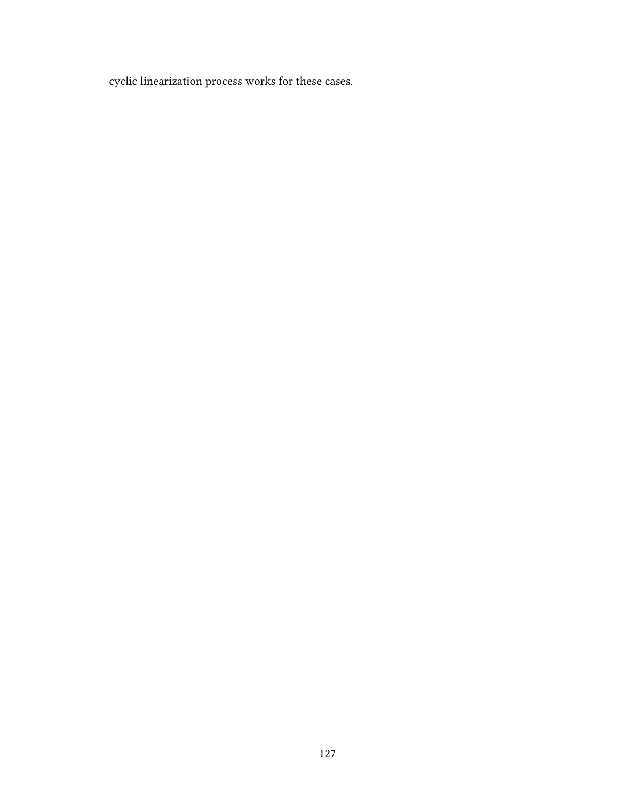cyclic linearization process works for these cases.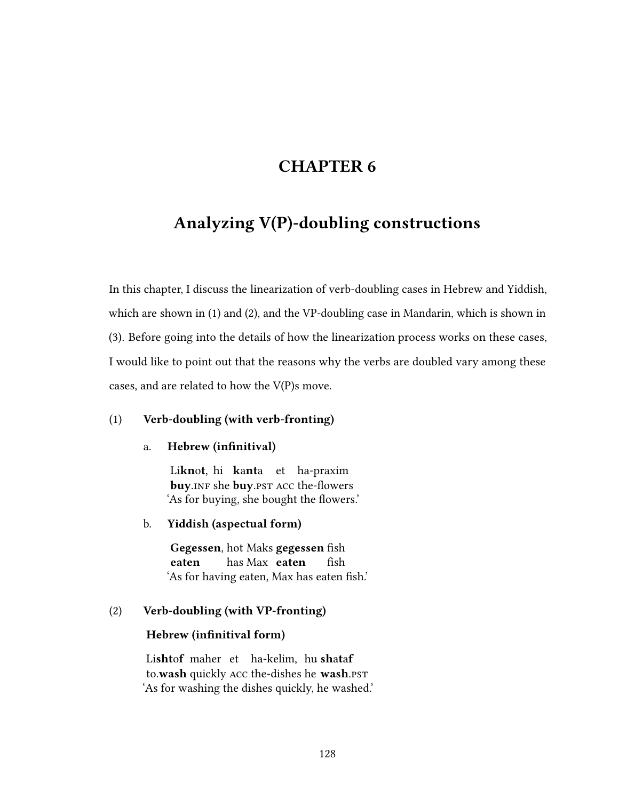# CHAPTER 6

# Analyzing V(P)-doubling constructions

In this chapter, I discuss the linearization of verb-doubling cases in Hebrew and Yiddish, which are shown in (1) and (2), and the VP-doubling case in Mandarin, which is shown in (3). Before going into the details of how the linearization process works on these cases, I would like to point out that the reasons why the verbs are doubled vary among these cases, and are related to how the V(P)s move.

## (1) Verb-doubling (with verb-fronting)

## a. Hebrew (infinitival)

Li**knot**, hi **kanta** et ha-praxim buy.INF she buy.PST ACC the-flowers 'As for buying, she bought the flowers.'

## b. Yiddish (aspectual form)

Gegessen, hot Maks gegessen fish eaten has Max eaten fish 'As for having eaten, Max has eaten fish.'

## (2) Verb-doubling (with VP-fronting)

## Hebrew (infinitival form)

Lishtof maher et ha-kelim, hushataf to.wash quickly Acc the-dishes he wash.pst 'As for washing the dishes quickly, he washed.'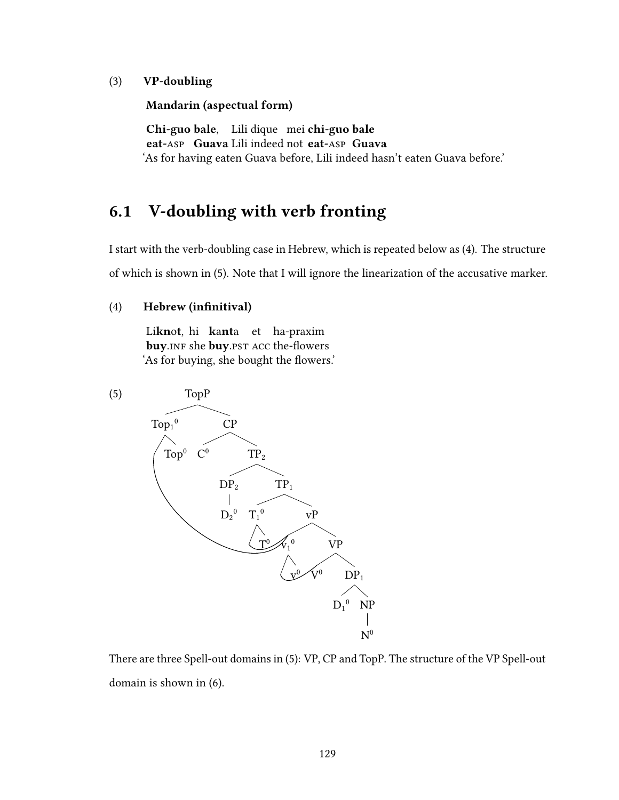### (3) VP-doubling

Mandarin (aspectual form)

Chi-guo bale. Lili dique mei chi-guo bale eat-Asp Guava Lili indeed not eat-Asp Guava 'As for having eaten Guava before, Lili indeed hasn't eaten Guava before.'

# 6.1 V-doubling with verb fronting

I start with the verb-doubling case in Hebrew, which is repeated below as (4). The structure of which is shown in (5). Note that I will ignore the linearization of the accusative marker.

### (4) Hebrew (infinitival)

Li**knot**, hi **kanta** et ha-praxim buy.INF she buy.PST ACC the-flowers 'As for buying, she bought the flowers.'



There are three Spell-out domains in (5): VP, CP and TopP. The structure of the VP Spell-out domain is shown in (6).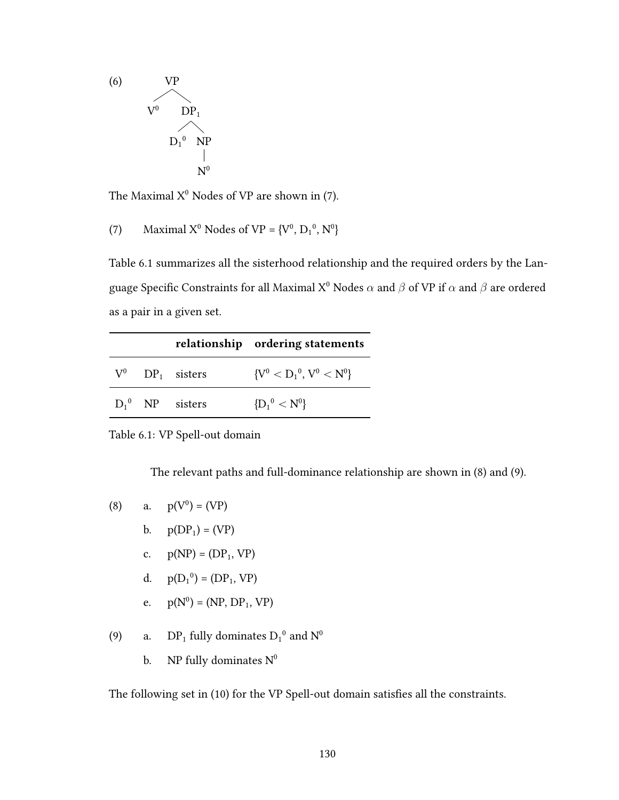

The Maximal  $X^0$  Nodes of VP are shown in (7).

(7) Maximal 
$$
X^0
$$
 Nodes of VP =  $\{V^0, D_1^0, N^0\}$ 

Table 6.1 summarizes all the sisterhood relationship and the required orders by the Language Specific Constraints for all Maximal  $X^0$  Nodes  $\alpha$  and  $\beta$  of VP if  $\alpha$  and  $\beta$  are ordered as a pair in a given set.

|  |                               | relationship ordering statements |
|--|-------------------------------|----------------------------------|
|  | $V^0$ DP <sub>1</sub> sisters | ${V^0 < D_1^0, V^0 < N^0}$       |
|  | $D_1^0$ NP sisters            | ${D_1}^0 < N^0$                  |

Table 6.1: VP Spell-out domain

The relevant paths and full-dominance relationship are shown in (8) and (9).

(8) a. 
$$
p(V^0) = (VP)
$$
  
\nb.  $p(DP_1) = (VP)$   
\nc.  $p(NP) = (DP_1, VP)$   
\nd.  $p(D_1^0) = (DP_1, VP)$ 

e. 
$$
p(N^0) = (NP, DP_1, VP)
$$

(9) a.  $DP_1$  fully dominates  $D_1^0$  and  $N^0$ 

b.  $\quad$  NP fully dominates  $N^0$ 

The following set in (10) for the VP Spell-out domain satisfies all the constraints.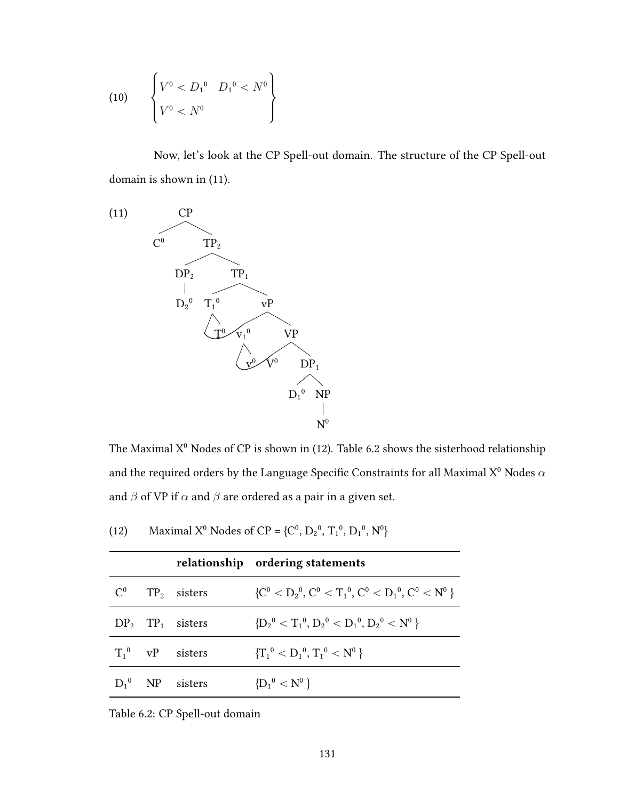(10) 
$$
\begin{cases} V^0 < D_1^0 & D_1^0 < N^0 \\ V^0 < N^0 \end{cases}
$$

Now, let's look at the CP Spell-out domain. The structure of the CP Spell-out domain is shown in (11).



The Maximal  $X^0$  Nodes of CP is shown in (12). Table 6.2 shows the sisterhood relationship and the required orders by the Language Specific Constraints for all Maximal  $X^0$  Nodes  $\alpha$ and  $\beta$  of VP if  $\alpha$  and  $\beta$  are ordered as a pair in a given set.

|       |                                | relationship ordering statements                     |
|-------|--------------------------------|------------------------------------------------------|
| $C^0$ | $TP2$ sisters                  | ${C^0 < D_2^0, C^0 < T_1^0, C^0 < D_1^0, C^0 < N^0}$ |
|       | $DP_2$ TP <sub>1</sub> sisters | ${D_2}^0 < T_1^0, D_2^0 < D_1^0, D_2^0 < N^0$        |
|       | $T_1^0$ vP sisters             | ${T_1}^0 < D_1^0, T_1^0 < N^0$                       |
|       | $D_1^0$ NP sisters             | ${D_1}^0 < N^0$                                      |

| (12) | Maximal $X^0$ Nodes of CP = { $C^0$ , $D_2^0$ , $T_1^0$ , $D_1^0$ , $N^0$ } |
|------|-----------------------------------------------------------------------------|
|      |                                                                             |

Table 6.2: CP Spell-out domain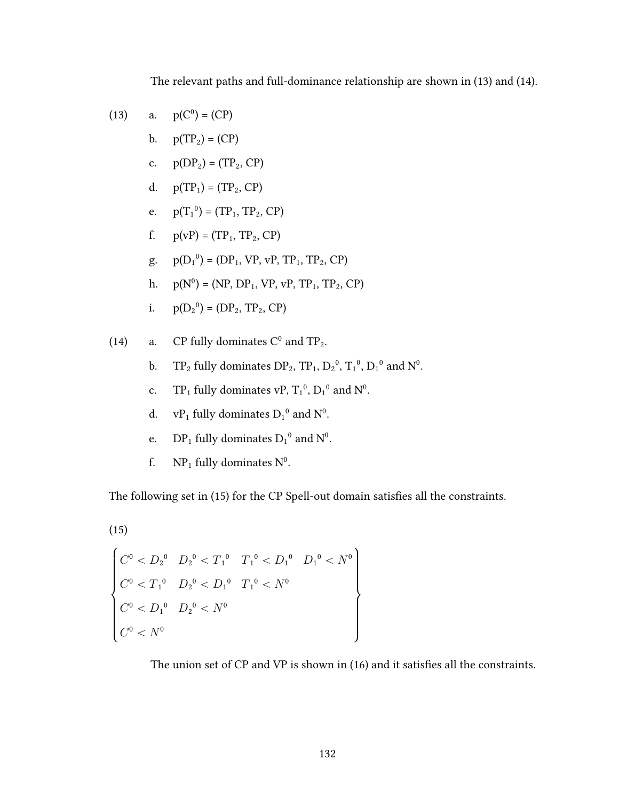The relevant paths and full-dominance relationship are shown in (13) and (14).

(13) a. 
$$
p(C^0) = (CP)
$$

- $\mathbf{b}$ .  $p(TP_2) = (CP)$
- c.  $p(DP_2) = (TP_2, CP)$
- d.  $p(TP_1) = (TP_2, CP)$
- e.  $p(T_1^0) = (TP_1, TP_2, CP)$
- f.  $p(vP) = (TP_1, TP_2, CP)$
- g.  $p(D_1^0) = (DP_1, VP, vP, TP_1, TP_2, CP)$
- $p(N^0) = (NP, DP_1, VP, VP, TP_1, TP_2, CP)$ h.
- $p(D_2^0) = (DP_2, TP_2, CP)$ i.
- CP fully dominates  $C^0$  and  $TP_2$ .  $(14)$ a.
	- $TP_2$  fully dominates  $DP_2$ ,  $TP_1$ ,  $D_2^0$ ,  $T_1^0$ ,  $D_1^0$  and  $N^0$ .  $\mathbf{b}$ .
	- $TP_1$  fully dominates vP,  $T_1^0$ ,  $D_1^0$  and  $N^0$ .  $\mathbf{c}$ .
	- $vP_1$  fully dominates  $D_1^0$  and  $N^0$ . d.
	- $DP_1$  fully dominates  $D_1^0$  and  $N^0$ . e.
	- $NP_1$  fully dominates  $N^0$ . f.

The following set in (15) for the CP Spell-out domain satisfies all the constraints.

$$
(15)
$$

$$
\begin{cases}\nC^0 < D_2{}^0 & D_2{}^0 < T_1{}^0 & T_1{}^0 < D_1{}^0 & D_1{}^0 < N^0 \\
C^0 < T_1{}^0 & D_2{}^0 < D_1{}^0 & T_1{}^0 < N^0 \\
C^0 < D_1{}^0 & D_2{}^0 < N^0 \\
C^0 < N^0 & & \n\end{cases}
$$

The union set of CP and VP is shown in (16) and it satisfies all the constraints.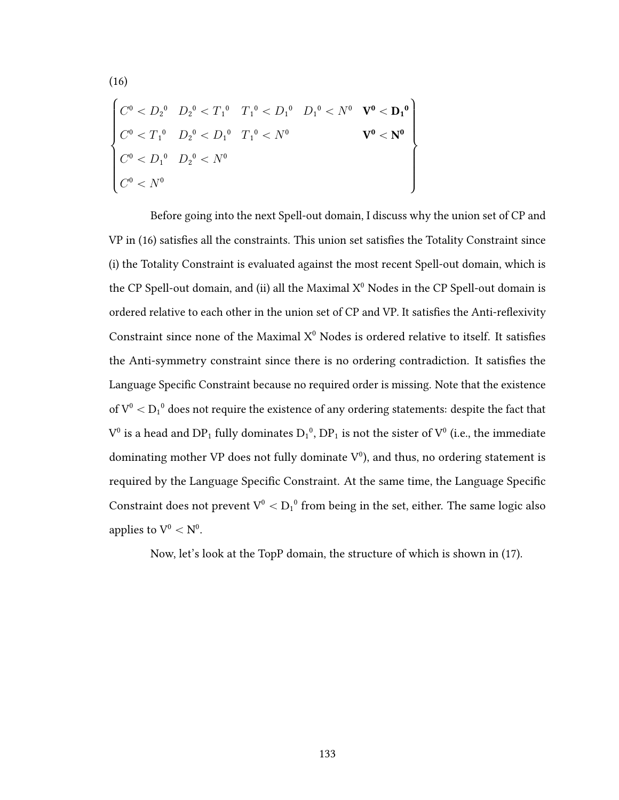$$
\begin{cases}\nC^0 < D_2^0 & D_2^0 < T_1^0 & T_1^0 < D_1^0 & D_1^0 < N^0 & \mathbf{V}^0 < \mathbf{D_1}^0 \\
C^0 < T_1^0 & D_2^0 < D_1^0 & T_1^0 < N^0 & \mathbf{V}^0 < \mathbf{N}^0 \\
C^0 < D_1^0 & D_2^0 < N^0 & \mathbf{V}^0 < \mathbf{N}^0\n\end{cases}
$$

 $(16)$ 

Before going into the next Spell-out domain, I discuss why the union set of CP and VP in (16) satisfies all the constraints. This union set satisfies the Totality Constraint since (i) the Totality Constraint is evaluated against the most recent Spell-out domain, which is the CP Spell-out domain, and (ii) all the Maximal X<sup>0</sup> Nodes in the CP Spell-out domain is ordered relative to each other in the union set of CP and VP. It satisfies the Anti-reflexivity Constraint since none of the Maximal  $X^0$  Nodes is ordered relative to itself. It satisfies the Anti-symmetry constraint since there is no ordering contradiction. It satisfies the Language Specific Constraint because no required order is missing. Note that the existence of  $V^0 < D_1^0$  does not require the existence of any ordering statements: despite the fact that  $V^0$  is a head and DP<sub>1</sub> fully dominates  $D_1^0$ , DP<sub>1</sub> is not the sister of  $V^0$  (i.e., the immediate dominating mother VP does not fully dominate  $V^0$ ), and thus, no ordering statement is required by the Language Specific Constraint. At the same time, the Language Specific Constraint does not prevent  $V^0 < D_1^0$  from being in the set, either. The same logic also applies to  $V^0 < N^0$ .

Now, let's look at the TopP domain, the structure of which is shown in (17).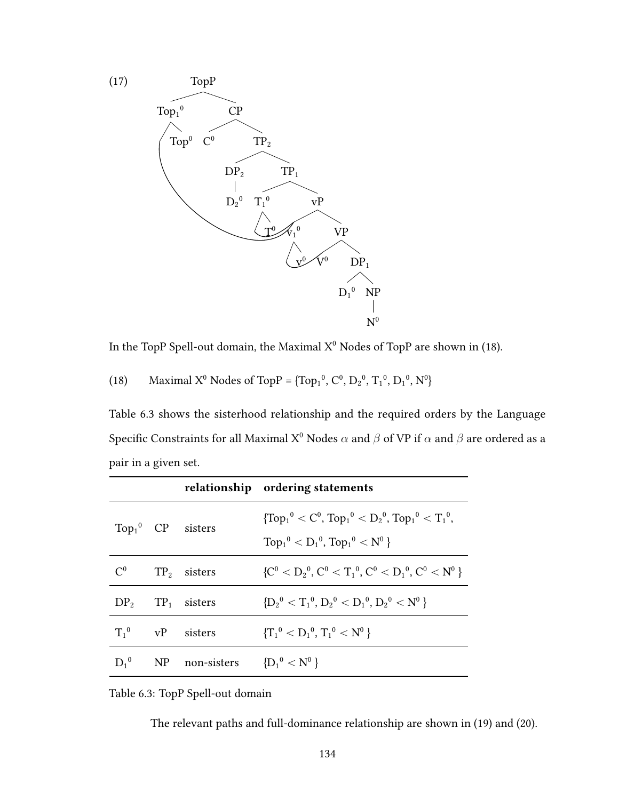

In the TopP Spell-out domain, the Maximal  $X^0$  Nodes of TopP are shown in (18).

(18) Maximal X<sup>0</sup> Nodes of TopP = {Top<sub>1</sub><sup>0</sup>, C<sup>0</sup>, D<sub>2</sub><sup>0</sup>, T<sub>1</sub><sup>0</sup>, D<sub>1</sub><sup>0</sup>, N<sup>0</sup>}

Table 6.3 shows the sisterhood relationship and the required orders by the Language Specific Constraints for all Maximal X<sup>0</sup> Nodes  $\alpha$  and  $\beta$  of VP if  $\alpha$  and  $\beta$  are ordered as a pair in a given set.

|           |                                | relationship ordering statements                                                                            |
|-----------|--------------------------------|-------------------------------------------------------------------------------------------------------------|
|           | $Top_1^0$ CP sisters           | ${Top_1}^0 < C^0$ , $Top_1$ <sup>0</sup> $< D_2$ <sup>0</sup> , $Top_1$ <sup>0</sup> $< T_1$ <sup>0</sup> , |
|           |                                | $Top_1^0 < D_1^0$ , $Top_1^0 < N^0$                                                                         |
| $C^0$     | $TP2$ sisters                  | ${C^0 < D_2^0, C^0 < T_1^0, C^0 < D_1^0, C^0 < N^0}$                                                        |
|           | $DP_2$ TP <sub>1</sub> sisters | ${D_2}^0 < T_1^0, D_2^0 < D_1^0, D_2^0 < N^0$                                                               |
| $T_1^0$   | vP sisters                     | ${T_1}^0 < D_1^0, T_1^0 < N^0$                                                                              |
| $D_1{}^0$ | NP non-sisters                 | ${D_1}^0 < N^0$                                                                                             |

Table 6.3: TopP Spell-out domain

The relevant paths and full-dominance relationship are shown in (19) and (20).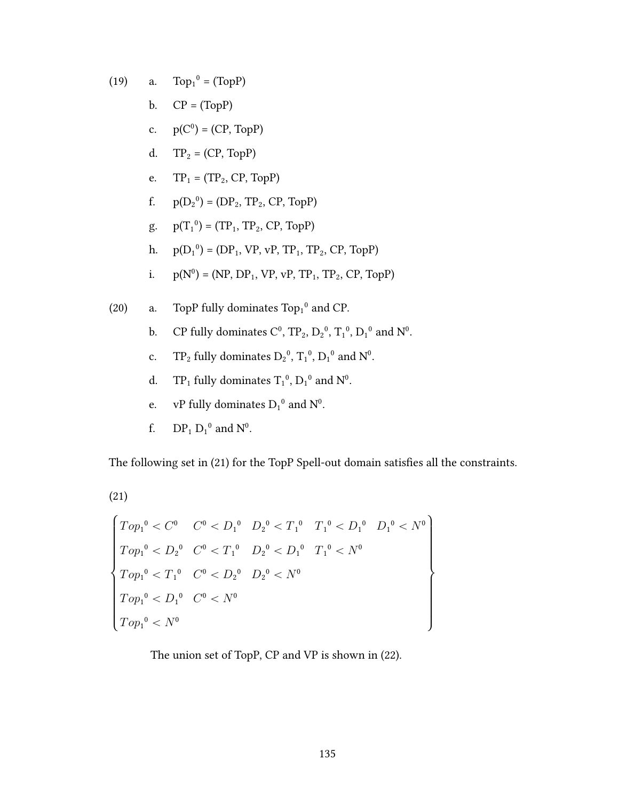$Top<sub>1</sub><sup>0</sup> = (TopP)$  $(19)$ a.

- $CP = (TopP)$  $\mathbf{b}$ .
- c.  $p(C^0) = (CP, TopP)$
- d.  $TP_2 = (CP, TopP)$
- $TP_1 = (TP_2, CP, TopP)$ e.
- $p(D_2^0) = (DP_2, TP_2, CP, TopP)$ f.
- $p(T_1^0) = (TP_1, TP_2, CP, TopP)$ g.
- h.  $p(D_1^0) = (DP_1, VP, vP, TP_1, TP_2, CP, TopP)$
- $p(N^0) = (NP, DP_1, VP, VP, TP_1, TP_2, CP, TopP)$  $i$ .
- TopP fully dominates Top<sub>1</sub><sup>0</sup> and CP.  $(20)$ a.
	- CP fully dominates  $C^0$  ,  $\text{TP}_2$  ,  $\text{D}_2{}^0$  ,  $\text{T}_1{}^0$  ,  $\text{D}_1{}^0$  and  $\text{N}^0$  . b.
	- $\mathcal{TP}_2$  fully dominates  $\mathrm{D_2}^0,$   $\mathrm{T_1}^0,$   $\mathrm{D_1}^0$  and  $\mathrm{N^0}.$  $\mathbf{c}$ .
	- $TP_1$  fully dominates  $T_1^0$  ,  $D_1^0$  and  $N^0$  .  $d.$
	- vP fully dominates  $D_1^0$  and  $N^0$ . e.
	- $DP_1 D_1^0$  and  $N^0$ . f.

The following set in (21) for the TopP Spell-out domain satisfies all the constraints.

$$
(21)
$$

$$
Top_{1}^{0} < C^{0} \quad C^{0} < D_{1}^{0} \quad D_{2}^{0} < T_{1}^{0} \quad T_{1}^{0} < D_{1}^{0} \quad D_{1}^{0} < N^{0}
$$
\n
$$
Top_{1}^{0} < D_{2}^{0} \quad C^{0} < T_{1}^{0} \quad D_{2}^{0} < D_{1}^{0} \quad T_{1}^{0} < N^{0}
$$
\n
$$
Top_{1}^{0} < T_{1}^{0} \quad C^{0} < D_{2}^{0} \quad D_{2}^{0} < N^{0}
$$
\n
$$
Top_{1}^{0} < D_{1}^{0} \quad C^{0} < N^{0}
$$
\n
$$
Top_{1}^{0} < N^{0}
$$

The union set of TopP, CP and VP is shown in (22).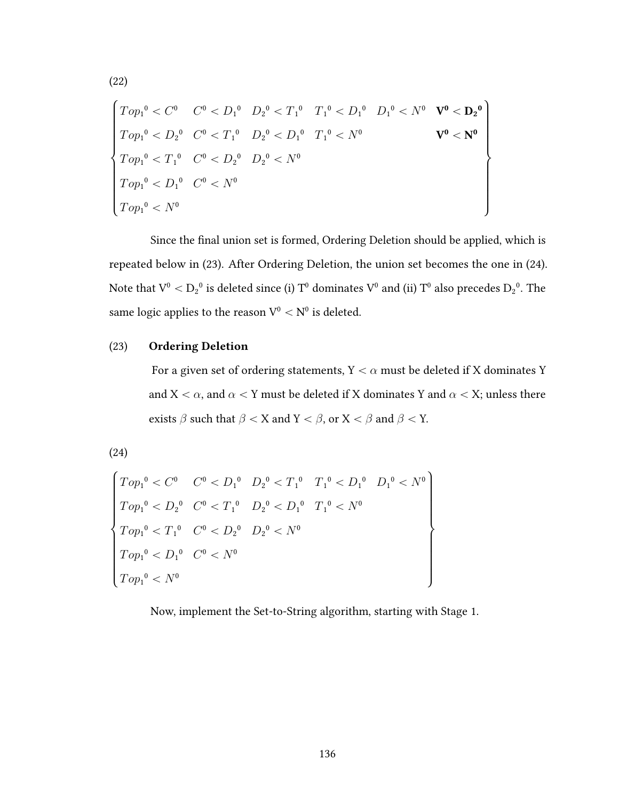$$
\begin{cases}\nTop_1^0 < C^0 & C^0 < D_1^0 & D_2^0 < T_1^0 & T_1^0 < D_1^0 & D_1^0 < N^0 & \mathbf{V}^0 < \mathbf{D}_2^0 \\
Top_1^0 < D_2^0 & C^0 < T_1^0 & D_2^0 < D_1^0 & T_1^0 < N^0 & \mathbf{V}^0 < \mathbf{N}^0 \\
Top_1^0 < T_1^0 & C^0 < D_2^0 & D_2^0 < N^0 & \n\end{cases}\n\quad\nTop_1^0 < D_1^0 & C^0 < N^0
$$
\n
$$
Top_1^0 < D_1^0 & C^0 < N^0
$$
\n
$$
Top_1^0 < N^0
$$

Since the final union set is formed, Ordering Deletion should be applied, which is repeated below in (23). After Ordering Deletion, the union set becomes the one in (24). Note that  $V^0 < D_2{}^0$  is deleted since (i)  $T^0$  dominates  $V^0$  and (ii)  $T^0$  also precedes  $D_2{}^0$  . The same logic applies to the reason  $\mathbf V^0<\mathbf N^0$  is deleted.

#### **Ordering Deletion**  $(23)$

For a given set of ordering statements, Y  $<\alpha$  must be deleted if X dominates Y and  $X < \alpha$ , and  $\alpha < Y$  must be deleted if X dominates Y and  $\alpha < X$ ; unless there exists  $\beta$  such that  $\beta < X$  and  $Y < \beta$ , or  $X < \beta$  and  $\beta < Y$ .

 $(24)$ 

$$
\begin{cases}\nTop_1^0 < C^0 & C^0 < D_1^0 & D_2^0 < T_1^0 & T_1^0 < D_1^0 & D_1^0 < N^0 \\
Top_1^0 < D_2^0 & C^0 < T_1^0 & D_2^0 < D_1^0 & T_1^0 < N^0 \\
Top_1^0 < T_1^0 & C^0 < D_2^0 & D_2^0 < N^0 \\
Top_1^0 < D_1^0 & C^0 < N^0 & \\
Top_1^0 < N^0 & & \n\end{cases}
$$

Now, implement the Set-to-String algorithm, starting with Stage 1.

 $(22)$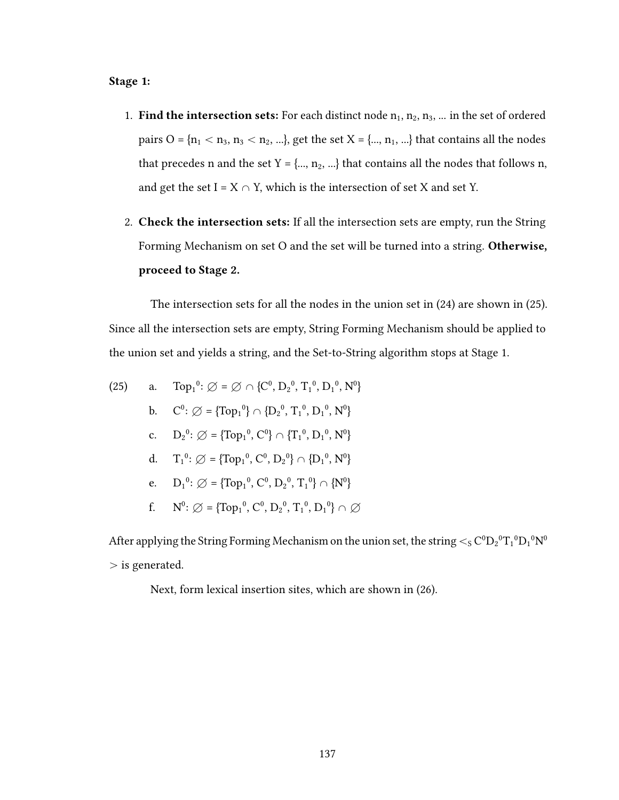### Stage 1:

- 1. Find the intersection sets: For each distinct node  $n_1, n_2, n_3, ...$  in the set of ordered pairs O = { $n_1$  <  $n_3$ ,  $n_3$  <  $n_2$ , ...}, get the set X = {...,  $n_1$ , ...} that contains all the nodes that precedes n and the set  $Y = \{..., n_2, ...\}$  that contains all the nodes that follows n, and get the set I =  $X \cap Y$ , which is the intersection of set X and set Y.
- 2. Check the intersection sets: If all the intersection sets are empty, run the String Forming Mechanism on set O and the set will be turned into a string. Otherwise, proceed to Stage 2.

The intersection sets for all the nodes in the union set in (24) are shown in (25). Since all the intersection sets are empty, String Forming Mechanism should be applied to the union set and yields a string, and the Set-to-String algorithm stops at Stage 1.

(25) a. Top<sub>1</sub><sup>0</sup>: 
$$
\emptyset = \emptyset \cap \{C^0, D_2^0, T_1^0, D_1^0, N^0\}
$$
  
\nb.  $C^0$ :  $\emptyset = \{Top_1^0\} \cap \{D_2^0, T_1^0, D_1^0, N^0\}$   
\nc.  $D_2^0$ :  $\emptyset = \{Top_1^0, C^0\} \cap \{T_1^0, D_1^0, N^0\}$   
\nd.  $T_1^0$ :  $\emptyset = \{Top_1^0, C^0, D_2^0\} \cap \{D_1^0, N^0\}$   
\ne.  $D_1^0$ :  $\emptyset = \{Top_1^0, C^0, D_2^0, T_1^0\} \cap \{N^0\}$   
\nf.  $N^0$ :  $\emptyset = \{Top_1^0, C^0, D_2^0, T_1^0, D_1^0\} \cap \emptyset$ 

After applying the String Forming Mechanism on the union set, the string  $<_S C^0 D_2{}^0 T_1{}^0 D_1{}^0 N^0$  $>$  is generated.

Next, form lexical insertion sites, which are shown in (26).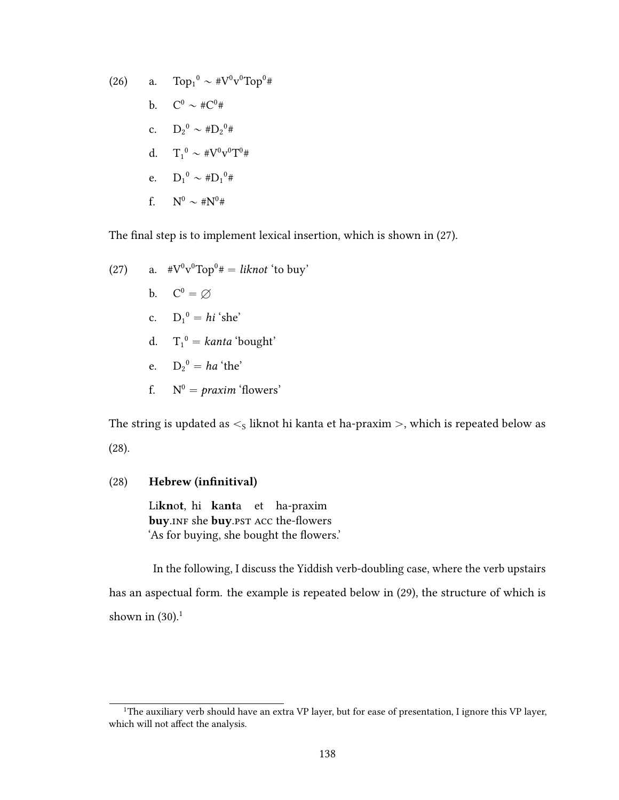(26) a. 
$$
\text{Top}_1^0 \sim #V^0v^0 \text{Top}^0 \#
$$
  
\nb.  $C^0 \sim #C^0 \#$   
\nc.  $D_2^0 \sim #D_2^0 \#$   
\nd.  $T_1^0 \sim #V^0v^0 \text{T}^0 \#$   
\ne.  $D_1^0 \sim #D_1^0 \#$   
\nf.  $N^0 \sim #N^0 \#$ 

The final step is to implement lexical insertion, which is shown in (27).

(27) a. 
$$
\#V^0v^0 \text{Top}^0 \# = \text{liknot 'to buy'}
$$
 b.  $C^0 = \emptyset$  c.  $D_1^0 = \text{hi 'she'}$  d.  $T_1^0 = \text{kanta 'bought'}$  e.  $D_2^0 = \text{ha 'the'}$ 

f. 
$$
N^0 = \text{proxim}^{\cdot}
$$
 flowers'

The string is updated as  $\lt$ <sub>s</sub> liknot hi kanta et ha-praxim  $>$ , which is repeated below as (28).

### (28) Hebrew (infinitival)

Liknot hi kanta et ha-praxim buy.INF she buy.PST ACC the-flowers 'As for buying, she bought the flowers.'

In the following, I discuss the Yiddish verb-doubling case, where the verb upstairs has an aspectual form. the example is repeated below in (29), the structure of which is shown in  $(30).<sup>1</sup>$ 

<sup>&</sup>lt;sup>1</sup>The auxiliary verb should have an extra VP layer, but for ease of presentation, I ignore this VP layer, which will not affect the analysis.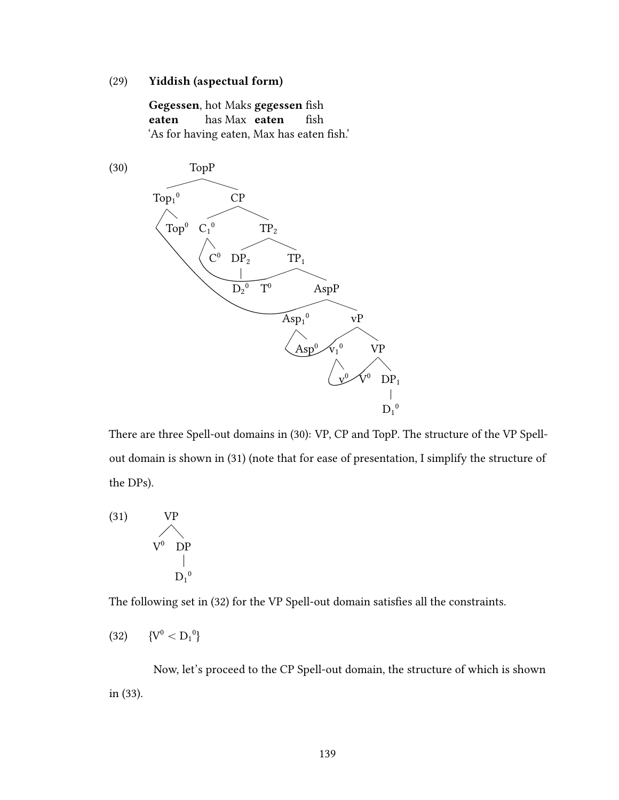## (29) Yiddish (aspectual form)

Gegessen, hot Maks gegessen fish eaten has Max eaten fish 'As for having eaten, Max has eaten fish.'



There are three Spell-out domains in (30): VP, CP and TopP. The structure of the VP Spellout domain is shown in (31) (note that for ease of presentation, I simplify the structure of the DPs).

(31) 
$$
VP
$$
  
\n $V^0 \t DP$   
\n $D_1^0$ 

The following set in (32) for the VP Spell-out domain satisfies all the constraints.

$$
(32) \qquad \{V^0 < D_1{}^0\}
$$

Now, let's proceed to the CP Spell-out domain, the structure of which is shown in (33).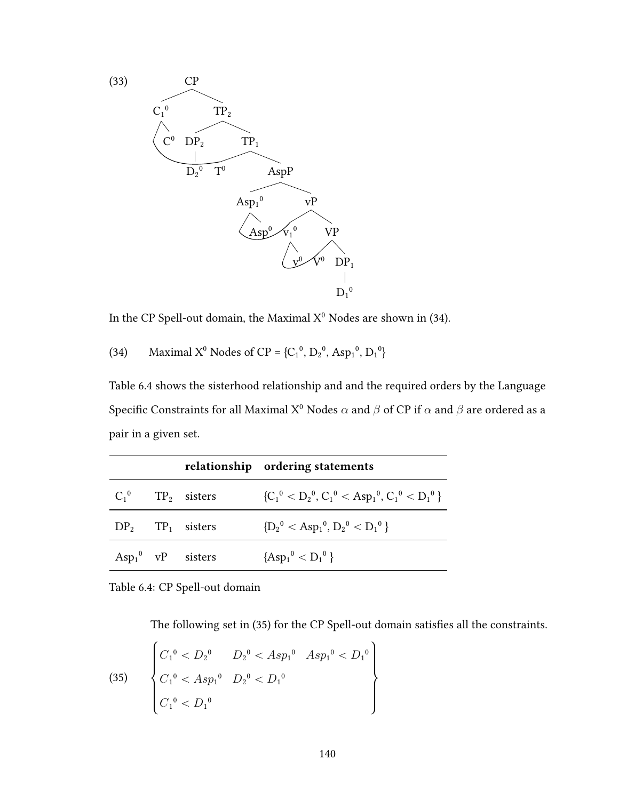

In the CP Spell-out domain, the Maximal  $\mathrm{X}^0$  Nodes are shown in (34).

Maximal X<sup>0</sup> Nodes of CP = {C<sub>1</sub><sup>0</sup>, D<sub>2</sub><sup>0</sup>, Asp<sub>1</sub><sup>0</sup>, D<sub>1</sub><sup>0</sup>}  $(34)$ 

Table 6.4 shows the sisterhood relationship and and the required orders by the Language Specific Constraints for all Maximal X<sup>0</sup> Nodes  $\alpha$  and  $\beta$  of CP if  $\alpha$  and  $\beta$  are ordered as a pair in a given set.

|  |                                   | relationship ordering statements                  |
|--|-----------------------------------|---------------------------------------------------|
|  | $C_1^0$ TP <sub>2</sub> sisters   | ${C_1}^0 < D_2^0, C_1^0 < Asp_1^0, C_1^0 < D_1^0$ |
|  | $DP_2$ TP <sub>1</sub> sisters    | ${D_2}^0 < Asp_1^0, D_2^0 < D_1^0$                |
|  | $Asp_1^0 \quad \text{vP}$ sisters | ${[Asp_1^0 < D_1^0]}$                             |

Table 6.4: CP Spell-out domain

The following set in (35) for the CP Spell-out domain satisfies all the constraints.

(35) 
$$
\begin{cases} C_1^0 & D_2^0 & Asp_1^0 & Asp_1^0 & D_1^0 \\ C_1^0 & Asp_1^0 & D_2^0 & D_1^0 \\ C_1^0 & D_2^0 & D_1^0 & D_1^0 \end{cases}
$$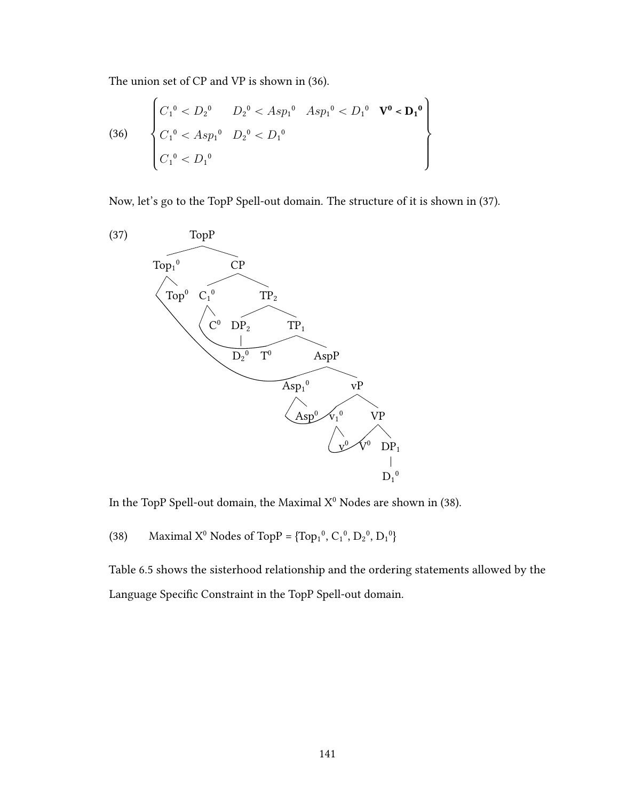The union set of CP and VP is shown in (36).

(36) 
$$
\begin{cases} C_1^0 < D_2^0 < A \, s p_1^0 & A \, s p_1^0 < D_1^0 & \mathbf{V}^0 < \mathbf{D_1}^0 \\ C_1^0 < A \, s p_1^0 & D_2^0 < D_1^0 \\ C_1^0 < D_1^0 & \end{cases}
$$

Now, let's go to the TopP Spell-out domain. The structure of it is shown in (37).



In the TopP Spell-out domain, the Maximal  $X^0$  Nodes are shown in (38).

Maximal X<sup>0</sup> Nodes of TopP =  $\{Top_1^0, C_1^0, D_2^0, D_1^0\}$  $(38)$ 

Table 6.5 shows the sisterhood relationship and the ordering statements allowed by the Language Specific Constraint in the TopP Spell-out domain.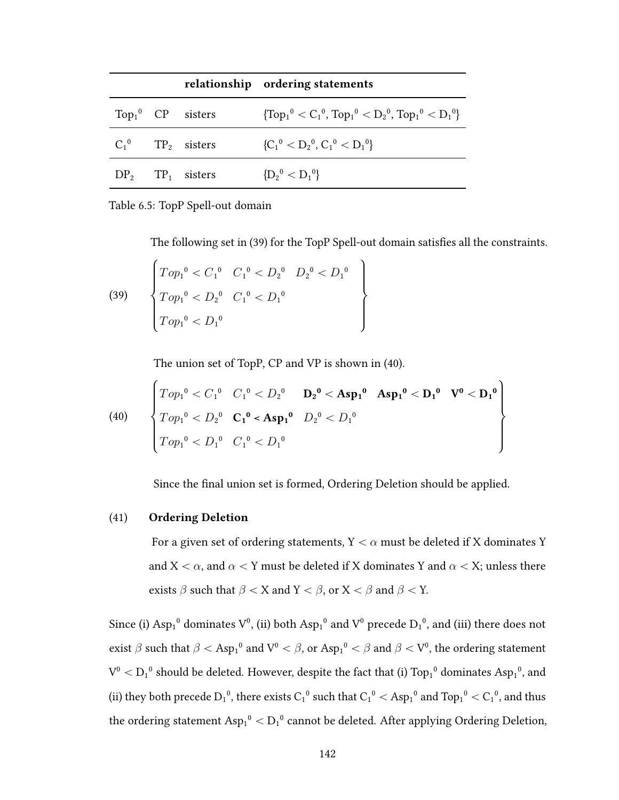|  |                                 | relationship ordering statements                              |
|--|---------------------------------|---------------------------------------------------------------|
|  | $Top_1^0$ CP sisters            | $\{Top_1^0 < C_1^0$ , $Top_1^0 < D_2^0$ , $Top_1^0 < D_1^0\}$ |
|  | $C_1^0$ TP <sub>2</sub> sisters | ${C_1}^0 < D_2^0, C_1^0 < D_1^0$                              |
|  | $DP_2$ TP <sub>1</sub> sisters  | ${D_2}^0 < D_1^0$                                             |

Table 6.5: TopP Spell-out domain

The following set in (39) for the TopP Spell-out domain satisfies all the constraints.

(39) 
$$
\begin{cases}\nTop_1^0 < C_1^0 & C_1^0 < D_2^0 & D_2^0 < D_1^0 \\
Top_1^0 < D_2^0 & C_1^0 < D_1^0 \\
Top_1^0 < D_1^0\n\end{cases}
$$

The union set of TopP, CP and VP is shown in (40).

(40) 
$$
\begin{cases}\nTop_1^0 < C_1^0 & C_1^0 < D_2^0 \\
Top_1^0 < D_2^0 & C_1^0 < A\text{sp}_1^0 \\
Top_1^0 < D_2^0 & C_1^0 < A\text{sp}_1^0 \\
Top_1^0 < D_1^0 & C_1^0 < D_1^0\n\end{cases}
$$

Since the final union set is formed, Ordering Deletion should be applied.

#### **Ordering Deletion**  $(41)$

For a given set of ordering statements,  $Y < \alpha$  must be deleted if X dominates Y and X <  $\alpha$ , and  $\alpha$  < Y must be deleted if X dominates Y and  $\alpha$  < X; unless there exists  $\beta$  such that  $\beta < X$  and  $Y < \beta$ , or  $X < \beta$  and  $\beta < Y$ .

Since (i)  $Asp_1^0$  dominates  $V^0$ , (ii) both  $Asp_1^0$  and  $V^0$  precede  $D_1^0$ , and (iii) there does not exist  $\beta$  such that  $\beta <$  Asp<sub>1</sub><sup>0</sup> and V<sup>0</sup> <  $\beta$ , or Asp<sub>1</sub><sup>0</sup> <  $\beta$  and  $\beta$  < V<sup>0</sup>, the ordering statement  $V^0 < D_1^0$  should be deleted. However, despite the fact that (i)  $Top_1^0$  dominates  $Asp_1^0$ , and (ii) they both precede  $D_1{}^0,$  there exists  $C_1{}^0$  such that  $C_1{}^0<$   ${\rm Asp}_1{}^0$  and  ${\rm Top}_1{}^0<$   $C_1{}^0,$  and thus the ordering statement  $\rm{Asp_{1}^0} < D_1^{\,0}$  cannot be deleted. After applying Ordering Deletion,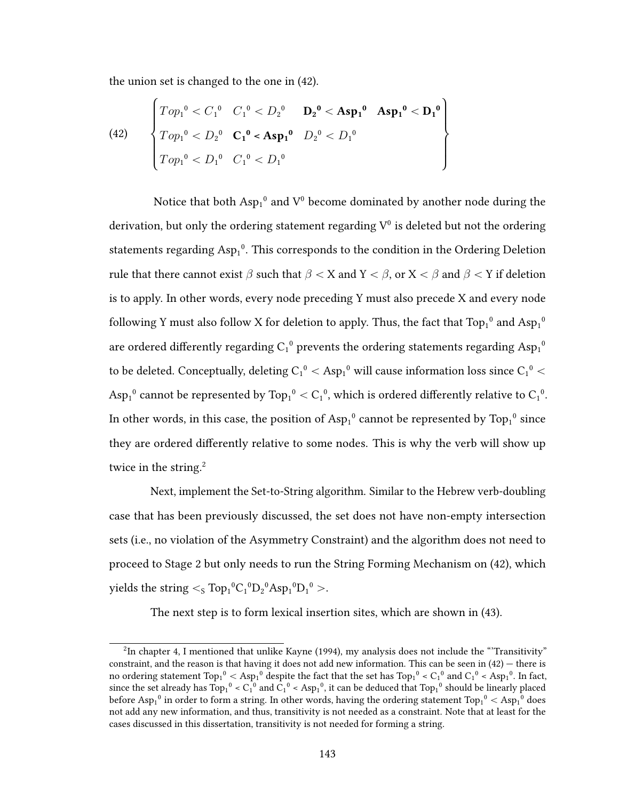the union set is changed to the one in (42).

(42) 
$$
\begin{cases}\nTop_1^0 < C_1^0 & C_1^0 < D_2^0 \\
Top_1^0 < D_2^0 & C_1^0 < A\text{sp}_1^0 \\
Top_1^0 < D_2^0 & C_1^0 < A\text{sp}_1^0 \\
Top_1^0 < D_1^0 & C_1^0 < D_1^0\n\end{cases}
$$

Notice that both  $Asp_1^0$  and  $V^0$  become dominated by another node during the derivation, but only the ordering statement regarding  $V^0$  is deleted but not the ordering statements regarding  $Asp_1^0$ . This corresponds to the condition in the Ordering Deletion rule that there cannot exist  $\beta$  such that  $\beta < X$  and  $Y < \beta$ , or  $X < \beta$  and  $\beta < Y$  if deletion is to apply. In other words, every node preceding Y must also precede X and every node following Y must also follow X for deletion to apply. Thus, the fact that  $\mathrm{Top}_1^{-0}$  and  $\mathrm{Asp}_1^{-0}$ are ordered differently regarding  $\mathrm{C_1}^0$  prevents the ordering statements regarding  $\mathrm{Asp}_1^{-0}$ to be deleted. Conceptually, deleting  $\rm C_1^{\,0}< A{\rm sp}_1^{\,0}$  will cause information loss since  $\rm C_1^{\,0}<$  $\text{Asp}_1^{\,0}$  cannot be represented by  $\text{Top}_1^{\,0} < C_1^{\,0},$  which is ordered differently relative to  $\text{C}_1^{\,0}.$ In other words, in this case, the position of  $Asp_1^0$  cannot be represented by  $Top_1^0$  since they are ordered differently relative to some nodes. This is why the verb will show up twice in the string. $2$ 

Next, implement the Set-to-String algorithm. Similar to the Hebrew verb-doubling case that has been previously discussed, the set does not have non-empty intersection sets (i.e., no violation of the Asymmetry Constraint) and the algorithm does not need to proceed to Stage 2 but only needs to run the String Forming Mechanism on (42), which yields the string  $\lt$ s Top $_1{}^0C_1{}^0D_2{}^0Asp_1{}^0D_1{}^0>$ .

The next step is to form lexical insertion sites, which are shown in (43).

 $^{2}$ In chapter 4. I mentioned that unlike Kayne (1994), my analysis does not include the "Transitivity" constraint, and the reason is that having it does not add new information. This can be seen in (42) — there is no ordering statement  $\rm Top_1^0< Asp_1^0$  despite the fact that the set has  $\rm Top_1^0< C_1^0$  and  $\rm C_1^0< Asp_1^0.$  In fact, since the set already has  $Top_1^0 < C_1^0$  and  $C_1^0 < Asp_1^0$ , it can be deduced that  $Top_1^0$  should be linearly placed before  $Asp_1^0$  in order to form a string. In other words, having the ordering statement  $Top_1^0 < Asp_1^0$  does not add any new information, and thus, transitivity is not needed as a constraint. Note that at least for the cases discussed in this dissertation, transitivity is not needed for forming a string.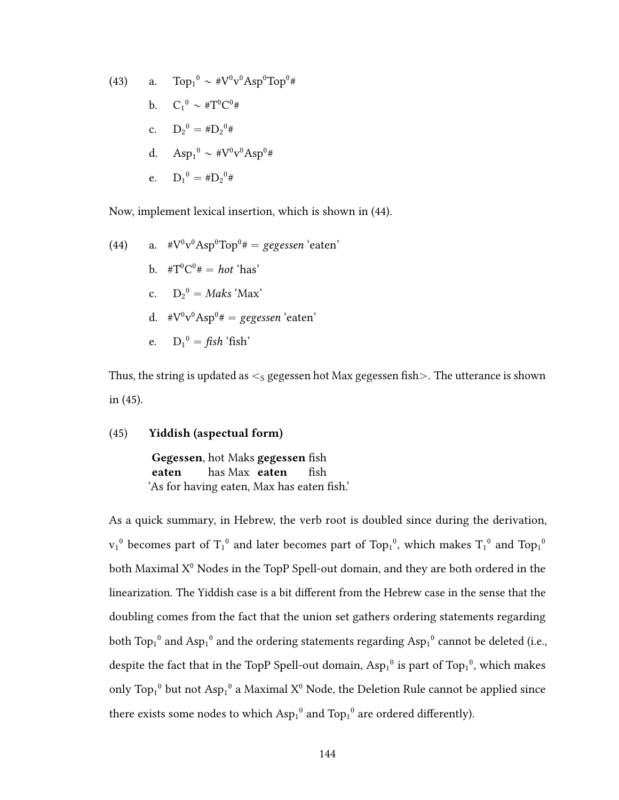(43) a. 
$$
Top_1^0 \sim #V^0v^0Asp^0Top^{0#}
$$
  
\nb.  $C_1^0 \sim #T^0C^0#$   
\nc.  $D_2^0 = #D_2^0#$   
\nd.  $Asp_1^0 \sim #V^0v^0Asp^0#$   
\ne.  $D_1^0 = #D_2^0#$ 

Now, implement lexical insertion, which is shown in (44).

(44) a. 
$$
\#V^0v^0Asp^0Top^0\# = gegessen 'eaten'
$$
 b.  $\#T^0C^0\# = hot 'has'$  c.  $D_2^0 = Maks 'Max'$  d.  $\#V^0v^0Asp^0\# = gegessen 'eaten'$  e.  $D_1^0 = fish 'fish'$ 

Thus, the string is updated as  $\lt$ <sub>s</sub> gegessen hot Max gegessen fish $>$ . The utterance is shown in (45).

### (45) Yiddish (aspectual form)

Gegessen, hot Maks gegessen fish eaten has Max eaten fish 'As for having eaten, Max has eaten fish.'

As a quick summary, in Hebrew, the verb root is doubled since during the derivation,  $v_1^0$  becomes part of  $T_1^0$  and later becomes part of Top<sub>1</sub><sup>0</sup>, which makes  $T_1^0$  and Top<sub>1</sub><sup>0</sup> both Maximal  $X^0$  Nodes in the TopP Spell-out domain, and they are both ordered in the linearization. The Yiddish case is a bit different from the Hebrew case in the sense that the doubling comes from the fact that the union set gathers ordering statements regarding both Top1<sup>0</sup> and Asp<sub>1</sub><sup>0</sup> and the ordering statements regarding Asp<sub>1</sub><sup>0</sup> cannot be deleted (i.e., despite the fact that in the TopP Spell-out domain,  $Asp_1^0$  is part of Top<sub>1</sub><sup>0</sup>, which makes only Top<sub>1</sub><sup>0</sup> but not Asp<sub>1</sub><sup>0</sup> a Maximal X<sup>0</sup> Node, the Deletion Rule cannot be applied since there exists some nodes to which  $Asp_1^0$  and  $Top_1^0$  are ordered differently).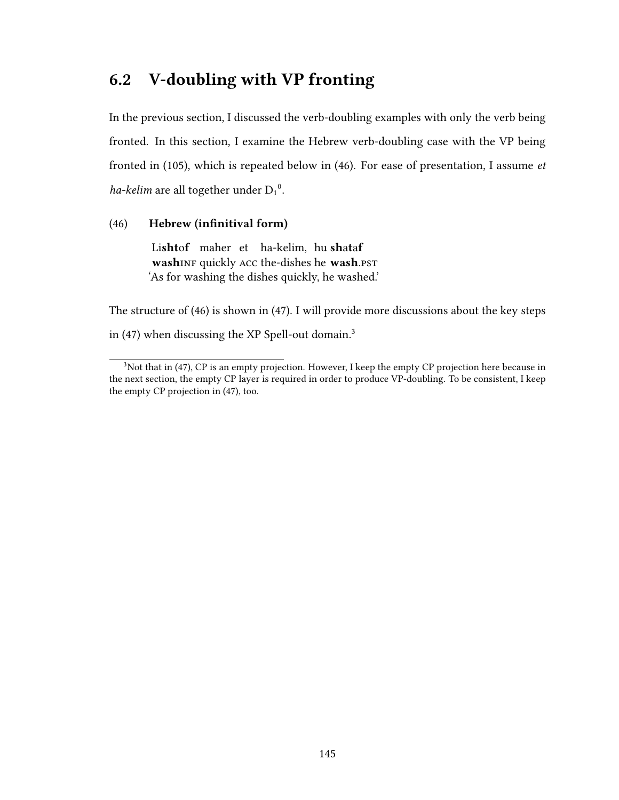# 6.2 V-doubling with VP fronting

In the previous section, I discussed the verb-doubling examples with only the verb being fronted. In this section, I examine the Hebrew verb-doubling case with the VP being fronted in (105), which is repeated below in (46). For ease of presentation, I assume et ha-kelim are all together under  $D_1^0$ .

### (46) Hebrew (infinitival form)

Lishtof maher et ha-kelim, hushataf washINF quickly ACC the-dishes he wash.PST 'As for washing the dishes quickly, he washed.'

The structure of (46) is shown in (47). I will provide more discussions about the key steps in  $(47)$  when discussing the XP Spell-out domain.<sup>3</sup>

 $3$ Not that in (47), CP is an empty projection. However, I keep the empty CP projection here because in the next section, the empty CP layer is required in order to produce VP-doubling. To be consistent, I keep the empty CP projection in (47), too.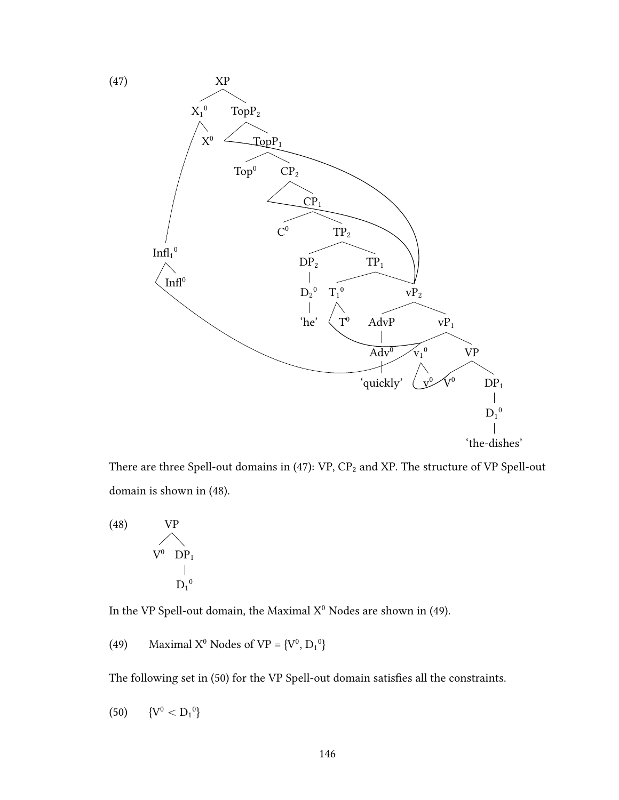

There are three Spell-out domains in (47):  $\mbox{VP, CP}_2$  and XP. The structure of VP Spell-out domain is shown in (48).



In the VP Spell-out domain, the Maximal  $X^0$  Nodes are shown in (49).

(49) Maximal X<sup>0</sup> Nodes of VP =  ${V^0, D_1}^0$ 

The following set in (50) for the VP Spell-out domain satisfies all the constraints.

$$
(50) \qquad \{V^0 < D_1{}^0\}
$$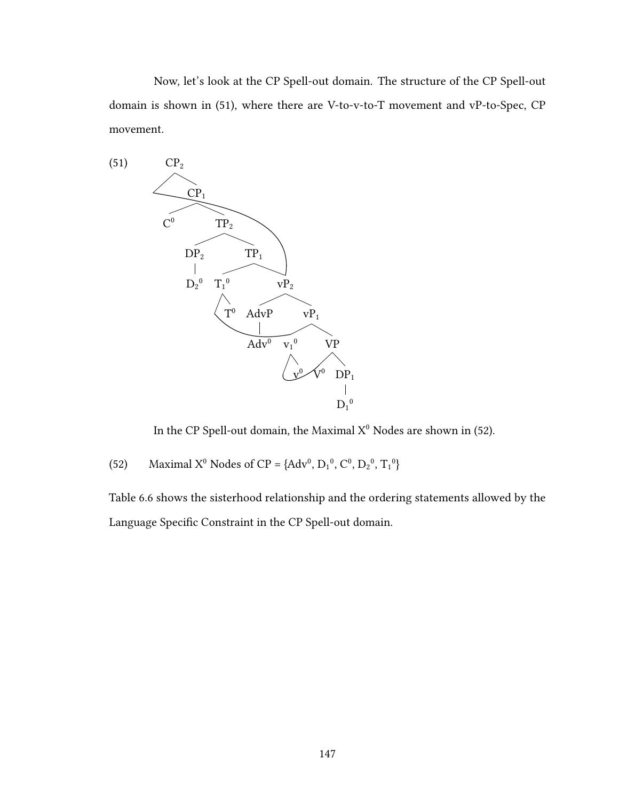Now, let's look at the CP Spell-out domain. The structure of the CP Spell-out domain is shown in (51), where there are V-to-v-to-T movement and vP-to-Spec, CP movement.



In the CP Spell-out domain, the Maximal  $X^0$  Nodes are shown in (52).

(52) Maximal X<sup>0</sup> Nodes of CP = {Adv<sup>0</sup>, D<sub>1</sub><sup>0</sup>, C<sup>0</sup>, D<sub>2</sub><sup>0</sup>, T<sub>1</sub><sup>0</sup>}

Table 6.6 shows the sisterhood relationship and the ordering statements allowed by the Language Specific Constraint in the CP Spell-out domain.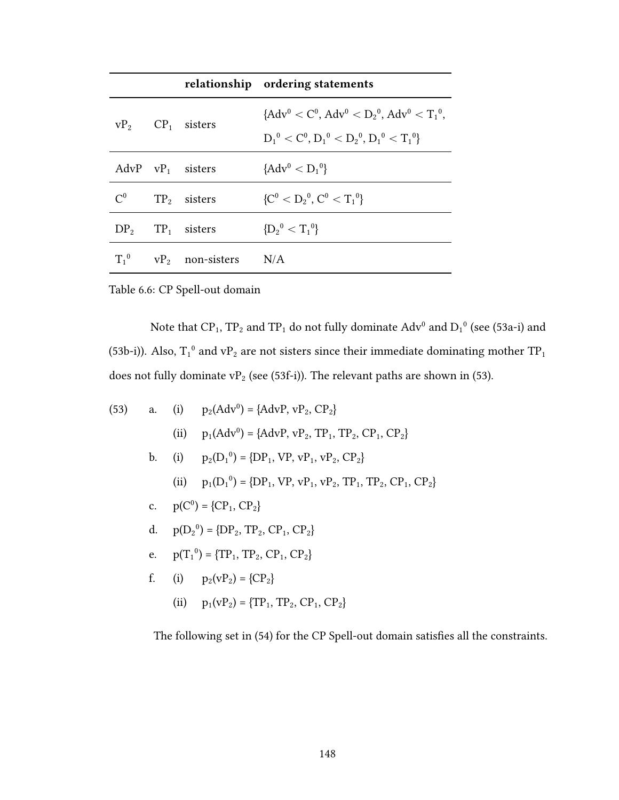|                 |                                         | relationship ordering statements                                                                                               |
|-----------------|-----------------------------------------|--------------------------------------------------------------------------------------------------------------------------------|
|                 | $VP_2$ $CP_1$ sisters                   | ${A}dv^{0} < C^{0}$ , ${A}dv^{0} < D_{2}^{0}$ , ${A}dv^{0} < T_{1}^{0}$ ,<br>$D_1^0 < C^0$ , $D_1^0 < D_2^0$ , $D_1^0 < T_1^0$ |
|                 | AdvP $vP_1$ sisters                     | ${Adv0 < D10}$                                                                                                                 |
| $\mathcal{C}^0$ | $TP2$ sisters                           | ${C^0 < D_2^0, C^0 < T_1^0}$                                                                                                   |
|                 | $DP_2$ TP <sub>1</sub> sisters          | ${D_2}^0 < T_1^0$                                                                                                              |
|                 | $T_1^0$ vP <sub>2</sub> non-sisters N/A |                                                                                                                                |

Table 6.6: CP Spell-out domain

Note that CP<sub>1</sub>, TP<sub>2</sub> and TP<sub>1</sub> do not fully dominate  $\text{Adv}^0$  and  $\text{D}_1{}^0$  (see (53a-i) and (53b-i)). Also,  $T_1^0$  and vP<sub>2</sub> are not sisters since their immediate dominating mother TP<sub>1</sub> does not fully dominate vP<sub>2</sub> (see (53f-i)). The relevant paths are shown in (53).

(53) a. (i) 
$$
p_2(Adv^0) = \{AdvP, vP_2, CP_2\}
$$
  
\n(ii)  $p_1(Adv^0) = \{AdvP, vP_2, TP_1, TP_2, CP_1, CP_2\}$   
\nb. (i)  $p_2(D_1^0) = \{DP_1, VP, vP_1, vP_2, CP_2\}$   
\n(ii)  $p_1(D_1^0) = \{DP_1, VP, vP_1, vP_2, TP_1, TP_2, CP_1, CP_2\}$   
\nc.  $p(C^0) = \{CP_1, CP_2\}$   
\nd.  $p(D_2^0) = \{DP_2, TP_2, CP_1, CP_2\}$   
\ne.  $p(T_1^0) = \{TP_1, TP_2, CP_1, CP_2\}$   
\nf. (i)  $p_2(vP_2) = \{CP_2\}$   
\n(ii)  $p_1(vP_2) = \{TP_1, TP_2, CP_1, CP_2\}$ 

The following set in  $(54)$  for the CP Spell-out domain satisfies all the constraints.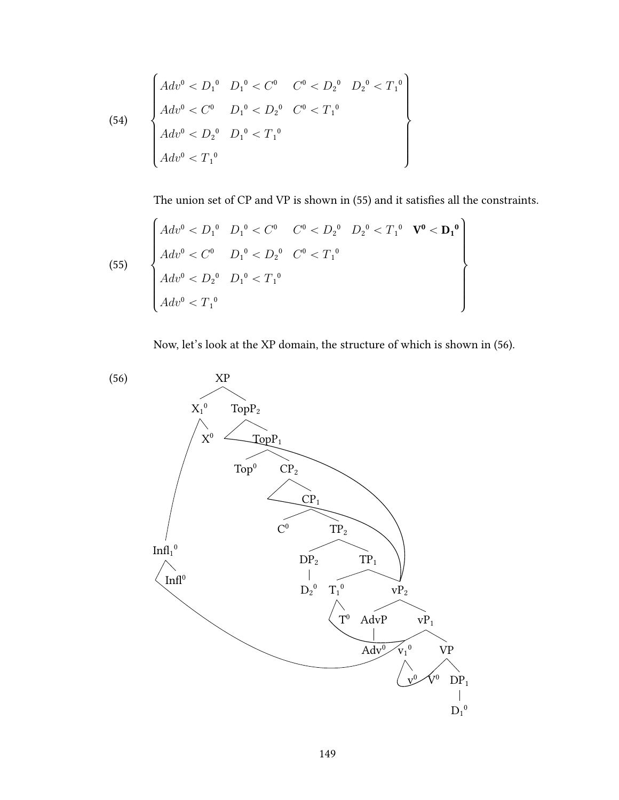(54)  
\n
$$
\begin{cases}\nAdv^{0} < D_{1}^{0} & D_{1}^{0} < C^{0} < D_{2}^{0} < D_{2}^{0} < T_{1}^{0} \\
Adv^{0} < C^{0} & D_{1}^{0} < D_{2}^{0} < C^{0} < T_{1}^{0} \\
Adv^{0} < D_{2}^{0} & D_{1}^{0} < T_{1}^{0} \\
Adv^{0} < T_{1}^{0}\n\end{cases}
$$

The union set of CP and VP is shown in (55) and it satisfies all the constraints.

(55) 
$$
\begin{cases}\nAdv^{0} < D_{1}^{0} & D_{1}^{0} < C^{0} \\
Adv^{0} < C^{0} & D_{1}^{0} < D_{2}^{0} \\
Adv^{0} < C^{0} & D_{1}^{0} < D_{2}^{0} \\
Adv^{0} < D_{2}^{0} & D_{1}^{0} < T_{1}^{0} \\
Adv^{0} < T_{1}^{0} & \n\end{cases}
$$

Now, let's look at the XP domain, the structure of which is shown in (56).

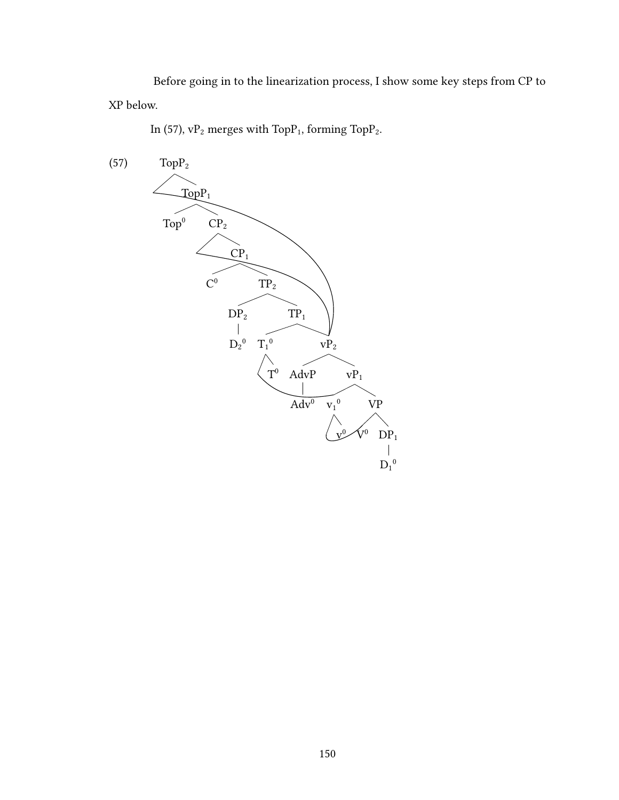Before going in to the linearization process, I show some key steps from CP to XP below.

In (57),  $vP_2$  merges with Top $P_1$ , forming Top $P_2$ .

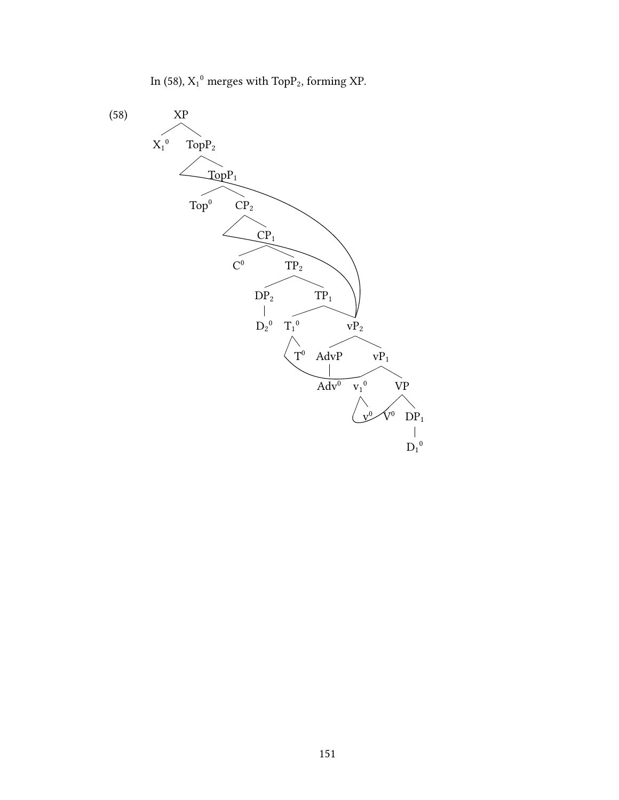In (58),  $X_1^0$  merges with Top $P_2$ , forming XP.

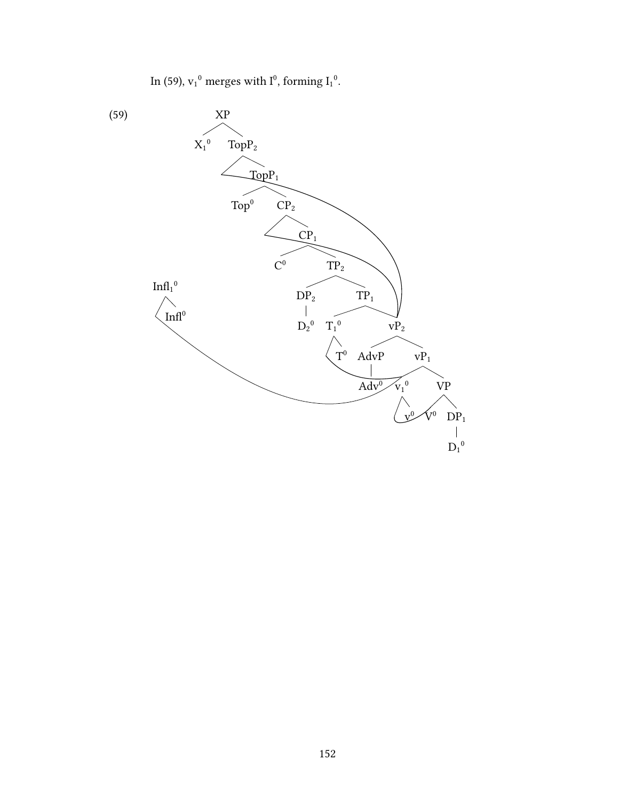In (59),  $v_1^0$  merges with  $I^0$ , forming  $I_1^0$ .

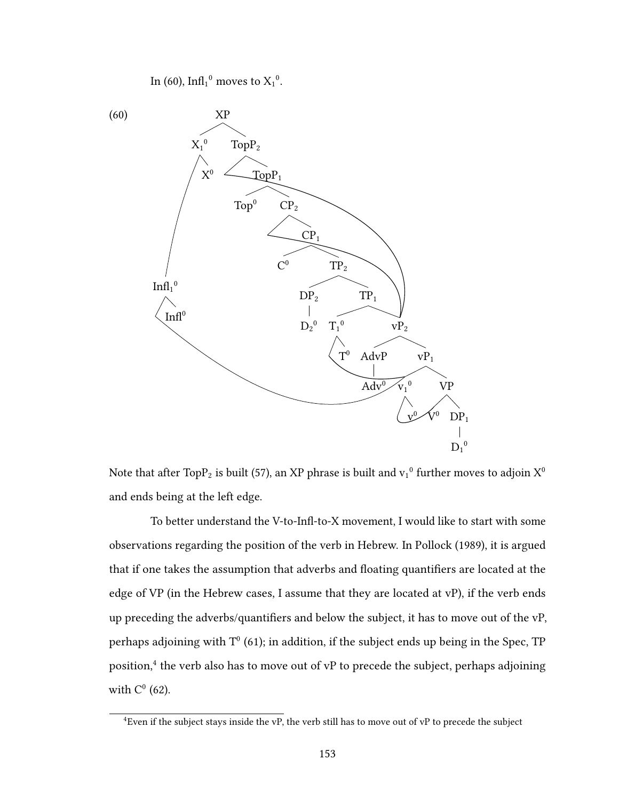In (60),  $\mathrm{Infl}_1^0$  moves to  $\mathrm{X_1}^0$ .



Note that after TopP<sub>2</sub> is built (57), an XP phrase is built and  $v_1^0$  further moves to adjoin X<sup>0</sup> and ends being at the left edge.

To better understand the V-to-Infl-to-X movement, I would like to start with some observations regarding the position of the verb in Hebrew. In Pollock (1989), it is argued that if one takes the assumption that adverbs and floating quantifiers are located at the edge of VP (in the Hebrew cases, I assume that they are located at vP), if the verb ends up preceding the adverbs/quantifiers and below the subject, it has to move out of the  $vP$ , perhaps adioining with  $T^0$  (61); in addition, if the subject ends up being in the Spec, TP position.<sup>4</sup> the verb also has to move out of vP to precede the subject, perhaps adjoining with  $C^0$  (62).

 $\frac{4}{3}$ Even if the subject stays inside the vP, the verb still has to move out of vP to precede the subject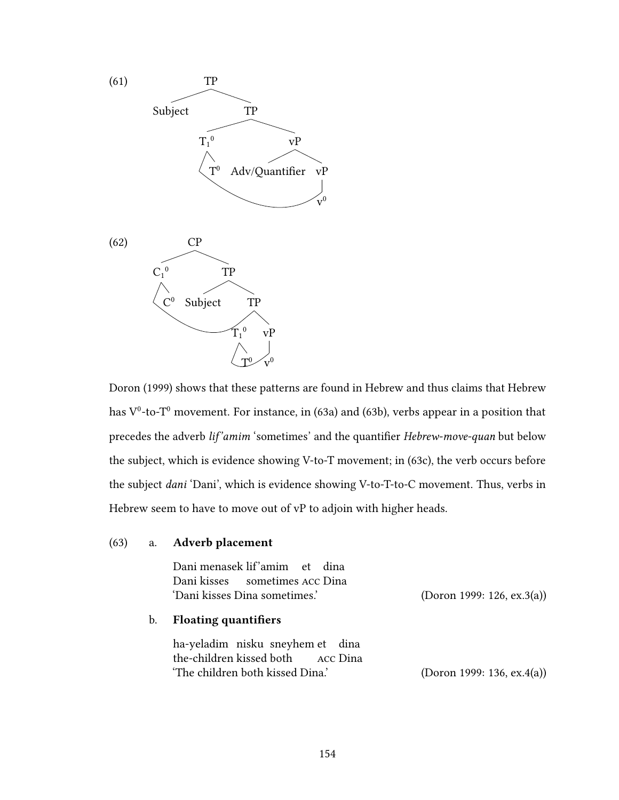

Doron (1999) shows that these patterns are found in Hebrew and thus claims that Hebrew has  $\rm V^0$ -to- $\rm T^0$  movement. For instance, in (63a) and (63b), verbs appear in a position that precedes the adverb lif'amim 'sometimes' and the quantifier Hebrew-move-quan but below the subject, which is evidence showing V-to-T movement; in (63c), the verb occurs before the subject dani 'Dani', which is evidence showing V-to-T-to-C movement. Thus, verbs in Hebrew seem to have to move out of vP to adjoin with higher heads.

### (63) a. Adverb placement

|    | Dani menasek lif'amim et dina<br>Dani kisses sometimes ACC Dina<br>'Dani kisses Dina sometimes.'          | (Doron 1999: 126, ex.3(a)) |
|----|-----------------------------------------------------------------------------------------------------------|----------------------------|
| b. | <b>Floating quantifiers</b>                                                                               |                            |
|    | ha-yeladim nisku sneyhem et dina<br>the-children kissed both ACC Dina<br>'The children both kissed Dina.' | (Doron 1999: 136, ex.4(a)) |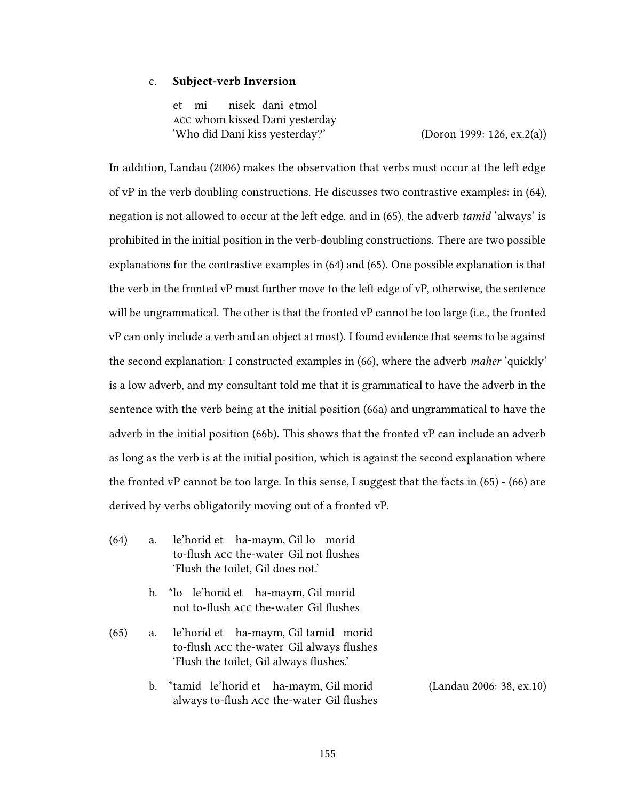#### c. Subject-verb Inversion

et mi acc whom kissed Dani yesterday nisek dani etmol 'Who did Dani kiss yesterday?' (Doron 1999: 126, ex.2(a))

In addition, Landau (2006) makes the observation that verbs must occur at the left edge of vP in the verb doubling constructions. He discusses two contrastive examples: in (64), negation is not allowed to occur at the left edge, and in (65), the adverb *tamid* 'always' is prohibited in the initial position in the verb-doubling constructions. There are two possible explanations for the contrastive examples in (64) and (65). One possible explanation is that the verb in the fronted vP must further move to the left edge of vP, otherwise, the sentence will be ungrammatical. The other is that the fronted vP cannot be too large (i.e., the fronted vP can only include a verb and an object at most). I found evidence that seems to be against the second explanation: I constructed examples in (66), where the adverb maher 'quickly' is a low adverb, and my consultant told me that it is grammatical to have the adverb in the sentence with the verb being at the initial position (66a) and ungrammatical to have the adverb in the initial position (66b). This shows that the fronted vP can include an adverb as long as the verb is at the initial position, which is against the second explanation where the fronted vP cannot be too large. In this sense, I suggest that the facts in (65) - (66) are derived by verbs obligatorily moving out of a fronted vP.

- (64) a. le'horid et ha-maym, Gil lo morid to-flush Acc the-water Gil not flushes 'Flush the toilet, Gil does not.'
	- b. \*lo le'horid et ha-maym, Gil morid not to-flush Acc the-water Gil flushes
- (65) a. le'horid et ha-maym, Gil tamid morid to-flush Acc the-water Gil always flushes 'Flush the toilet, Gil always flushes.'
	- b. \*tamid le'horid et ha-maym, Gil morid always to-flush ACC the-water Gil flushes (Landau 2006: 38, ex.10)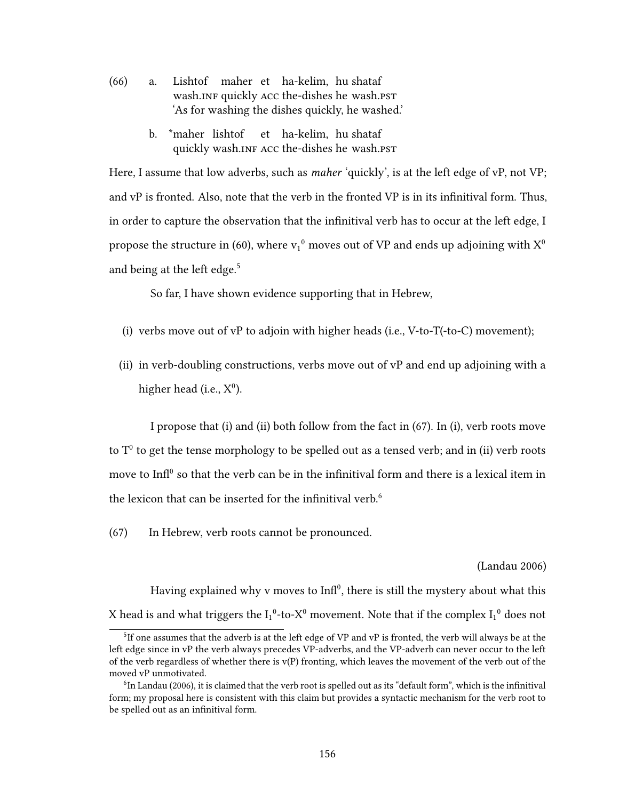- (66) a. Lishtof maher et ha-kelim, hu shataf wash.INF quickly ACC the-dishes he wash.PST 'As for washing the dishes quickly, he washed.'
	- b. \*maher lishtof quickly wash.INF ACC the-dishes he wash.PST et ha-kelim, hu shataf

Here, I assume that low adverbs, such as *maher* 'quickly', is at the left edge of vP, not VP; and  $vP$  is fronted. Also, note that the verb in the fronted  $VP$  is in its infinitival form. Thus, in order to capture the observation that the infinitival verb has to occur at the left edge, I propose the structure in (60), where  $v_1{}^0$  moves out of VP and ends up adjoining with  $X^0$ and being at the left edge.<sup>5</sup>

So far, I have shown evidence supporting that in Hebrew,

- (i) verbs move out of vP to adjoin with higher heads (i.e., V-to-T(-to-C) movement);
- (ii) in verb-doubling constructions, verbs move out of vP and end up adjoining with a higher head (i.e.,  $X^0$ ).

I propose that (i) and (ii) both follow from the fact in (67). In (i), verb roots move to  $T^0$  to get the tense morphology to be spelled out as a tensed verb; and in (ii) verb roots move to  $\mathrm{Infl}^0$  so that the verb can be in the infinitival form and there is a lexical item in the lexicon that can be inserted for the infinitival verb.<sup>6</sup>

(67) In Hebrew, verb roots cannot be pronounced.

### (Landau 2006)

Having explained why y moves to  $Inf^{0}$ , there is still the mystery about what this X head is and what triggers the  $I_1^0$ -to-X<sup>0</sup> movement. Note that if the complex  $I_1^0$  does not

<sup>&</sup>lt;sup>5</sup>If one assumes that the adverb is at the left edge of VP and vP is fronted, the verb will always be at the left edge since in vP the verb always precedes VP-adverbs, and the VP-adverb can never occur to the left of the verb regardless of whether there is  $v(P)$  fronting, which leaves the movement of the verb out of the moved vP unmotivated.

 $6$ In Landau (2006), it is claimed that the verb root is spelled out as its "default form", which is the infinitival form; my proposal here is consistent with this claim but provides a syntactic mechanism for the verb root to be spelled out as an infinitival form.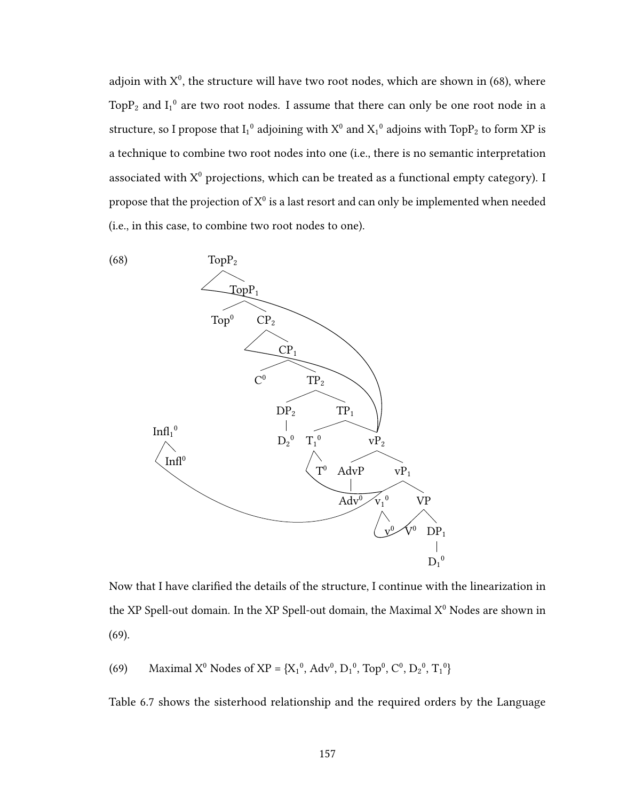adioin with  $X^0$ , the structure will have two root nodes, which are shown in (68), where TopP<sub>2</sub> and  $I_1{}^0$  are two root nodes. I assume that there can only be one root node in a structure, so I propose that  $I_1{}^0$  adjoining with  $X^0$  and  $X_1{}^0$  adjoins with Top $P_2$  to form XP is a technique to combine two root nodes into one (i.e., there is no semantic interpretation associated with  $X^0$  projections, which can be treated as a functional empty category). I propose that the projection of  $\mathrm{X}^0$  is a last resort and can only be implemented when needed (i.e., in this case, to combine two root nodes to one).



Now that I have clarified the details of the structure, I continue with the linearization in the XP Spell-out domain. In the XP Spell-out domain, the Maximal  $X^0$  Nodes are shown in (69).

(69) Maximal X<sup>0</sup> Nodes of XP = {X<sub>1</sub><sup>0</sup>, Adv<sup>0</sup>, D<sub>1</sub><sup>0</sup>, Top<sup>0</sup>, C<sup>0</sup>, D<sub>2</sub><sup>0</sup>, T<sub>1</sub><sup>0</sup>}

Table 6.7 shows the sisterhood relationship and the required orders by the Language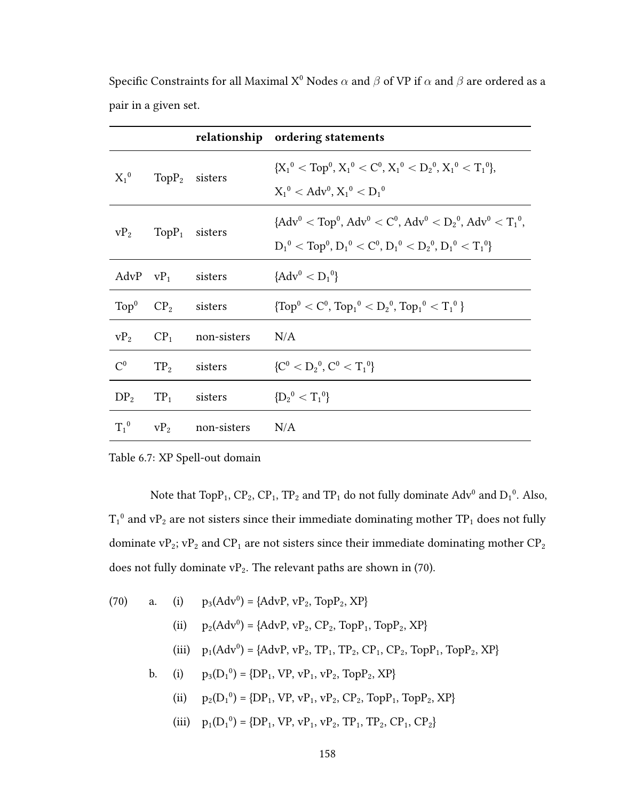|                |                                   |                                         | relationship ordering statements                             |
|----------------|-----------------------------------|-----------------------------------------|--------------------------------------------------------------|
|                | $X_1^0$ TopP <sub>2</sub> sisters |                                         | ${X_1}^0 < Top^0, X_1^0 < C^0, X_1^0 < D_2^0, X_1^0 < T_1^0$ |
|                |                                   |                                         | $X_1^0 < \text{Adv}^0, X_1^0 < D_1^0$                        |
|                | $vP_2$ TopP <sub>1</sub> sisters  |                                         | ${Adv0 < Top0, Adv0 < C0, Adv0 < D20, Adv0 < T10,}$          |
|                |                                   |                                         | $D_1^0 < Top^0, D_1^0 < C^0, D_1^0 < D_2^0, D_1^0 < T_1^0$   |
|                | AdvP $vP_1$ sisters               |                                         | ${Adv^0 < D_1^0}$                                            |
|                | $Top^0$ $CP_2$ sisters            |                                         | $\{Top^0 < C^0, Top_1^0 < D_2^0, Top_1^0 < T_1^0\}$          |
|                |                                   | $VP_2$ $CP_1$ non-sisters               | N/A                                                          |
| C <sup>0</sup> |                                   | $TP2$ sisters                           | ${C^0 < D_2^0, C^0 < T_1^0}$                                 |
|                | $DP_2$ $TP_1$ sisters             |                                         | ${D_2}^0 < T_1^0$                                            |
|                |                                   | $T_1^0$ vP <sub>2</sub> non-sisters N/A |                                                              |

Specific Constraints for all Maximal X<sup>0</sup> Nodes  $\alpha$  and  $\beta$  of VP if  $\alpha$  and  $\beta$  are ordered as a pair in a given set.

## Table 6.7: XP Spell-out domain

Note that  $\text{TopP}_1$ ,  $\text{CP}_2$ ,  $\text{CP}_1$ ,  $\text{TP}_2$  and  $\text{TP}_1$  do not fully dominate  $\text{Adv}^0$  and  $\text{D}_1^0$ . Also,  $T_1^0$  and vP<sub>2</sub> are not sisters since their immediate dominating mother TP<sub>1</sub> does not fully dominate  $\mathrm{vP}_2; \mathrm{vP}_2$  and  $\mathrm{CP}_1$  are not sisters since their immediate dominating mother  $\mathrm{CP}_2$ does not fully dominate  $vP_2$ . The relevant paths are shown in (70).

(70) a. (i) 
$$
p_3(Adv^0) = \{AdvP, vP_2, TopP_2, XP\}
$$
  
\n(ii)  $p_2(Adv^0) = \{AdvP, vP_2, CP_2, TopP_1, TopP_2, XP\}$   
\n(iii)  $p_1(Adv^0) = \{AdvP, vP_2, TP_1, TP_2, CP_1, CP_2, TopP_1, TopP_2, XP\}$   
\nb. (i)  $p_3(D_1^0) = \{DP_1, VP, vP_1, vP_2, TopP_2, XP\}$   
\n(ii)  $p_2(D_1^0) = \{DP_1, VP, vP_1, vP_2, CP_2, TopP_1, TopP_2, XP\}$   
\n(iii)  $p_1(D_1^0) = \{DP_1, VP, vP_1, vP_2, TP_1, TP_2, CP_1, CP_2\}$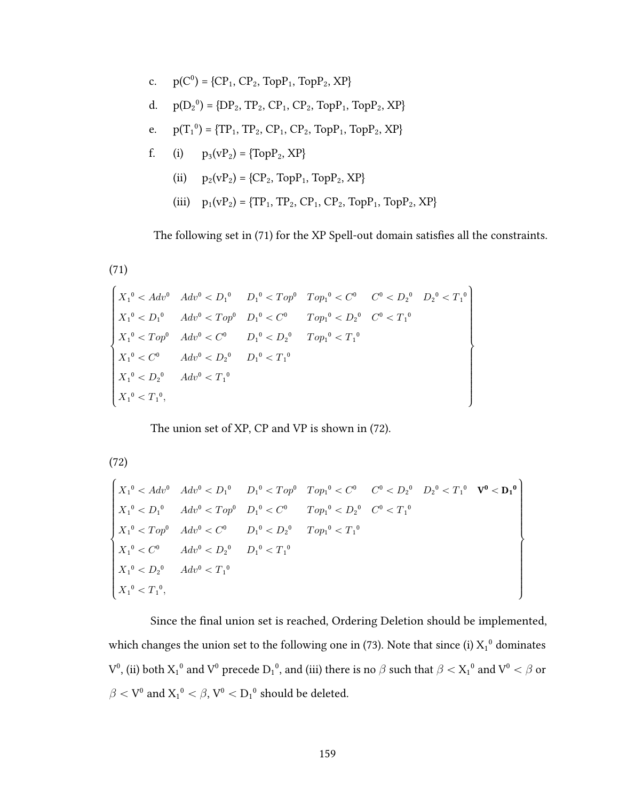c. 
$$
p(C^0) = \{CP_1, CP_2, TopP_1, TopP_2, XP\}
$$
  
\nd.  $p(D_2^0) = \{DP_2, TP_2, CP_1, CP_2, TopP_1, TopP_2, XP\}$   
\ne.  $p(T_1^0) = \{TP_1, TP_2, CP_1, CP_2, TopP_1, TopP_2, XP\}$   
\nf. (i)  $p_3(vP_2) = \{TopP_2, XP\}$   
\n(ii)  $p_2(vP_2) = \{CP_2, TopP_1, TopP_2, XP\}$   
\n(iii)  $p_1(vP_2) = \{TP_1, TP_2, CP_1, CP_2, TopP_1, TopP_2, XP\}$ 

The following set in (71) for the XP Spell-out domain satisfies all the constraints.

 $(71)$ 

$$
\begin{cases} X_1^0 < A dv^0 & A dv^0 < D_1^0 & D_1^0 < Top^0 \quad Top_1^0 < C^0 \qquad C^0 < D_2^0 \quad D_2^0 < T_1^0 \\ X_1^0 < D_1^0 & A dv^0 < Top^0 \quad D_1^0 < C^0 \qquad Top_1^0 < D_2^0 \quad C^0 < T_1^0 \\ X_1^0 < Top^0 \quad A dv^0 < C^0 \qquad D_1^0 < D_2^0 \qquad Top_1^0 < T_1^0 \\ X_1^0 < C^0 \qquad A dv^0 < D_2^0 \qquad D_1^0 < T_1^0 \\ X_1^0 < D_2^0 \qquad A dv^0 < T_1^0 \\ X_1^0 < T_1^0, \end{cases}
$$

The union set of XP, CP and VP is shown in (72).

 $(72)$ 

$$
\begin{cases}\nX_1^0 < Adv^0 \quad Adv^0 < D_1^0 \quad D_1^0 < Top^0 \quad Top_1^0 < C^0 \quad C^0 < D_2^0 \quad D_2^0 < T_1^0 \quad \mathbf{V}^0 < \mathbf{D_1}^0 \\
X_1^0 < D_1^0 \quad Adv^0 < Top^0 \quad D_1^0 < C^0 \quad Top_1^0 < D_2^0 \quad C^0 < T_1^0 \\
X_1^0 < Top^0 \quad Adv^0 < C^0 \quad D_1^0 < D_2^0 \quad Top_1^0 < T_1^0 \\
X_1^0 < C^0 \quad Adv^0 < D_2^0 \quad D_1^0 < T_1^0 \\
X_1^0 < D_2^0 \quad Adv^0 < T_1^0 \\
X_1^0 < T_1^0, \n\end{cases}
$$

Since the final union set is reached, Ordering Deletion should be implemented, which changes the union set to the following one in (73). Note that since (i)  $X_1^0$  dominates  $V^0$ , (ii) both  $X_1{}^0$  and  $V^0$  precede  $D_1{}^0$ , and (iii) there is no  $\beta$  such that  $\beta < X_1{}^0$  and  $V^0 < \beta$  or  $\beta < \operatorname{V}^0$  and  $\operatorname{X_1^0} < \beta, \operatorname{V}^0 < \operatorname{D_1^0}$  should be deleted.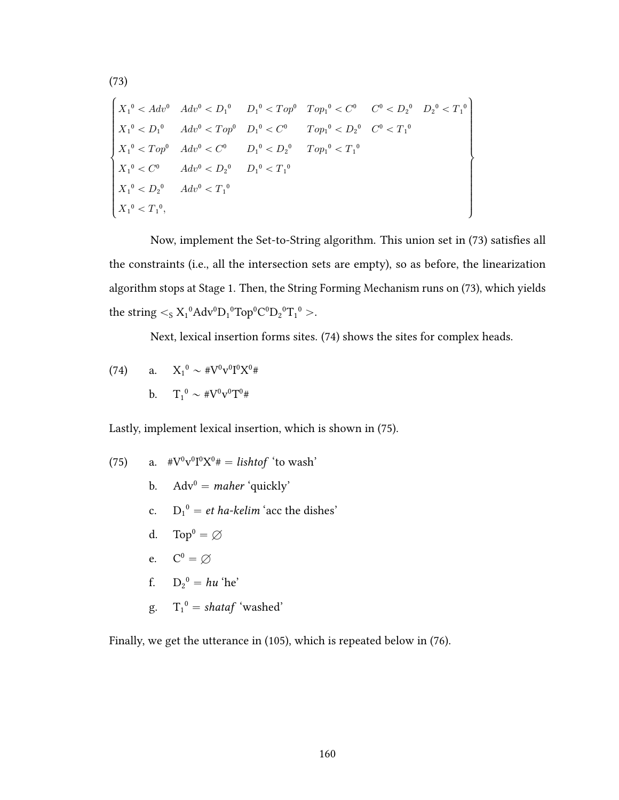$$
\begin{cases}\nX_1^0 & Adv^0 & Adv^0 < D_1^0 \\
X_1^0 & Adv^0 < Top^0 \\
X_1^0 & Adv^0 < Top^0 \\
X_1^0 & Adv^0 < Top^0 \\
X_1^0 & Top^0 \\
X_1^0 & Top^0 \\
X_1^0 & Cp^0 \\
X_1^0 & C^0 \\
X_1^0 & CD_2^0 \\
X_1^0 & CD_2^0 \\
X_1^0 & CD_2^0 \\
X_1^0 & CD_2^0 \\
X_1^0 & CD_2^0 \\
X_1^0 & CD_2^0 \\
X_1^0 & CD_2^0\n\end{cases}
$$
\n
$$
\begin{cases}\nX_1^0 & \text{if } Adv^0 < D_1^0 \\
X_1^0 & \text{if } Adv^0 < D_2^0 \\
X_1^0 & \text{if } Adv^0 < D_1^0 \\
X_1^0 & \text{if } Adv^0 < T_1^0 \\
X_1^0 & \text{if } Adv^0 < T_1^0 \\
X_1^0 & \text{if } Adv^0 < T_1^0\n\end{cases}
$$

Now, implement the Set-to-String algorithm. This union set in (73) satisfies all the constraints (i.e., all the intersection sets are empty), so as before, the linearization algorithm stops at Stage 1. Then, the String Forming Mechanism runs on (73), which yields the string  $\lt$ <sub>S</sub>  $X_1^0$ Adv<sup>0</sup>D<sub>1</sub><sup>0</sup>Top<sup>0</sup>C<sup>0</sup>D<sub>2</sub><sup>0</sup>T<sub>1</sub><sup>0</sup> >.

Next, lexical insertion forms sites. (74) shows the sites for complex heads.

(74) a. 
$$
X_1^0 \sim #V^0V^0I^0X^0#
$$
  
b.  $T_1^0 \sim #V^0V^0T^0#$ 

Lastly, implement lexical insertion, which is shown in (75).

(75) a. 
$$
\#V^0v^0I^0X^0\# = \text{lishtof 'to wash'}
$$
  
\nb.  $\text{Adv}^0 = \text{maher 'quickly'}$   
\nc.  $D_1^0 = \text{et ha-kelim 'acc the dishes'}$   
\nd.  $\text{Top}^0 = \varnothing$   
\ne.  $C^0 = \varnothing$   
\nf.  $D_2^0 = \text{hu 'he'}$   
\ng.  $T_1^0 = \text{shataf 'washed'}$ 

Finally, we get the utterance in (105), which is repeated below in (76).

 $(73)$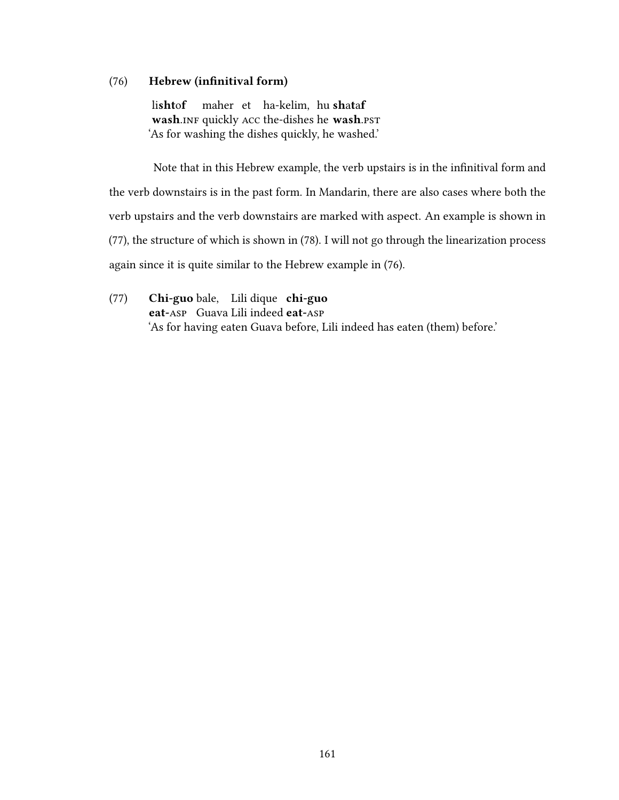### (76) Hebrew (infinitival form)

lishtof wash.INF quickly ACC the-dishes he wash.PST maher et ha-kelim, hu shataf 'As for washing the dishes quickly, he washed.'

Note that in this Hebrew example, the verb upstairs is in the infinitival form and the verb downstairs is in the past form. In Mandarin, there are also cases where both the verb upstairs and the verb downstairs are marked with aspect. An example is shown in (77), the structure of which is shown in (78). I will not go through the linearization process again since it is quite similar to the Hebrew example in (76).

(77) Chi-guo bale, Lili dique chi-guo eat-ASP Guava Lili indeed eat-ASP 'As for having eaten Guava before, Lili indeed has eaten (them) before.'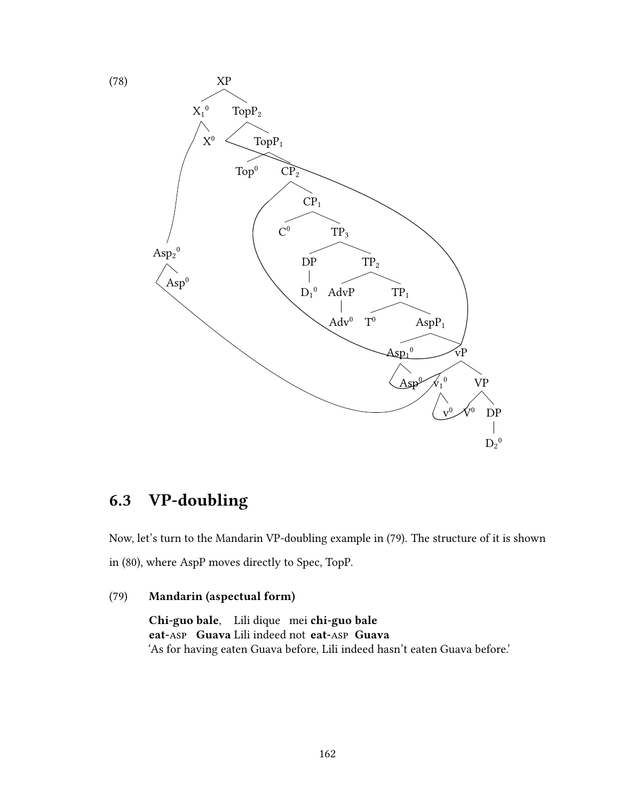

# 6.3 VP-doubling

Now, let's turn to the Mandarin VP-doubling example in (79). The structure of it is shown in (80), where AspP moves directly to Spec, TopP.

## (79) Mandarin (aspectual form)

Chi-guo bale. Lili dique mei chi-guo bale eat-Asp Guava Lili indeed not eat-Asp Guava 'As for having eaten Guava before, Lili indeed hasn't eaten Guava before.'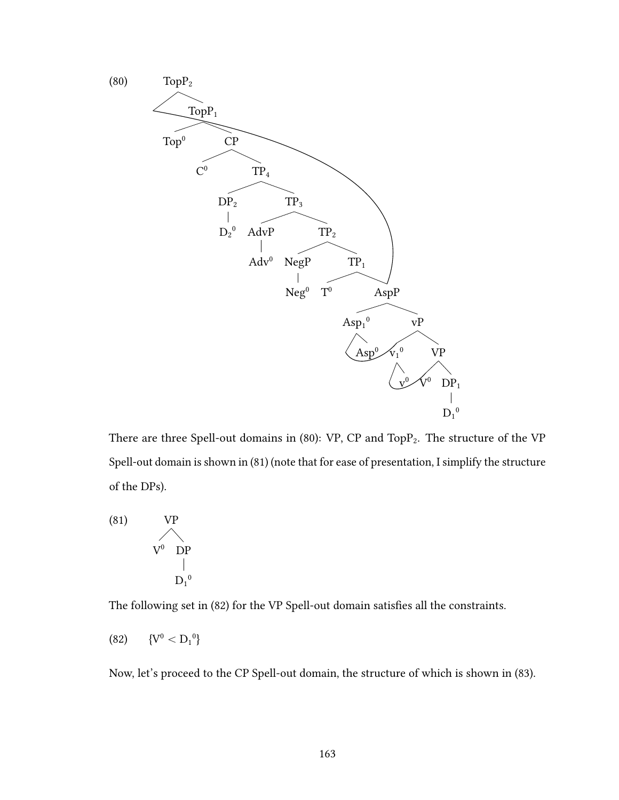

There are three Spell-out domains in (80): VP, CP and TopP<sub>2</sub>. The structure of the VP Spell-out domain is shown in (81) (note that for ease of presentation, I simplify the structure of the DPs).

(81)   
 
$$
VP
$$
  
  $V^0$   $DP$   
  $\vert$   
  $D_1^0$ 

The following set in (82) for the VP Spell-out domain satisfies all the constraints.

$$
(82) \qquad \{V^0 < D_1{}^0\}
$$

Now, let's proceed to the CP Spell-out domain, the structure of which is shown in (83).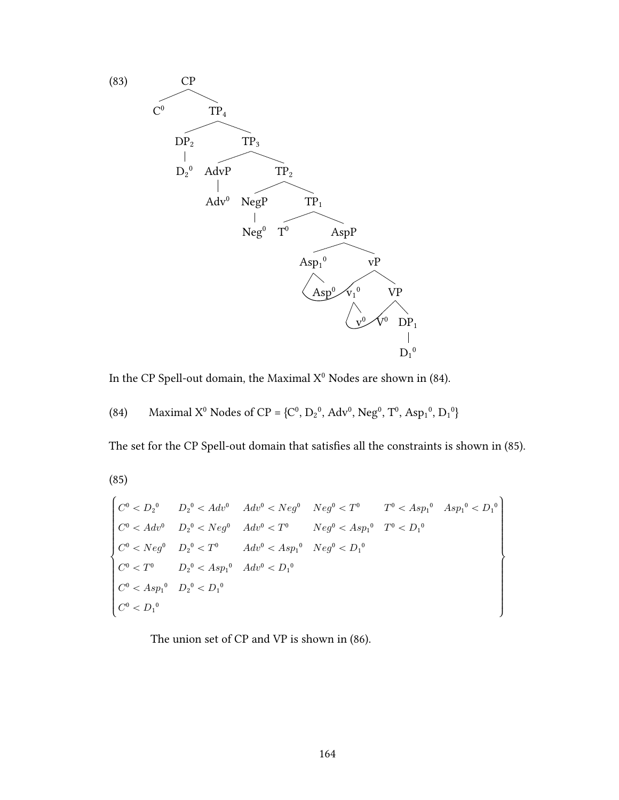

In the CP Spell-out domain, the Maximal  $X^0$  Nodes are shown in (84).

The set for the CP Spell-out domain that satisfies all the constraints is shown in (85).

 $(85)$ 

$$
\begin{cases}\n C^0 < D_2{}^0 & D_2{}^0 < Adv^0 & Adv^0 < Neg^0 & Neg^0 < T^0 < Asp_1{}^0 & Asp_1{}^0 < D_1{}^0 \\
 C^0 < Adv^0 & D_2{}^0 < Neg^0 & Adv^0 < T^0 & Neg^0 < Asp_1{}^0 & T^0 < D_1{}^0 \\
 C^0 < Neg^0 & D_2{}^0 < T^0 & Adv^0 < Asp_1{}^0 & Neg^0 < D_1{}^0 \\
 C^0 < T^0 & D_2{}^0 < Asp_1{}^0 & Adv^0 < D_1{}^0 \\
 C^0 < Asp_1{}^0 & D_2{}^0 < D_1{}^0 & \\
 C^0 < D_1{}^0 & & \\
 C^0 < D_1{}^0 & & \\
 \end{cases}
$$

The union set of CP and VP is shown in (86).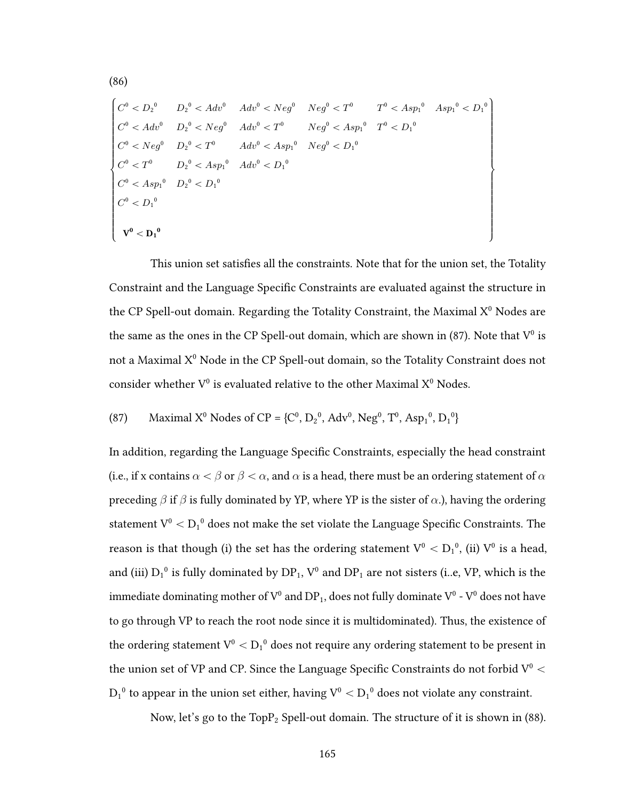$$
\begin{cases}\nC^0 < D_2{}^0 & D_2{}^0 < Adv^0 & Adv^0 < Neg^0 < T^0 < T^0 < Asp_1{}^0 & Asp_1{}^0 < D_1{}^0 \\
C^0 < Adv^0 & D_2{}^0 < Neg^0 & Adv^0 < T^0 & Neg^0 < Asp_1{}^0 & T^0 < D_1{}^0 \\
C^0 < Neg^0 & D_2{}^0 < T^0 & Adv^0 < Asp_1{}^0 & Neg^0 < D_1{}^0 \\
C^0 < T^0 & D_2{}^0 < Asp_1{}^0 & Adv^0 < D_1{}^0 \\
C^0 < Asp_1{}^0 & D_2{}^0 < D_1{}^0 & \\
C^0 < Asp_1{}^0 & D_2{}^0 < D_1{}^0 & \\
C^0 < D_1{}^0 & & \\
V^0 < D_1{}^0 & & \n\end{cases}
$$

(86)

This union set satisfies all the constraints. Note that for the union set, the Totality Constraint and the Language Specific Constraints are evaluated against the structure in the CP Spell-out domain. Regarding the Totality Constraint, the Maximal  $X^0$  Nodes are the same as the ones in the CP Spell-out domain, which are shown in (87). Note that  $V^0$  is not a Maximal  $X^0$  Node in the CP Spell-out domain, so the Totality Constraint does not consider whether  $V^0$  is evaluated relative to the other Maximal  $X^0$  Nodes.

(87) Maximal X<sup>0</sup> Nodes of CP = {C<sup>0</sup> , D<sup>2</sup> 0 , Adv<sup>0</sup> , Neg<sup>0</sup> , T<sup>0</sup> , Asp<sup>1</sup> 0 , D<sup>1</sup> 0 }

In addition, regarding the Language Specific Constraints, especially the head constraint (i.e., if x contains  $\alpha < \beta$  or  $\beta < \alpha$ , and  $\alpha$  is a head, there must be an ordering statement of  $\alpha$ preceding  $\beta$  if  $\beta$  is fully dominated by YP, where YP is the sister of  $\alpha$ .), having the ordering statement  $\rm V^0 < D_1^{-0}$  does not make the set violate the Language Specific Constraints. The reason is that though (i) the set has the ordering statement  $\rm V^0 < D_1{}^0$ , (ii)  $\rm V^0$  is a head, and (iii)  $D_1^0$  is fully dominated by  $DP_1$ ,  $V^0$  and  $DP_1$  are not sisters (i..e, VP, which is the immediate dominating mother of  $V^0$  and  $DP_1$ , does not fully dominate  $V^0$  -  $V^0$  does not have to go through VP to reach the root node since it is multidominated). Thus, the existence of the ordering statement  $\rm V^0 < D_1{}^0$  does not require any ordering statement to be present in the union set of VP and CP. Since the Language Specific Constraints do not forbid  $V^0$  <  ${\rm D_1}^0$  to appear in the union set either, having  ${\rm V^0} < {\rm D_1}^0$  does not violate any constraint.

Now, let's go to the  $TopP<sub>2</sub> Spell-out domain.$  The structure of it is shown in (88).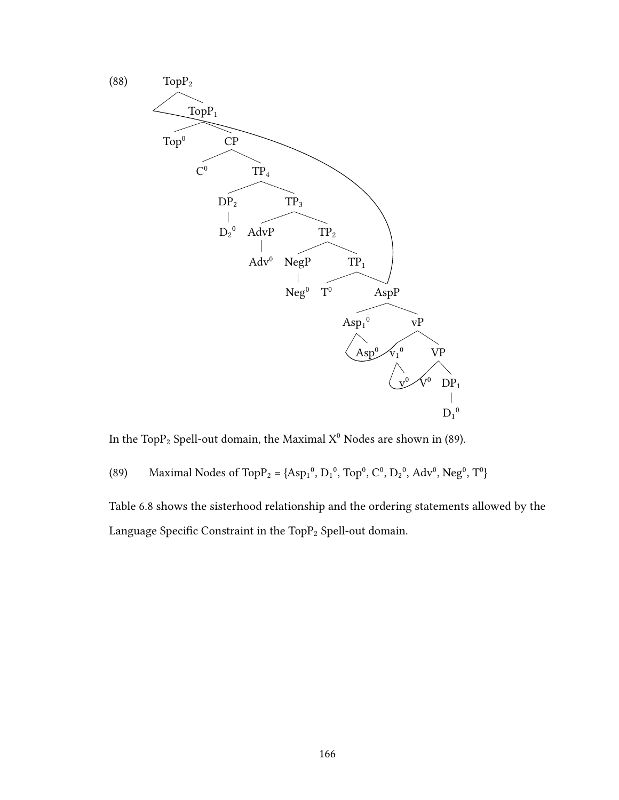

In the TopP<sub>2</sub> Spell-out domain, the Maximal  $X^0$  Nodes are shown in (89).

(89) Maximal Nodes of Top P<sub>2</sub> = {Asp<sub>1</sub><sup>0</sup>, D<sub>1</sub><sup>0</sup>, Top<sup>0</sup>, C<sup>0</sup>, D<sub>2</sub><sup>0</sup>, Adv<sup>0</sup>, Neg<sup>0</sup>, T<sup>0</sup>}

Table 6.8 shows the sisterhood relationship and the ordering statements allowed by the Language Specific Constraint in the Top $P_2$  Spell-out domain.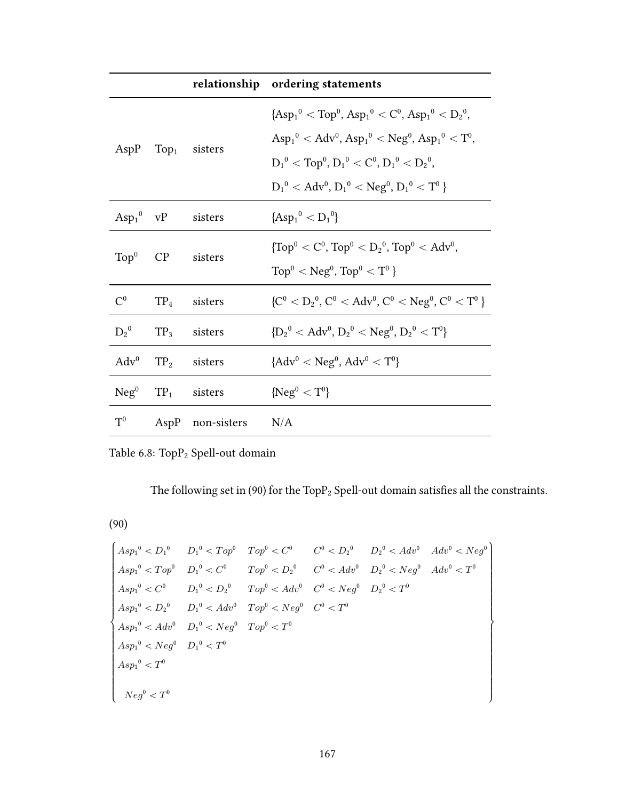|                  |           |                                   | relationship ordering statements                                                             |
|------------------|-----------|-----------------------------------|----------------------------------------------------------------------------------------------|
|                  |           | AspP $Top1$ sisters               | ${[Asp_1^0 < Top^0, Asp_1^0 < C^0, Asp_1^0 < D_2^0,}$                                        |
|                  |           |                                   | $\text{Asp}_1^0 < \text{Adv}^0, \text{Asp}_1^0 < \text{Neg}^0, \text{Asp}_1^0 < \text{T}^0,$ |
|                  |           |                                   | $D_1^0 <$ Top <sup>0</sup> , $D_1^0 <$ C <sup>0</sup> , $D_1^0 <$ $D_2^0$ ,                  |
|                  |           |                                   | $D_1^0 < \text{Adv}^0$ , $D_1^0 < \text{Neg}^0$ , $D_1^0 < T^0$                              |
|                  |           | $Asp_1^0 \tVP$ sisters            | ${[Asp_1^0 < D_1^0]}$                                                                        |
|                  | $Top0$ CP | sisters                           | $\{\text{Top}^0 < C^0, \text{Top}^0 < D_2^0, \text{Top}^0 < \text{Adv}^0,$                   |
|                  |           |                                   | $\text{Top}^0 < \text{Neg}^0$ , $\text{Top}^0 < \text{T}^0$                                  |
| $\mathrm{C}^0$   | $TP_4$    | sisters                           | ${C^0 < D_2^0, C^0 < Adv^0, C^0 < Neg^0, C^0 < T^0}$                                         |
| $D_2^0$          | $TP_3$    | sisters                           | ${D_2}^0 < \text{Adv}^0, D_2^0 < \text{Neg}^0, D_2^0 < T^0$                                  |
| $\mathrm{Adv}^0$ |           | $TP2$ sisters                     | ${Adv0 < Neg0, Adv0 < T0}$                                                                   |
|                  |           | $Neg^{0}$ TP <sub>1</sub> sisters | ${Neg}^0 < T^0$                                                                              |
| $T^0$            |           | AspP non-sisters N/A              |                                                                                              |

Table 6.8:  $\mbox{TopP}_2$  Spell-out domain

The following set in (90) for the  $\mbox{TopP}_2$  Spell-out domain satisfies all the constraints.

(90)

$$
\begin{cases}\nAsp_1^0 < D_1^0 & D_1^0 < Top^0 < C^0 \\
Asp_1^0 < Top^0 & D_1^0 < C^0 \\
Asp_1^0 < Top^0 & D_1^0 < C^0 \\
Asp_1^0 < C^0 & D_1^0 < D_2^0 \\
Asp_1^0 < C^0 & D_1^0 < D_2^0 & Top^0 < Adv^0 & D_2^0 < Neg^0 \\
Asp_1^0 < C^0 & D_1^0 < D_2^0 & Top^0 < Adv^0 & C^0 < Neg^0 & D_2^0 < T^0 \\
Asp_1^0 < D_2^0 & D_1^0 < Adv^0 & Top^0 < Neg^0 & C^0 < T^0 \\
Asp_1^0 < Adv^0 & D_1^0 < Neg^0 & Top^0 < T^0 \\
Asp_1^0 < Neg^0 & D_1^0 < T^0 & \\
Asp_1^0 < T^0 & & \\
\end{cases}
$$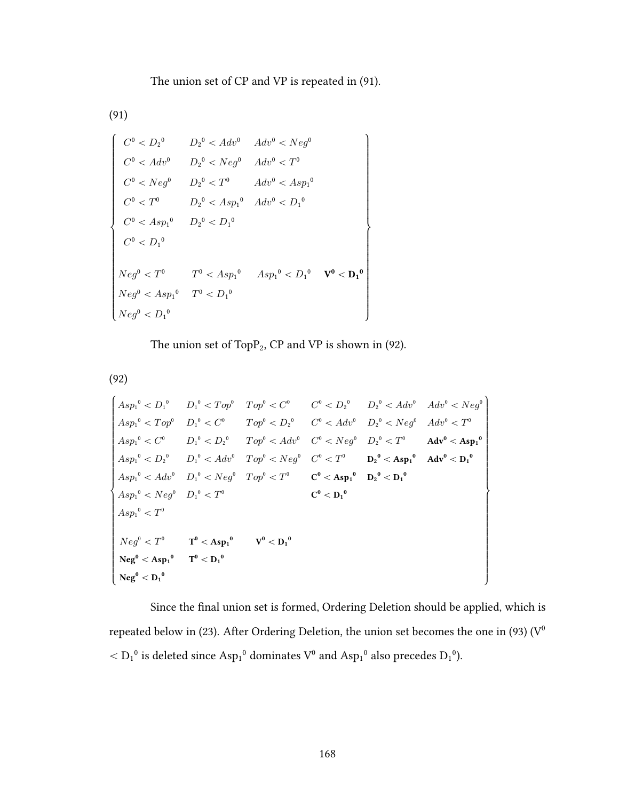The union set of CP and VP is repeated in (91).

(91)

$$
\left\{\n\begin{array}{ll}\n C^0 < D_2{}^0 & D_2{}^0 < Adv^0 & Adv^0 < Neg^0 \\
 C^0 < Adv^0 & D_2{}^0 < Neg^0 & Adv^0 < T^0 \\
 C^0 < Neg^0 & D_2{}^0 < T^0 & Adv^0 < Asp_1{}^0 \\
 C^0 < T^0 & D_2{}^0 < Asp_1{}^0 & Adv^0 < D_1{}^0 \\
 C^0 < Asp_1{}^0 & D_2{}^0 < D_1{}^0 & \\
 C^0 < D_1{}^0 & & \\
 C^0 < D_1{}^0 & & \\
 Neg^0 < T^0 & T^0 < Asp_1{}^0 & Asp_1{}^0 < D_1{}^0 & \\
 Neg^0 < Asp_1{}^0 & T^0 < D_1{}^0 & \\
 Neg^0 < D_1{}^0 & & \\
 Neg^0 < D_1{}^0 & & \\
\end{array}\n\right\}
$$

The union set of  $TopP_2$ , CP and VP is shown in (92).

(92)

$$
\begin{cases}\nAsp_1^0 & D_1^0 & D_1^0 < Top^0 < C^0 \\
Asp_1^0 < Top^0 & D_1^0 < C^0 \\
Asp_1^0 < Top^0 & D_1^0 < C^0 \\
Asp_1^0 < C^0 & D_1^0 < D_2^0 & C^0 < Adv^0 & D_2^0 < Neg^0 & Adv^0 < T^0 \\
Asp_1^0 < C^0 & D_1^0 < D_2^0 & Top^0 < Adv^0 & C^0 < Neg^0 & D_2^0 < T^0 & Adv^0 < Asp_1^0 \\
Asp_1^0 < D_2^0 & D_1^0 < Adv^0 & Top^0 < Neg^0 & C^0 < T^0 & D_2^0 < Asp_1^0 & Adv^0 < D_1^0 \\
Asp_1^0 < Adv^0 & D_1^0 < Neg^0 & Top^0 < T^0 & C^0 < Asp_1^0 & D_2^0 < D_1^0 \\
Asp_1^0 < Neg^0 & D_1^0 < T^0 & C^0 < D_1^0 & C^0 < D_1^0 \\
Asp_1^0 < T^0 & & C^0 < D_1^0 & C^0 < D_1^0 & \\
Neg^0 < T^0 & & T^0 < Asp_1^0 & V^0 < D_1^0 &\n\end{cases}
$$

Since the final union set is formed, Ordering Deletion should be applied, which is repeated below in (23). After Ordering Deletion, the union set becomes the one in (93) ( $\rm V^0$  $<$   $D_1^0$  is deleted since  $Asp_1^0$  dominates  $V^0$  and  $Asp_1^0$  also precedes  $D_1^0$ ).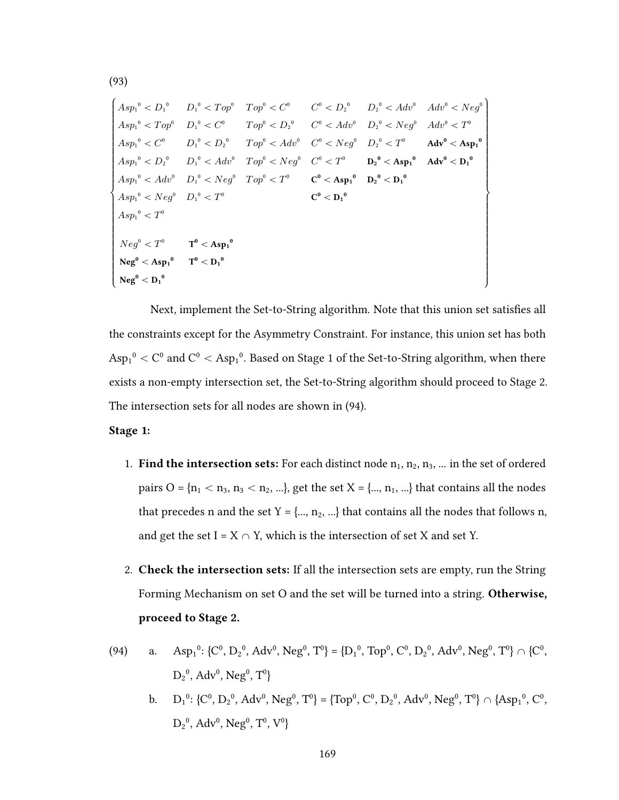'''''''''''''''''''''''''''& \<br>\<br>\<br><br><br><br><br><br><br><br><br><br><br><br><br><br><br><br><br><br><br><br><br><br><br>  $Asp_1^0 < D_1^0$  $Asp_1^0 < Top^0$  $Asp_1^0 < C^0$  $Asp_1^0 < D_2^0$  $Asp_1^0 < Adv^0$  $Asp_1^0 < Neg^0$  $Asp_1^0 < T^0$  $D_1{}^0 < Top^0$  $D_1^0 < C^0$  $D_1{}^0 < D_2{}^0$  $D_1^0 < Adv^0$  $D_1{}^0 < Neg^0$  $D_1^0 < T^0$  $Top^0 < C^0$  $Top^0 < D_2^0$  $Top^0 < Adv^0$  $Top^0 < Neg^0$  $Top^0 < T^0$  $C^0 < D_2{}^0$  $C^0 < Adv^0$  $C^0 < Neg^0$  $C^0 < T^0$  $C^0 < Asp_1^0$  $C^0 < D_1^{\ 0}$  $D_2^0 < Adv^0$  $D_2^{\ 0} < Neg^0$  $D_2{}^0 < T^0$  $D_2{}^0 < Asp_1{}^0$  ${\rm D_2}^0<{\rm D_1}^0$  $Adv^0 < Neg^0$  $Adv^0 < T^0$  $\rm{Adv}^0 < As{p_1}^0$  $\rm{Adv}^{0}< {D_1}^{0}$  $Neg^0 < T^0$  ${\rm Neg}^0<{\rm Asp_1}^0$  $\mathrm{Neg}^0<\mathrm{D_1}^0$  $T^0 < Asp_1^0$  $T^0 < D_1^{\;0}$ ///////////////////////////. ///////////////////////////-

Next, implement the Set-to-String algorithm. Note that this union set satisfies all the constraints except for the Asymmetry Constraint. For instance, this union set has both  $\mathrm{Asp_1}^0<\mathrm{C}^0$  and  $\mathrm{C}^0<\mathrm{Asp_1}^0.$  Based on Stage 1 of the Set-to-String algorithm, when there exists a non-empty intersection set, the Set-to-String algorithm should proceed to Stage 2. The intersection sets for all nodes are shown in (94).

#### Stage 1:

- 1. Find the intersection sets: For each distinct node  $n_1, n_2, n_3, ...$  in the set of ordered pairs O = { $n_1 < n_3$ ,  $n_3 < n_2$ , ...}, get the set X = {...,  $n_1$ , ...} that contains all the nodes that precedes n and the set  $Y = \{..., n_2, ...\}$  that contains all the nodes that follows n, and get the set  $I = X \cap Y$ , which is the intersection of set X and set Y.
- 2. Check the intersection sets: If all the intersection sets are empty, run the String Forming Mechanism on set O and the set will be turned into a string. Otherwise, proceed to Stage 2.
- (94) a. Asp<sub>1</sub><sup>0</sup>: {C<sup>0</sup>, D<sub>2</sub><sup>0</sup>, Adv<sup>0</sup>, Neg<sup>0</sup>, T<sup>0</sup>} = {D<sub>1</sub><sup>0</sup>, Top<sup>0</sup>, C<sup>0</sup>, D<sub>2</sub><sup>0</sup>, Adv<sup>0</sup>, Neg<sup>0</sup>, T<sup>0</sup>}  $\cap$  {C<sup>0</sup>,  $D_2^0$ , Adv<sup>0</sup>, Neg<sup>0</sup>, T<sup>0</sup>}
	- b.  $D_1^0$ : {C<sup>0</sup>,  $D_2^0$ , Adv<sup>0</sup>, Neg<sup>0</sup>, T<sup>0</sup>} = {Top<sup>0</sup>, C<sup>0</sup>,  $D_2^0$ , Adv<sup>0</sup>, Neg<sup>0</sup>, T<sup>0</sup>}  $\cap$  {Asp<sub>1</sub><sup>0</sup>, C<sup>0</sup>,  $D_2^0$ , Adv<sup>0</sup>, Neg<sup>0</sup>, T<sup>0</sup>, V<sup>0</sup>}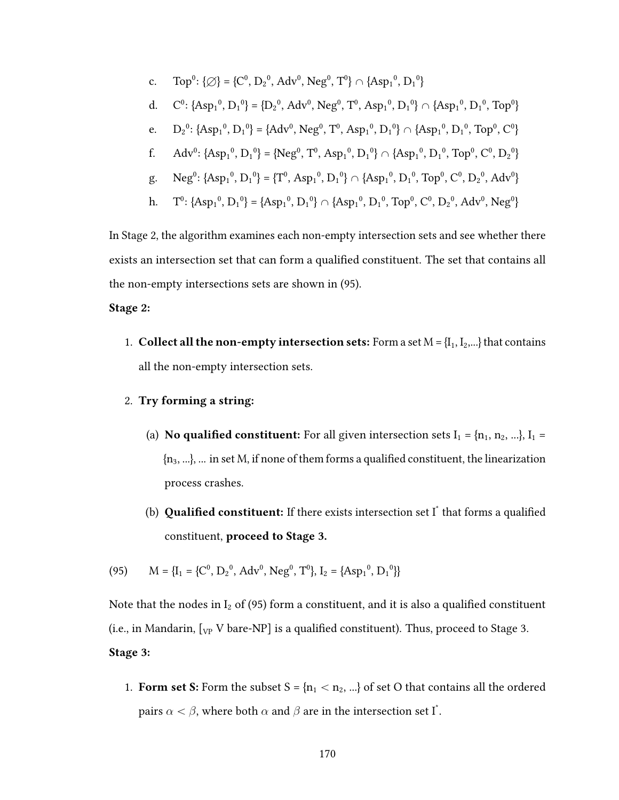c. Top<sup>0</sup>: { $\emptyset$ } = {C<sup>0</sup>, D<sub>2</sub><sup>0</sup>, Adv<sup>0</sup>, Neg<sup>0</sup>, T<sup>0</sup>}  $\cap$  {Asp<sub>1</sub><sup>0</sup>, D<sub>1</sub><sup>0</sup>} d.  $C^0$ : {Asp<sub>1</sub><sup>0</sup>, D<sub>1</sub><sup>0</sup>} = {D<sub>2</sub><sup>0</sup>, Adv<sup>0</sup>, Neg<sup>0</sup>, T<sup>0</sup>, Asp<sub>1</sub><sup>0</sup>, D<sub>1</sub><sup>0</sup>}  $\cap$  {Asp<sub>1</sub><sup>0</sup>, D<sub>1</sub><sup>0</sup>, Top<sup>0</sup>} e.  $D_2^0$ : {Asp<sub>1</sub><sup>0</sup>, D<sub>1</sub><sup>0</sup>} = {Adv<sup>0</sup>, Neg<sup>0</sup>, T<sup>0</sup>, Asp<sub>1</sub><sup>0</sup>, D<sub>1</sub><sup>0</sup>}  $\cap$  {Asp<sub>1</sub><sup>0</sup>, D<sub>1</sub><sup>0</sup>, Top<sup>0</sup>, C<sup>0</sup>}

$$
f. \qquad Adv^0 \colon \{ Asp_1{}^0, \, D_1{}^0 \} = \{ Neg^0, \, T^0, \, Asp_1{}^0, \, D_1{}^0 \} \, \cap \, \{ Asp_1{}^0, \, D_1{}^0, \, Top^0, \, C^0, \, D_2{}^0 \}
$$

- g. Neg<sup>0</sup>: {Asp<sub>1</sub><sup>0</sup>, D<sub>1</sub><sup>0</sup>} = {T<sup>0</sup>, Asp<sub>1</sub><sup>0</sup>, D<sub>1</sub><sup>0</sup>}  $\cap$  {Asp<sub>1</sub><sup>0</sup>, D<sub>1</sub><sup>0</sup>, Top<sup>0</sup>, C<sup>0</sup>, D<sub>2</sub><sup>0</sup>, Adv<sup>0</sup>}
- h.  $T^0$ : {Asp<sub>1</sub><sup>0</sup>, D<sub>1</sub><sup>0</sup>} = {Asp<sub>1</sub><sup>0</sup>, D<sub>1</sub><sup>0</sup>}  $\cap$  {Asp<sub>1</sub><sup>0</sup>, D<sub>1</sub><sup>0</sup>, Top<sup>0</sup>, C<sup>0</sup>, D<sub>2</sub><sup>0</sup>, Adv<sup>0</sup>, Neg<sup>0</sup>}

In Stage 2, the algorithm examines each non-empty intersection sets and see whether there exists an intersection set that can form a qualified constituent. The set that contains all the non-empty intersections sets are shown in (95).

#### Stage 2:

1. Collect all the non-empty intersection sets: Form a set  $M = \{I_1, I_2, ...\}$  that contains all the non-empty intersection sets.

#### 2. Try forming a string:

- (a) **No qualified constituent:** For all given intersection sets  $I_1 = \{n_1, n_2, ...\}$ ,  $I_1 =$  ${n_3, ...}$ , ... in set M, if none of them forms a qualified constituent, the linearization process crashes.
- (b) **Qualified constituent:** If there exists intersection set  $I^*$  that forms a qualified constituent, proceed to Stage 3.

(95) 
$$
M = \{I_1 = \{C^0, D_2^0, Adv^0, Neg^0, T^0\}, I_2 = \{Asp_1^0, D_1^0\}\}
$$

Note that the nodes in  $I_2$  of (95) form a constituent, and it is also a qualified constituent (i.e., in Mandarin,  $[\sqrt{V} V]$  bare-NP] is a qualified constituent). Thus, proceed to Stage 3. Stage 3:

1. Form set S: Form the subset  $S = \{n_1 < n_2, ...\}$  of set O that contains all the ordered pairs  $\alpha < \beta$ , where both  $\alpha$  and  $\beta$  are in the intersection set I $^*$ .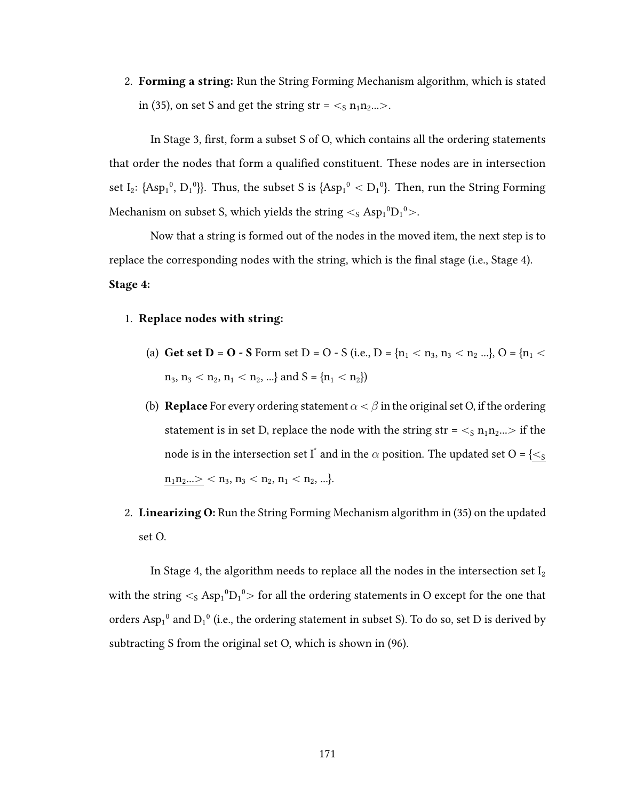2. Forming a string: Run the String Forming Mechanism algorithm, which is stated in (35), on set S and get the string str =  $\lt$ <sub>S</sub> n<sub>1</sub>n<sub>2</sub>... $>$ .

In Stage 3, first, form a subset  $S$  of  $O$ , which contains all the ordering statements that order the nodes that form a qualified constituent. These nodes are in intersection set I<sub>2</sub>: {Asp<sub>1</sub><sup>0</sup>, D<sub>1</sub><sup>0</sup>}}. Thus, the subset S is {Asp<sub>1</sub><sup>0</sup> < D<sub>1</sub><sup>0</sup>}. Then, run the String Forming Mechanism on subset S, which yields the string  $\lt$ <sub>S</sub> Asp $_1^0$ D $_1^0$ >.

Now that a string is formed out of the nodes in the moved item, the next step is to replace the corresponding nodes with the string, which is the final stage (i.e., Stage 4). Stage 4:

#### 1. Replace nodes with string:

- (a) Get set D = O S Form set D = O S (i.e., D =  $\{n_1 < n_3, n_3 < n_2 \ldots\}$ , O =  $\{n_1$   $<$  $n_3, n_3 < n_2, n_1 < n_2, ...$ } and  $S = {n_1 < n_2}$
- (b) **Replace** For every ordering statement  $\alpha < \beta$  in the original set O, if the ordering statement is in set D, replace the node with the string str =  $\lt$ <sub>s</sub> n<sub>1</sub>n<sub>2</sub>... if the node is in the intersection set  $\overline{\mathrm{I}}^*$  and in the  $\alpha$  position. The updated set O = { $\leq_\mathrm{S}$  $n_1 n_2 ... > n_3, n_3 < n_2, n_1 < n_2, ...$
- 2. Linearizing O: Run the String Forming Mechanism algorithm in (35) on the updated set O.

In Stage 4, the algorithm needs to replace all the nodes in the intersection set  $I_2$ with the string  $\lt$ <sub>S</sub> Asp<sub>1</sub><sup>0</sup>D<sub>1</sub><sup>0</sup> > for all the ordering statements in O except for the one that orders  $Asp_1^0$  and  $D_1^0$  (i.e., the ordering statement in subset S). To do so, set D is derived by subtracting S from the original set O, which is shown in (96).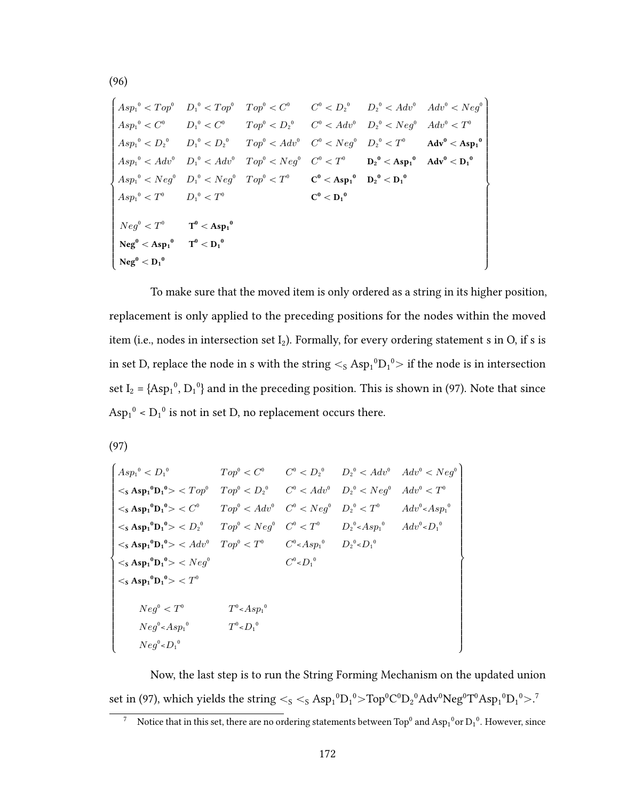$$
\begin{cases} Asp_1^0 < Top^0 & D_1^0 < Top^0 < C^0 \qquad C^0 < D_2^0 \qquad D_2^0 < Adv^0 & Adv^0 < Neg^0 \\\ Asp_1^0 < C^0 & D_1^0 < C^0 \qquad Top^0 < D_2^0 \qquad C^0 < Adv^0 & D_2^0 < New^0 \end{cases} Asp_1^0 < D_2^0 \qquad D_1^0 < D_2^0
$$
  
\n
$$
Asp_1^0 < D_2^0 \qquad D_1^0 < D_2^0 \qquad Top^0 < Adv^0 \qquad C^0 < Neg^0 \qquad D_2^0 < T^0 \qquad Adv^0 < Asp_1^0 \\\ Asp_1^0 < Adv^0 & D_1^0 < Adv^0 \qquad Top^0 < Neg^0 < C^0 < T^0 \qquad D_2^0 < Asp_1^0 \qquad Adv^0 < D_1^0 \\\ Asp_1^0 < Neg^0 & D_1^0 < Neg^0 \qquad Top^0 < T^0 \qquad C^0 < Asp_1^0 \qquad D_2^0 < D_1^0 \\\ Bep_1^0 < T^0 & D_1^0 < T^0 \qquad C^0 < D_1^0 \\\ Neg^0 < Xp_1^0 \qquad T^0 < Asp_1^0 \qquad \qquad C^0 < D_1^0 \\\ Neg^0 < Xp_1^0 \qquad T^0 < D_1^0 \\\ Neg^0 < D_1^0 \end{cases}
$$

To make sure that the moved item is only ordered as a string in its higher position, replacement is only applied to the preceding positions for the nodes within the moved item (i.e., nodes in intersection set  $I_2$ ). Formally, for every ordering statement s in O, if s is in set D, replace the node in s with the string  $\lt$ <sub>S</sub> Asp $_1{}^0D_1{}^0>$  if the node is in intersection set  $I_2 = \{ \text{Asp}_1^0, D_1^0 \}$  and in the preceding position. This is shown in (97). Note that since  $\text{Asp}_1^0$  <  $\text{D}_1^0$  is not in set D, no replacement occurs there.

(97)

(96)

$$
\begin{cases}\nAsp_1^0 & \text{Top}^0 < C^0 \\
&< s \text{ Asp}_1^0 \text{D}_1^0 > < Top^0 < D_2^0 \\
&< s \text{ Asp}_1^0 \text{D}_1^0 > < Top^0 < D_2^0 \\
&< s \text{ Asp}_1^0 \text{D}_1^0 > < C^0 \\
&< s \text{ Asp}_1^0 \text{D}_1^0 > < C^0 \\
&< s \text{ Asp}_1^0 \text{D}_1^0 > < C^0 \\
&< s \text{ Asp}_1^0 \text{D}_1^1 > < D_2^0 \\
&< s \text{ Asp}_1^0 \text{D}_1^1 > < D_2^0 \\
&< s \text{ Asp}_1^0 \text{D}_1^1 > < D_2^0 \\
&< s \text{ Asp}_1^0 \text{D}_1^1 > < A dv^0 \\
&< Top^0 < Top^0 < Top^0 \\
&< s \text{ Asp}_1^0 \text{D}_1^1 > < A dv^0 \\
&< Top^0 < Top^0 \\
&< s \text{ Asp}_1^0 \text{D}_1^1 > < Top^0 \\
&< s \text{ Asp}_1^0 \text{D}_1^1 > < Top^0 \\
&< s \text{ Asp}_1^0 \text{D}_1^1 > < Top^0 \\
&< s \text{ Asp}_1^0 \text{D}_1^1 > < Top^0 \\
&< S \text{ Asp}_1^0 \text{B}_1^1 > < Top^0 \\
&< S \text{Asp}_1^0 & T^0 < A sp_1^0 \\
&< S \text{Asp}_1^0 & T^0 < D_1^0 \\
&< S \text{Asp}_1^0 & T^0 < D_1^0 \\
&< S \text{Asp}_1^0 & T^0 < D_1^0 \\
&< S \text{Asp}_1^0 & T^0 < D_1^0 \\
&< S \text{Asp}_1^0 & T^0 < D_1^0 \\
&< S \text{
$$

Now, the last step is to run the String Forming Mechanism on the updated union set in (97), which yields the string  $<_S <_S \mathrm{Asp_1}^0\mathrm{D_1}^0\mathrm{>Top}^0\mathrm{C}^0\mathrm{D_2}^0\mathrm{Adv}^0\mathrm{Neg}^0\mathrm{T}^0\mathrm{Asp_1}^0\mathrm{D_1}^0\mathrm{>}.^7$ 

172

<sup>&</sup>lt;sup>7</sup> Notice that in this set, there are no ordering statements between Top<sup>0</sup> and Asp<sub>1</sub><sup>0</sup> or D<sub>1</sub><sup>0</sup>. However, since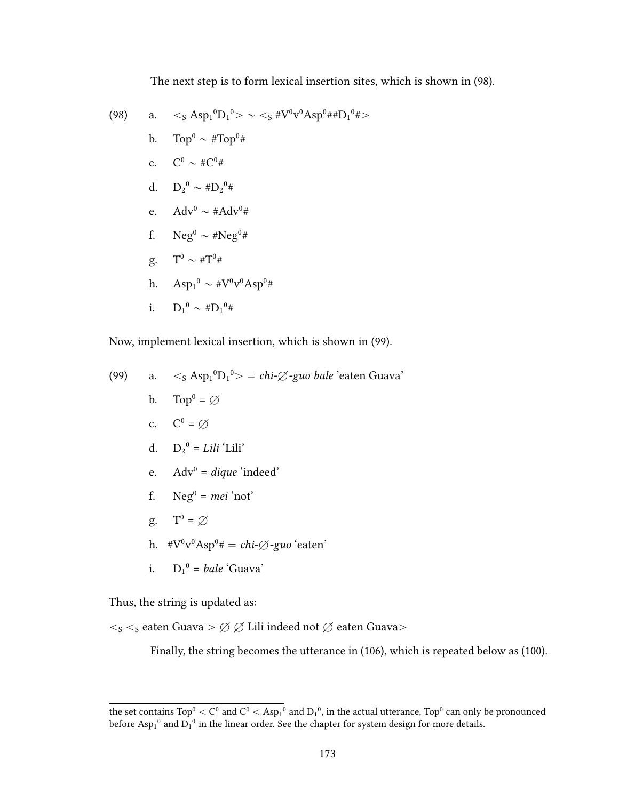The next step is to form lexical insertion sites, which is shown in (98).

(98) a. 
$$
\langle s \operatorname{Asp_1}^0 D_1^0 \rangle \sim \langle s \# V^0 v^0 A s p^0 \# D_1^0 \# \rangle
$$
  
\nb.  $\operatorname{Top}^0 \sim \# \operatorname{Top}^0 \#$   
\nc.  $C^0 \sim \# C^0 \#$   
\nd.  $D_2^0 \sim \# D_2^0 \#$   
\ne.  $\operatorname{Adv}^0 \sim \# \operatorname{Adv}^0 \#$   
\nf.  $\operatorname{Neg}^0 \sim \# \operatorname{Neg}^0 \#$   
\ng.  $T^0 \sim \# T^0 \#$   
\nh.  $\operatorname{Asp_1}^0 \sim \# V^0 v^0 A s p^0 \#$   
\ni.  $D_1^0 \sim \# D_1^0 \#$ 

Now, implement lexical insertion, which is shown in (99).

(99) a. ă<sup>S</sup> Asp<sup>1</sup> <sup>0</sup>D<sup>1</sup> <sup>0</sup>ą " chi-H-guo bale 'eaten Guava' b. Top<sup>0</sup> = H c. C<sup>0</sup> = H d. D<sup>2</sup> <sup>0</sup> = Lili 'Lili' e. Adv<sup>0</sup> = dique 'indeed' f. Neg<sup>0</sup> = mei 'not' g. T<sup>0</sup> = H

h. 
$$
*V^0v^0Asp^0* = chi-\emptyset-guo\text{`eaten'}
$$

i. 
$$
D_1^0 = \text{bale 'Guava'}
$$

Thus, the string is updated as:

 $<_S<_S$ eaten Guava >  $\varnothing$   $\varnothing$  Lili indeed not  $\varnothing$  eaten Guava>

Finally, the string becomes the utterance in (106), which is repeated below as (100).

the set contains Top $^0<$  C $^0$  and C $^0<$  Asp $_1{}^0$  and D $_1{}^0$ , in the actual utterance, Top $^0$  can only be pronounced before  $\text{Asp}_1^0$  and  $\text{D}_1^0$  in the linear order. See the chapter for system design for more details.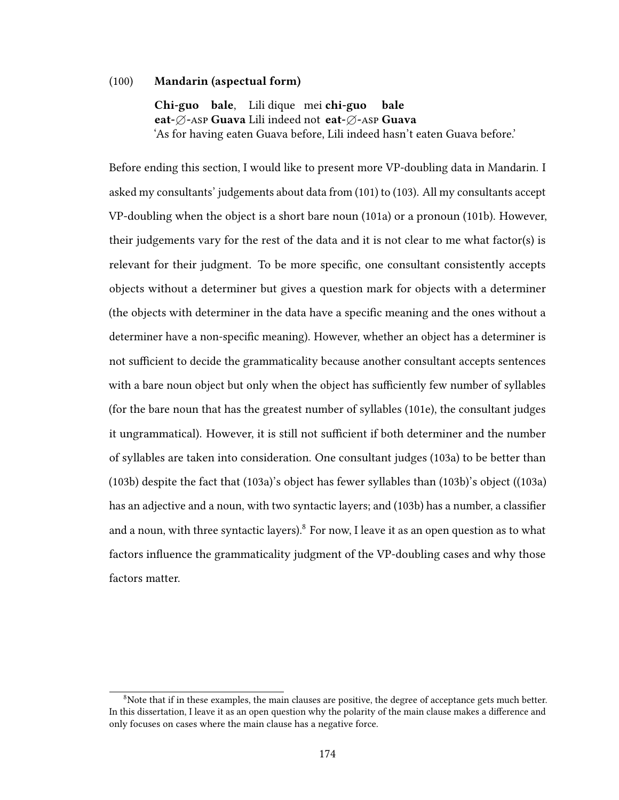#### (100) Mandarin (aspectual form)

Chi-guo bale. Lili dique mei chi-guo eat-Ø-Asp Guava Lili indeed not eat-Ø-Asp Guava bale 'As for having eaten Guava before, Lili indeed hasn't eaten Guava before.'

Before ending this section, I would like to present more VP-doubling data in Mandarin. I asked my consultants' judgements about data from (101) to (103). All my consultants accept VP-doubling when the object is a short bare noun (101a) or a pronoun (101b). However, their judgements vary for the rest of the data and it is not clear to me what factor(s) is relevant for their judgment. To be more specific, one consultant consistently accepts objects without a determiner but gives a question mark for objects with a determiner (the objects with determiner in the data have a specific meaning and the ones without a determiner have a non-specific meaning). However, whether an object has a determiner is not sufficient to decide the grammaticality because another consultant accepts sentences with a bare noun object but only when the object has sufficiently few number of syllables (for the bare noun that has the greatest number of syllables (101e), the consultant judges it ungrammatical). However, it is still not sufficient if both determiner and the number of syllables are taken into consideration. One consultant judges (103a) to be better than (103b) despite the fact that (103a)'s object has fewer syllables than (103b)'s object ((103a) has an adjective and a noun, with two syntactic layers; and (103b) has a number, a classifier and a noun, with three syntactic layers). $8$  For now, I leave it as an open question as to what factors influence the grammaticality judgment of the VP-doubling cases and why those factors matter.

 $8$ Note that if in these examples, the main clauses are positive, the degree of acceptance gets much better. In this dissertation, I leave it as an open question why the polarity of the main clause makes a difference and only focuses on cases where the main clause has a negative force.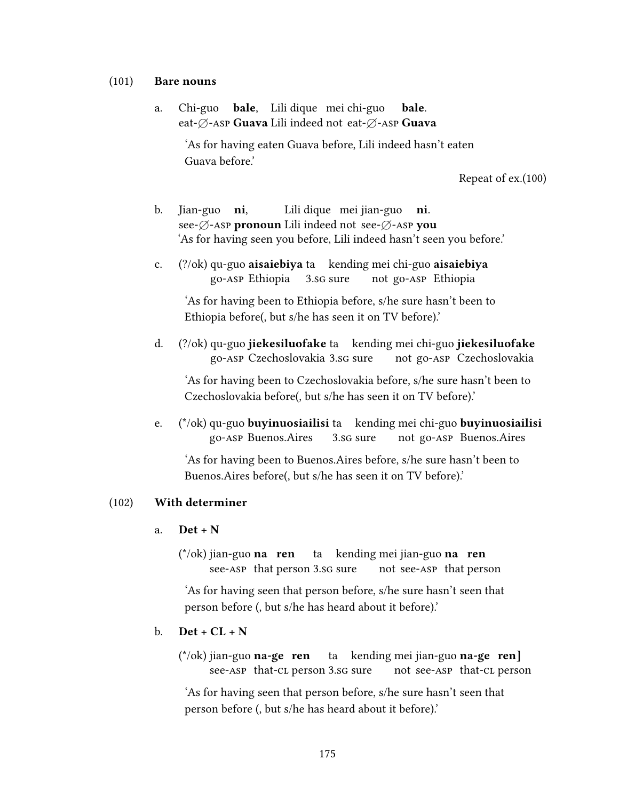#### (101) Bare nouns

a. Chi-guo eat-∅-Asp Guava Lili indeed not eat-∅-Asp Guava bale. Lili dique mei chi-guo bale.

> 'As for having eaten Guava before, Lili indeed hasn't eaten Guava before.'

> > Repeat of ex.(100)

- b. Jian-guo see- $\emptyset$ -asp pronoun Lili indeed not see- $\emptyset$ -asp you ni, Lili dique) mei iian-guo **ni**. 'As for having seen you before, Lili indeed hasn't seen you before.'
- c. (?/ok) qu-guo aisaiebiya ta kending mei chi-guo aisaiebiya go-asp Ethiopia 3.sg sure not go-asp Ethiopia

'As for having been to Ethiopia before, s/he sure hasn't been to Ethiopia before(, but s/he has seen it on TV before).'

d. (?/ok) qu-guo **iiekesiluofake** ta kending mei chi-guo **iiekesiluofake** go-asp Czechoslovakia 3.sg sure not go-asp Czechoslovakia

'As for having been to Czechoslovakia before, s/he sure hasn't been to Czechoslovakia before(, but s/he has seen it on TV before).'

e. (\*/ok) qu-guo **buyinuosiailisi** ta kending mei chi-guo **buyinuosiailisi** go-asp Buenos.Aires 3.sg sure not go-asp Buenos.Aires

'As for having been to Buenos.Aires before, s/he sure hasn't been to Buenos.Aires before(, but s/he has seen it on TV before).'

#### (102) With determiner

#### a.  $Det + N$

 $(*/ok)$  iian-guo **na** ren see-asp that person 3.sg sure ta kending mei jian-guo **na ren** not see-asp that person

'As for having seen that person before, s/he sure hasn't seen that person before (, but s/he has heard about it before).'

#### b.  $Det + CL + N$

 $(*/ok)$  iian-guo **na-ge** ren see-asp that-cl person 3.sg sure ta kending mei iian-guo **na-ge ren**] not see-asp that-cl person

'As for having seen that person before, s/he sure hasn't seen that person before (, but s/he has heard about it before).'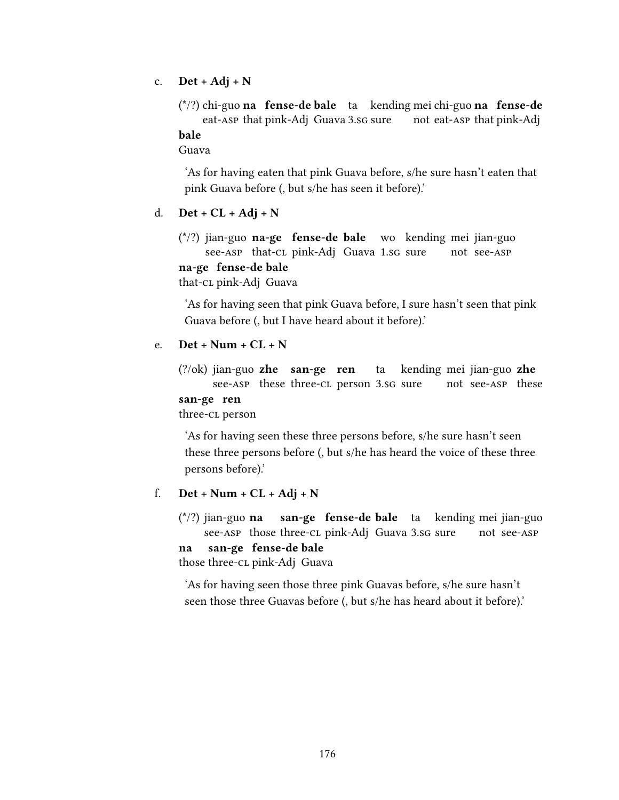c.  $Det + Adj + N$ 

 $(*?)$  chi-guo **na** fense-de bale ta kending mei chi-guo na fense-de eat-asp that pink-Adj Guava 3.sg sure not eat-asp that pink-Adj

#### bale

Guava

'As for having eaten that pink Guava before, s/he sure hasn't eaten that pink Guava before (, but s/he has seen it before).'

#### d.  $Det + CL + Adj + N$

 $(*/?)$  iian-guo **na-ge fense-de bale** wo kending mei iian-guo see-asp that-cl pink-Adj Guava 1.sg sure not see-asp na-ge fense-de bale that-cL pink-Adi Guava

'As for having seen that pink Guava before, I sure hasn't seen that pink Guava before (, but I have heard about it before).'

#### $e$  Det + Num +  $CL + N$

 $(?\over{ok})$  iian-guo zhe san-ge ren see-ASP these three-CL person 3.sG sure ta kending mei iian-guo **zhe** not see-asp these

#### san-ge ren three-cL person

'As for having seen these three persons before, s/he sure hasn't seen these three persons before (, but s/he has heard the voice of these three persons before).'

#### f.  $Det + Num + CL + Adj + N$

 $(*/?)$  iian-guo na see-asp those three-cl pink-Adj Guava 3.sg sure san-ge fense-de bale ta kending mei jian-guo not see-asp san-ge fense-de bale

## na

those three-cL pink-Adi Guava

'As for having seen those three pink Guavas before, s/he sure hasn't seen those three Guavas before (, but s/he has heard about it before).'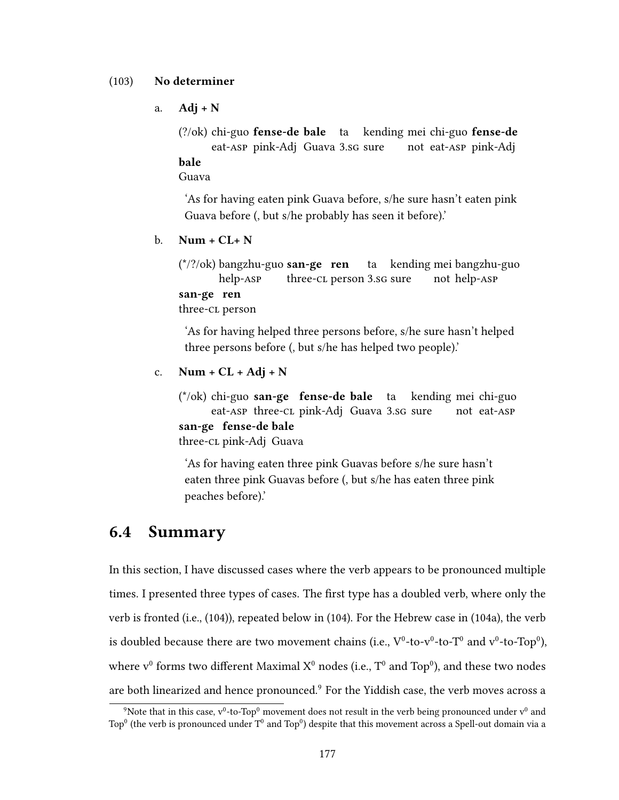#### (103) No determiner

a.  $Adj + N$ 

(?/ok) chi-guo **fense-de bale** ta kending mei chi-guo **fense-de** eat-asp pink-Adj Guava 3.sg sure not eat-asp pink-Adj bale

Guava

'As for having eaten pink Guava before, s/he sure hasn't eaten pink Guava before (, but s/he probably has seen it before).'

b. Num +  $CL+ N$ 

(\*/?/ok) bangzhu-guo san-ge ren help-asp three-cl person 3.sG sure ta kending mei bangzhu-guo not help-asp san-ge ren

three-cl person

'As for having helped three persons before, s/he sure hasn't helped three persons before (, but s/he has helped two people).'

#### c.  $Num + CL + Adj + N$

(\*/ok) chi-guo san-ge fense-de bale ta eat-asp three-cl pink-Adj Guava 3.sg sure kending mei chi-guo not eat-asp san-ge fense-de bale three-cL pink-Adi Guava

'As for having eaten three pink Guavas before s/he sure hasn't eaten three pink Guavas before (, but s/he has eaten three pink peaches before).'

### 6.4 Summary

In this section, I have discussed cases where the verb appears to be pronounced multiple times. I presented three types of cases. The first type has a doubled verb, where only the verb is fronted (i.e., (104)), repeated below in (104). For the Hebrew case in (104a), the verb is doubled because there are two movement chains (i.e.,  $V^0$ -to- $v^0$ -to- $T^0$  and  $v^0$ -to- $\text{Top}^0$ ), where  $v^0$  forms two different Maximal  $X^0$  nodes (i.e.,  $T^0$  and  $\text{Ton}^0$ ), and these two nodes are both linearized and hence pronounced.<sup>9</sup> For the Yiddish case, the verb moves across a

 $\rm ^{9}N$ ote that in this case, v $\rm ^{0}$ -to-Top $\rm ^{0}$  movement does not result in the verb being pronounced under v $\rm ^{0}$  and Top<sup>0</sup> (the verb is pronounced under  $T^0$  and Top<sup>0</sup>) despite that this movement across a Spell-out domain via a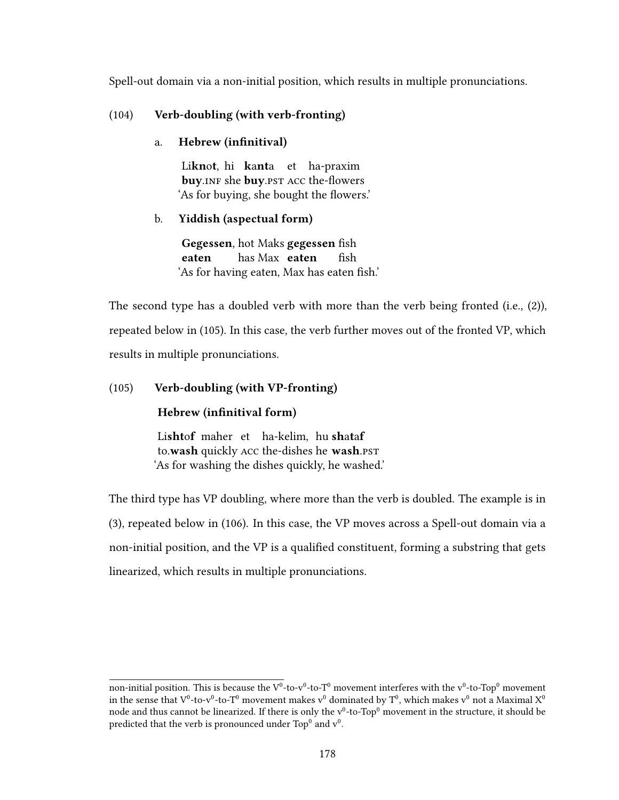Spell-out domain via a non-initial position, which results in multiple pronunciations.

#### (104) Verb-doubling (with verb-fronting)

#### a. Hebrew (infinitival)

Li**knot**, hi **kanta** et ha-praxim buy.inf she buy.pst Acc the-flowers 'As for buying, she bought the flowers.'

#### b. Yiddish (aspectual form)

Gegessen, hot Maks gegessen fish eaten has Max eaten  $fish$ 'As for having eaten, Max has eaten fish.'

The second type has a doubled verb with more than the verb being fronted (i.e., (2)), repeated below in (105). In this case, the verb further moves out of the fronted VP, which results in multiple pronunciations.

#### (105) Verb-doubling (with VP-fronting)

#### Hebrew (infinitival form)

Lishtof maher et ha-kelim, hu shataf to.wash quickly ACC the-dishes he wash.pst 'As for washing the dishes quickly, he washed.'

The third type has VP doubling, where more than the verb is doubled. The example is in (3), repeated below in (106). In this case, the VP moves across a Spell-out domain via a non-initial position, and the VP is a qualified constituent, forming a substring that gets linearized, which results in multiple pronunciations.

non-initial position. This is because the V $^{0}$ -to-v $^{0}$ -to-T $^{0}$  movement interferes with the v $^{0}$ -to-Top $^{0}$  movement in the sense that  $V^0$ -to- $v^0$ -to- $T^0$  movement makes  $v^0$  dominated by  $T^0$ , which makes  $v^0$  not a Maximal  $X^0$ node and thus cannot be linearized. If there is only the  $v^0$ -to-Top $^0$  movement in the structure, it should be predicted that the verb is pronounced under Top $^0$  and  $\rm v^0.$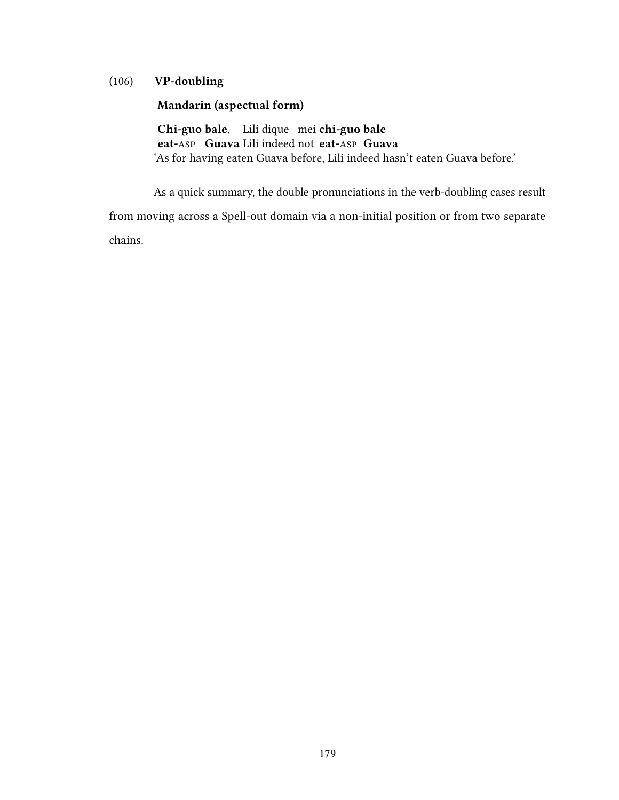### (106) VP-doubling

#### Mandarin (aspectual form)

Chi-guo bale. Lili dique mei chi-guo bale eat-Asp Guava Lili indeed not eat-Asp Guava 'As for having eaten Guava before, Lili indeed hasn't eaten Guava before.'

As a quick summary, the double pronunciations in the verb-doubling cases result from moving across a Spell-out domain via a non-initial position or from two separate chains.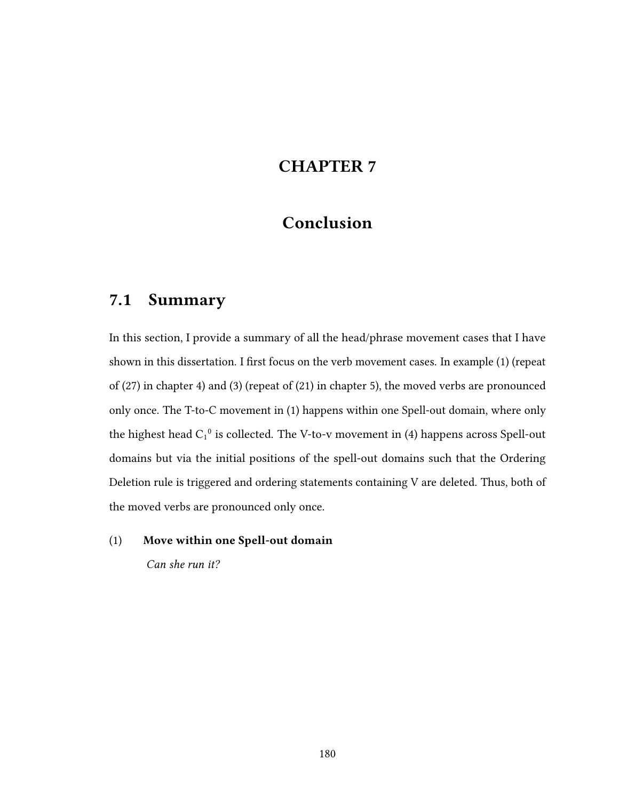# CHAPTER 7

# Conclusion

## 7.1 Summary

In this section, I provide a summary of all the head/phrase movement cases that I have shown in this dissertation. I first focus on the verb movement cases. In example (1) (repeat of (27) in chapter 4) and (3) (repeat of (21) in chapter 5), the moved verbs are pronounced only once. The T-to-C movement in (1) happens within one Spell-out domain, where only the highest head  $C_1^0$  is collected. The V-to-v movement in (4) happens across Spell-out domains but via the initial positions of the spell-out domains such that the Ordering Deletion rule is triggered and ordering statements containing V are deleted. Thus, both of the moved verbs are pronounced only once.

### (1) Move within one Spell-out domain

Can she run it?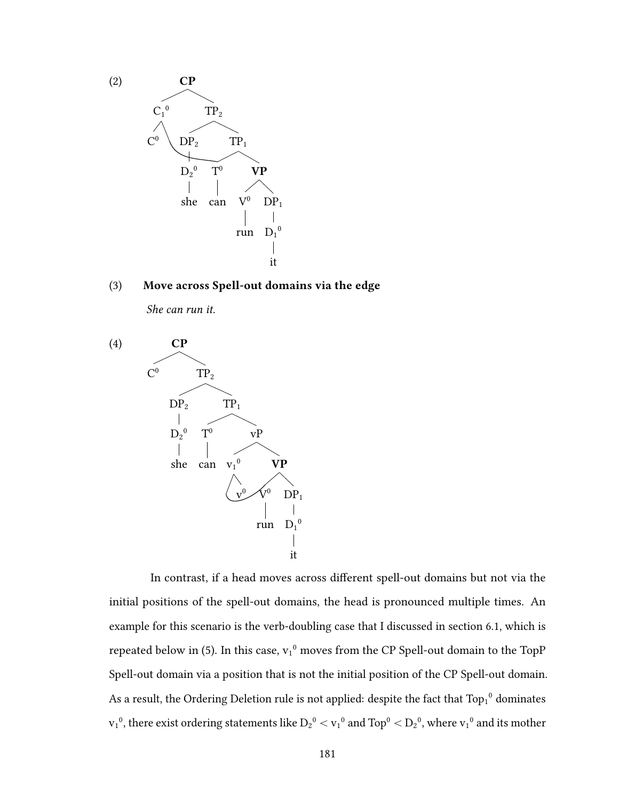

(3) Move across Spell-out domains via the edge

She can run it.



In contrast, if a head moves across different spell-out domains but not via the initial positions of the spell-out domains, the head is pronounced multiple times. An example for this scenario is the verb-doubling case that I discussed in section 6.1, which is repeated below in (5). In this case,  $v_1^0$  moves from the CP Spell-out domain to the TopP Spell-out domain via a position that is not the initial position of the CP Spell-out domain. As a result, the Ordering Deletion rule is not applied: despite the fact that  $\text{Top}_1{}^0$  dominates  $v_1{}^0$ , there exist ordering statements like  $D_2{}^0 < v_1{}^0$  and  $Top^0 < D_2{}^0$ , where  $v_1{}^0$  and its mother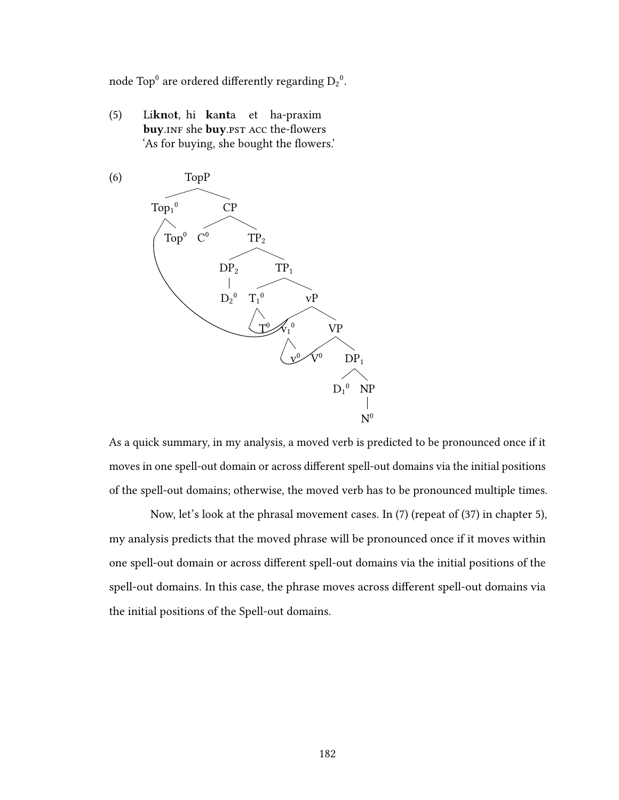node Top $^0$  are ordered differently regarding  $\mathrm{D_2}^0$ .

(5) Liknot, hi kanta et ha-praxim buy. INF she buy. PST ACC the-flowers 'As for buying, she bought the flowers.'



As a quick summary, in my analysis, a moved verb is predicted to be pronounced once if it moves in one spell-out domain or across different spell-out domains via the initial positions of the spell-out domains; otherwise, the moved verb has to be pronounced multiple times.

Now, let's look at the phrasal movement cases. In (7) (repeat of (37) in chapter 5), my analysis predicts that the moved phrase will be pronounced once if it moves within one spell-out domain or across different spell-out domains via the initial positions of the spell-out domains. In this case, the phrase moves across different spell-out domains via the initial positions of the Spell-out domains.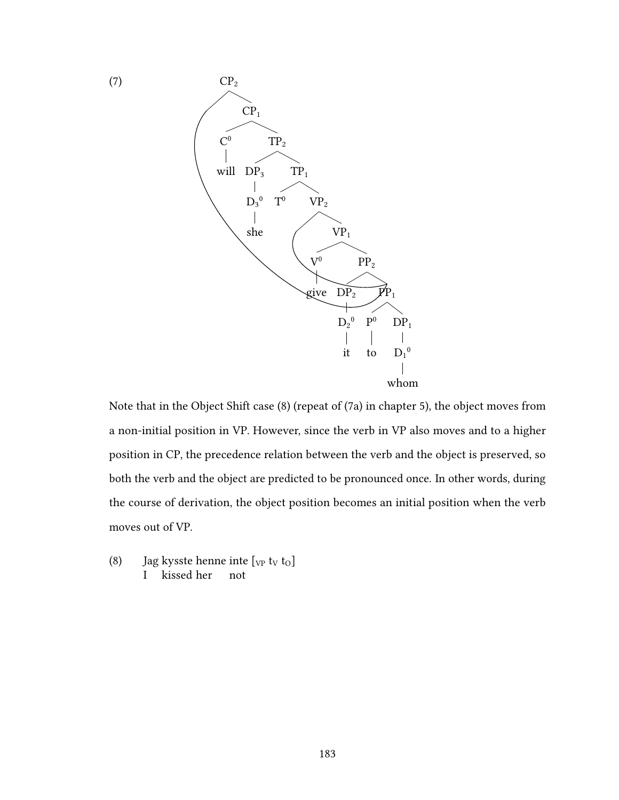

Note that in the Object Shift case (8) (repeat of (7a) in chapter 5), the object moves from a non-initial position in VP. However, since the verb in VP also moves and to a higher position in CP, the precedence relation between the verb and the object is preserved, so both the verb and the object are predicted to be pronounced once. In other words, during the course of derivation, the object position becomes an initial position when the verb moves out of VP.

(8) Jag kysste henne inte  $[\text{v}_P \text{ t}_V \text{ t}_O]$ I kissed her not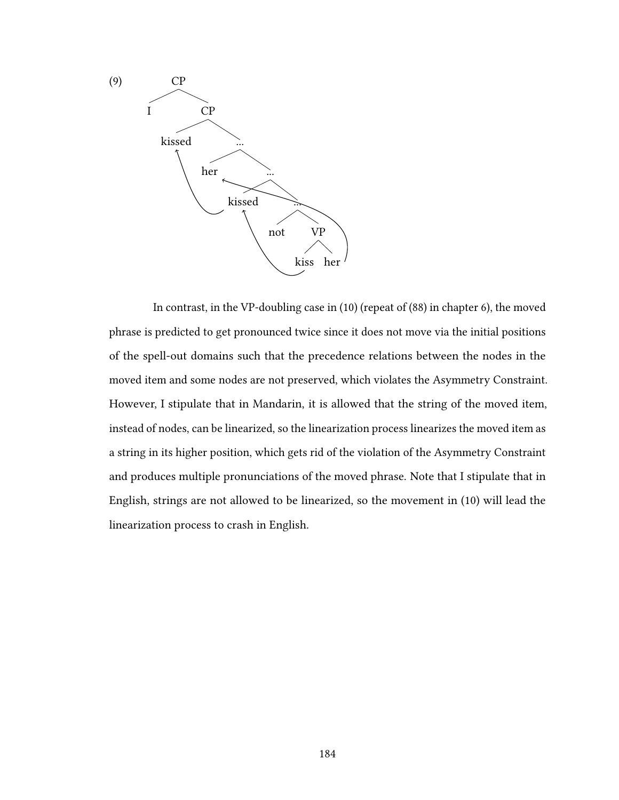

In contrast, in the VP-doubling case in (10) (repeat of (88) in chapter 6), the moved phrase is predicted to get pronounced twice since it does not move via the initial positions of the spell-out domains such that the precedence relations between the nodes in the moved item and some nodes are not preserved, which violates the Asymmetry Constraint. However, I stipulate that in Mandarin, it is allowed that the string of the moved item, instead of nodes, can be linearized, so the linearization process linearizes the moved item as a string in its higher position, which gets rid of the violation of the Asymmetry Constraint and produces multiple pronunciations of the moved phrase. Note that I stipulate that in English, strings are not allowed to be linearized, so the movement in (10) will lead the linearization process to crash in English.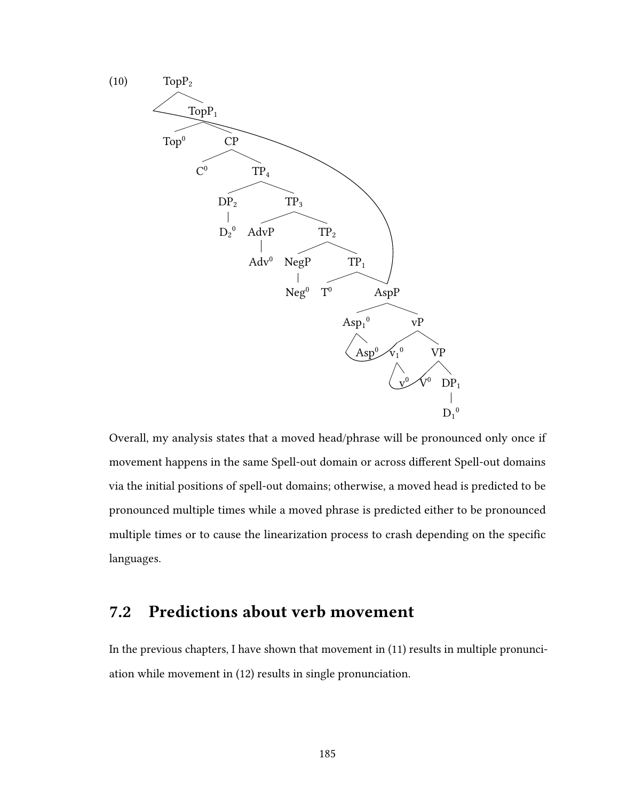

Overall, my analysis states that a moved head/phrase will be pronounced only once if movement happens in the same Spell-out domain or across different Spell-out domains via the initial positions of spell-out domains; otherwise, a moved head is predicted to be pronounced multiple times while a moved phrase is predicted either to be pronounced multiple times or to cause the linearization process to crash depending on the specific languages.

# 7.2 Predictions about verb movement

In the previous chapters, I have shown that movement in (11) results in multiple pronunciation while movement in (12) results in single pronunciation.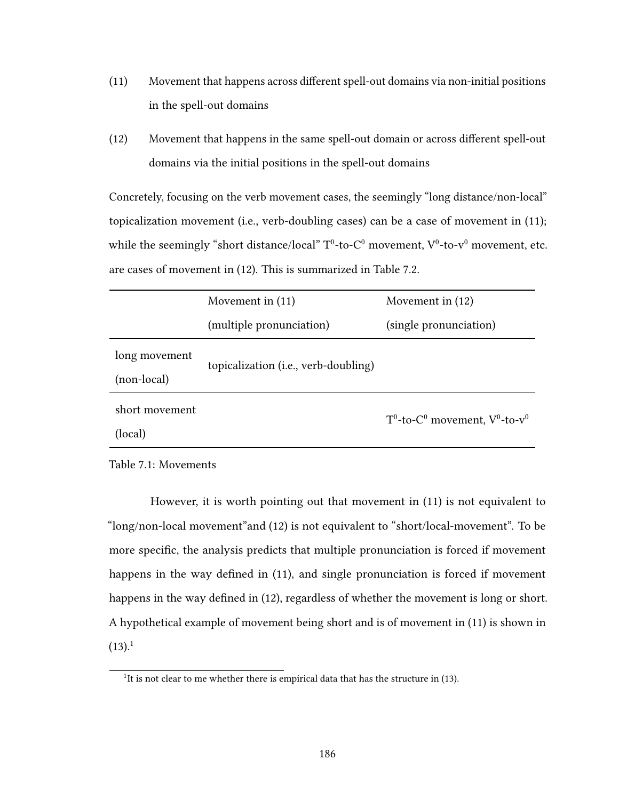- $(11)$  Movement that happens across different spell-out domains via non-initial positions in the spell-out domains
- $(12)$  Movement that happens in the same spell-out domain or across different spell-out domains via the initial positions in the spell-out domains

Concretely, focusing on the verb movement cases, the seemingly "long distance/non-local" topicalization movement (i.e., verb-doubling cases) can be a case of movement in (11); while the seemingly "short distance/local"  $T^0$ -to- $C^0$  movement,  $V^0$ -to- $v^0$  movement, etc. are cases of movement in (12). This is summarized in Table 7.2.

|                              | Movement in $(11)$                   | Movement in $(12)$                                                            |
|------------------------------|--------------------------------------|-------------------------------------------------------------------------------|
|                              | (multiple pronunciation)             | (single pronunciation)                                                        |
| long movement<br>(non-local) | topicalization (i.e., verb-doubling) |                                                                               |
| short movement<br>(local)    |                                      | T <sup>0</sup> -to-C <sup>0</sup> movement, V <sup>0</sup> -to-v <sup>0</sup> |

Table 7.1: Movements

However, it is worth pointing out that movement in (11) is not equivalent to "long/non-local movement"and (12) is not equivalent to "short/local-movement". To be more specific, the analysis predicts that multiple pronunciation is forced if movement happens in the way defined in  $(11)$ , and single pronunciation is forced if movement happens in the way defined in (12), regardless of whether the movement is long or short. A hypothetical example of movement being short and is of movement in (11) is shown in  $(13).<sup>1</sup>$ 

<sup>&</sup>lt;sup>1</sup>It is not clear to me whether there is empirical data that has the structure in (13).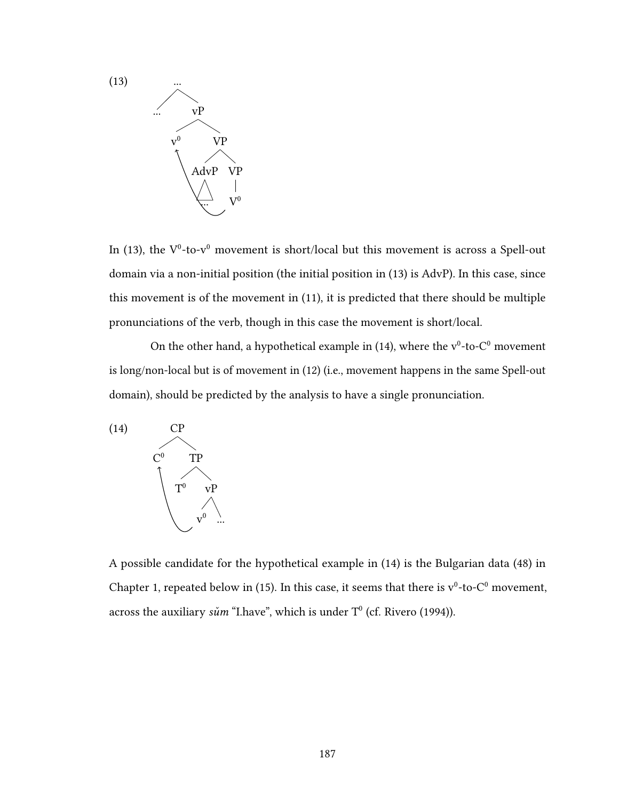

In (13), the  $V^0$ -to-v<sup>0</sup> movement is short/local but this movement is across a Spell-out domain via a non-initial position (the initial position in (13) is AdvP). In this case, since this movement is of the movement in (11), it is predicted that there should be multiple pronunciations of the verb, though in this case the movement is short/local.

On the other hand, a hypothetical example in (14), where the  $v^0$ -to- $C^0$  movement is long/non-local but is of movement in (12) (i.e., movement happens in the same Spell-out domain), should be predicted by the analysis to have a single pronunciation.



A possible candidate for the hypothetical example in (14) is the Bulgarian data (48) in Chapter 1, repeated below in (15). In this case, it seems that there is  $v^0$ -to- $C^0$  movement, across the auxiliary  $s\check{u}m$  "I.have", which is under  $\mathsf{T}^0$  (cf. Rivero (1994)).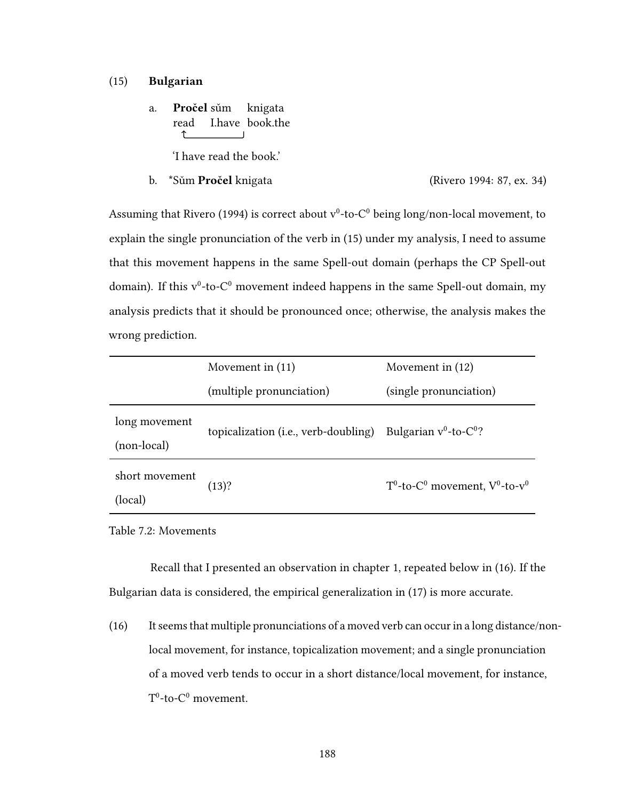#### (15) Bulgarian

a. **Pročel** sům knigata read I.have book.the ↑

'I have read the book.'

b. \*Sum Pročel knigata (Rivero 1994: 87, ex. 34)

Assuming that Rivero (1994) is correct about  $v^0$ -to- $C^0$  being long/non-local movement, to explain the single pronunciation of the verb in (15) under my analysis, I need to assume that this movement happens in the same Spell-out domain (perhaps the CP Spell-out domain). If this  $v^0$ -to- $C^0$  movement indeed happens in the same Spell-out domain, my analysis predicts that it should be pronounced once; otherwise, the analysis makes the wrong prediction.

|                              | Movement in $(11)$                   | Movement in $(12)$                                                   |
|------------------------------|--------------------------------------|----------------------------------------------------------------------|
|                              | (multiple pronunciation)             | (single pronunciation)                                               |
| long movement<br>(non-local) | topicalization (i.e., verb-doubling) | Bulgarian $v^0$ -to-C <sup>0</sup> ?                                 |
| short movement<br>(local)    | (13)?                                | $T^0$ -to-C <sup>0</sup> movement, V <sup>0</sup> -to-v <sup>0</sup> |

Table 7.2: Movements

Recall that I presented an observation in chapter 1, repeated below in (16). If the Bulgarian data is considered, the empirical generalization in (17) is more accurate.

(16) It seems that multiple pronunciations of a moved verb can occur in a long distance/nonlocal movement, for instance, topicalization movement; and a single pronunciation of a moved verb tends to occur in a short distance/local movement, for instance,  $T^0$ -to- $C^0$  movement.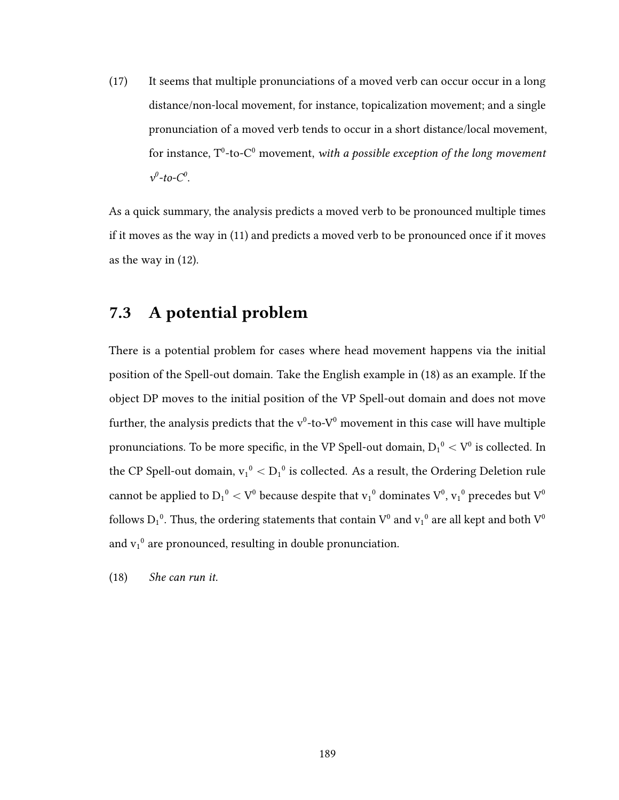(17) It seems that multiple pronunciations of a moved verb can occur occur in a long distance/non-local movement, for instance, topicalization movement; and a single pronunciation of a moved verb tends to occur in a short distance/local movement, for instance,  $\rm T^0$ -to- $\rm C^0$  movement, with a possible exception of the long movement  $v^0$ -to- $C^0$ .

As a quick summary, the analysis predicts a moved verb to be pronounced multiple times if it moves as the way in (11) and predicts a moved verb to be pronounced once if it moves as the way in (12).

## 7.3 A potential problem

There is a potential problem for cases where head movement happens via the initial position of the Spell-out domain. Take the English example in (18) as an example. If the object DP moves to the initial position of the VP Spell-out domain and does not move further, the analysis predicts that the  $v^0$ -to- $V^0$  movement in this case will have multiple pronunciations. To be more specific, in the VP Spell-out domain,  $D_1{}^0 < V^0$  is collected. In the CP Spell-out domain,  $v_1^0 < D_1^0$  is collected. As a result, the Ordering Deletion rule cannot be applied to  ${\rm D_1}^0<{\rm V}^0$  because despite that  ${\rm v_1}^0$  dominates  ${\rm V}^0,$   ${\rm v_1}^0$  precedes but  ${\rm V}^0$ follows  $D_1^{\ 0}$ . Thus, the ordering statements that contain  $V^0$  and  $v_1^{\ 0}$  are all kept and both  $V^0$ and  $v_1^0$  are pronounced, resulting in double pronunciation.

(18) She can run it.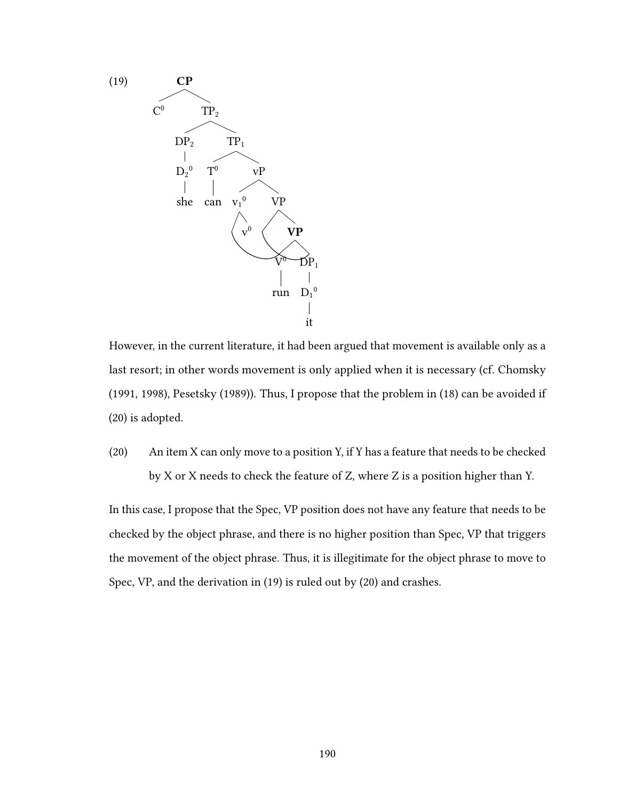

However, in the current literature, it had been argued that movement is available only as a last resort; in other words movement is only applied when it is necessary (cf. Chomsky (1991, 1998), Pesetsky (1989)). Thus, I propose that the problem in (18) can be avoided if (20) is adopted.

(20) An item X can only move to a position Y, if Y has a feature that needs to be checked by X or X needs to check the feature of Z, where Z is a position higher than Y.

In this case, I propose that the Spec, VP position does not have any feature that needs to be checked by the object phrase, and there is no higher position than Spec, VP that triggers the movement of the object phrase. Thus, it is illegitimate for the object phrase to move to Spec, VP, and the derivation in (19) is ruled out by (20) and crashes.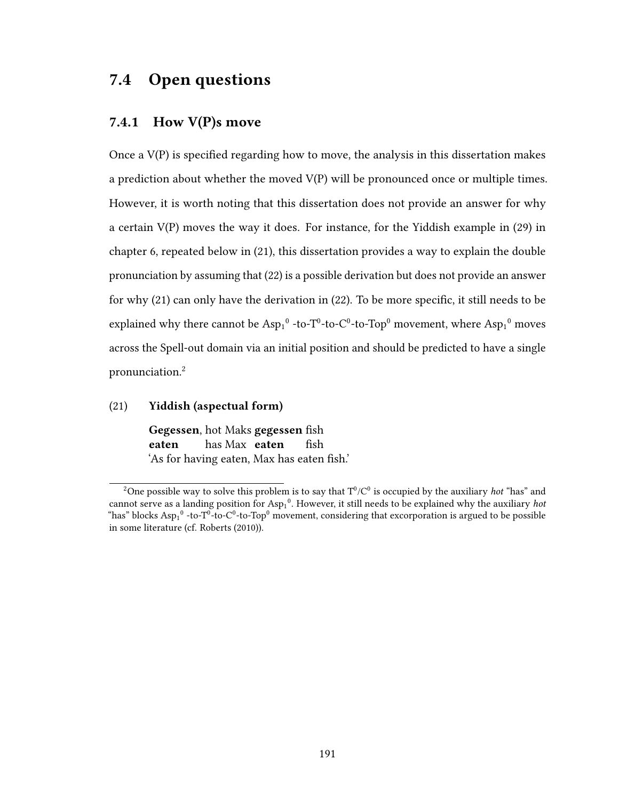# 7.4 Open questions

### 7.4.1 How V(P)s move

Once a  $V(P)$  is specified regarding how to move, the analysis in this dissertation makes a prediction about whether the moved V(P) will be pronounced once or multiple times. However, it is worth noting that this dissertation does not provide an answer for why a certain V(P) moves the way it does. For instance, for the Yiddish example in (29) in chapter 6, repeated below in (21), this dissertation provides a way to explain the double pronunciation by assuming that (22) is a possible derivation but does not provide an answer for why  $(21)$  can only have the derivation in  $(22)$ . To be more specific, it still needs to be explained why there cannot be  $Asp_1^0$  -to-T<sup>0</sup>-to-C<sup>0</sup>-to-Top<sup>0</sup> movement, where  $Asp_1^0$  moves across the Spell-out domain via an initial position and should be predicted to have a single pronunciation.<sup>2</sup>

#### (21) Yiddish (aspectual form)

Gegessen, hot Maks gegessen fish eaten has Max eaten fish 'As for having eaten, Max has eaten fish.'

<sup>&</sup>lt;sup>2</sup>One possible way to solve this problem is to say that  $T^0/C^0$  is occupied by the auxiliary *hot* "has" and cannot serve as a landing position for  $Asp_1^0$ . However, it still needs to be explained why the auxiliary hot "has" blocks  $Asp_1^0$  -to-T<sup>0</sup>-to-C<sup>0</sup>-to-Top<sup>0</sup> movement, considering that excorporation is argued to be possible in some literature (cf. Roberts (2010)).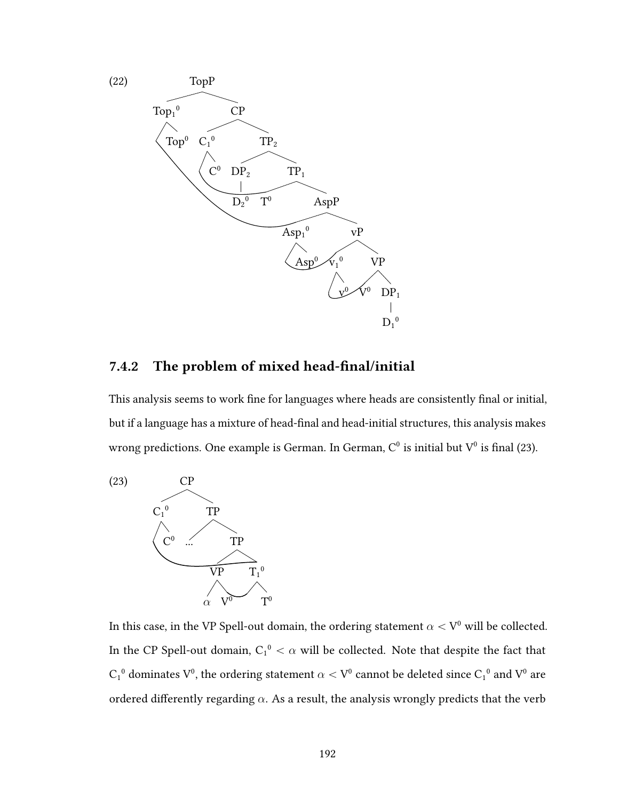

### 7.4.2 The problem of mixed head-final/initial

This analysis seems to work fine for languages where heads are consistently final or initial, but if a language has a mixture of head-final and head-initial structures, this analysis makes wrong predictions. One example is German. In German,  $C^0$  is initial but  $V^0$  is final (23).



In this case, in the VP Spell-out domain, the ordering statement  $\alpha < V^0$  will be collected. In the CP Spell-out domain,  $C_1^0 < \alpha$  will be collected. Note that despite the fact that  $\overline{\mathsf{C}_1}^0$  dominates  $\overline{\mathsf{V}}^0$ , the ordering statement  $\alpha < \mathsf{V}^0$  cannot be deleted since  $\overline{\mathsf{C}_1}^0$  and  $\overline{\mathsf{V}}^0$  are ordered differently regarding  $\alpha$ . As a result, the analysis wrongly predicts that the verb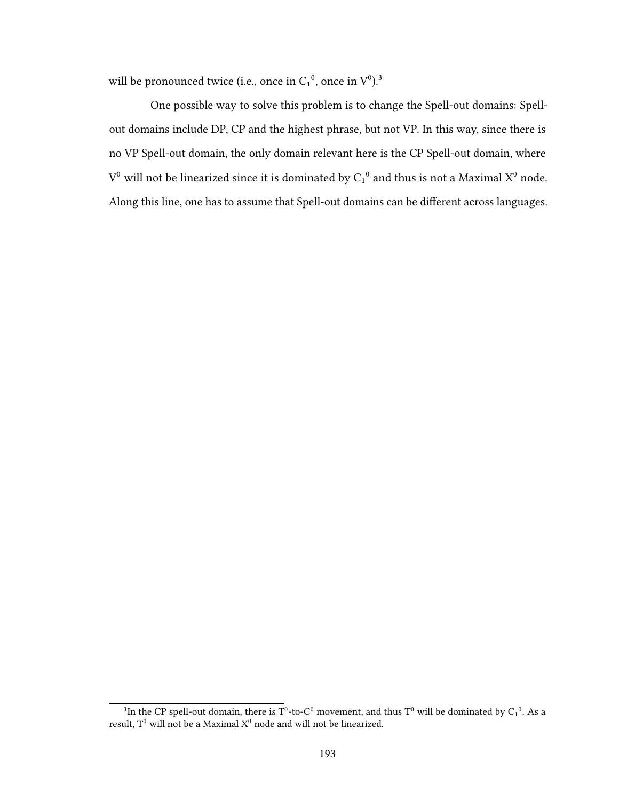will be pronounced twice (i.e., once in  $C_1^0$ , once in  $V^0$ ).<sup>3</sup>

One possible way to solve this problem is to change the Spell-out domains: Spellout domains include DP, CP and the highest phrase, but not VP. In this way, since there is no VP Spell-out domain, the only domain relevant here is the CP Spell-out domain, where  $V^0$  will not be linearized since it is dominated by  $C_1^0$  and thus is not a Maximal  $X^0$  node. Along this line, one has to assume that Spell-out domains can be different across languages.

<sup>&</sup>lt;sup>3</sup>In the CP spell-out domain, there is T<sup>0</sup>-to-C<sup>0</sup> movement, and thus T<sup>0</sup> will be dominated by C<sub>1</sub><sup>0</sup>. As a result.  $T^0$  will not be a Maximal  $X^0$  node and will not be linearized.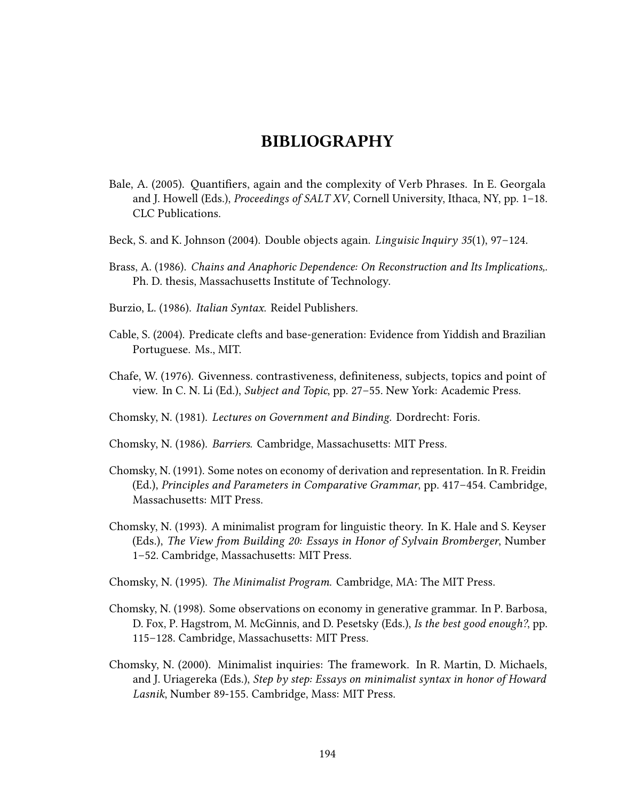## BIBLIOGRAPHY

- Bale, A. (2005). Quantifiers, again and the complexity of Verb Phrases. In E. Georgala and J. Howell (Eds.), *Proceedings of SALT XV*, Cornell University, Ithaca, NY, pp.  $1-18$ . CLC Publications.
- Beck, S. and K. Johnson (2004). Double objects again. Linguisic Inquiry 35(1), 97–124.
- Brass, A. (1986). Chains and Anaphoric Dependence: On Reconstruction and Its Implications,. Ph. D. thesis, Massachusetts Institute of Technology.
- Burzio, L. (1986). Italian Syntax. Reidel Publishers.
- Cable, S. (2004). Predicate clefts and base-generation: Evidence from Yiddish and Brazilian Portuguese. Ms., MIT.
- Chafe, W. (1976). Givenness. contrastiveness, definiteness, subjects, topics and point of view. In C. N. Li (Ed.), Subject and Topic, pp. 27–55. New York: Academic Press.
- Chomsky, N. (1981). Lectures on Government and Binding. Dordrecht: Foris.
- Chomsky, N. (1986). Barriers. Cambridge, Massachusetts: MIT Press.
- Chomsky, N. (1991). Some notes on economy of derivation and representation. In R. Freidin (Ed.), Principles and Parameters in Comparative Grammar, pp. 417–454. Cambridge, Massachusetts: MIT Press.
- Chomsky, N. (1993). A minimalist program for linguistic theory. In K. Hale and S. Keyser (Eds.), The View from Building 20: Essays in Honor of Sylvain Bromberger, Number 1–52. Cambridge, Massachusetts: MIT Press.
- Chomsky, N. (1995). The Minimalist Program. Cambridge, MA: The MIT Press.
- Chomsky, N. (1998). Some observations on economy in generative grammar. In P. Barbosa, D. Fox, P. Hagstrom, M. McGinnis, and D. Pesetsky (Eds.), Is the best good enough?, pp. 115–128. Cambridge, Massachusetts: MIT Press.
- Chomsky, N. (2000). Minimalist inquiries: The framework. In R. Martin, D. Michaels, and J. Uriagereka (Eds.), Step by step: Essays on minimalist syntax in honor of Howard Lasnik, Number 89-155. Cambridge, Mass: MIT Press.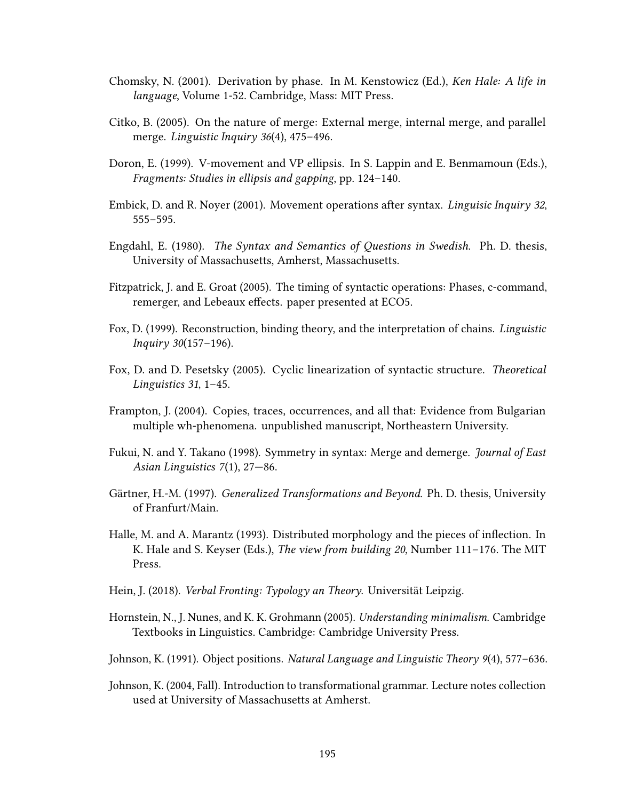- Chomsky, N. (2001). Derivation by phase. In M. Kenstowicz (Ed.), Ken Hale: A life in language, Volume 1-52. Cambridge, Mass: MIT Press.
- Citko, B. (2005). On the nature of merge: External merge, internal merge, and parallel merge. Linguistic Inquiry 36(4), 475–496.
- Doron, E. (1999). V-movement and VP ellipsis. In S. Lappin and E. Benmamoun (Eds.), Fragments: Studies in ellipsis and gapping, pp. 124–140.
- Embick, D. and R. Noyer (2001). Movement operations after syntax. Linguisic Inquiry 32, 555–595.
- Engdahl, E. (1980). The Syntax and Semantics of Questions in Swedish. Ph. D. thesis, University of Massachusetts, Amherst, Massachusetts.
- Fitzpatrick, J. and E. Groat (2005). The timing of syntactic operations: Phases, c-command, remerger, and Lebeaux effects. paper presented at ECO5.
- Fox, D. (1999). Reconstruction, binding theory, and the interpretation of chains. Linguistic Inquiry 30(157–196).
- Fox, D. and D. Pesetsky (2005). Cyclic linearization of syntactic structure. Theoretical Linguistics 31, 1–45.
- Frampton, J. (2004). Copies, traces, occurrences, and all that: Evidence from Bulgarian multiple wh-phenomena. unpublished manuscript, Northeastern University.
- Fukui, N. and Y. Takano (1998). Symmetry in syntax: Merge and demerge. *Journal of East* Asian Linguistics 7(1), 27—86.
- Gärtner, H.-M. (1997). Generalized Transformations and Beyond. Ph. D. thesis, University of Franfurt/Main.
- Halle, M. and A. Marantz (1993). Distributed morphology and the pieces of inflection. In K. Hale and S. Keyser (Eds.), The view from building 20, Number 111–176. The MIT Press.
- Hein, J. (2018). Verbal Fronting: Typology an Theory. Universität Leipzig.
- Hornstein, N., J. Nunes, and K. K. Grohmann (2005). Understanding minimalism. Cambridge Textbooks in Linguistics. Cambridge: Cambridge University Press.
- Johnson, K. (1991). Object positions. Natural Language and Linguistic Theory 9(4), 577–636.
- Johnson, K. (2004, Fall). Introduction to transformational grammar. Lecture notes collection used at University of Massachusetts at Amherst.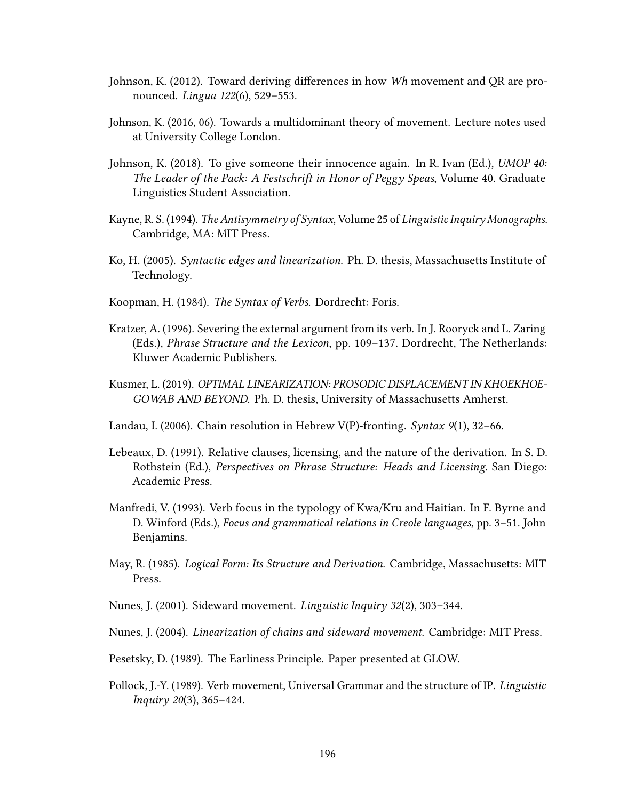- Johnson, K. (2012). Toward deriving differences in how  $Wh$  movement and QR are pronounced. Lingua 122(6), 529–553.
- Johnson, K. (2016, 06). Towards a multidominant theory of movement. Lecture notes used at University College London.
- Johnson, K. (2018). To give someone their innocence again. In R. Ivan (Ed.), UMOP 40: The Leader of the Pack: A Festschrift in Honor of Peggy Speas, Volume 40. Graduate Linguistics Student Association.
- Kayne, R. S. (1994). The Antisymmetry of Syntax, Volume 25 of Linguistic Inquiry Monographs. Cambridge, MA: MIT Press.
- Ko, H. (2005). Syntactic edges and linearization. Ph. D. thesis, Massachusetts Institute of Technology.
- Koopman, H. (1984). The Syntax of Verbs. Dordrecht: Foris.
- Kratzer, A. (1996). Severing the external argument from its verb. In J. Rooryck and L. Zaring (Eds.), Phrase Structure and the Lexicon, pp. 109–137. Dordrecht, The Netherlands: Kluwer Academic Publishers.
- Kusmer, L. (2019). OPTIMAL LINEARIZATION: PROSODIC DISPLACEMENT IN KHOEKHOE-GOWAB AND BEYOND. Ph. D. thesis, University of Massachusetts Amherst.
- Landau, I. (2006). Chain resolution in Hebrew V(P)-fronting. Syntax  $9(1)$ , 32–66.
- Lebeaux, D. (1991). Relative clauses, licensing, and the nature of the derivation. In S. D. Rothstein (Ed.), Perspectives on Phrase Structure: Heads and Licensing. San Diego: Academic Press.
- Manfredi, V. (1993). Verb focus in the typology of Kwa/Kru and Haitian. In F. Byrne and D. Winford (Eds.), Focus and grammatical relations in Creole languages, pp. 3–51. John Benjamins.
- May, R. (1985). Logical Form: Its Structure and Derivation. Cambridge, Massachusetts: MIT Press.
- Nunes, J. (2001). Sideward movement. Linguistic Inquiry 32(2), 303–344.
- Nunes, J. (2004). Linearization of chains and sideward movement. Cambridge: MIT Press.
- Pesetsky, D. (1989). The Earliness Principle. Paper presented at GLOW.
- Pollock, J.-Y. (1989). Verb movement, Universal Grammar and the structure of IP. Linguistic Inquiry 20(3), 365–424.